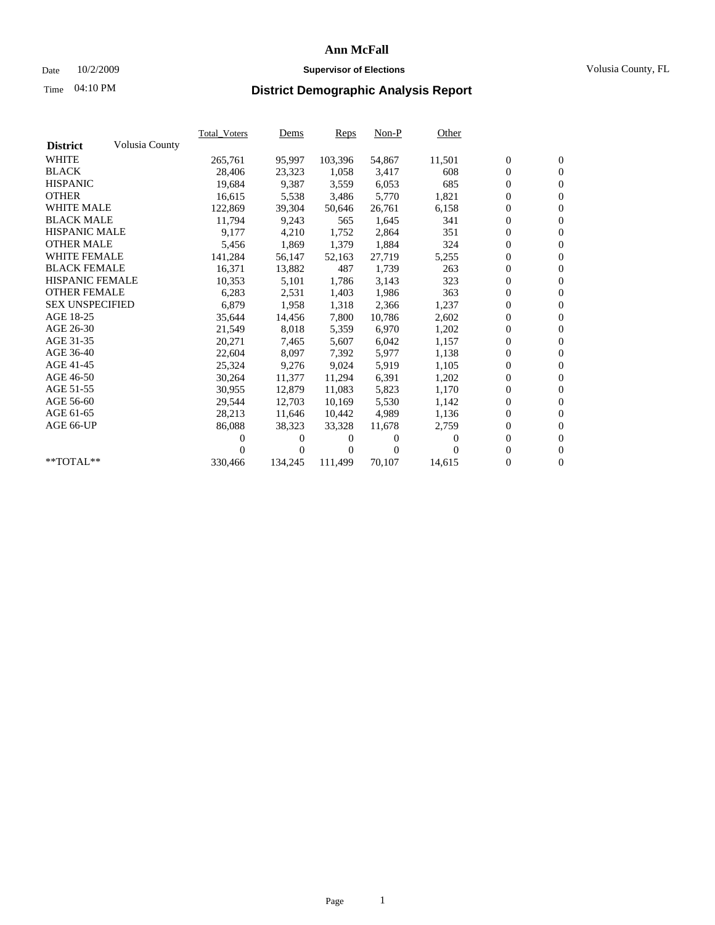### Date 10/2/2009 **Supervisor of Elections** Volusia County, FL

# Time **District Demographic Analysis Report** 04:10 PM

|                        |                | Total Voters | <b>Dems</b> | Reps     | $Non-P$  | Other    |                  |                  |  |
|------------------------|----------------|--------------|-------------|----------|----------|----------|------------------|------------------|--|
| <b>District</b>        | Volusia County |              |             |          |          |          |                  |                  |  |
| <b>WHITE</b>           |                | 265,761      | 95,997      | 103,396  | 54,867   | 11,501   | $\boldsymbol{0}$ | $\boldsymbol{0}$ |  |
| <b>BLACK</b>           |                | 28,406       | 23,323      | 1,058    | 3,417    | 608      | $\boldsymbol{0}$ | $\mathbf{0}$     |  |
| <b>HISPANIC</b>        |                | 19,684       | 9,387       | 3,559    | 6,053    | 685      | $\overline{0}$   | $\mathbf{0}$     |  |
| <b>OTHER</b>           |                | 16,615       | 5,538       | 3,486    | 5,770    | 1,821    | $\overline{0}$   | $\mathbf{0}$     |  |
| <b>WHITE MALE</b>      |                | 122,869      | 39,304      | 50,646   | 26,761   | 6,158    | $\boldsymbol{0}$ | $\mathbf{0}$     |  |
| <b>BLACK MALE</b>      |                | 11,794       | 9,243       | 565      | 1,645    | 341      | $\overline{0}$   | $\mathbf{0}$     |  |
| <b>HISPANIC MALE</b>   |                | 9,177        | 4,210       | 1,752    | 2,864    | 351      | $\overline{0}$   | $\overline{0}$   |  |
| <b>OTHER MALE</b>      |                | 5,456        | 1,869       | 1,379    | 1,884    | 324      | $\boldsymbol{0}$ | $\mathbf{0}$     |  |
| <b>WHITE FEMALE</b>    |                | 141,284      | 56,147      | 52,163   | 27,719   | 5,255    | 0                | $\mathbf{0}$     |  |
| <b>BLACK FEMALE</b>    |                | 16,371       | 13,882      | 487      | 1,739    | 263      | $\boldsymbol{0}$ | $\overline{0}$   |  |
| <b>HISPANIC FEMALE</b> |                | 10,353       | 5,101       | 1,786    | 3,143    | 323      | $\boldsymbol{0}$ | $\boldsymbol{0}$ |  |
| <b>OTHER FEMALE</b>    |                | 6,283        | 2,531       | 1,403    | 1,986    | 363      | 0                | $\theta$         |  |
| <b>SEX UNSPECIFIED</b> |                | 6,879        | 1,958       | 1,318    | 2,366    | 1,237    | $\boldsymbol{0}$ | $\overline{0}$   |  |
| AGE 18-25              |                | 35,644       | 14,456      | 7,800    | 10,786   | 2,602    | 0                | $\boldsymbol{0}$ |  |
| AGE 26-30              |                | 21,549       | 8,018       | 5,359    | 6,970    | 1,202    | 0                | $\mathbf{0}$     |  |
| AGE 31-35              |                | 20,271       | 7,465       | 5,607    | 6,042    | 1,157    | $\mathbf{0}$     | $\mathbf{0}$     |  |
| AGE 36-40              |                | 22,604       | 8,097       | 7,392    | 5,977    | 1,138    | 0                | $\boldsymbol{0}$ |  |
| AGE 41-45              |                | 25,324       | 9,276       | 9,024    | 5,919    | 1,105    | 0                | $\mathbf{0}$     |  |
| AGE 46-50              |                | 30,264       | 11,377      | 11,294   | 6,391    | 1,202    | $\boldsymbol{0}$ | $\mathbf{0}$     |  |
| AGE 51-55              |                | 30,955       | 12,879      | 11,083   | 5,823    | 1,170    | $\boldsymbol{0}$ | $\boldsymbol{0}$ |  |
| AGE 56-60              |                | 29,544       | 12.703      | 10.169   | 5.530    | 1,142    | 0                | $\mathbf{0}$     |  |
| AGE 61-65              |                | 28,213       | 11,646      | 10,442   | 4,989    | 1,136    | $\boldsymbol{0}$ | $\mathbf{0}$     |  |
| AGE 66-UP              |                | 86,088       | 38,323      | 33,328   | 11,678   | 2,759    | 0                | $\mathbf{0}$     |  |
|                        |                | 0            | 0           | $^{(1)}$ | $\Omega$ | $\Omega$ | 0                | $\mathbf{0}$     |  |
|                        |                |              | $\theta$    | 0        | $\Omega$ |          | $\mathbf{0}$     | $\mathbf{0}$     |  |
| $*$ TOTAL $**$         |                | 330,466      | 134,245     | 111,499  | 70,107   | 14,615   | 0                | $\mathbf{0}$     |  |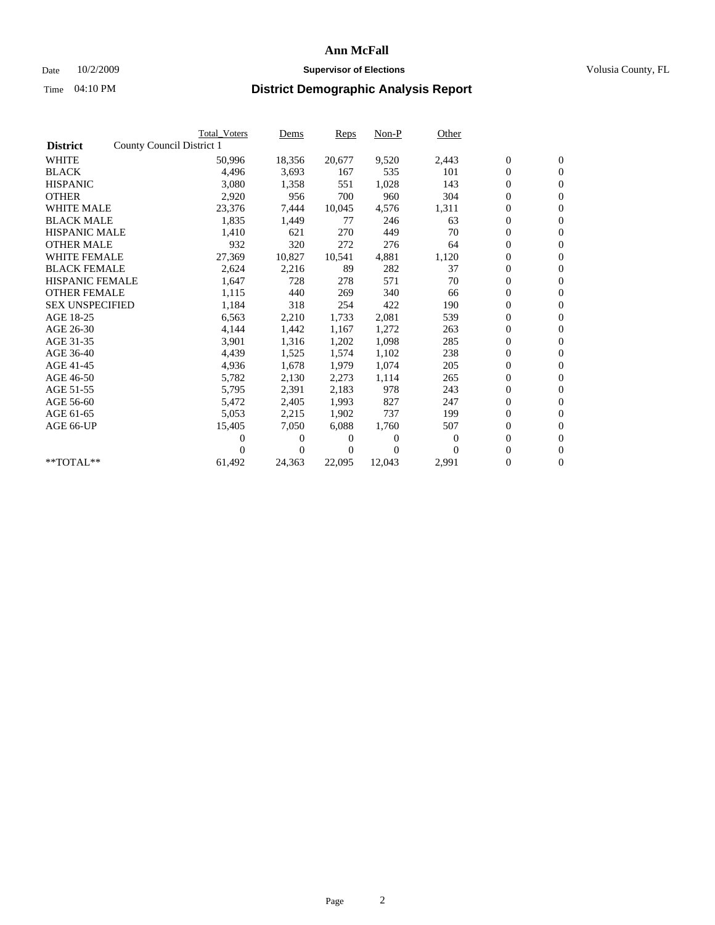### Date  $10/2/2009$  **Supervisor of Elections Supervisor of Elections** Volusia County, FL

|                        | <b>Total Voters</b>       | Dems           | Reps   | $Non-P$  | Other    |                  |                  |  |
|------------------------|---------------------------|----------------|--------|----------|----------|------------------|------------------|--|
| <b>District</b>        | County Council District 1 |                |        |          |          |                  |                  |  |
| <b>WHITE</b>           | 50,996                    | 18,356         | 20,677 | 9,520    | 2,443    | $\boldsymbol{0}$ | $\boldsymbol{0}$ |  |
| <b>BLACK</b>           | 4,496                     | 3,693          | 167    | 535      | 101      | $\overline{0}$   | $\mathbf{0}$     |  |
| <b>HISPANIC</b>        | 3,080                     | 1,358          | 551    | 1,028    | 143      | $\overline{0}$   | $\mathbf{0}$     |  |
| <b>OTHER</b>           | 2,920                     | 956            | 700    | 960      | 304      | 0                | $\mathbf{0}$     |  |
| <b>WHITE MALE</b>      | 23,376                    | 7,444          | 10,045 | 4,576    | 1,311    | $\boldsymbol{0}$ | $\mathbf{0}$     |  |
| <b>BLACK MALE</b>      | 1,835                     | 1,449          | 77     | 246      | 63       | $\boldsymbol{0}$ | $\mathbf{0}$     |  |
| <b>HISPANIC MALE</b>   | 1,410                     | 621            | 270    | 449      | 70       | 0                | $\mathbf{0}$     |  |
| <b>OTHER MALE</b>      | 932                       | 320            | 272    | 276      | 64       | $\boldsymbol{0}$ | $\mathbf{0}$     |  |
| <b>WHITE FEMALE</b>    | 27,369                    | 10,827         | 10.541 | 4,881    | 1,120    | 0                | $\mathbf{0}$     |  |
| <b>BLACK FEMALE</b>    | 2,624                     | 2,216          | 89     | 282      | 37       | $\boldsymbol{0}$ | $\Omega$         |  |
| <b>HISPANIC FEMALE</b> | 1,647                     | 728            | 278    | 571      | 70       | $\boldsymbol{0}$ | $\mathbf{0}$     |  |
| <b>OTHER FEMALE</b>    | 1,115                     | 440            | 269    | 340      | 66       | 0                | $\mathbf{0}$     |  |
| <b>SEX UNSPECIFIED</b> | 1,184                     | 318            | 254    | 422      | 190      | 0                | $\mathbf{0}$     |  |
| AGE 18-25              | 6,563                     | 2,210          | 1,733  | 2,081    | 539      | $\overline{0}$   | $\mathbf{0}$     |  |
| AGE 26-30              | 4,144                     | 1,442          | 1,167  | 1,272    | 263      | $\boldsymbol{0}$ | $\mathbf{0}$     |  |
| AGE 31-35              | 3,901                     | 1,316          | 1,202  | 1,098    | 285      | 0                | $\mathbf{0}$     |  |
| AGE 36-40              | 4,439                     | 1,525          | 1,574  | 1,102    | 238      | $\boldsymbol{0}$ | $\mathbf{0}$     |  |
| AGE 41-45              | 4,936                     | 1,678          | 1,979  | 1,074    | 205      | $\boldsymbol{0}$ | $\mathbf{0}$     |  |
| AGE 46-50              | 5,782                     | 2,130          | 2,273  | 1,114    | 265      | 0                | $\Omega$         |  |
| AGE 51-55              | 5,795                     | 2,391          | 2,183  | 978      | 243      | $\boldsymbol{0}$ | $\mathbf{0}$     |  |
| AGE 56-60              | 5,472                     | 2,405          | 1.993  | 827      | 247      | 0                | $\mathbf{0}$     |  |
| AGE 61-65              | 5,053                     | 2,215          | 1,902  | 737      | 199      | 0                | $\mathbf{0}$     |  |
| AGE 66-UP              | 15,405                    | 7,050          | 6,088  | 1,760    | 507      | $\overline{0}$   | $\mathbf{0}$     |  |
|                        | 0                         | 0              | 0      | $\theta$ | $\Omega$ | $\boldsymbol{0}$ | $\mathbf{0}$     |  |
|                        | 0                         | $\overline{0}$ | 0      | $\Omega$ | $\Omega$ | 0                | $\mathbf{0}$     |  |
| $*$ TOTAL $**$         | 61,492                    | 24,363         | 22,095 | 12,043   | 2,991    | 0                | $\boldsymbol{0}$ |  |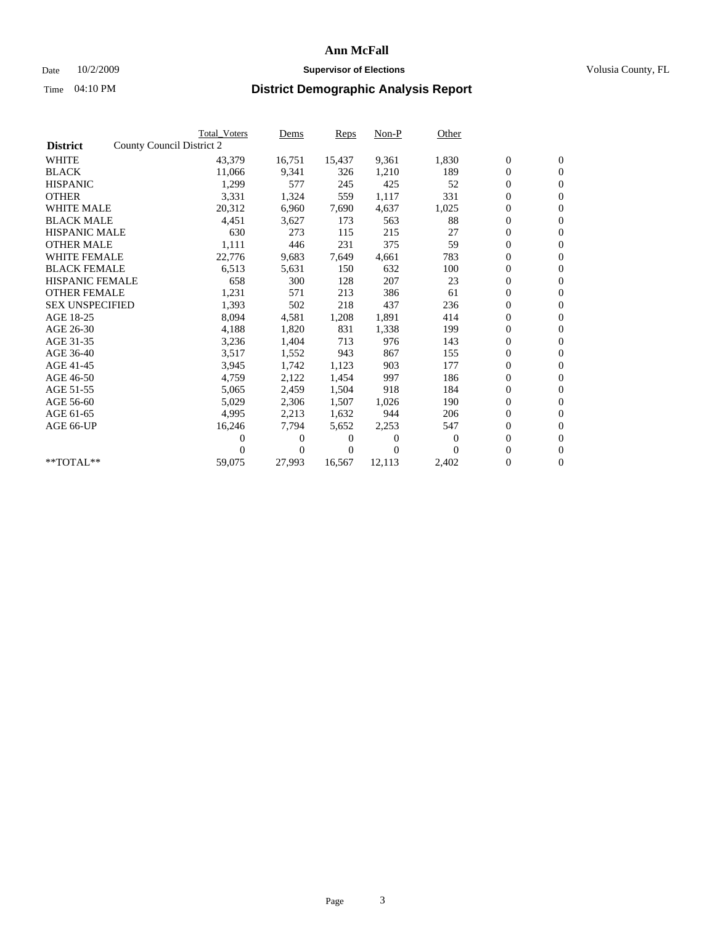### Date  $10/2/2009$  **Supervisor of Elections Supervisor of Elections** Volusia County, FL

|                        | <b>Total Voters</b>       | Dems           | Reps   | $Non-P$        | Other    |                  |                  |  |
|------------------------|---------------------------|----------------|--------|----------------|----------|------------------|------------------|--|
| <b>District</b>        | County Council District 2 |                |        |                |          |                  |                  |  |
| <b>WHITE</b>           | 43,379                    | 16,751         | 15,437 | 9,361          | 1,830    | $\boldsymbol{0}$ | $\boldsymbol{0}$ |  |
| <b>BLACK</b>           | 11,066                    | 9,341          | 326    | 1,210          | 189      | $\overline{0}$   | $\mathbf{0}$     |  |
| <b>HISPANIC</b>        | 1,299                     | 577            | 245    | 425            | 52       | $\overline{0}$   | $\mathbf{0}$     |  |
| <b>OTHER</b>           | 3,331                     | 1,324          | 559    | 1,117          | 331      | 0                | $\mathbf{0}$     |  |
| <b>WHITE MALE</b>      | 20,312                    | 6,960          | 7,690  | 4,637          | 1,025    | $\boldsymbol{0}$ | $\mathbf{0}$     |  |
| <b>BLACK MALE</b>      | 4,451                     | 3,627          | 173    | 563            | 88       | $\boldsymbol{0}$ | $\mathbf{0}$     |  |
| <b>HISPANIC MALE</b>   | 630                       | 273            | 115    | 215            | 27       | 0                | $\mathbf{0}$     |  |
| <b>OTHER MALE</b>      | 1,111                     | 446            | 231    | 375            | 59       | $\boldsymbol{0}$ | $\mathbf{0}$     |  |
| <b>WHITE FEMALE</b>    | 22,776                    | 9,683          | 7,649  | 4,661          | 783      | 0                | $\mathbf{0}$     |  |
| <b>BLACK FEMALE</b>    | 6,513                     | 5,631          | 150    | 632            | 100      | 0                | $\Omega$         |  |
| <b>HISPANIC FEMALE</b> | 658                       | 300            | 128    | 207            | 23       | $\boldsymbol{0}$ | $\mathbf{0}$     |  |
| <b>OTHER FEMALE</b>    | 1,231                     | 571            | 213    | 386            | 61       | $\boldsymbol{0}$ | $\mathbf{0}$     |  |
| <b>SEX UNSPECIFIED</b> | 1,393                     | 502            | 218    | 437            | 236      | 0                | $\mathbf{0}$     |  |
| AGE 18-25              | 8,094                     | 4,581          | 1,208  | 1,891          | 414      | $\overline{0}$   | $\mathbf{0}$     |  |
| AGE 26-30              | 4,188                     | 1,820          | 831    | 1,338          | 199      | $\boldsymbol{0}$ | $\mathbf{0}$     |  |
| AGE 31-35              | 3,236                     | 1,404          | 713    | 976            | 143      | 0                | $\mathbf{0}$     |  |
| AGE 36-40              | 3,517                     | 1,552          | 943    | 867            | 155      | $\boldsymbol{0}$ | $\mathbf{0}$     |  |
| AGE 41-45              | 3,945                     | 1,742          | 1,123  | 903            | 177      | $\boldsymbol{0}$ | $\mathbf{0}$     |  |
| AGE 46-50              | 4,759                     | 2,122          | 1,454  | 997            | 186      | 0                | $\Omega$         |  |
| AGE 51-55              | 5,065                     | 2,459          | 1,504  | 918            | 184      | $\boldsymbol{0}$ | $\mathbf{0}$     |  |
| AGE 56-60              | 5,029                     | 2,306          | 1,507  | 1.026          | 190      | 0                | $\mathbf{0}$     |  |
| AGE 61-65              | 4,995                     | 2,213          | 1,632  | 944            | 206      | 0                | $\mathbf{0}$     |  |
| AGE 66-UP              | 16,246                    | 7,794          | 5,652  | 2,253          | 547      | $\overline{0}$   | $\mathbf{0}$     |  |
|                        | 0                         | 0              | 0      | $\overline{0}$ | $\Omega$ | $\boldsymbol{0}$ | $\mathbf{0}$     |  |
|                        | 0                         | $\overline{0}$ | 0      | $\Omega$       | $\Omega$ | 0                | $\mathbf{0}$     |  |
| $*$ TOTAL $**$         | 59,075                    | 27,993         | 16,567 | 12,113         | 2,402    | 0                | $\boldsymbol{0}$ |  |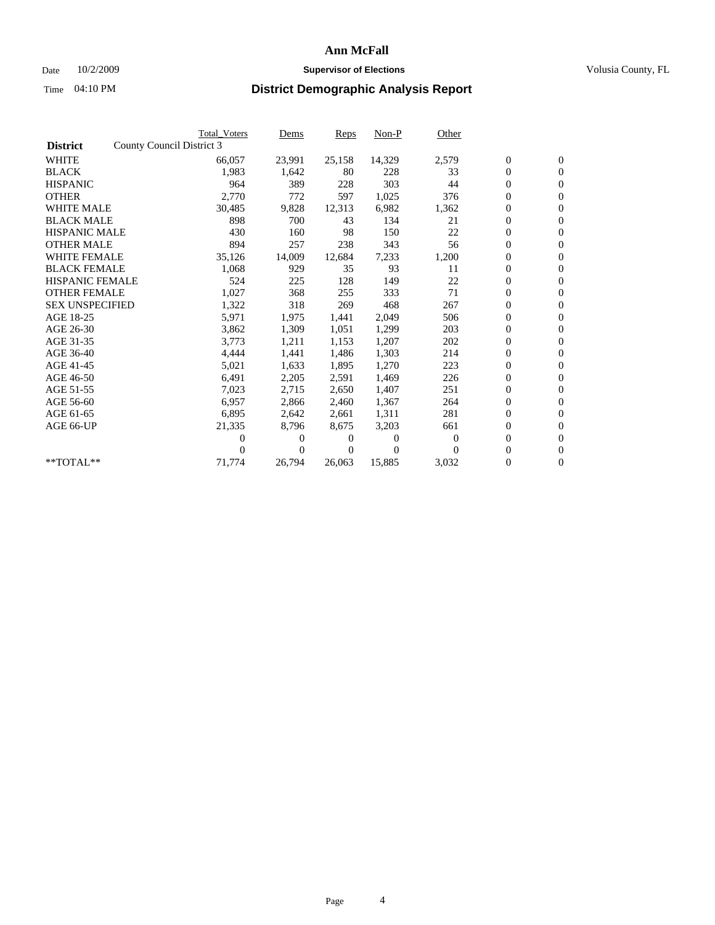### Date  $10/2/2009$  **Supervisor of Elections Supervisor of Elections** Volusia County, FL

|                        |                           | <b>Total Voters</b> | Dems   | Reps   | $Non-P$  | Other    |                  |                  |  |
|------------------------|---------------------------|---------------------|--------|--------|----------|----------|------------------|------------------|--|
| <b>District</b>        | County Council District 3 |                     |        |        |          |          |                  |                  |  |
| <b>WHITE</b>           |                           | 66,057              | 23,991 | 25,158 | 14,329   | 2,579    | $\boldsymbol{0}$ | $\boldsymbol{0}$ |  |
| <b>BLACK</b>           |                           | 1,983               | 1,642  | 80     | 228      | 33       | $\overline{0}$   | $\overline{0}$   |  |
| <b>HISPANIC</b>        |                           | 964                 | 389    | 228    | 303      | 44       | $\overline{0}$   | $\overline{0}$   |  |
| <b>OTHER</b>           |                           | 2,770               | 772    | 597    | 1,025    | 376      | 0                | $\overline{0}$   |  |
| <b>WHITE MALE</b>      |                           | 30,485              | 9,828  | 12,313 | 6,982    | 1,362    | $\boldsymbol{0}$ | $\mathbf{0}$     |  |
| <b>BLACK MALE</b>      |                           | 898                 | 700    | 43     | 134      | 21       | $\boldsymbol{0}$ | $\mathbf{0}$     |  |
| <b>HISPANIC MALE</b>   |                           | 430                 | 160    | 98     | 150      | 22       | $\boldsymbol{0}$ | $\overline{0}$   |  |
| <b>OTHER MALE</b>      |                           | 894                 | 257    | 238    | 343      | 56       | $\boldsymbol{0}$ | $\mathbf{0}$     |  |
| <b>WHITE FEMALE</b>    |                           | 35,126              | 14,009 | 12,684 | 7,233    | 1,200    | $\boldsymbol{0}$ | $\overline{0}$   |  |
| <b>BLACK FEMALE</b>    |                           | 1,068               | 929    | 35     | 93       | 11       | $\boldsymbol{0}$ | $\Omega$         |  |
| <b>HISPANIC FEMALE</b> |                           | 524                 | 225    | 128    | 149      | 22       | $\boldsymbol{0}$ | $\mathbf{0}$     |  |
| <b>OTHER FEMALE</b>    |                           | 1,027               | 368    | 255    | 333      | 71       | $\boldsymbol{0}$ | $\overline{0}$   |  |
| <b>SEX UNSPECIFIED</b> |                           | 1,322               | 318    | 269    | 468      | 267      | $\boldsymbol{0}$ | $\Omega$         |  |
| AGE 18-25              |                           | 5,971               | 1,975  | 1,441  | 2,049    | 506      | $\boldsymbol{0}$ | $\mathbf{0}$     |  |
| AGE 26-30              |                           | 3,862               | 1,309  | 1,051  | 1,299    | 203      | $\boldsymbol{0}$ | $\overline{0}$   |  |
| AGE 31-35              |                           | 3,773               | 1,211  | 1,153  | 1,207    | 202      | $\boldsymbol{0}$ | $\overline{0}$   |  |
| AGE 36-40              |                           | 4,444               | 1,441  | 1,486  | 1,303    | 214      | $\overline{0}$   | $\mathbf{0}$     |  |
| AGE 41-45              |                           | 5,021               | 1,633  | 1,895  | 1,270    | 223      | $\boldsymbol{0}$ | $\overline{0}$   |  |
| AGE 46-50              |                           | 6,491               | 2,205  | 2,591  | 1,469    | 226      | $\boldsymbol{0}$ | $\Omega$         |  |
| AGE 51-55              |                           | 7,023               | 2,715  | 2,650  | 1,407    | 251      | $\boldsymbol{0}$ | $\mathbf{0}$     |  |
| AGE 56-60              |                           | 6,957               | 2.866  | 2.460  | 1.367    | 264      | $\overline{0}$   | $\overline{0}$   |  |
| AGE 61-65              |                           | 6,895               | 2,642  | 2,661  | 1,311    | 281      | $\boldsymbol{0}$ | $\Omega$         |  |
| AGE 66-UP              |                           | 21,335              | 8,796  | 8,675  | 3,203    | 661      | $\overline{0}$   | $\mathbf{0}$     |  |
|                        |                           | 0                   | $_{0}$ | 0      | 0        | $\Omega$ | $\boldsymbol{0}$ | $\overline{0}$   |  |
|                        |                           | 0                   | 0      | 0      | $\theta$ | 0        | 0                | $\overline{0}$   |  |
| $*$ TOTAL $**$         |                           | 71,774              | 26,794 | 26,063 | 15,885   | 3,032    | $\overline{0}$   | $\boldsymbol{0}$ |  |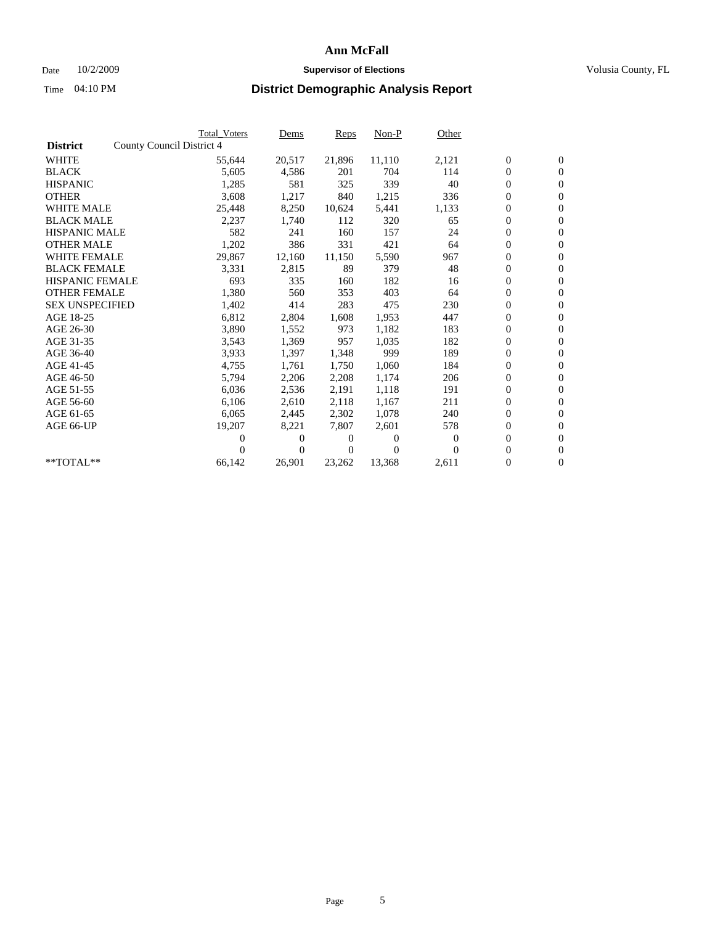### Date  $10/2/2009$  **Supervisor of Elections Supervisor of Elections** Volusia County, FL

|                        |                           | <b>Total Voters</b> | Dems           | Reps   | $Non-P$  | Other            |                  |                  |
|------------------------|---------------------------|---------------------|----------------|--------|----------|------------------|------------------|------------------|
| <b>District</b>        | County Council District 4 |                     |                |        |          |                  |                  |                  |
| <b>WHITE</b>           |                           | 55,644              | 20,517         | 21,896 | 11,110   | 2,121            | $\boldsymbol{0}$ | $\boldsymbol{0}$ |
| <b>BLACK</b>           |                           | 5,605               | 4,586          | 201    | 704      | 114              | $\overline{0}$   | $\mathbf{0}$     |
| <b>HISPANIC</b>        |                           | 1,285               | 581            | 325    | 339      | 40               | $\overline{0}$   | $\mathbf{0}$     |
| <b>OTHER</b>           |                           | 3,608               | 1,217          | 840    | 1,215    | 336              | 0                | $\mathbf{0}$     |
| <b>WHITE MALE</b>      |                           | 25,448              | 8,250          | 10,624 | 5,441    | 1,133            | $\boldsymbol{0}$ | $\mathbf{0}$     |
| <b>BLACK MALE</b>      |                           | 2,237               | 1,740          | 112    | 320      | 65               | $\boldsymbol{0}$ | $\mathbf{0}$     |
| <b>HISPANIC MALE</b>   |                           | 582                 | 241            | 160    | 157      | 24               | 0                | $\mathbf{0}$     |
| <b>OTHER MALE</b>      |                           | 1,202               | 386            | 331    | 421      | 64               | $\boldsymbol{0}$ | $\mathbf{0}$     |
| <b>WHITE FEMALE</b>    |                           | 29,867              | 12,160         | 11,150 | 5,590    | 967              | 0                | $\mathbf{0}$     |
| <b>BLACK FEMALE</b>    |                           | 3,331               | 2,815          | 89     | 379      | 48               | 0                | $\mathbf{0}$     |
| <b>HISPANIC FEMALE</b> |                           | 693                 | 335            | 160    | 182      | 16               | $\boldsymbol{0}$ | $\mathbf{0}$     |
| <b>OTHER FEMALE</b>    |                           | 1,380               | 560            | 353    | 403      | 64               | 0                | $\mathbf{0}$     |
| <b>SEX UNSPECIFIED</b> |                           | 1,402               | 414            | 283    | 475      | 230              | 0                | $\mathbf{0}$     |
| AGE 18-25              |                           | 6,812               | 2,804          | 1,608  | 1,953    | 447              | $\boldsymbol{0}$ | $\mathbf{0}$     |
| AGE 26-30              |                           | 3,890               | 1,552          | 973    | 1,182    | 183              | $\boldsymbol{0}$ | $\mathbf{0}$     |
| AGE 31-35              |                           | 3,543               | 1,369          | 957    | 1,035    | 182              | 0                | $\mathbf{0}$     |
| AGE 36-40              |                           | 3,933               | 1,397          | 1,348  | 999      | 189              | $\overline{0}$   | $\mathbf{0}$     |
| AGE 41-45              |                           | 4,755               | 1,761          | 1,750  | 1,060    | 184              | $\boldsymbol{0}$ | $\mathbf{0}$     |
| AGE 46-50              |                           | 5,794               | 2,206          | 2,208  | 1,174    | 206              | 0                | $\Omega$         |
| AGE 51-55              |                           | 6,036               | 2,536          | 2,191  | 1,118    | 191              | $\boldsymbol{0}$ | $\mathbf{0}$     |
| AGE 56-60              |                           | 6,106               | 2,610          | 2.118  | 1.167    | 211              | 0                | $\mathbf{0}$     |
| AGE 61-65              |                           | 6,065               | 2,445          | 2,302  | 1,078    | 240              | 0                | $\mathbf{0}$     |
| AGE 66-UP              |                           | 19,207              | 8,221          | 7,807  | 2,601    | 578              | $\overline{0}$   | $\mathbf{0}$     |
|                        |                           | 0                   | 0              | 0      | $\theta$ | $\boldsymbol{0}$ | 0                | $\mathbf{0}$     |
|                        |                           | 0                   | $\overline{0}$ | 0      | $\Omega$ | $\Omega$         | 0                | $\mathbf{0}$     |
| $*$ TOTAL $**$         |                           | 66,142              | 26,901         | 23,262 | 13,368   | 2,611            | $\overline{0}$   | $\boldsymbol{0}$ |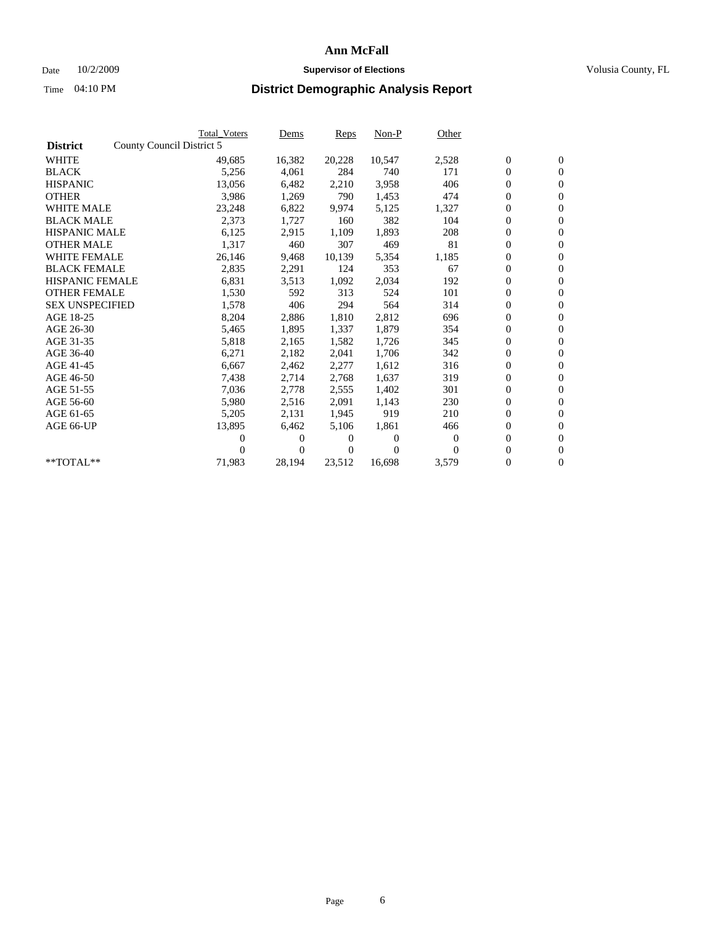### Date  $10/2/2009$  **Supervisor of Elections Supervisor of Elections** Volusia County, FL

|                        |                           | <b>Total Voters</b> | Dems           | Reps   | $Non-P$  | Other    |                  |                  |  |
|------------------------|---------------------------|---------------------|----------------|--------|----------|----------|------------------|------------------|--|
| <b>District</b>        | County Council District 5 |                     |                |        |          |          |                  |                  |  |
| <b>WHITE</b>           |                           | 49,685              | 16,382         | 20,228 | 10,547   | 2,528    | $\boldsymbol{0}$ | $\boldsymbol{0}$ |  |
| <b>BLACK</b>           |                           | 5,256               | 4,061          | 284    | 740      | 171      | $\overline{0}$   | $\mathbf{0}$     |  |
| <b>HISPANIC</b>        |                           | 13,056              | 6,482          | 2,210  | 3,958    | 406      | $\overline{0}$   | $\mathbf{0}$     |  |
| <b>OTHER</b>           |                           | 3,986               | 1,269          | 790    | 1,453    | 474      | 0                | $\mathbf{0}$     |  |
| <b>WHITE MALE</b>      |                           | 23,248              | 6,822          | 9,974  | 5,125    | 1,327    | $\boldsymbol{0}$ | $\mathbf{0}$     |  |
| <b>BLACK MALE</b>      |                           | 2,373               | 1,727          | 160    | 382      | 104      | $\boldsymbol{0}$ | $\mathbf{0}$     |  |
| <b>HISPANIC MALE</b>   |                           | 6,125               | 2,915          | 1,109  | 1,893    | 208      | 0                | $\mathbf{0}$     |  |
| <b>OTHER MALE</b>      |                           | 1,317               | 460            | 307    | 469      | 81       | $\boldsymbol{0}$ | $\mathbf{0}$     |  |
| <b>WHITE FEMALE</b>    |                           | 26,146              | 9,468          | 10,139 | 5,354    | 1,185    | 0                | $\mathbf{0}$     |  |
| <b>BLACK FEMALE</b>    |                           | 2,835               | 2,291          | 124    | 353      | 67       | $\boldsymbol{0}$ | $\mathbf{0}$     |  |
| HISPANIC FEMALE        |                           | 6,831               | 3,513          | 1,092  | 2,034    | 192      | $\boldsymbol{0}$ | $\mathbf{0}$     |  |
| <b>OTHER FEMALE</b>    |                           | 1,530               | 592            | 313    | 524      | 101      | 0                | $\mathbf{0}$     |  |
| <b>SEX UNSPECIFIED</b> |                           | 1,578               | 406            | 294    | 564      | 314      | 0                | $\mathbf{0}$     |  |
| AGE 18-25              |                           | 8,204               | 2,886          | 1,810  | 2,812    | 696      | $\overline{0}$   | $\mathbf{0}$     |  |
| AGE 26-30              |                           | 5,465               | 1,895          | 1,337  | 1,879    | 354      | 0                | $\mathbf{0}$     |  |
| AGE 31-35              |                           | 5,818               | 2,165          | 1,582  | 1,726    | 345      | 0                | $\mathbf{0}$     |  |
| AGE 36-40              |                           | 6,271               | 2,182          | 2,041  | 1,706    | 342      | $\boldsymbol{0}$ | $\mathbf{0}$     |  |
| AGE 41-45              |                           | 6,667               | 2,462          | 2,277  | 1,612    | 316      | $\boldsymbol{0}$ | $\mathbf{0}$     |  |
| AGE 46-50              |                           | 7,438               | 2,714          | 2,768  | 1,637    | 319      | 0                | $\Omega$         |  |
| AGE 51-55              |                           | 7,036               | 2,778          | 2,555  | 1,402    | 301      | $\boldsymbol{0}$ | $\mathbf{0}$     |  |
| AGE 56-60              |                           | 5,980               | 2,516          | 2.091  | 1.143    | 230      | 0                | $\mathbf{0}$     |  |
| AGE 61-65              |                           | 5,205               | 2,131          | 1,945  | 919      | 210      | 0                | $\mathbf{0}$     |  |
| AGE 66-UP              |                           | 13,895              | 6,462          | 5,106  | 1,861    | 466      | $\overline{0}$   | $\mathbf{0}$     |  |
|                        |                           | 0                   | 0              | 0      | $\theta$ | $\bf{0}$ | $\boldsymbol{0}$ | $\mathbf{0}$     |  |
|                        |                           | 0                   | $\overline{0}$ | 0      | $\Omega$ | $\Omega$ | 0                | $\mathbf{0}$     |  |
| $*$ TOTAL $**$         |                           | 71,983              | 28,194         | 23,512 | 16,698   | 3,579    | 0                | $\boldsymbol{0}$ |  |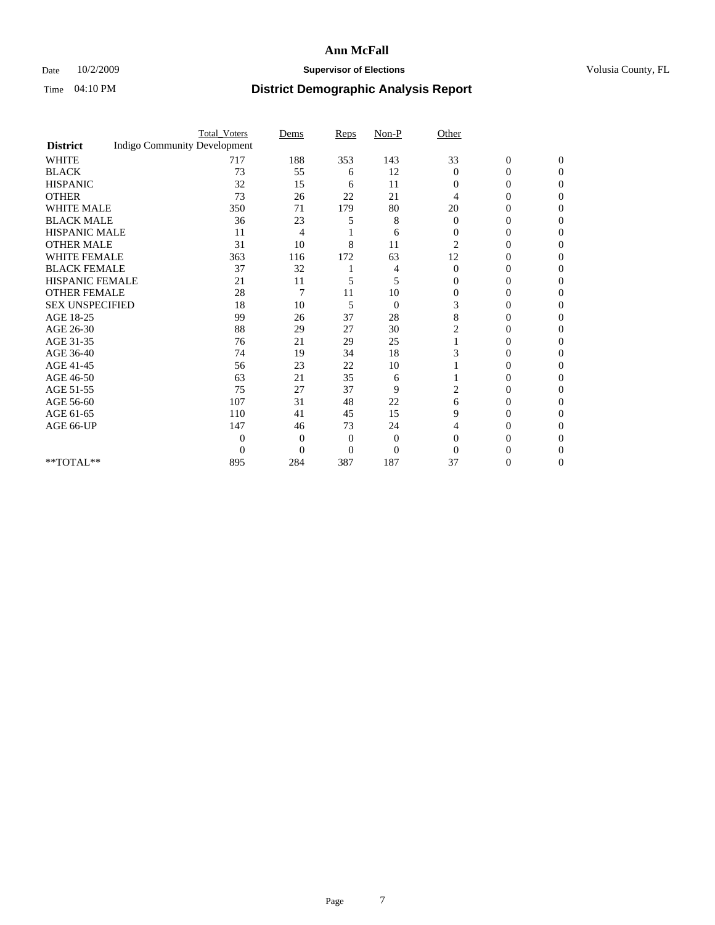### Date  $10/2/2009$  **Supervisor of Elections Supervisor of Elections** Volusia County, FL

|                        |                                     | <b>Total_Voters</b> | Dems     | Reps           | $Non-P$        | Other          |                  |              |  |
|------------------------|-------------------------------------|---------------------|----------|----------------|----------------|----------------|------------------|--------------|--|
| <b>District</b>        | <b>Indigo Community Development</b> |                     |          |                |                |                |                  |              |  |
| <b>WHITE</b>           |                                     | 717                 | 188      | 353            | 143            | 33             | $\boldsymbol{0}$ | $\mathbf{0}$ |  |
| <b>BLACK</b>           |                                     | 73                  | 55       | 6              | 12             | $\Omega$       | 0                | $\Omega$     |  |
| <b>HISPANIC</b>        |                                     | 32                  | 15       | 6              | 11             | $\Omega$       | 0                | $\Omega$     |  |
| <b>OTHER</b>           |                                     | 73                  | 26       | 22             | 21             | 4              | 0                | 0            |  |
| <b>WHITE MALE</b>      |                                     | 350                 | 71       | 179            | 80             | 20             | 0                | 0            |  |
| <b>BLACK MALE</b>      |                                     | 36                  | 23       | 5              | 8              | $\Omega$       | 0                | 0            |  |
| HISPANIC MALE          |                                     | 11                  | 4        |                | 6              | $\overline{0}$ | 0                | 0            |  |
| <b>OTHER MALE</b>      |                                     | 31                  | 10       | 8              | 11             | $\overline{c}$ | 0                | 0            |  |
| <b>WHITE FEMALE</b>    |                                     | 363                 | 116      | 172            | 63             | 12             | 0                | 0            |  |
| <b>BLACK FEMALE</b>    |                                     | 37                  | 32       |                | 4              | $\overline{0}$ | 0                | 0            |  |
| <b>HISPANIC FEMALE</b> |                                     | 21                  | 11       | 5              | 5              | $\Omega$       | 0                | 0            |  |
| <b>OTHER FEMALE</b>    |                                     | 28                  | 7        | 11             | 10             | $\Omega$       | 0                | 0            |  |
| <b>SEX UNSPECIFIED</b> |                                     | 18                  | 10       | 5              | $\overline{0}$ | 3              | 0                | 0            |  |
| AGE 18-25              |                                     | 99                  | 26       | 37             | 28             | 8              | 0                | $\Omega$     |  |
| AGE 26-30              |                                     | 88                  | 29       | 27             | 30             |                | 0                | 0            |  |
| AGE 31-35              |                                     | 76                  | 21       | 29             | 25             |                | 0                | 0            |  |
| AGE 36-40              |                                     | 74                  | 19       | 34             | 18             |                | 0                | 0            |  |
| AGE 41-45              |                                     | 56                  | 23       | 22             | 10             |                | 0                | 0            |  |
| AGE 46-50              |                                     | 63                  | 21       | 35             | 6              |                | 0                | $\Omega$     |  |
| AGE 51-55              |                                     | 75                  | 27       | 37             | 9              | 2              | 0                | 0            |  |
| AGE 56-60              |                                     | 107                 | 31       | 48             | 22             | 6              | 0                | 0            |  |
| AGE 61-65              |                                     | 110                 | 41       | 45             | 15             | 9              | 0                | 0            |  |
| AGE 66-UP              |                                     | 147                 | 46       | 73             | 24             | 4              | 0                | 0            |  |
|                        |                                     | 0                   | 0        | $\overline{0}$ | $\theta$       | $\Omega$       | 0                | 0            |  |
|                        |                                     | $\Omega$            | $\Omega$ | $\theta$       | $\overline{0}$ | $\Omega$       |                  | 0            |  |
| **TOTAL**              |                                     | 895                 | 284      | 387            | 187            | 37             | 0                | 0            |  |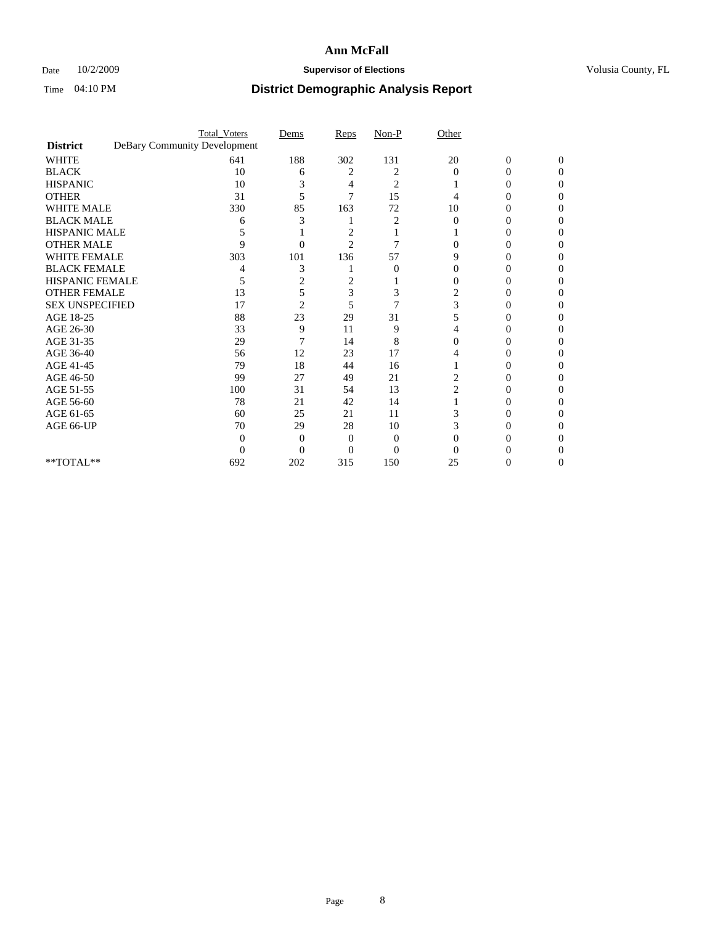### Date  $10/2/2009$  **Supervisor of Elections Supervisor of Elections** Volusia County, FL

|                                     | <b>Total_Voters</b>          | Dems           | Reps           | $Non-P$        | Other          |                  |              |
|-------------------------------------|------------------------------|----------------|----------------|----------------|----------------|------------------|--------------|
| <b>District</b>                     | DeBary Community Development |                |                |                |                |                  |              |
| <b>WHITE</b>                        | 641                          | 188            | 302            | 131            | 20             | $\boldsymbol{0}$ | $\mathbf{0}$ |
| <b>BLACK</b>                        | 10                           | 6              | 2              | 2              | $\Omega$       | 0                | 0            |
| <b>HISPANIC</b>                     | 10                           | 3              | 4              | $\overline{c}$ |                | 0                | 0            |
| <b>OTHER</b>                        | 31                           | 5              | 7              | 15             |                |                  | 0            |
| <b>WHITE MALE</b>                   | 330                          | 85             | 163            | 72             | 10             | 0                | 0            |
| <b>BLACK MALE</b>                   | 6                            | 3              |                | 2              | $\Omega$       | 0                | 0            |
| HISPANIC MALE                       |                              |                | 2              |                |                | 0                | 0            |
| <b>OTHER MALE</b>                   | 9                            | 0              | $\overline{2}$ | 7              |                | $\theta$         | 0            |
| <b>WHITE FEMALE</b>                 | 303                          | 101            | 136            | 57             | 9              |                  | 0            |
| <b>BLACK FEMALE</b>                 |                              | 3              |                | $\overline{0}$ | 0              | 0                | 0            |
| <b>HISPANIC FEMALE</b>              | 5                            | 2              | 2              |                |                | 0                | 0            |
| <b>OTHER FEMALE</b>                 | 13                           | 5              | 3              | 3              | 2              |                  | 0            |
| <b>SEX UNSPECIFIED</b>              | 17                           | $\overline{2}$ | 5              | 7              | 3              |                  | 0            |
| AGE 18-25                           | 88                           | 23             | 29             | 31             | 5              | 0                | 0            |
| AGE 26-30                           | 33                           | 9              | 11             | 9              |                |                  | 0            |
| AGE 31-35                           | 29                           |                | 14             | 8              |                |                  |              |
| AGE 36-40                           | 56                           | 12             | 23             | 17             | 4              | 0                | 0            |
| AGE 41-45                           | 79                           | 18             | 44             | 16             |                | $\theta$         | 0            |
| AGE 46-50                           | 99                           | 27             | 49             | 21             | 2              | 0                | 0            |
| AGE 51-55                           | 100                          | 31             | 54             | 13             | $\overline{c}$ | 0                | 0            |
| AGE 56-60                           | 78                           | 21             | 42             | 14             |                |                  | 0            |
| AGE 61-65                           | 60                           | 25             | 21             | 11             |                |                  | 0            |
| AGE 66-UP                           | 70                           | 29             | 28             | 10             | 3              | $\theta$         | 0            |
|                                     | $\Omega$                     | 0              | 0              | $\Omega$       |                |                  | 0            |
|                                     | 0                            | $\theta$       | 0              | $\overline{0}$ |                |                  |              |
| $\rm ^{\ast \ast}TOTAL^{\ast \ast}$ | 692                          | 202            | 315            | 150            | 25             | 0                | 0            |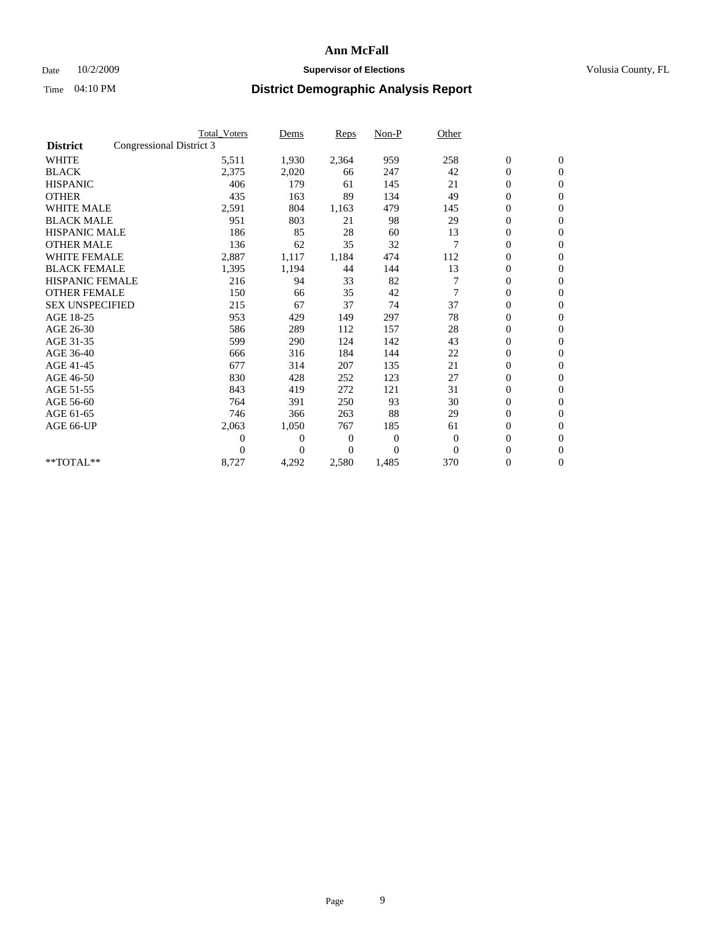### Date  $10/2/2009$  **Supervisor of Elections Supervisor of Elections** Volusia County, FL

|                        | <b>Total Voters</b>      | Dems           | <b>Reps</b>  | $Non-P$          | Other          |                  |              |  |
|------------------------|--------------------------|----------------|--------------|------------------|----------------|------------------|--------------|--|
| <b>District</b>        | Congressional District 3 |                |              |                  |                |                  |              |  |
| <b>WHITE</b>           | 5,511                    | 1,930          | 2,364        | 959              | 258            | $\boldsymbol{0}$ | $\mathbf{0}$ |  |
| <b>BLACK</b>           | 2,375                    | 2,020          | 66           | 247              | 42             | $\boldsymbol{0}$ | $\mathbf{0}$ |  |
| <b>HISPANIC</b>        | 406                      | 179            | 61           | 145              | 21             | $\overline{0}$   | $\mathbf{0}$ |  |
| <b>OTHER</b>           | 435                      | 163            | 89           | 134              | 49             | $\boldsymbol{0}$ | $\mathbf{0}$ |  |
| <b>WHITE MALE</b>      | 2,591                    | 804            | 1,163        | 479              | 145            | $\boldsymbol{0}$ | $\mathbf{0}$ |  |
| <b>BLACK MALE</b>      | 951                      | 803            | 21           | 98               | 29             | $\boldsymbol{0}$ | $\mathbf{0}$ |  |
| <b>HISPANIC MALE</b>   | 186                      | 85             | 28           | 60               | 13             | $\boldsymbol{0}$ | $\mathbf{0}$ |  |
| <b>OTHER MALE</b>      | 136                      | 62             | 35           | 32               | 7              | 0                | $\mathbf{0}$ |  |
| <b>WHITE FEMALE</b>    | 2,887                    | 1,117          | 1,184        | 474              | 112            | $\mathbf{0}$     | $\mathbf{0}$ |  |
| <b>BLACK FEMALE</b>    | 1,395                    | 1,194          | 44           | 144              | 13             | $\boldsymbol{0}$ | $\mathbf{0}$ |  |
| HISPANIC FEMALE        | 216                      | 94             | 33           | 82               |                | $\boldsymbol{0}$ | $\mathbf{0}$ |  |
| <b>OTHER FEMALE</b>    | 150                      | 66             | 35           | 42               | 7              | $\overline{0}$   | $\Omega$     |  |
| <b>SEX UNSPECIFIED</b> | 215                      | 67             | 37           | 74               | 37             | $\mathbf{0}$     | $\mathbf{0}$ |  |
| AGE 18-25              | 953                      | 429            | 149          | 297              | 78             | $\boldsymbol{0}$ | $\mathbf{0}$ |  |
| AGE 26-30              | 586                      | 289            | 112          | 157              | 28             | $\overline{0}$   | $\mathbf{0}$ |  |
| AGE 31-35              | 599                      | 290            | 124          | 142              | 43             | $\boldsymbol{0}$ | $\mathbf{0}$ |  |
| AGE 36-40              | 666                      | 316            | 184          | 144              | 22             | $\boldsymbol{0}$ | $\mathbf{0}$ |  |
| AGE 41-45              | 677                      | 314            | 207          | 135              | 21             | $\overline{0}$   | $\mathbf{0}$ |  |
| AGE 46-50              | 830                      | 428            | 252          | 123              | 27             | $\mathbf{0}$     | $\mathbf{0}$ |  |
| AGE 51-55              | 843                      | 419            | 272          | 121              | 31             | $\boldsymbol{0}$ | $\mathbf{0}$ |  |
| AGE 56-60              | 764                      | 391            | 250          | 93               | 30             | $\boldsymbol{0}$ | $\mathbf{0}$ |  |
| AGE 61-65              | 746                      | 366            | 263          | 88               | 29             | $\boldsymbol{0}$ | $\mathbf{0}$ |  |
| AGE 66-UP              | 2,063                    | 1,050          | 767          | 185              | 61             | $\boldsymbol{0}$ | $\mathbf{0}$ |  |
|                        | $\theta$                 | $\overline{0}$ | $\mathbf{0}$ | $\boldsymbol{0}$ | $\overline{0}$ | $\boldsymbol{0}$ | $\mathbf{0}$ |  |
|                        | $\theta$                 | $\overline{0}$ | $\mathbf{0}$ | $\overline{0}$   | $\mathbf{0}$   | $\overline{0}$   | $\mathbf{0}$ |  |
| **TOTAL**              | 8,727                    | 4,292          | 2,580        | 1,485            | 370            | 0                | $\mathbf{0}$ |  |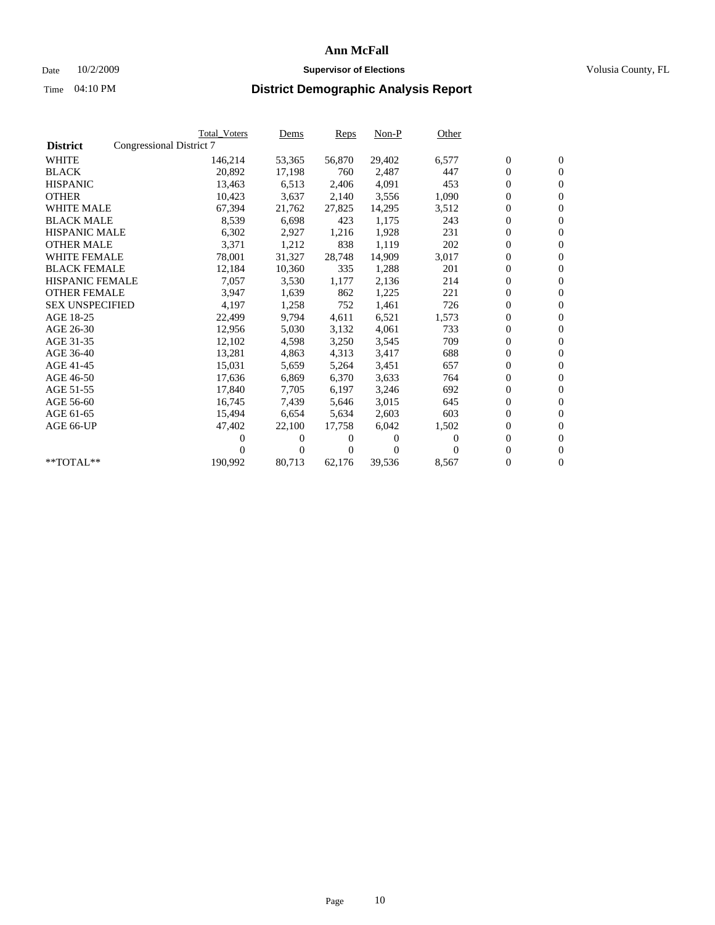### Date  $10/2/2009$  **Supervisor of Elections Supervisor of Elections** Volusia County, FL

|                        | <b>Total Voters</b>      | <u>Dems</u>    | <b>Reps</b>  | $Non-P$  | Other    |                  |                  |  |
|------------------------|--------------------------|----------------|--------------|----------|----------|------------------|------------------|--|
| <b>District</b>        | Congressional District 7 |                |              |          |          |                  |                  |  |
| <b>WHITE</b>           | 146,214                  | 53,365         | 56,870       | 29,402   | 6,577    | $\boldsymbol{0}$ | $\boldsymbol{0}$ |  |
| <b>BLACK</b>           | 20,892                   | 17,198         | 760          | 2,487    | 447      | $\boldsymbol{0}$ | $\mathbf{0}$     |  |
| <b>HISPANIC</b>        | 13,463                   | 6,513          | 2,406        | 4,091    | 453      | $\boldsymbol{0}$ | $\mathbf{0}$     |  |
| <b>OTHER</b>           | 10,423                   | 3,637          | 2,140        | 3,556    | 1,090    | 0                | $\mathbf{0}$     |  |
| <b>WHITE MALE</b>      | 67,394                   | 21,762         | 27,825       | 14,295   | 3,512    | $\boldsymbol{0}$ | $\mathbf{0}$     |  |
| <b>BLACK MALE</b>      | 8,539                    | 6.698          | 423          | 1.175    | 243      | $\overline{0}$   | $\mathbf{0}$     |  |
| <b>HISPANIC MALE</b>   | 6,302                    | 2,927          | 1,216        | 1,928    | 231      | $\boldsymbol{0}$ | $\Omega$         |  |
| <b>OTHER MALE</b>      | 3,371                    | 1,212          | 838          | 1,119    | 202      | $\overline{0}$   | $\mathbf{0}$     |  |
| <b>WHITE FEMALE</b>    | 78,001                   | 31,327         | 28,748       | 14,909   | 3,017    | $\boldsymbol{0}$ | $\mathbf{0}$     |  |
| <b>BLACK FEMALE</b>    | 12,184                   | 10,360         | 335          | 1,288    | 201      | $\boldsymbol{0}$ | $\mathbf{0}$     |  |
| <b>HISPANIC FEMALE</b> | 7,057                    | 3,530          | 1,177        | 2,136    | 214      | 0                | $\mathbf{0}$     |  |
| <b>OTHER FEMALE</b>    | 3,947                    | 1,639          | 862          | 1,225    | 221      | $\overline{0}$   | $\mathbf{0}$     |  |
| <b>SEX UNSPECIFIED</b> | 4,197                    | 1,258          | 752          | 1,461    | 726      | $\boldsymbol{0}$ | $\mathbf{0}$     |  |
| AGE 18-25              | 22,499                   | 9,794          | 4,611        | 6,521    | 1,573    | $\boldsymbol{0}$ | $\mathbf{0}$     |  |
| AGE 26-30              | 12,956                   | 5,030          | 3,132        | 4,061    | 733      | $\overline{0}$   | $\mathbf{0}$     |  |
| AGE 31-35              | 12,102                   | 4,598          | 3,250        | 3,545    | 709      | $\boldsymbol{0}$ | $\mathbf{0}$     |  |
| AGE 36-40              | 13,281                   | 4,863          | 4,313        | 3,417    | 688      | $\boldsymbol{0}$ | $\mathbf{0}$     |  |
| AGE 41-45              | 15,031                   | 5,659          | 5,264        | 3,451    | 657      | 0                | $\mathbf{0}$     |  |
| AGE 46-50              | 17,636                   | 6,869          | 6,370        | 3,633    | 764      | 0                | $\Omega$         |  |
| AGE 51-55              | 17,840                   | 7,705          | 6,197        | 3,246    | 692      | $\overline{0}$   | $\mathbf{0}$     |  |
| AGE 56-60              | 16,745                   | 7,439          | 5.646        | 3,015    | 645      | $\overline{0}$   | $\mathbf{0}$     |  |
| AGE 61-65              | 15,494                   | 6,654          | 5,634        | 2,603    | 603      | $\overline{0}$   | $\mathbf{0}$     |  |
| AGE 66-UP              | 47,402                   | 22,100         | 17,758       | 6,042    | 1,502    | 0                | $\mathbf{0}$     |  |
|                        | 0                        | 0              | 0            | $\Omega$ | $\Omega$ | $\mathbf{0}$     | $\mathbf{0}$     |  |
|                        | 0                        | $\overline{0}$ | $\mathbf{0}$ | $\Omega$ | 0        | 0                | $\mathbf{0}$     |  |
| **TOTAL**              | 190,992                  | 80,713         | 62,176       | 39,536   | 8,567    | 0                | $\boldsymbol{0}$ |  |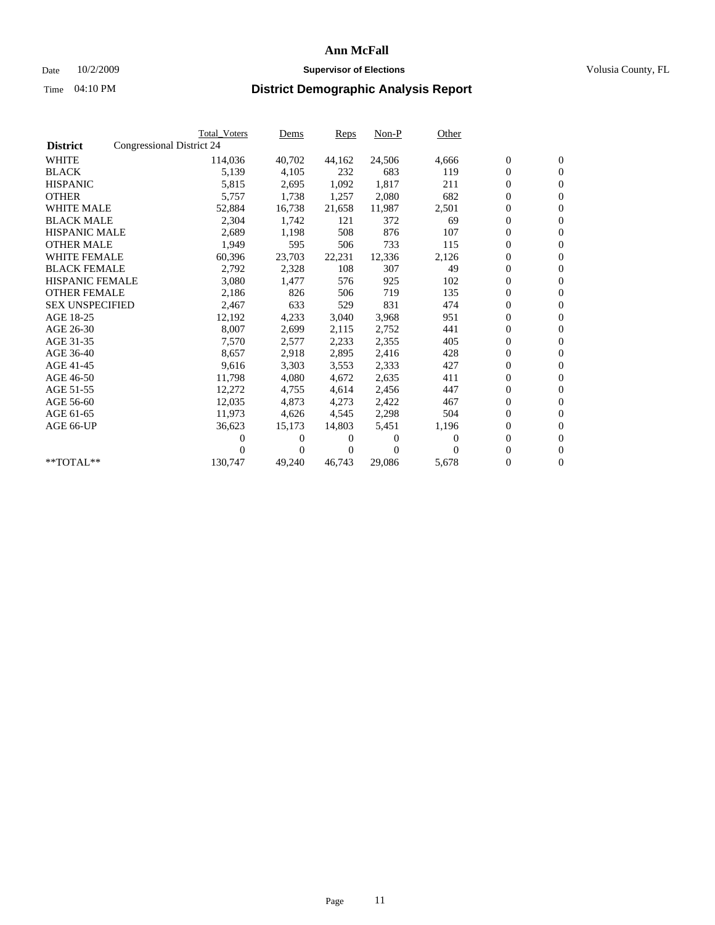### Date  $10/2/2009$  **Supervisor of Elections Supervisor of Elections** Volusia County, FL

|                        |                           | <b>Total Voters</b> | Dems   | Reps   | $Non-P$  | Other    |                  |                  |  |
|------------------------|---------------------------|---------------------|--------|--------|----------|----------|------------------|------------------|--|
| <b>District</b>        | Congressional District 24 |                     |        |        |          |          |                  |                  |  |
| <b>WHITE</b>           |                           | 114,036             | 40,702 | 44,162 | 24,506   | 4,666    | $\boldsymbol{0}$ | $\boldsymbol{0}$ |  |
| <b>BLACK</b>           |                           | 5,139               | 4,105  | 232    | 683      | 119      | $\overline{0}$   | $\mathbf{0}$     |  |
| <b>HISPANIC</b>        |                           | 5,815               | 2,695  | 1,092  | 1,817    | 211      | $\overline{0}$   | $\mathbf{0}$     |  |
| <b>OTHER</b>           |                           | 5,757               | 1,738  | 1,257  | 2,080    | 682      | 0                | $\mathbf{0}$     |  |
| <b>WHITE MALE</b>      |                           | 52,884              | 16,738 | 21,658 | 11,987   | 2,501    | $\boldsymbol{0}$ | $\mathbf{0}$     |  |
| <b>BLACK MALE</b>      |                           | 2,304               | 1,742  | 121    | 372      | 69       | $\boldsymbol{0}$ | $\mathbf{0}$     |  |
| <b>HISPANIC MALE</b>   |                           | 2,689               | 1,198  | 508    | 876      | 107      | 0                | $\mathbf{0}$     |  |
| <b>OTHER MALE</b>      |                           | 1,949               | 595    | 506    | 733      | 115      | $\boldsymbol{0}$ | $\mathbf{0}$     |  |
| <b>WHITE FEMALE</b>    |                           | 60,396              | 23,703 | 22,231 | 12,336   | 2,126    | 0                | $\mathbf{0}$     |  |
| <b>BLACK FEMALE</b>    |                           | 2,792               | 2,328  | 108    | 307      | 49       | 0                | $\Omega$         |  |
| <b>HISPANIC FEMALE</b> |                           | 3,080               | 1,477  | 576    | 925      | 102      | $\boldsymbol{0}$ | $\mathbf{0}$     |  |
| <b>OTHER FEMALE</b>    |                           | 2,186               | 826    | 506    | 719      | 135      | 0                | $\mathbf{0}$     |  |
| <b>SEX UNSPECIFIED</b> |                           | 2,467               | 633    | 529    | 831      | 474      | 0                | $\mathbf{0}$     |  |
| AGE 18-25              |                           | 12,192              | 4,233  | 3,040  | 3,968    | 951      | $\overline{0}$   | $\mathbf{0}$     |  |
| AGE 26-30              |                           | 8,007               | 2,699  | 2,115  | 2,752    | 441      | 0                | $\mathbf{0}$     |  |
| AGE 31-35              |                           | 7,570               | 2,577  | 2,233  | 2,355    | 405      | 0                | $\mathbf{0}$     |  |
| AGE 36-40              |                           | 8,657               | 2,918  | 2,895  | 2,416    | 428      | $\overline{0}$   | $\mathbf{0}$     |  |
| AGE 41-45              |                           | 9,616               | 3,303  | 3,553  | 2,333    | 427      | $\boldsymbol{0}$ | $\mathbf{0}$     |  |
| AGE 46-50              |                           | 11,798              | 4,080  | 4,672  | 2,635    | 411      | 0                | $\Omega$         |  |
| AGE 51-55              |                           | 12,272              | 4,755  | 4,614  | 2,456    | 447      | $\boldsymbol{0}$ | $\mathbf{0}$     |  |
| AGE 56-60              |                           | 12,035              | 4.873  | 4,273  | 2,422    | 467      | 0                | $\mathbf{0}$     |  |
| AGE 61-65              |                           | 11,973              | 4,626  | 4,545  | 2,298    | 504      | 0                | $\mathbf{0}$     |  |
| AGE 66-UP              |                           | 36,623              | 15,173 | 14,803 | 5,451    | 1,196    | $\overline{0}$   | $\mathbf{0}$     |  |
|                        |                           | 0                   | 0      | 0      | $\theta$ | $\Omega$ | $\boldsymbol{0}$ | $\mathbf{0}$     |  |
|                        |                           | 0                   | 0      | 0      | $\Omega$ | $\Omega$ | 0                | $\mathbf{0}$     |  |
| $*$ TOTAL $**$         |                           | 130,747             | 49,240 | 46,743 | 29,086   | 5,678    | 0                | $\boldsymbol{0}$ |  |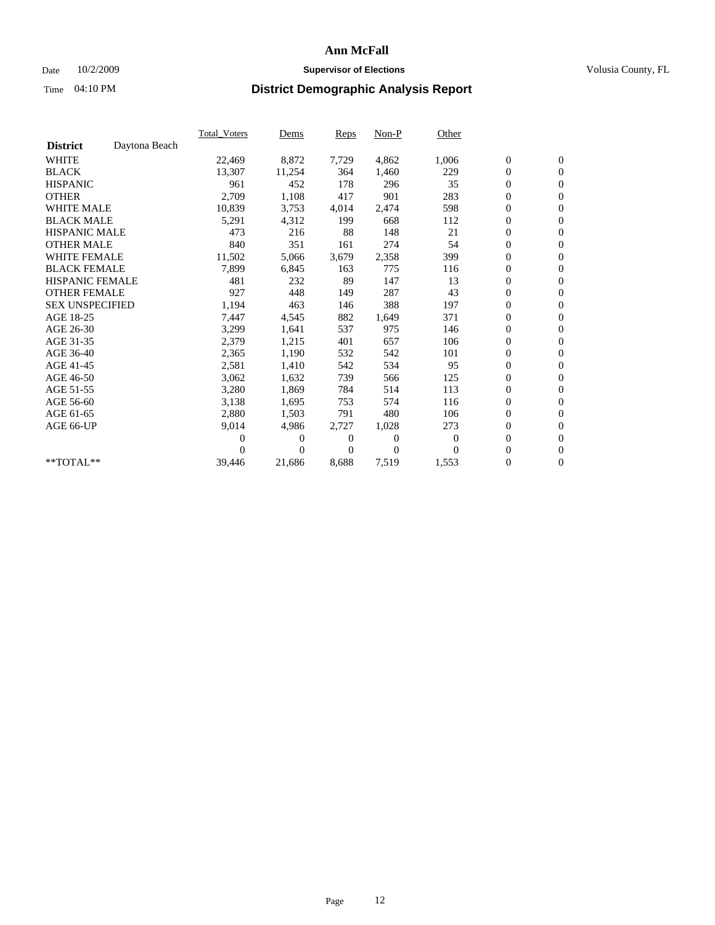### Date  $10/2/2009$  **Supervisor of Elections Supervisor of Elections** Volusia County, FL

|                        |               | <b>Total Voters</b> | Dems     | Reps  | Non-P    | Other    |                  |                  |  |
|------------------------|---------------|---------------------|----------|-------|----------|----------|------------------|------------------|--|
| <b>District</b>        | Daytona Beach |                     |          |       |          |          |                  |                  |  |
| <b>WHITE</b>           |               | 22,469              | 8,872    | 7,729 | 4,862    | 1,006    | $\boldsymbol{0}$ | $\boldsymbol{0}$ |  |
| <b>BLACK</b>           |               | 13,307              | 11,254   | 364   | 1,460    | 229      | $\boldsymbol{0}$ | $\mathbf{0}$     |  |
| <b>HISPANIC</b>        |               | 961                 | 452      | 178   | 296      | 35       | $\overline{0}$   | $\mathbf{0}$     |  |
| <b>OTHER</b>           |               | 2,709               | 1,108    | 417   | 901      | 283      | 0                | $\mathbf{0}$     |  |
| <b>WHITE MALE</b>      |               | 10,839              | 3,753    | 4,014 | 2,474    | 598      | 0                | $\mathbf{0}$     |  |
| <b>BLACK MALE</b>      |               | 5,291               | 4,312    | 199   | 668      | 112      | $\boldsymbol{0}$ | $\mathbf{0}$     |  |
| <b>HISPANIC MALE</b>   |               | 473                 | 216      | 88    | 148      | 21       | $\boldsymbol{0}$ | $\mathbf{0}$     |  |
| <b>OTHER MALE</b>      |               | 840                 | 351      | 161   | 274      | 54       | 0                | $\mathbf{0}$     |  |
| <b>WHITE FEMALE</b>    |               | 11,502              | 5,066    | 3,679 | 2,358    | 399      | $\overline{0}$   | $\mathbf{0}$     |  |
| <b>BLACK FEMALE</b>    |               | 7,899               | 6,845    | 163   | 775      | 116      | 0                | $\mathbf{0}$     |  |
| <b>HISPANIC FEMALE</b> |               | 481                 | 232      | 89    | 147      | 13       | 0                | $\mathbf{0}$     |  |
| <b>OTHER FEMALE</b>    |               | 927                 | 448      | 149   | 287      | 43       | 0                | $\mathbf{0}$     |  |
| <b>SEX UNSPECIFIED</b> |               | 1,194               | 463      | 146   | 388      | 197      | 0                | $\mathbf{0}$     |  |
| AGE 18-25              |               | 7,447               | 4,545    | 882   | 1,649    | 371      | 0                | $\mathbf{0}$     |  |
| AGE 26-30              |               | 3,299               | 1,641    | 537   | 975      | 146      | 0                | $\mathbf{0}$     |  |
| AGE 31-35              |               | 2,379               | 1,215    | 401   | 657      | 106      | $\boldsymbol{0}$ | $\boldsymbol{0}$ |  |
| AGE 36-40              |               | 2,365               | 1,190    | 532   | 542      | 101      | 0                | $\mathbf{0}$     |  |
| AGE 41-45              |               | 2,581               | 1,410    | 542   | 534      | 95       | $\overline{0}$   | $\mathbf{0}$     |  |
| AGE 46-50              |               | 3,062               | 1,632    | 739   | 566      | 125      | $\boldsymbol{0}$ | $\mathbf{0}$     |  |
| AGE 51-55              |               | 3,280               | 1,869    | 784   | 514      | 113      | 0                | $\mathbf{0}$     |  |
| AGE 56-60              |               | 3,138               | 1,695    | 753   | 574      | 116      | 0                | $\mathbf{0}$     |  |
| AGE 61-65              |               | 2,880               | 1,503    | 791   | 480      | 106      | $\boldsymbol{0}$ | $\mathbf{0}$     |  |
| AGE 66-UP              |               | 9,014               | 4,986    | 2,727 | 1,028    | 273      | 0                | $\mathbf{0}$     |  |
|                        |               | 0                   | 0        | 0     | $\theta$ | $\bf{0}$ | 0                | $\mathbf{0}$     |  |
|                        |               | 0                   | $\Omega$ | 0     | $\Omega$ | $\Omega$ | 0                | $\mathbf{0}$     |  |
| **TOTAL**              |               | 39,446              | 21,686   | 8,688 | 7,519    | 1,553    | 0                | $\overline{0}$   |  |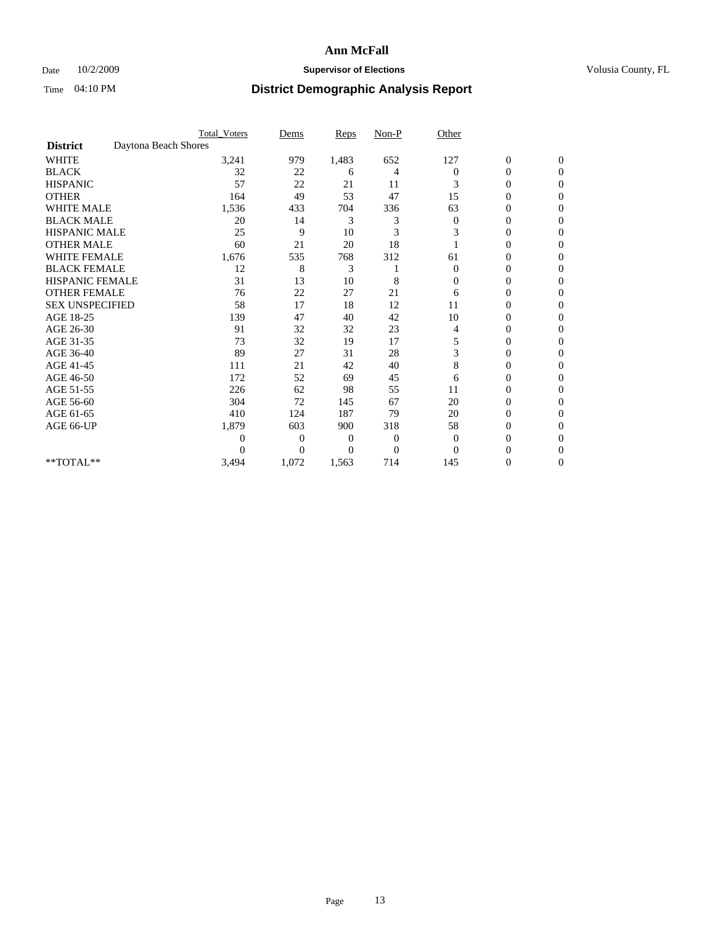### Date  $10/2/2009$  **Supervisor of Elections Supervisor of Elections** Volusia County, FL

|                        |                      | <b>Total_Voters</b> | Dems           | <b>Reps</b> | $Non-P$  | Other          |                  |                  |  |
|------------------------|----------------------|---------------------|----------------|-------------|----------|----------------|------------------|------------------|--|
| <b>District</b>        | Daytona Beach Shores |                     |                |             |          |                |                  |                  |  |
| WHITE                  |                      | 3,241               | 979            | 1,483       | 652      | 127            | $\boldsymbol{0}$ | $\boldsymbol{0}$ |  |
| <b>BLACK</b>           |                      | 32                  | 22             | 6           | 4        | $\Omega$       | $\overline{0}$   | $\Omega$         |  |
| <b>HISPANIC</b>        |                      | 57                  | 22             | 21          | 11       | 3              | 0                | $\Omega$         |  |
| <b>OTHER</b>           |                      | 164                 | 49             | 53          | 47       | 15             | 0                | $\Omega$         |  |
| <b>WHITE MALE</b>      |                      | 1,536               | 433            | 704         | 336      | 63             | 0                | $\Omega$         |  |
| <b>BLACK MALE</b>      |                      | 20                  | 14             | 3           | 3        | $\bf{0}$       | 0                | 0                |  |
| <b>HISPANIC MALE</b>   |                      | 25                  | 9              | 10          | 3        | 3              | 0                | 0                |  |
| <b>OTHER MALE</b>      |                      | 60                  | 21             | 20          | 18       |                | 0                | 0                |  |
| WHITE FEMALE           |                      | 1,676               | 535            | 768         | 312      | 61             | 0                | $\Omega$         |  |
| <b>BLACK FEMALE</b>    |                      | 12                  | 8              | 3           |          | $\overline{0}$ | 0                | $\Omega$         |  |
| <b>HISPANIC FEMALE</b> |                      | 31                  | 13             | 10          | 8        | 0              | 0                | 0                |  |
| <b>OTHER FEMALE</b>    |                      | 76                  | 22             | 27          | 21       | 6              | 0                | $\Omega$         |  |
| <b>SEX UNSPECIFIED</b> |                      | 58                  | 17             | 18          | 12       | 11             | 0                | $\Omega$         |  |
| AGE 18-25              |                      | 139                 | 47             | 40          | 42       | 10             | 0                | 0                |  |
| AGE 26-30              |                      | 91                  | 32             | 32          | 23       | 4              | 0                | $\Omega$         |  |
| AGE 31-35              |                      | 73                  | 32             | 19          | 17       | 5              | 0                | $\Omega$         |  |
| AGE 36-40              |                      | 89                  | 27             | 31          | 28       | 3              | 0                | 0                |  |
| AGE 41-45              |                      | 111                 | 21             | 42          | 40       | 8              | 0                | 0                |  |
| AGE 46-50              |                      | 172                 | 52             | 69          | 45       | 6              | 0                | $\Omega$         |  |
| AGE 51-55              |                      | 226                 | 62             | 98          | 55       | 11             | 0                | $\overline{0}$   |  |
| AGE 56-60              |                      | 304                 | 72             | 145         | 67       | 20             | 0                | 0                |  |
| AGE 61-65              |                      | 410                 | 124            | 187         | 79       | 20             | $\overline{0}$   | $\Omega$         |  |
| AGE 66-UP              |                      | 1,879               | 603            | 900         | 318      | 58             | 0                | 0                |  |
|                        |                      | 0                   | 0              | 0           | 0        | $\mathbf{0}$   | 0                | $\Omega$         |  |
|                        |                      | $\theta$            | $\overline{0}$ | $\Omega$    | $\Omega$ | $\Omega$       | 0                | $\Omega$         |  |
| **TOTAL**              |                      | 3,494               | 1,072          | 1,563       | 714      | 145            | 0                | $\overline{0}$   |  |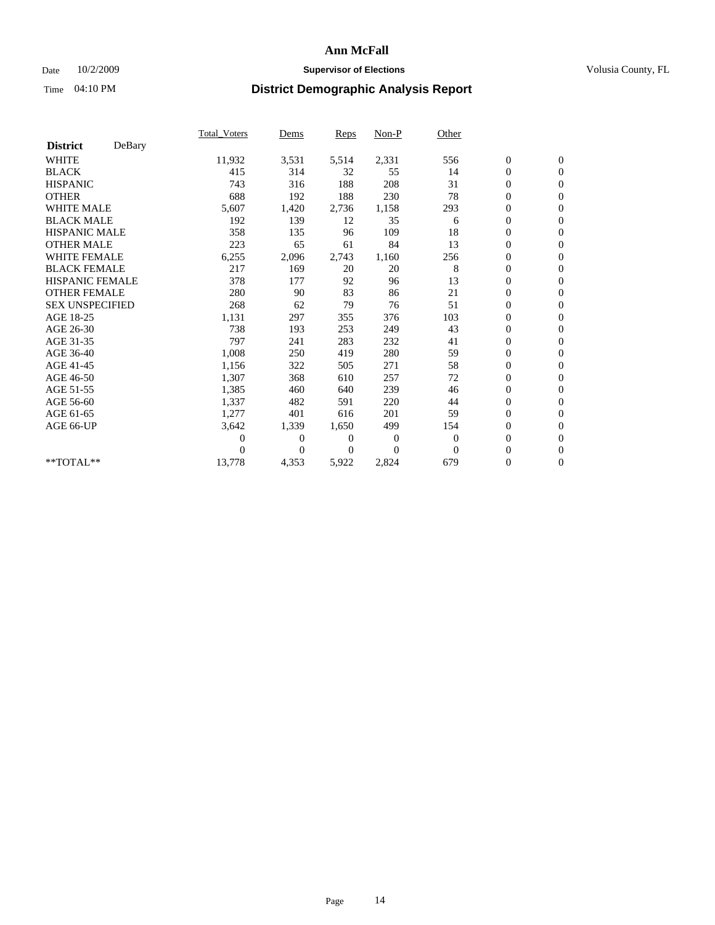### Date  $10/2/2009$  **Supervisor of Elections Supervisor of Elections** Volusia County, FL

|                        |        | <b>Total_Voters</b> | Dems     | Reps     | Non-P    | Other    |                  |                  |  |
|------------------------|--------|---------------------|----------|----------|----------|----------|------------------|------------------|--|
| <b>District</b>        | DeBary |                     |          |          |          |          |                  |                  |  |
| <b>WHITE</b>           |        | 11,932              | 3,531    | 5,514    | 2,331    | 556      | $\boldsymbol{0}$ | $\boldsymbol{0}$ |  |
| <b>BLACK</b>           |        | 415                 | 314      | 32       | 55       | 14       | 0                | $\mathbf{0}$     |  |
| <b>HISPANIC</b>        |        | 743                 | 316      | 188      | 208      | 31       | $\mathbf{0}$     | $\mathbf{0}$     |  |
| <b>OTHER</b>           |        | 688                 | 192      | 188      | 230      | 78       | 0                | $\mathbf{0}$     |  |
| <b>WHITE MALE</b>      |        | 5,607               | 1,420    | 2,736    | 1,158    | 293      | 0                | $\mathbf{0}$     |  |
| <b>BLACK MALE</b>      |        | 192                 | 139      | 12       | 35       | 6        | $\boldsymbol{0}$ | $\mathbf{0}$     |  |
| <b>HISPANIC MALE</b>   |        | 358                 | 135      | 96       | 109      | 18       | 0                | $\mathbf{0}$     |  |
| <b>OTHER MALE</b>      |        | 223                 | 65       | 61       | 84       | 13       | 0                | $\mathbf{0}$     |  |
| <b>WHITE FEMALE</b>    |        | 6,255               | 2,096    | 2,743    | 1,160    | 256      | $\overline{0}$   | $\mathbf{0}$     |  |
| <b>BLACK FEMALE</b>    |        | 217                 | 169      | 20       | 20       | 8        | $\boldsymbol{0}$ | $\mathbf{0}$     |  |
| <b>HISPANIC FEMALE</b> |        | 378                 | 177      | 92       | 96       | 13       | 0                | $\mathbf{0}$     |  |
| <b>OTHER FEMALE</b>    |        | 280                 | 90       | 83       | 86       | 21       | $\overline{0}$   | $\mathbf{0}$     |  |
| <b>SEX UNSPECIFIED</b> |        | 268                 | 62       | 79       | 76       | 51       | 0                | $\mathbf{0}$     |  |
| AGE 18-25              |        | 1,131               | 297      | 355      | 376      | 103      | 0                | $\mathbf{0}$     |  |
| AGE 26-30              |        | 738                 | 193      | 253      | 249      | 43       | $\overline{0}$   | $\mathbf{0}$     |  |
| AGE 31-35              |        | 797                 | 241      | 283      | 232      | 41       | 0                | $\mathbf{0}$     |  |
| AGE 36-40              |        | 1,008               | 250      | 419      | 280      | 59       | 0                | $\mathbf{0}$     |  |
| AGE 41-45              |        | 1,156               | 322      | 505      | 271      | 58       | $\overline{0}$   | $\mathbf{0}$     |  |
| AGE 46-50              |        | 1,307               | 368      | 610      | 257      | 72       | 0                | $\mathbf{0}$     |  |
| AGE 51-55              |        | 1,385               | 460      | 640      | 239      | 46       | $\boldsymbol{0}$ | $\mathbf{0}$     |  |
| AGE 56-60              |        | 1,337               | 482      | 591      | 220      | 44       | $\boldsymbol{0}$ | $\Omega$         |  |
| AGE 61-65              |        | 1,277               | 401      | 616      | 201      | 59       | $\overline{0}$   | $\mathbf{0}$     |  |
| AGE 66-UP              |        | 3,642               | 1,339    | 1,650    | 499      | 154      | 0                | $\mathbf{0}$     |  |
|                        |        | 0                   | 0        | 0        | 0        | $\theta$ | $\overline{0}$   | $\mathbf{0}$     |  |
|                        |        | 0                   | $\Omega$ | $\Omega$ | $\Omega$ | $\Omega$ | 0                | $\mathbf{0}$     |  |
| $*$ TOTAL $**$         |        | 13,778              | 4,353    | 5,922    | 2,824    | 679      | 0                | $\overline{0}$   |  |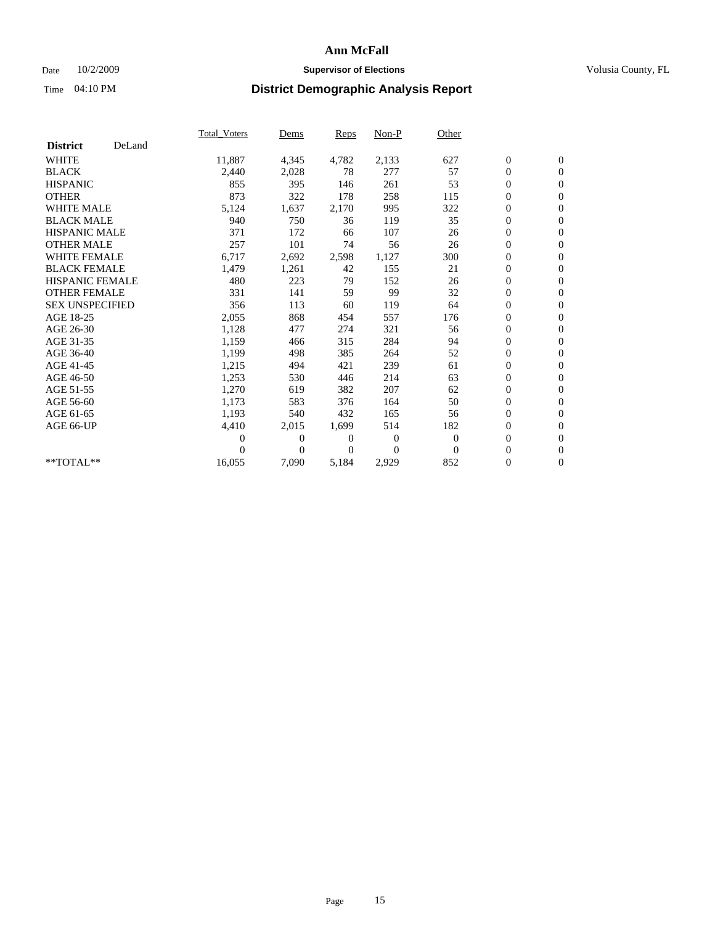### Date  $10/2/2009$  **Supervisor of Elections Supervisor of Elections** Volusia County, FL

|                        |        | Total Voters   | Dems           | <b>Reps</b>  | Non-P        | Other        |                  |                  |  |
|------------------------|--------|----------------|----------------|--------------|--------------|--------------|------------------|------------------|--|
| <b>District</b>        | DeLand |                |                |              |              |              |                  |                  |  |
| <b>WHITE</b>           |        | 11,887         | 4,345          | 4,782        | 2,133        | 627          | $\boldsymbol{0}$ | $\boldsymbol{0}$ |  |
| <b>BLACK</b>           |        | 2,440          | 2,028          | 78           | 277          | 57           | $\boldsymbol{0}$ | $\mathbf{0}$     |  |
| <b>HISPANIC</b>        |        | 855            | 395            | 146          | 261          | 53           | $\boldsymbol{0}$ | $\mathbf{0}$     |  |
| <b>OTHER</b>           |        | 873            | 322            | 178          | 258          | 115          | $\boldsymbol{0}$ | $\mathbf{0}$     |  |
| <b>WHITE MALE</b>      |        | 5,124          | 1,637          | 2,170        | 995          | 322          | $\boldsymbol{0}$ | $\mathbf{0}$     |  |
| <b>BLACK MALE</b>      |        | 940            | 750            | 36           | 119          | 35           | $\overline{0}$   | $\mathbf{0}$     |  |
| <b>HISPANIC MALE</b>   |        | 371            | 172            | 66           | 107          | 26           | $\boldsymbol{0}$ | $\mathbf{0}$     |  |
| <b>OTHER MALE</b>      |        | 257            | 101            | 74           | 56           | 26           | $\boldsymbol{0}$ | $\mathbf{0}$     |  |
| <b>WHITE FEMALE</b>    |        | 6,717          | 2,692          | 2,598        | 1,127        | 300          | $\boldsymbol{0}$ | $\mathbf{0}$     |  |
| <b>BLACK FEMALE</b>    |        | 1,479          | 1,261          | 42           | 155          | 21           | $\boldsymbol{0}$ | $\mathbf{0}$     |  |
| <b>HISPANIC FEMALE</b> |        | 480            | 223            | 79           | 152          | 26           | $\boldsymbol{0}$ | $\mathbf{0}$     |  |
| <b>OTHER FEMALE</b>    |        | 331            | 141            | 59           | 99           | 32           | $\mathbf{0}$     | $\mathbf{0}$     |  |
| <b>SEX UNSPECIFIED</b> |        | 356            | 113            | 60           | 119          | 64           | $\boldsymbol{0}$ | $\mathbf{0}$     |  |
| AGE 18-25              |        | 2,055          | 868            | 454          | 557          | 176          | $\boldsymbol{0}$ | $\mathbf{0}$     |  |
| AGE 26-30              |        | 1,128          | 477            | 274          | 321          | 56           | $\boldsymbol{0}$ | $\mathbf{0}$     |  |
| AGE 31-35              |        | 1,159          | 466            | 315          | 284          | 94           | $\boldsymbol{0}$ | $\mathbf{0}$     |  |
| AGE 36-40              |        | 1,199          | 498            | 385          | 264          | 52           | $\boldsymbol{0}$ | $\mathbf{0}$     |  |
| AGE 41-45              |        | 1,215          | 494            | 421          | 239          | 61           | $\boldsymbol{0}$ | $\mathbf{0}$     |  |
| AGE 46-50              |        | 1,253          | 530            | 446          | 214          | 63           | $\boldsymbol{0}$ | $\Omega$         |  |
| AGE 51-55              |        | 1,270          | 619            | 382          | 207          | 62           | $\boldsymbol{0}$ | $\mathbf{0}$     |  |
| AGE 56-60              |        | 1,173          | 583            | 376          | 164          | 50           | $\boldsymbol{0}$ | $\mathbf{0}$     |  |
| AGE 61-65              |        | 1,193          | 540            | 432          | 165          | 56           | $\overline{0}$   | $\mathbf{0}$     |  |
| AGE 66-UP              |        | 4,410          | 2,015          | 1,699        | 514          | 182          | $\boldsymbol{0}$ | $\mathbf{0}$     |  |
|                        |        | $\overline{0}$ | $\overline{0}$ | $\mathbf{0}$ | $\mathbf{0}$ | $\mathbf{0}$ | $\mathbf{0}$     | $\mathbf{0}$     |  |
|                        |        | $\Omega$       | $\overline{0}$ | $\mathbf{0}$ | $\mathbf{0}$ | $\mathbf{0}$ | $\boldsymbol{0}$ | $\mathbf{0}$     |  |
| **TOTAL**              |        | 16,055         | 7,090          | 5,184        | 2,929        | 852          | 0                | $\boldsymbol{0}$ |  |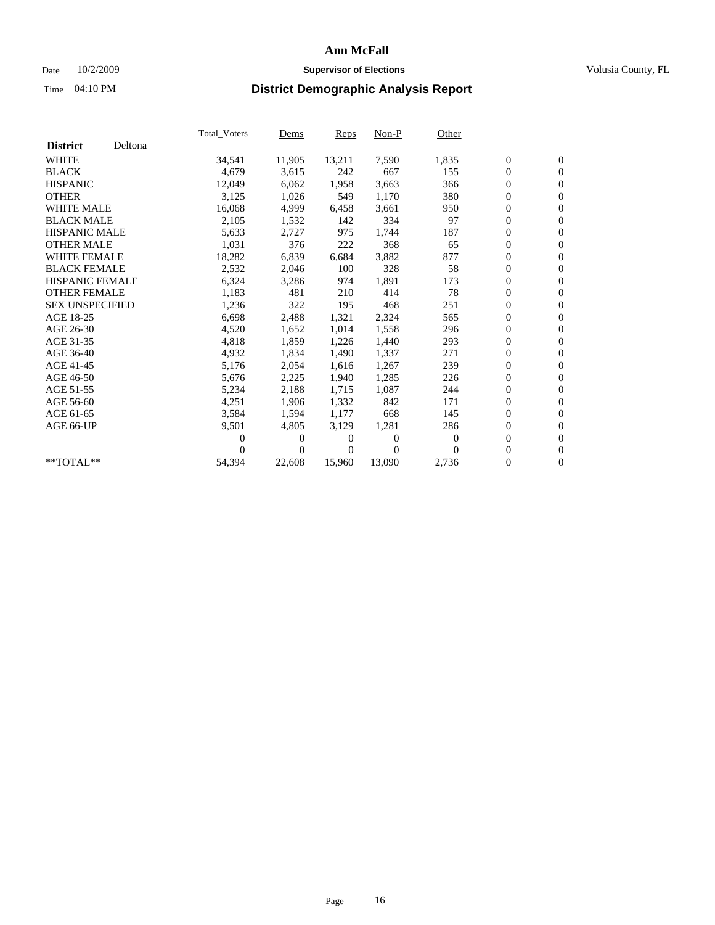### Date  $10/2/2009$  **Supervisor of Elections Supervisor of Elections** Volusia County, FL

|                        |         | <b>Total Voters</b> | Dems     | Reps   | $Non-P$  | Other            |                  |                  |  |
|------------------------|---------|---------------------|----------|--------|----------|------------------|------------------|------------------|--|
| <b>District</b>        | Deltona |                     |          |        |          |                  |                  |                  |  |
| <b>WHITE</b>           |         | 34,541              | 11,905   | 13,211 | 7,590    | 1,835            | $\boldsymbol{0}$ | $\boldsymbol{0}$ |  |
| <b>BLACK</b>           |         | 4,679               | 3,615    | 242    | 667      | 155              | 0                | $\mathbf{0}$     |  |
| <b>HISPANIC</b>        |         | 12,049              | 6.062    | 1,958  | 3.663    | 366              | 0                | $\mathbf{0}$     |  |
| <b>OTHER</b>           |         | 3,125               | 1,026    | 549    | 1,170    | 380              | 0                | $\mathbf{0}$     |  |
| <b>WHITE MALE</b>      |         | 16,068              | 4,999    | 6,458  | 3,661    | 950              | 0                | $\mathbf{0}$     |  |
| <b>BLACK MALE</b>      |         | 2,105               | 1,532    | 142    | 334      | 97               | 0                | $\mathbf{0}$     |  |
| <b>HISPANIC MALE</b>   |         | 5,633               | 2,727    | 975    | 1,744    | 187              | 0                | $\mathbf{0}$     |  |
| <b>OTHER MALE</b>      |         | 1,031               | 376      | 222    | 368      | 65               | 0                | $\mathbf{0}$     |  |
| <b>WHITE FEMALE</b>    |         | 18,282              | 6,839    | 6,684  | 3,882    | 877              | 0                | $\mathbf{0}$     |  |
| <b>BLACK FEMALE</b>    |         | 2,532               | 2,046    | 100    | 328      | 58               | 0                | $\mathbf{0}$     |  |
| HISPANIC FEMALE        |         | 6,324               | 3,286    | 974    | 1,891    | 173              | 0                | $\mathbf{0}$     |  |
| <b>OTHER FEMALE</b>    |         | 1,183               | 481      | 210    | 414      | 78               | 0                | $\mathbf{0}$     |  |
| <b>SEX UNSPECIFIED</b> |         | 1,236               | 322      | 195    | 468      | 251              | 0                | $\mathbf{0}$     |  |
| AGE 18-25              |         | 6,698               | 2,488    | 1,321  | 2,324    | 565              | 0                | $\mathbf{0}$     |  |
| AGE 26-30              |         | 4,520               | 1,652    | 1,014  | 1,558    | 296              | 0                | $\mathbf{0}$     |  |
| AGE 31-35              |         | 4,818               | 1,859    | 1,226  | 1,440    | 293              | $\boldsymbol{0}$ | $\boldsymbol{0}$ |  |
| AGE 36-40              |         | 4,932               | 1,834    | 1,490  | 1,337    | 271              | 0                | $\mathbf{0}$     |  |
| AGE 41-45              |         | 5,176               | 2,054    | 1,616  | 1,267    | 239              | 0                | $\mathbf{0}$     |  |
| AGE 46-50              |         | 5,676               | 2,225    | 1,940  | 1,285    | 226              | 0                | $\mathbf{0}$     |  |
| AGE 51-55              |         | 5,234               | 2,188    | 1,715  | 1,087    | 244              | 0                | $\mathbf{0}$     |  |
| AGE 56-60              |         | 4,251               | 1,906    | 1,332  | 842      | 171              | 0                | $\mathbf{0}$     |  |
| AGE 61-65              |         | 3,584               | 1,594    | 1,177  | 668      | 145              | $\overline{0}$   | $\mathbf{0}$     |  |
| AGE 66-UP              |         | 9,501               | 4,805    | 3,129  | 1,281    | 286              | 0                | $\boldsymbol{0}$ |  |
|                        |         | 0                   | 0        | 0      | $\theta$ | $\boldsymbol{0}$ | 0                | $\mathbf{0}$     |  |
|                        |         | 0                   | $\Omega$ | 0      | $\Omega$ | $\Omega$         | $\overline{0}$   | $\boldsymbol{0}$ |  |
| $*$ TOTAL $*$ *        |         | 54,394              | 22,608   | 15,960 | 13,090   | 2,736            | 0                | $\overline{0}$   |  |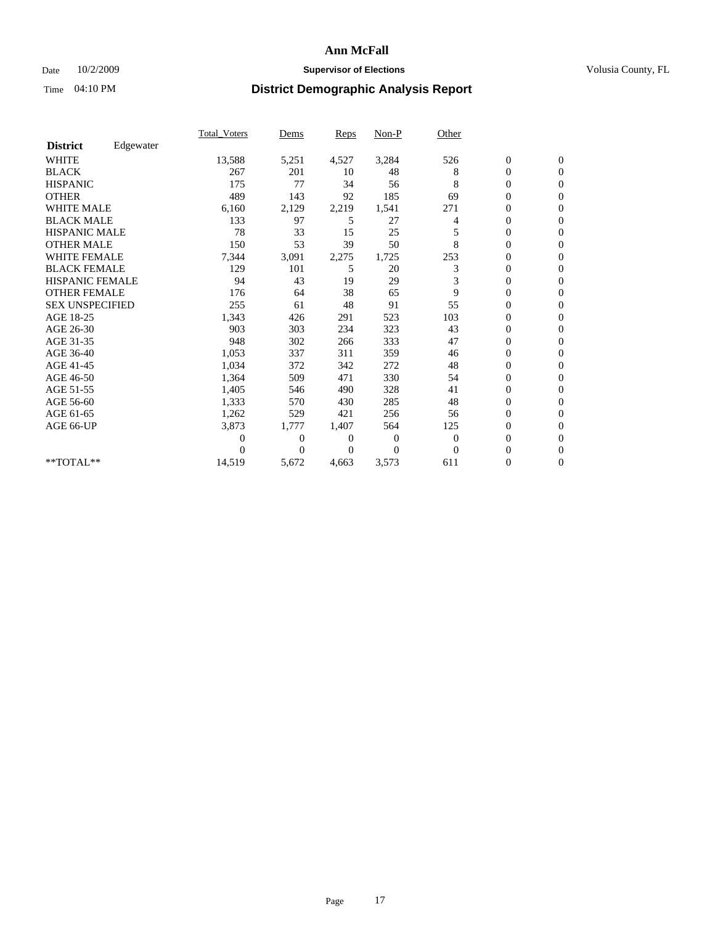### Date  $10/2/2009$  **Supervisor of Elections Supervisor of Elections** Volusia County, FL

|                        |           | <b>Total_Voters</b> | Dems           | Reps  | $Non-P$        | Other          |                  |                  |  |
|------------------------|-----------|---------------------|----------------|-------|----------------|----------------|------------------|------------------|--|
| <b>District</b>        | Edgewater |                     |                |       |                |                |                  |                  |  |
| <b>WHITE</b>           |           | 13,588              | 5,251          | 4,527 | 3,284          | 526            | $\boldsymbol{0}$ | $\boldsymbol{0}$ |  |
| <b>BLACK</b>           |           | 267                 | 201            | 10    | 48             | 8              | $\overline{0}$   | $\mathbf{0}$     |  |
| <b>HISPANIC</b>        |           | 175                 | 77             | 34    | 56             | 8              | 0                | $\Omega$         |  |
| <b>OTHER</b>           |           | 489                 | 143            | 92    | 185            | 69             | 0                | $\mathbf{0}$     |  |
| <b>WHITE MALE</b>      |           | 6,160               | 2,129          | 2,219 | 1,541          | 271            | 0                | $\mathbf{0}$     |  |
| <b>BLACK MALE</b>      |           | 133                 | 97             | 5     | 27             | $\overline{4}$ | $\overline{0}$   | $\mathbf{0}$     |  |
| <b>HISPANIC MALE</b>   |           | 78                  | 33             | 15    | 25             | 5              | 0                | $\Omega$         |  |
| <b>OTHER MALE</b>      |           | 150                 | 53             | 39    | 50             | 8              | 0                | $\mathbf{0}$     |  |
| <b>WHITE FEMALE</b>    |           | 7,344               | 3,091          | 2,275 | 1,725          | 253            | $\overline{0}$   | $\mathbf{0}$     |  |
| <b>BLACK FEMALE</b>    |           | 129                 | 101            | 5     | 20             | 3              | 0                | $\mathbf{0}$     |  |
| HISPANIC FEMALE        |           | 94                  | 43             | 19    | 29             | 3              | $\boldsymbol{0}$ | $\mathbf{0}$     |  |
| <b>OTHER FEMALE</b>    |           | 176                 | 64             | 38    | 65             | 9              | 0                | $\mathbf{0}$     |  |
| <b>SEX UNSPECIFIED</b> |           | 255                 | 61             | 48    | 91             | 55             | 0                | $\Omega$         |  |
| AGE 18-25              |           | 1,343               | 426            | 291   | 523            | 103            | $\overline{0}$   | $\mathbf{0}$     |  |
| AGE 26-30              |           | 903                 | 303            | 234   | 323            | 43             | $\overline{0}$   | $\Omega$         |  |
| AGE 31-35              |           | 948                 | 302            | 266   | 333            | 47             | 0                | $\mathbf{0}$     |  |
| AGE 36-40              |           | 1,053               | 337            | 311   | 359            | 46             | 0                | $\mathbf{0}$     |  |
| AGE 41-45              |           | 1,034               | 372            | 342   | 272            | 48             | 0                | $\Omega$         |  |
| AGE 46-50              |           | 1,364               | 509            | 471   | 330            | 54             | 0                | $\Omega$         |  |
| AGE 51-55              |           | 1,405               | 546            | 490   | 328            | 41             | $\boldsymbol{0}$ | $\mathbf{0}$     |  |
| AGE 56-60              |           | 1,333               | 570            | 430   | 285            | 48             | $\overline{0}$   | $\mathbf{0}$     |  |
| AGE 61-65              |           | 1,262               | 529            | 421   | 256            | 56             | 0                | $\mathbf{0}$     |  |
| AGE 66-UP              |           | 3,873               | 1,777          | 1,407 | 564            | 125            | $\boldsymbol{0}$ | $\mathbf{0}$     |  |
|                        |           | 0                   | $\overline{0}$ | 0     | $\overline{0}$ | $\theta$       | $\overline{0}$   | $\mathbf{0}$     |  |
|                        |           | 0                   | $\overline{0}$ | 0     | $\Omega$       | $\Omega$       | 0                | $\mathbf{0}$     |  |
| **TOTAL**              |           | 14,519              | 5,672          | 4,663 | 3,573          | 611            | 0                | $\boldsymbol{0}$ |  |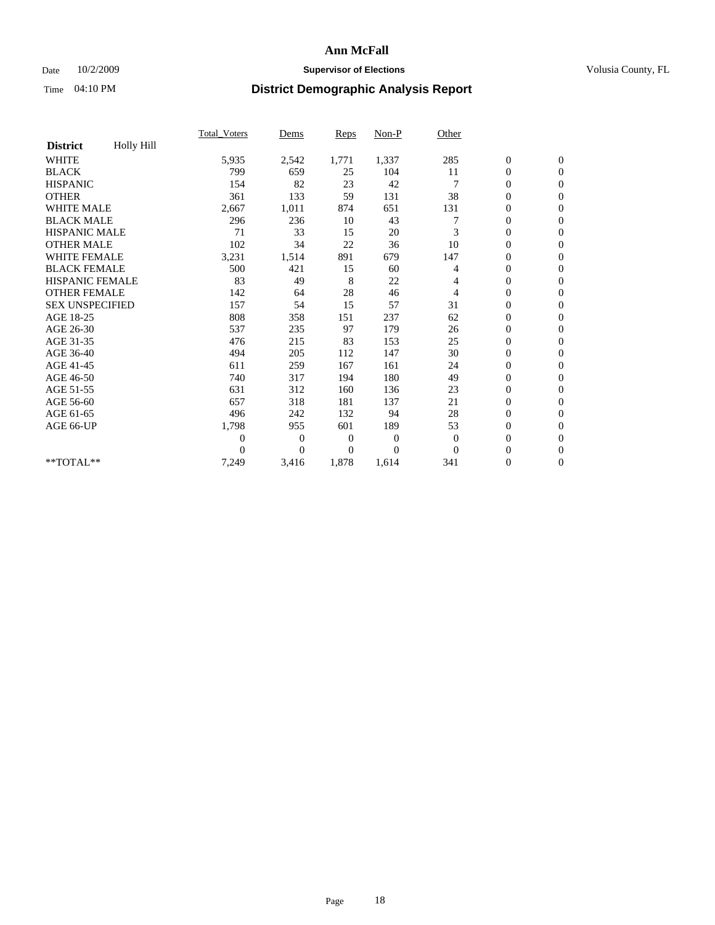### Date  $10/2/2009$  **Supervisor of Elections Supervisor of Elections** Volusia County, FL

|                        |            | <b>Total_Voters</b> | Dems           | Reps           | Non-P          | Other          |                  |                  |  |
|------------------------|------------|---------------------|----------------|----------------|----------------|----------------|------------------|------------------|--|
| <b>District</b>        | Holly Hill |                     |                |                |                |                |                  |                  |  |
| <b>WHITE</b>           |            | 5,935               | 2,542          | 1,771          | 1,337          | 285            | $\boldsymbol{0}$ | $\boldsymbol{0}$ |  |
| <b>BLACK</b>           |            | 799                 | 659            | 25             | 104            | 11             | $\boldsymbol{0}$ | $\mathbf{0}$     |  |
| <b>HISPANIC</b>        |            | 154                 | 82             | 23             | 42             |                | $\overline{0}$   | $\mathbf{0}$     |  |
| <b>OTHER</b>           |            | 361                 | 133            | 59             | 131            | 38             | 0                | $\mathbf{0}$     |  |
| <b>WHITE MALE</b>      |            | 2,667               | 1,011          | 874            | 651            | 131            | $\boldsymbol{0}$ | $\mathbf{0}$     |  |
| <b>BLACK MALE</b>      |            | 296                 | 236            | 10             | 43             |                | $\overline{0}$   | $\mathbf{0}$     |  |
| <b>HISPANIC MALE</b>   |            | 71                  | 33             | 15             | 20             | 3              | 0                | $\Omega$         |  |
| <b>OTHER MALE</b>      |            | 102                 | 34             | 22             | 36             | 10             | 0                | $\mathbf{0}$     |  |
| WHITE FEMALE           |            | 3,231               | 1,514          | 891            | 679            | 147            | $\overline{0}$   | $\mathbf{0}$     |  |
| <b>BLACK FEMALE</b>    |            | 500                 | 421            | 15             | 60             | 4              | 0                | $\mathbf{0}$     |  |
| HISPANIC FEMALE        |            | 83                  | 49             | 8              | 22             | 4              | $\boldsymbol{0}$ | $\mathbf{0}$     |  |
| <b>OTHER FEMALE</b>    |            | 142                 | 64             | 28             | 46             | $\overline{4}$ | $\overline{0}$   | $\mathbf{0}$     |  |
| <b>SEX UNSPECIFIED</b> |            | 157                 | 54             | 15             | 57             | 31             | 0                | $\Omega$         |  |
| AGE 18-25              |            | 808                 | 358            | 151            | 237            | 62             | $\overline{0}$   | $\mathbf{0}$     |  |
| AGE 26-30              |            | 537                 | 235            | 97             | 179            | 26             | $\boldsymbol{0}$ | $\Omega$         |  |
| AGE 31-35              |            | 476                 | 215            | 83             | 153            | 25             | $\boldsymbol{0}$ | $\mathbf{0}$     |  |
| AGE 36-40              |            | 494                 | 205            | 112            | 147            | 30             | $\boldsymbol{0}$ | $\mathbf{0}$     |  |
| AGE 41-45              |            | 611                 | 259            | 167            | 161            | 24             | $\boldsymbol{0}$ | $\mathbf{0}$     |  |
| AGE 46-50              |            | 740                 | 317            | 194            | 180            | 49             | 0                | $\Omega$         |  |
| AGE 51-55              |            | 631                 | 312            | 160            | 136            | 23             | $\boldsymbol{0}$ | $\mathbf{0}$     |  |
| AGE 56-60              |            | 657                 | 318            | 181            | 137            | 21             | $\overline{0}$   | $\mathbf{0}$     |  |
| AGE 61-65              |            | 496                 | 242            | 132            | 94             | 28             | 0                | $\mathbf{0}$     |  |
| AGE 66-UP              |            | 1,798               | 955            | 601            | 189            | 53             | $\boldsymbol{0}$ | $\mathbf{0}$     |  |
|                        |            | $\overline{0}$      | $\overline{0}$ | $\overline{0}$ | $\overline{0}$ | $\theta$       | $\overline{0}$   | $\mathbf{0}$     |  |
|                        |            | 0                   | $\overline{0}$ | $\overline{0}$ | $\theta$       | $\overline{0}$ | 0                | $\mathbf{0}$     |  |
| **TOTAL**              |            | 7,249               | 3,416          | 1,878          | 1,614          | 341            | 0                | $\boldsymbol{0}$ |  |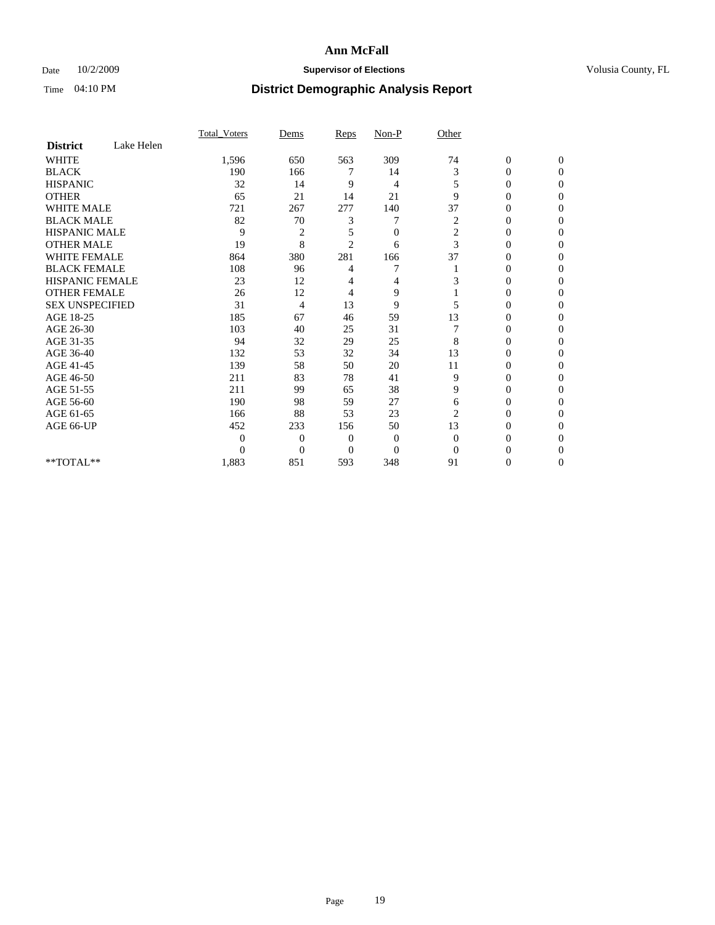### Date  $10/2/2009$  **Supervisor of Elections Supervisor of Elections** Volusia County, FL

|                        |            | Total Voters   | Dems           | <b>Reps</b>    | $Non-P$        | Other          |                  |              |  |
|------------------------|------------|----------------|----------------|----------------|----------------|----------------|------------------|--------------|--|
| <b>District</b>        | Lake Helen |                |                |                |                |                |                  |              |  |
| <b>WHITE</b>           |            | 1,596          | 650            | 563            | 309            | 74             | $\boldsymbol{0}$ | $\mathbf{0}$ |  |
| <b>BLACK</b>           |            | 190            | 166            | 7              | 14             | 3              | $\overline{0}$   | $\Omega$     |  |
| <b>HISPANIC</b>        |            | 32             | 14             | 9              | 4              | 5              | 0                | $\Omega$     |  |
| <b>OTHER</b>           |            | 65             | 21             | 14             | 21             | 9              | 0                | $\Omega$     |  |
| <b>WHITE MALE</b>      |            | 721            | 267            | 277            | 140            | 37             | 0                | $\Omega$     |  |
| <b>BLACK MALE</b>      |            | 82             | 70             | 3              |                | 2              | 0                | 0            |  |
| <b>HISPANIC MALE</b>   |            | 9              | $\overline{2}$ | 5              | $\overline{0}$ | $\overline{c}$ | 0                | 0            |  |
| <b>OTHER MALE</b>      |            | 19             | 8              | $\overline{2}$ | 6              | 3              | 0                | 0            |  |
| WHITE FEMALE           |            | 864            | 380            | 281            | 166            | 37             | 0                | $\Omega$     |  |
| <b>BLACK FEMALE</b>    |            | 108            | 96             | 4              | 7              |                | 0                | $\Omega$     |  |
| <b>HISPANIC FEMALE</b> |            | 23             | 12             | 4              | 4              | 3              | 0                | 0            |  |
| <b>OTHER FEMALE</b>    |            | 26             | 12             | 4              | 9              |                | 0                | $\Omega$     |  |
| <b>SEX UNSPECIFIED</b> |            | 31             | 4              | 13             | 9              | 5              | 0                | 0            |  |
| AGE 18-25              |            | 185            | 67             | 46             | 59             | 13             | 0                | 0            |  |
| AGE 26-30              |            | 103            | 40             | 25             | 31             |                | 0                | $\Omega$     |  |
| AGE 31-35              |            | 94             | 32             | 29             | 25             | 8              | 0                | $\Omega$     |  |
| AGE 36-40              |            | 132            | 53             | 32             | 34             | 13             | 0                | 0            |  |
| AGE 41-45              |            | 139            | 58             | 50             | 20             | 11             | 0                | 0            |  |
| AGE 46-50              |            | 211            | 83             | 78             | 41             | 9              | 0                | $\Omega$     |  |
| AGE 51-55              |            | 211            | 99             | 65             | 38             | 9              | 0                | $\Omega$     |  |
| AGE 56-60              |            | 190            | 98             | 59             | 27             | 6              | 0                | 0            |  |
| AGE 61-65              |            | 166            | 88             | 53             | 23             | $\overline{2}$ | $\overline{0}$   | 0            |  |
| AGE 66-UP              |            | 452            | 233            | 156            | 50             | 13             | 0                | 0            |  |
|                        |            | $\overline{0}$ | $\overline{0}$ | 0              | 0              | $\mathbf{0}$   | 0                | 0            |  |
|                        |            | $\Omega$       | $\overline{0}$ | $\Omega$       | $\Omega$       | $\Omega$       | 0                | $\Omega$     |  |
| **TOTAL**              |            | 1,883          | 851            | 593            | 348            | 91             | 0                | $\mathbf{0}$ |  |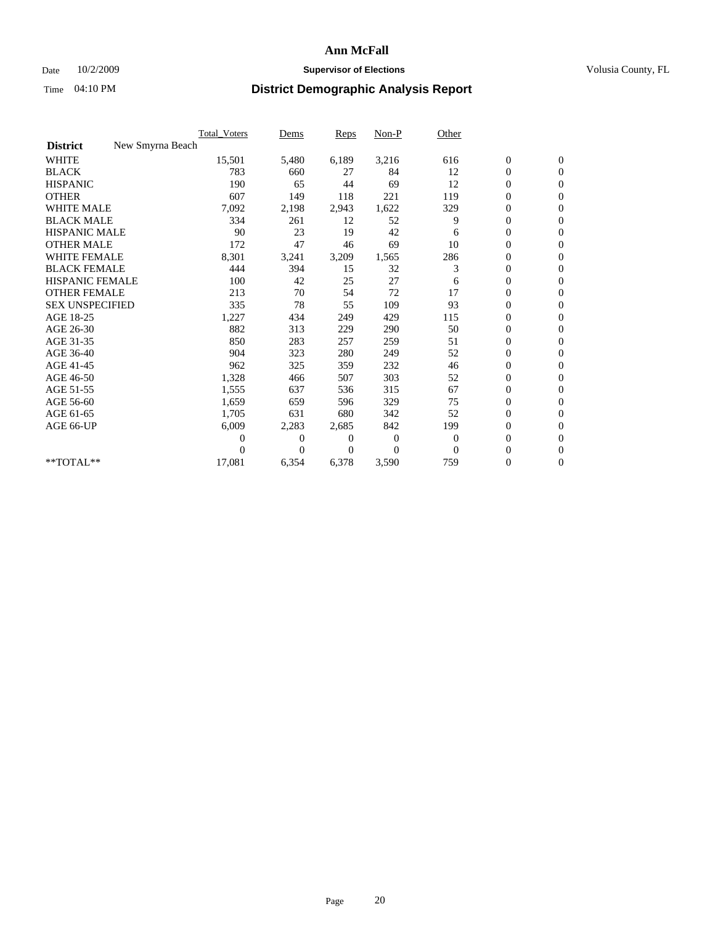### Date  $10/2/2009$  **Supervisor of Elections Supervisor of Elections** Volusia County, FL

|                        |                  | Total Voters | Dems     | <b>Reps</b> | Non-P        | Other        |                  |                  |  |
|------------------------|------------------|--------------|----------|-------------|--------------|--------------|------------------|------------------|--|
| <b>District</b>        | New Smyrna Beach |              |          |             |              |              |                  |                  |  |
| <b>WHITE</b>           |                  | 15,501       | 5,480    | 6,189       | 3,216        | 616          | $\boldsymbol{0}$ | $\boldsymbol{0}$ |  |
| <b>BLACK</b>           |                  | 783          | 660      | 27          | 84           | 12           | $\boldsymbol{0}$ | $\mathbf{0}$     |  |
| <b>HISPANIC</b>        |                  | 190          | 65       | 44          | 69           | 12           | $\overline{0}$   | $\mathbf{0}$     |  |
| <b>OTHER</b>           |                  | 607          | 149      | 118         | 221          | 119          | $\boldsymbol{0}$ | $\Omega$         |  |
| <b>WHITE MALE</b>      |                  | 7,092        | 2,198    | 2,943       | 1,622        | 329          | $\boldsymbol{0}$ | $\mathbf{0}$     |  |
| <b>BLACK MALE</b>      |                  | 334          | 261      | 12          | 52           | 9            | $\boldsymbol{0}$ | $\mathbf{0}$     |  |
| <b>HISPANIC MALE</b>   |                  | 90           | 23       | 19          | 42           | 6            | $\boldsymbol{0}$ | $\mathbf{0}$     |  |
| <b>OTHER MALE</b>      |                  | 172          | 47       | 46          | 69           | 10           | 0                | $\mathbf{0}$     |  |
| <b>WHITE FEMALE</b>    |                  | 8,301        | 3,241    | 3,209       | 1,565        | 286          | $\overline{0}$   | $\mathbf{0}$     |  |
| <b>BLACK FEMALE</b>    |                  | 444          | 394      | 15          | 32           | 3            | $\boldsymbol{0}$ | $\mathbf{0}$     |  |
| <b>HISPANIC FEMALE</b> |                  | 100          | 42       | 25          | 27           | 6            | $\boldsymbol{0}$ | $\mathbf{0}$     |  |
| <b>OTHER FEMALE</b>    |                  | 213          | 70       | 54          | 72           | 17           | $\mathbf{0}$     | $\mathbf{0}$     |  |
| <b>SEX UNSPECIFIED</b> |                  | 335          | 78       | 55          | 109          | 93           | $\boldsymbol{0}$ | $\mathbf{0}$     |  |
| AGE 18-25              |                  | 1,227        | 434      | 249         | 429          | 115          | $\overline{0}$   | $\mathbf{0}$     |  |
| AGE 26-30              |                  | 882          | 313      | 229         | 290          | 50           | $\overline{0}$   | $\mathbf{0}$     |  |
| AGE 31-35              |                  | 850          | 283      | 257         | 259          | 51           | $\boldsymbol{0}$ | $\mathbf{0}$     |  |
| AGE 36-40              |                  | 904          | 323      | 280         | 249          | 52           | 0                | $\mathbf{0}$     |  |
| AGE 41-45              |                  | 962          | 325      | 359         | 232          | 46           | $\overline{0}$   | $\mathbf{0}$     |  |
| AGE 46-50              |                  | 1,328        | 466      | 507         | 303          | 52           | $\boldsymbol{0}$ | $\mathbf{0}$     |  |
| AGE 51-55              |                  | 1,555        | 637      | 536         | 315          | 67           | $\boldsymbol{0}$ | $\mathbf{0}$     |  |
| AGE 56-60              |                  | 1,659        | 659      | 596         | 329          | 75           | $\overline{0}$   | $\Omega$         |  |
| AGE 61-65              |                  | 1,705        | 631      | 680         | 342          | 52           | $\overline{0}$   | $\mathbf{0}$     |  |
| AGE 66-UP              |                  | 6,009        | 2,283    | 2,685       | 842          | 199          | $\boldsymbol{0}$ | $\mathbf{0}$     |  |
|                        |                  | 0            | 0        | 0           | $\mathbf{0}$ | $\mathbf{0}$ | $\overline{0}$   | $\mathbf{0}$     |  |
|                        |                  | $\theta$     | $\theta$ | $\Omega$    | $\Omega$     | $\Omega$     | $\boldsymbol{0}$ | $\mathbf{0}$     |  |
| **TOTAL**              |                  | 17,081       | 6,354    | 6,378       | 3,590        | 759          | 0                | $\mathbf{0}$     |  |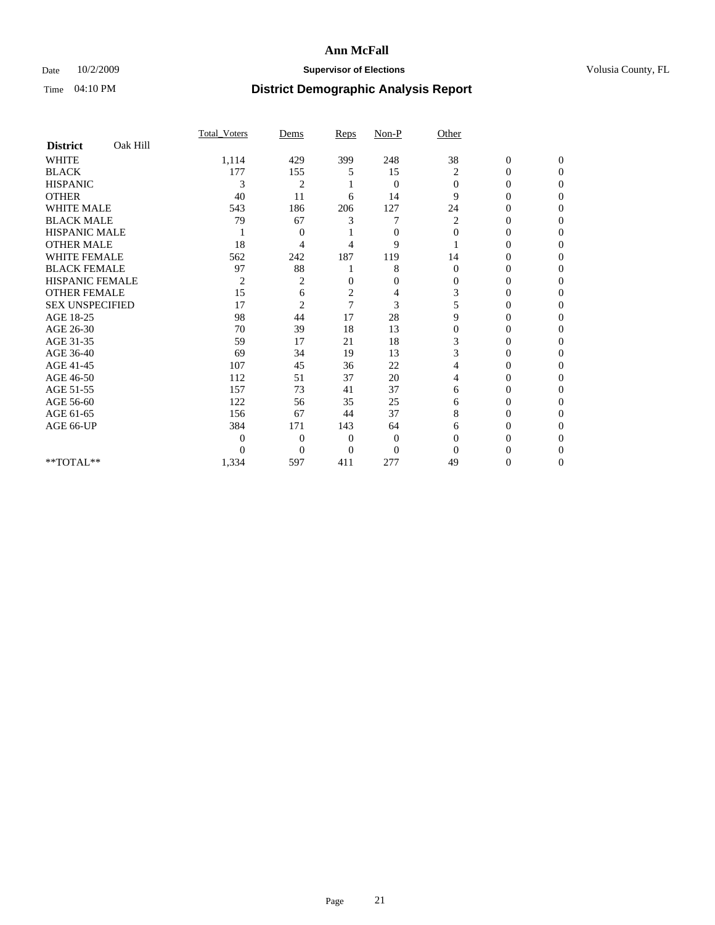### Date  $10/2/2009$  **Supervisor of Elections Supervisor of Elections** Volusia County, FL

|                        |          | <b>Total Voters</b> | Dems           | Reps           | Non-P          | Other          |                  |                  |
|------------------------|----------|---------------------|----------------|----------------|----------------|----------------|------------------|------------------|
| <b>District</b>        | Oak Hill |                     |                |                |                |                |                  |                  |
| <b>WHITE</b>           |          | 1,114               | 429            | 399            | 248            | 38             | $\boldsymbol{0}$ | $\boldsymbol{0}$ |
| <b>BLACK</b>           |          | 177                 | 155            | 5              | 15             | $\overline{c}$ | $\overline{0}$   | $\Omega$         |
| <b>HISPANIC</b>        |          | 3                   | $\overline{c}$ |                | $\mathbf{0}$   | $\Omega$       | $\mathbf{0}$     | $\Omega$         |
| <b>OTHER</b>           |          | 40                  | 11             | 6              | 14             | 9              | 0                | $\Omega$         |
| <b>WHITE MALE</b>      |          | 543                 | 186            | 206            | 127            | 24             | 0                | $\Omega$         |
| <b>BLACK MALE</b>      |          | 79                  | 67             | 3              | 7              | 2              | $\overline{0}$   | $\Omega$         |
| <b>HISPANIC MALE</b>   |          |                     | 0              |                | $\overline{0}$ | $\mathbf{0}$   | 0                | 0                |
| <b>OTHER MALE</b>      |          | 18                  | 4              | 4              | 9              |                | 0                | 0                |
| <b>WHITE FEMALE</b>    |          | 562                 | 242            | 187            | 119            | 14             | 0                | $\Omega$         |
| <b>BLACK FEMALE</b>    |          | 97                  | 88             |                | 8              | $\mathbf{0}$   | 0                | 0                |
| <b>HISPANIC FEMALE</b> |          | $\overline{2}$      | 2              | $\Omega$       | $\overline{0}$ | $\Omega$       | 0                | $\Omega$         |
| <b>OTHER FEMALE</b>    |          | 15                  | 6              | $\overline{c}$ | 4              | 3              | 0                | $\Omega$         |
| <b>SEX UNSPECIFIED</b> |          | 17                  | $\overline{2}$ | 7              | 3              | 5              | 0                | $\Omega$         |
| AGE 18-25              |          | 98                  | 44             | 17             | 28             | 9              | $\theta$         | $\Omega$         |
| AGE 26-30              |          | 70                  | 39             | 18             | 13             | $\overline{0}$ | 0                | 0                |
| AGE 31-35              |          | 59                  | 17             | 21             | 18             | 3              | 0                | 0                |
| AGE 36-40              |          | 69                  | 34             | 19             | 13             | 3              | 0                | $\Omega$         |
| AGE 41-45              |          | 107                 | 45             | 36             | 22             |                | 0                | 0                |
| AGE 46-50              |          | 112                 | 51             | 37             | 20             | 4              | $\overline{0}$   | $\Omega$         |
| AGE 51-55              |          | 157                 | 73             | 41             | 37             | 6              | 0                | $\Omega$         |
| AGE 56-60              |          | 122                 | 56             | 35             | 25             | 6              | 0                | 0                |
| AGE 61-65              |          | 156                 | 67             | 44             | 37             | 8              | 0                | $\Omega$         |
| AGE 66-UP              |          | 384                 | 171            | 143            | 64             | 6              | $\overline{0}$   | $\Omega$         |
|                        |          | $\theta$            | $\overline{0}$ | $\mathbf{0}$   | $\mathbf{0}$   | $\Omega$       | 0                | 0                |
|                        |          | $\theta$            | $\overline{0}$ | $\Omega$       | $\overline{0}$ | $\Omega$       | 0                | $\Omega$         |
| **TOTAL**              |          | 1,334               | 597            | 411            | 277            | 49             | 0                | $\overline{0}$   |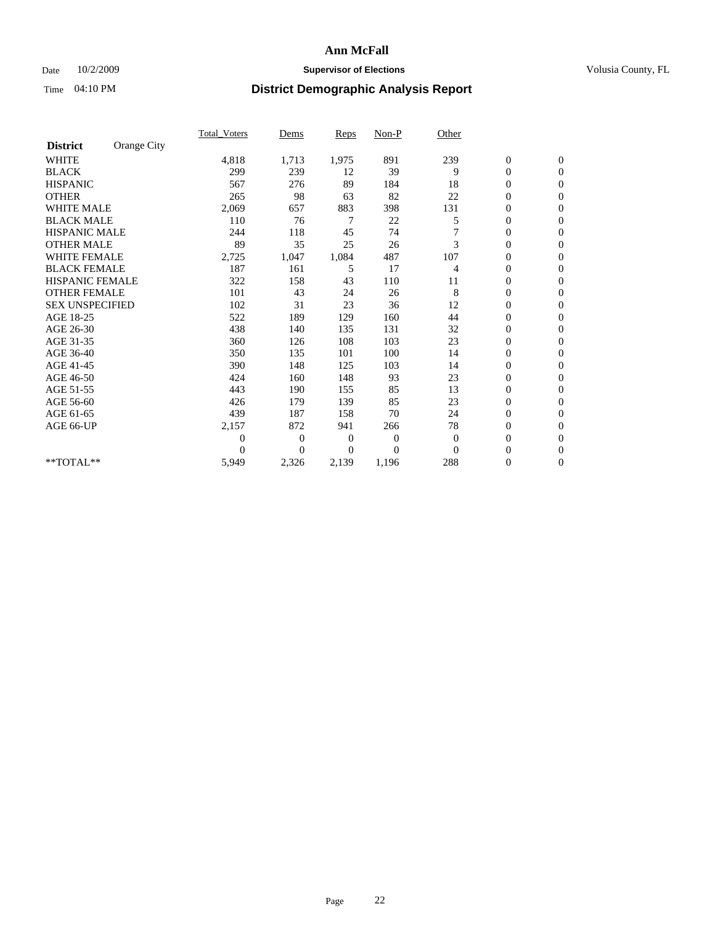### Date  $10/2/2009$  **Supervisor of Elections Supervisor of Elections** Volusia County, FL

|                        |             | Total Voters     | Dems           | <b>Reps</b> | $Non-P$      | Other    |                  |                  |  |
|------------------------|-------------|------------------|----------------|-------------|--------------|----------|------------------|------------------|--|
| <b>District</b>        | Orange City |                  |                |             |              |          |                  |                  |  |
| <b>WHITE</b>           |             | 4,818            | 1,713          | 1,975       | 891          | 239      | $\boldsymbol{0}$ | $\boldsymbol{0}$ |  |
| <b>BLACK</b>           |             | 299              | 239            | 12          | 39           | 9        | $\boldsymbol{0}$ | $\mathbf{0}$     |  |
| <b>HISPANIC</b>        |             | 567              | 276            | 89          | 184          | 18       | $\overline{0}$   | $\mathbf{0}$     |  |
| <b>OTHER</b>           |             | 265              | 98             | 63          | 82           | 22       | $\boldsymbol{0}$ | $\mathbf{0}$     |  |
| <b>WHITE MALE</b>      |             | 2,069            | 657            | 883         | 398          | 131      | $\boldsymbol{0}$ | $\mathbf{0}$     |  |
| <b>BLACK MALE</b>      |             | 110              | 76             | 7           | 22           | 5        | $\boldsymbol{0}$ | $\mathbf{0}$     |  |
| <b>HISPANIC MALE</b>   |             | 244              | 118            | 45          | 74           | 7        | $\overline{0}$   | $\mathbf{0}$     |  |
| <b>OTHER MALE</b>      |             | 89               | 35             | 25          | 26           | 3        | $\boldsymbol{0}$ | $\mathbf{0}$     |  |
| <b>WHITE FEMALE</b>    |             | 2,725            | 1,047          | 1,084       | 487          | 107      | $\overline{0}$   | $\mathbf{0}$     |  |
| <b>BLACK FEMALE</b>    |             | 187              | 161            | 5           | 17           | 4        | $\boldsymbol{0}$ | $\mathbf{0}$     |  |
| <b>HISPANIC FEMALE</b> |             | 322              | 158            | 43          | 110          | 11       | $\boldsymbol{0}$ | $\mathbf{0}$     |  |
| <b>OTHER FEMALE</b>    |             | 101              | 43             | 24          | 26           | 8        | $\mathbf{0}$     | $\mathbf{0}$     |  |
| <b>SEX UNSPECIFIED</b> |             | 102              | 31             | 23          | 36           | 12       | $\boldsymbol{0}$ | $\mathbf{0}$     |  |
| AGE 18-25              |             | 522              | 189            | 129         | 160          | 44       | $\overline{0}$   | $\mathbf{0}$     |  |
| AGE 26-30              |             | 438              | 140            | 135         | 131          | 32       | $\overline{0}$   | $\mathbf{0}$     |  |
| AGE 31-35              |             | 360              | 126            | 108         | 103          | 23       | $\boldsymbol{0}$ | $\mathbf{0}$     |  |
| AGE 36-40              |             | 350              | 135            | 101         | 100          | 14       | $\boldsymbol{0}$ | $\mathbf{0}$     |  |
| AGE 41-45              |             | 390              | 148            | 125         | 103          | 14       | $\overline{0}$   | $\mathbf{0}$     |  |
| AGE 46-50              |             | 424              | 160            | 148         | 93           | 23       | $\boldsymbol{0}$ | $\mathbf{0}$     |  |
| AGE 51-55              |             | 443              | 190            | 155         | 85           | 13       | $\boldsymbol{0}$ | $\mathbf{0}$     |  |
| AGE 56-60              |             | 426              | 179            | 139         | 85           | 23       | $\overline{0}$   | $\Omega$         |  |
| AGE 61-65              |             | 439              | 187            | 158         | 70           | 24       | $\mathbf{0}$     | $\mathbf{0}$     |  |
| AGE 66-UP              |             | 2,157            | 872            | 941         | 266          | 78       | $\boldsymbol{0}$ | $\mathbf{0}$     |  |
|                        |             | $\boldsymbol{0}$ | $\overline{0}$ | 0           | $\mathbf{0}$ | $\theta$ | $\overline{0}$   | $\mathbf{0}$     |  |
|                        |             | $\theta$         | $\theta$       | $\Omega$    | $\theta$     | $\Omega$ | $\boldsymbol{0}$ | $\mathbf{0}$     |  |
| **TOTAL**              |             | 5,949            | 2,326          | 2,139       | 1,196        | 288      | $\overline{0}$   | $\mathbf{0}$     |  |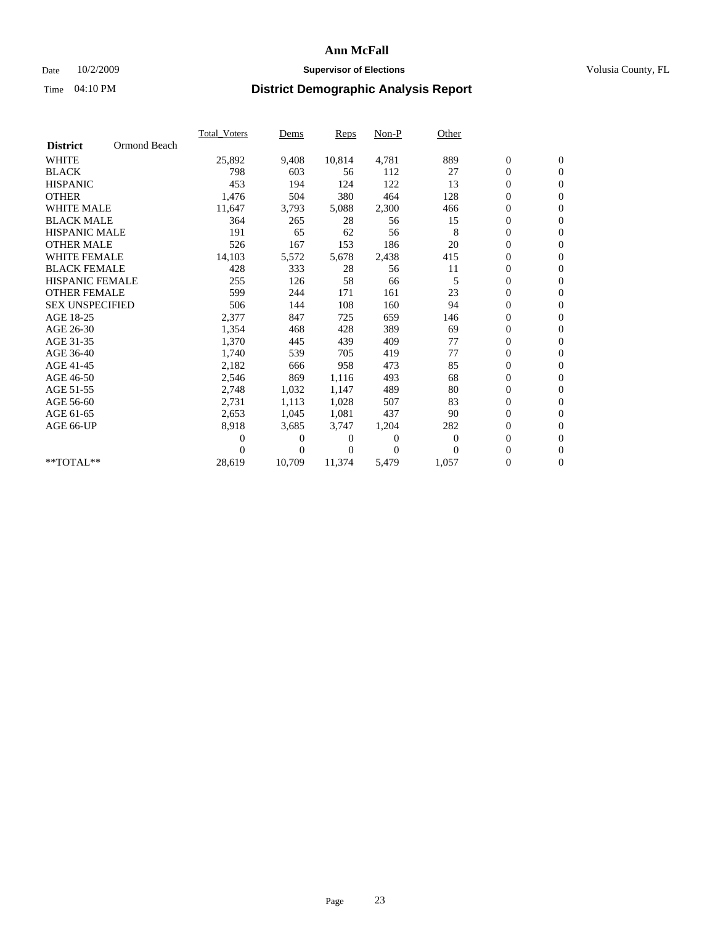### Date  $10/2/2009$  **Supervisor of Elections Supervisor of Elections** Volusia County, FL

|                        |              | <b>Total Voters</b> | Dems           | Reps   | Non-P    | Other    |                  |                  |  |
|------------------------|--------------|---------------------|----------------|--------|----------|----------|------------------|------------------|--|
| <b>District</b>        | Ormond Beach |                     |                |        |          |          |                  |                  |  |
| <b>WHITE</b>           |              | 25,892              | 9,408          | 10,814 | 4,781    | 889      | $\boldsymbol{0}$ | $\boldsymbol{0}$ |  |
| <b>BLACK</b>           |              | 798                 | 603            | 56     | 112      | 27       | 0                | $\mathbf{0}$     |  |
| <b>HISPANIC</b>        |              | 453                 | 194            | 124    | 122      | 13       | $\boldsymbol{0}$ | $\mathbf{0}$     |  |
| <b>OTHER</b>           |              | 1,476               | 504            | 380    | 464      | 128      | 0                | $\mathbf{0}$     |  |
| <b>WHITE MALE</b>      |              | 11,647              | 3,793          | 5,088  | 2,300    | 466      | 0                | $\mathbf{0}$     |  |
| <b>BLACK MALE</b>      |              | 364                 | 265            | 28     | 56       | 15       | $\overline{0}$   | $\mathbf{0}$     |  |
| <b>HISPANIC MALE</b>   |              | 191                 | 65             | 62     | 56       | 8        | 0                | $\mathbf{0}$     |  |
| <b>OTHER MALE</b>      |              | 526                 | 167            | 153    | 186      | 20       | 0                | $\mathbf{0}$     |  |
| <b>WHITE FEMALE</b>    |              | 14,103              | 5,572          | 5,678  | 2,438    | 415      | 0                | $\mathbf{0}$     |  |
| <b>BLACK FEMALE</b>    |              | 428                 | 333            | 28     | 56       | 11       | 0                | $\mathbf{0}$     |  |
| <b>HISPANIC FEMALE</b> |              | 255                 | 126            | 58     | 66       | 5        | $\boldsymbol{0}$ | $\mathbf{0}$     |  |
| <b>OTHER FEMALE</b>    |              | 599                 | 244            | 171    | 161      | 23       | 0                | $\mathbf{0}$     |  |
| <b>SEX UNSPECIFIED</b> |              | 506                 | 144            | 108    | 160      | 94       | 0                | $\mathbf{0}$     |  |
| AGE 18-25              |              | 2,377               | 847            | 725    | 659      | 146      | 0                | $\mathbf{0}$     |  |
| AGE 26-30              |              | 1,354               | 468            | 428    | 389      | 69       | $\boldsymbol{0}$ | $\mathbf{0}$     |  |
| AGE 31-35              |              | 1,370               | 445            | 439    | 409      | 77       | 0                | $\mathbf{0}$     |  |
| AGE 36-40              |              | 1,740               | 539            | 705    | 419      | 77       | 0                | $\mathbf{0}$     |  |
| AGE 41-45              |              | 2,182               | 666            | 958    | 473      | 85       | $\boldsymbol{0}$ | $\mathbf{0}$     |  |
| AGE 46-50              |              | 2,546               | 869            | 1,116  | 493      | 68       | 0                | $\mathbf{0}$     |  |
| AGE 51-55              |              | 2,748               | 1,032          | 1,147  | 489      | 80       | $\boldsymbol{0}$ | $\mathbf{0}$     |  |
| AGE 56-60              |              | 2,731               | 1,113          | 1,028  | 507      | 83       | 0                | $\mathbf{0}$     |  |
| AGE 61-65              |              | 2,653               | 1,045          | 1.081  | 437      | 90       | 0                | $\mathbf{0}$     |  |
| AGE 66-UP              |              | 8,918               | 3,685          | 3,747  | 1,204    | 282      | 0                | $\mathbf{0}$     |  |
|                        |              | 0                   | 0              | 0      | $\theta$ | $\theta$ | $\overline{0}$   | $\mathbf{0}$     |  |
|                        |              | 0                   | $\overline{0}$ | 0      | $\Omega$ | $\Omega$ | 0                | $\mathbf{0}$     |  |
| **TOTAL**              |              | 28,619              | 10,709         | 11,374 | 5,479    | 1,057    | 0                | $\boldsymbol{0}$ |  |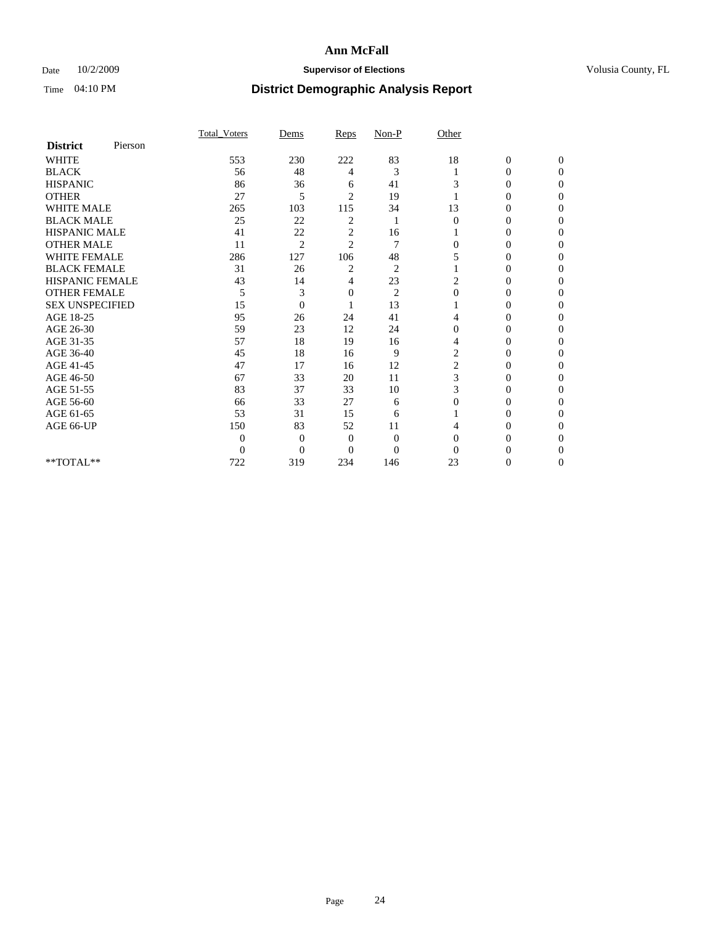### Date  $10/2/2009$  **Supervisor of Elections Supervisor of Elections** Volusia County, FL

|                        |         | Total Voters   | Dems           | Reps           | $Non-P$        | Other          |                  |              |  |
|------------------------|---------|----------------|----------------|----------------|----------------|----------------|------------------|--------------|--|
| <b>District</b>        | Pierson |                |                |                |                |                |                  |              |  |
| <b>WHITE</b>           |         | 553            | 230            | 222            | 83             | 18             | $\boldsymbol{0}$ | $\mathbf{0}$ |  |
| <b>BLACK</b>           |         | 56             | 48             | 4              | 3              |                | $\mathbf{0}$     | $\Omega$     |  |
| <b>HISPANIC</b>        |         | 86             | 36             | 6              | 41             | 3              | 0                | $\Omega$     |  |
| <b>OTHER</b>           |         | 27             | 5              | $\overline{2}$ | 19             |                | 0                | 0            |  |
| <b>WHITE MALE</b>      |         | 265            | 103            | 115            | 34             | 13             | $\theta$         | 0            |  |
| <b>BLACK MALE</b>      |         | 25             | 22             | $\overline{c}$ | 1              | $\Omega$       | 0                | $\Omega$     |  |
| HISPANIC MALE          |         | 41             | 22             | $\overline{c}$ | 16             |                | 0                | $\Omega$     |  |
| <b>OTHER MALE</b>      |         | 11             | $\overline{2}$ | $\overline{2}$ | 7              | 0              | 0                | 0            |  |
| <b>WHITE FEMALE</b>    |         | 286            | 127            | 106            | 48             | 5              | 0                | $\Omega$     |  |
| <b>BLACK FEMALE</b>    |         | 31             | 26             | 2              | $\overline{c}$ |                | $\overline{0}$   | 0            |  |
| <b>HISPANIC FEMALE</b> |         | 43             | 14             | 4              | 23             | 2              | 0                | 0            |  |
| <b>OTHER FEMALE</b>    |         | 5              | 3              | 0              | $\overline{c}$ | $\Omega$       | 0                | 0            |  |
| <b>SEX UNSPECIFIED</b> |         | 15             | $\overline{0}$ |                | 13             |                | 0                | 0            |  |
| AGE 18-25              |         | 95             | 26             | 24             | 41             | 4              | 0                | $\Omega$     |  |
| AGE 26-30              |         | 59             | 23             | 12             | 24             | $\Omega$       | 0                | 0            |  |
| AGE 31-35              |         | 57             | 18             | 19             | 16             | 4              | 0                | 0            |  |
| AGE 36-40              |         | 45             | 18             | 16             | 9              | $\overline{c}$ | 0                | 0            |  |
| AGE 41-45              |         | 47             | 17             | 16             | 12             | 2              | 0                | $\Omega$     |  |
| AGE 46-50              |         | 67             | 33             | 20             | 11             | 3              | 0                | $\Omega$     |  |
| AGE 51-55              |         | 83             | 37             | 33             | 10             | 3              | 0                | 0            |  |
| AGE 56-60              |         | 66             | 33             | 27             | 6              | $\Omega$       | 0                | 0            |  |
| AGE 61-65              |         | 53             | 31             | 15             | 6              |                | 0                | 0            |  |
| AGE 66-UP              |         | 150            | 83             | 52             | 11             |                | 0                | 0            |  |
|                        |         | $\theta$       | $\overline{0}$ | $\mathbf{0}$   | $\overline{0}$ | $\Omega$       | 0                | 0            |  |
|                        |         | $\overline{0}$ | $\overline{0}$ | $\Omega$       | $\theta$       | $\Omega$       |                  | 0            |  |
| **TOTAL**              |         | 722            | 319            | 234            | 146            | 23             | 0                | 0            |  |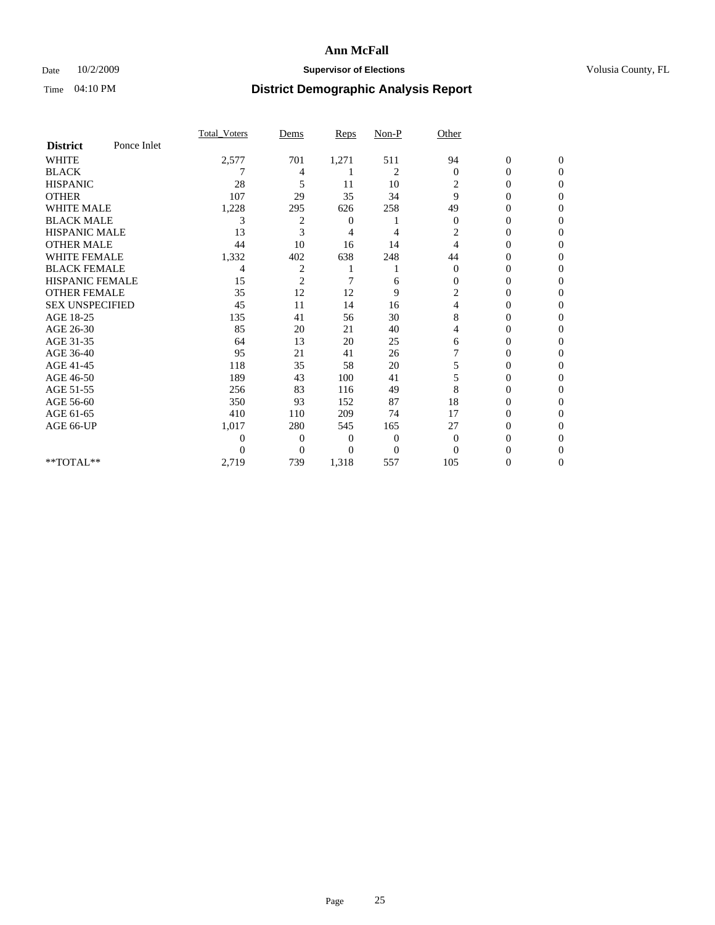### Date  $10/2/2009$  **Supervisor of Elections Supervisor of Elections** Volusia County, FL

|                        |             | <b>Total Voters</b> | Dems           | Reps           | Non-P          | Other          |                  |                  |
|------------------------|-------------|---------------------|----------------|----------------|----------------|----------------|------------------|------------------|
| <b>District</b>        | Ponce Inlet |                     |                |                |                |                |                  |                  |
| <b>WHITE</b>           |             | 2,577               | 701            | 1,271          | 511            | 94             | $\boldsymbol{0}$ | $\boldsymbol{0}$ |
| <b>BLACK</b>           |             |                     | 4              |                | 2              | $\overline{0}$ | 0                | $\Omega$         |
| <b>HISPANIC</b>        |             | 28                  | 5              | 11             | 10             | $\overline{c}$ | 0                | $\Omega$         |
| <b>OTHER</b>           |             | 107                 | 29             | 35             | 34             | 9              | 0                | $\Omega$         |
| <b>WHITE MALE</b>      |             | 1,228               | 295            | 626            | 258            | 49             | 0                | $\Omega$         |
| <b>BLACK MALE</b>      |             | 3                   | 2              | $\overline{0}$ |                | $\theta$       | 0                | $\Omega$         |
| <b>HISPANIC MALE</b>   |             | 13                  | 3              | 4              | 4              | 2              | 0                | 0                |
| <b>OTHER MALE</b>      |             | 44                  | 10             | 16             | 14             | 4              | 0                | 0                |
| <b>WHITE FEMALE</b>    |             | 1,332               | 402            | 638            | 248            | 44             | 0                | $\Omega$         |
| <b>BLACK FEMALE</b>    |             | 4                   | $\overline{c}$ |                |                | $\theta$       | 0                | 0                |
| <b>HISPANIC FEMALE</b> |             | 15                  | $\overline{2}$ | 7              | 6              | $\Omega$       | 0                | $\Omega$         |
| <b>OTHER FEMALE</b>    |             | 35                  | 12             | 12             | 9              | 2              | 0                | $\Omega$         |
| <b>SEX UNSPECIFIED</b> |             | 45                  | 11             | 14             | 16             | 4              | 0                | $\Omega$         |
| AGE 18-25              |             | 135                 | 41             | 56             | 30             | 8              | 0                | $\Omega$         |
| AGE 26-30              |             | 85                  | 20             | 21             | 40             | 4              | 0                | 0                |
| AGE 31-35              |             | 64                  | 13             | 20             | 25             | 6              | 0                | 0                |
| AGE 36-40              |             | 95                  | 21             | 41             | 26             |                | 0                | $\Omega$         |
| AGE 41-45              |             | 118                 | 35             | 58             | 20             | 5              | 0                | 0                |
| AGE 46-50              |             | 189                 | 43             | 100            | 41             | 5              | $\overline{0}$   | $\Omega$         |
| AGE 51-55              |             | 256                 | 83             | 116            | 49             | 8              | 0                | $\Omega$         |
| AGE 56-60              |             | 350                 | 93             | 152            | 87             | 18             | 0                | 0                |
| AGE 61-65              |             | 410                 | 110            | 209            | 74             | 17             | 0                | $\Omega$         |
| AGE 66-UP              |             | 1,017               | 280            | 545            | 165            | 27             | 0                | $\overline{0}$   |
|                        |             | 0                   | $\overline{0}$ | 0              | $\overline{0}$ | $\theta$       | 0                | 0                |
|                        |             | 0                   | $\Omega$       | 0              | $\overline{0}$ | $\Omega$       | 0                | $\overline{0}$   |
| $**TOTAL**$            |             | 2,719               | 739            | 1,318          | 557            | 105            | 0                | $\overline{0}$   |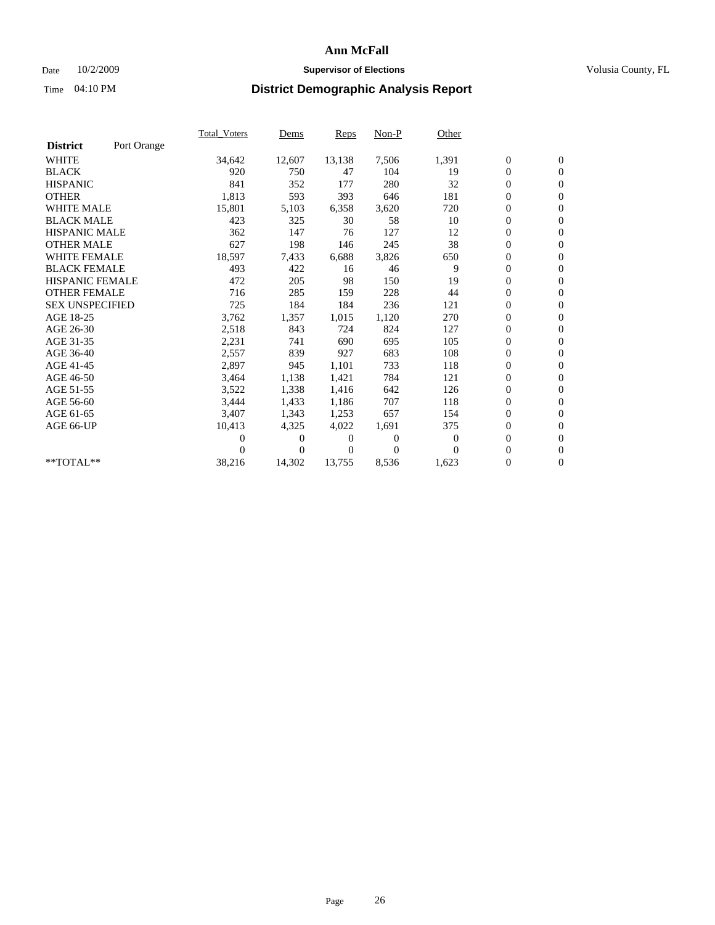### Date  $10/2/2009$  **Supervisor of Elections Supervisor of Elections** Volusia County, FL

|                        |             | Total Voters | Dems     | <b>Reps</b> | Non-P        | Other    |                  |                  |  |
|------------------------|-------------|--------------|----------|-------------|--------------|----------|------------------|------------------|--|
| <b>District</b>        | Port Orange |              |          |             |              |          |                  |                  |  |
| <b>WHITE</b>           |             | 34,642       | 12,607   | 13,138      | 7,506        | 1,391    | $\boldsymbol{0}$ | $\boldsymbol{0}$ |  |
| <b>BLACK</b>           |             | 920          | 750      | 47          | 104          | 19       | $\boldsymbol{0}$ | $\mathbf{0}$     |  |
| <b>HISPANIC</b>        |             | 841          | 352      | 177         | 280          | 32       | $\overline{0}$   | $\mathbf{0}$     |  |
| <b>OTHER</b>           |             | 1,813        | 593      | 393         | 646          | 181      | $\boldsymbol{0}$ | $\mathbf{0}$     |  |
| <b>WHITE MALE</b>      |             | 15,801       | 5,103    | 6,358       | 3,620        | 720      | $\boldsymbol{0}$ | $\mathbf{0}$     |  |
| <b>BLACK MALE</b>      |             | 423          | 325      | 30          | 58           | 10       | $\boldsymbol{0}$ | $\mathbf{0}$     |  |
| <b>HISPANIC MALE</b>   |             | 362          | 147      | 76          | 127          | 12       | $\boldsymbol{0}$ | $\mathbf{0}$     |  |
| <b>OTHER MALE</b>      |             | 627          | 198      | 146         | 245          | 38       | $\boldsymbol{0}$ | $\mathbf{0}$     |  |
| <b>WHITE FEMALE</b>    |             | 18,597       | 7,433    | 6,688       | 3,826        | 650      | $\mathbf{0}$     | $\mathbf{0}$     |  |
| <b>BLACK FEMALE</b>    |             | 493          | 422      | 16          | 46           | 9        | $\boldsymbol{0}$ | $\mathbf{0}$     |  |
| <b>HISPANIC FEMALE</b> |             | 472          | 205      | 98          | 150          | 19       | $\overline{0}$   | $\mathbf{0}$     |  |
| <b>OTHER FEMALE</b>    |             | 716          | 285      | 159         | 228          | 44       | $\mathbf{0}$     | $\mathbf{0}$     |  |
| <b>SEX UNSPECIFIED</b> |             | 725          | 184      | 184         | 236          | 121      | $\boldsymbol{0}$ | $\mathbf{0}$     |  |
| AGE 18-25              |             | 3,762        | 1,357    | 1,015       | 1,120        | 270      | $\overline{0}$   | $\mathbf{0}$     |  |
| AGE 26-30              |             | 2,518        | 843      | 724         | 824          | 127      | $\overline{0}$   | $\mathbf{0}$     |  |
| AGE 31-35              |             | 2,231        | 741      | 690         | 695          | 105      | $\boldsymbol{0}$ | $\mathbf{0}$     |  |
| AGE 36-40              |             | 2,557        | 839      | 927         | 683          | 108      | 0                | $\mathbf{0}$     |  |
| AGE 41-45              |             | 2,897        | 945      | 1,101       | 733          | 118      | $\overline{0}$   | $\mathbf{0}$     |  |
| AGE 46-50              |             | 3,464        | 1,138    | 1,421       | 784          | 121      | $\boldsymbol{0}$ | $\mathbf{0}$     |  |
| AGE 51-55              |             | 3,522        | 1,338    | 1,416       | 642          | 126      | $\boldsymbol{0}$ | $\mathbf{0}$     |  |
| AGE 56-60              |             | 3,444        | 1,433    | 1,186       | 707          | 118      | $\overline{0}$   | $\Omega$         |  |
| AGE 61-65              |             | 3,407        | 1,343    | 1,253       | 657          | 154      | $\mathbf{0}$     | $\mathbf{0}$     |  |
| AGE 66-UP              |             | 10,413       | 4,325    | 4,022       | 1,691        | 375      | $\boldsymbol{0}$ | $\mathbf{0}$     |  |
|                        |             | 0            | 0        | 0           | $\mathbf{0}$ | $\bf{0}$ | $\overline{0}$   | $\mathbf{0}$     |  |
|                        |             | $\theta$     | $\Omega$ | 0           | $\Omega$     | $\Omega$ | $\boldsymbol{0}$ | $\mathbf{0}$     |  |
| $**TOTAL**$            |             | 38,216       | 14,302   | 13,755      | 8,536        | 1,623    | 0                | $\mathbf{0}$     |  |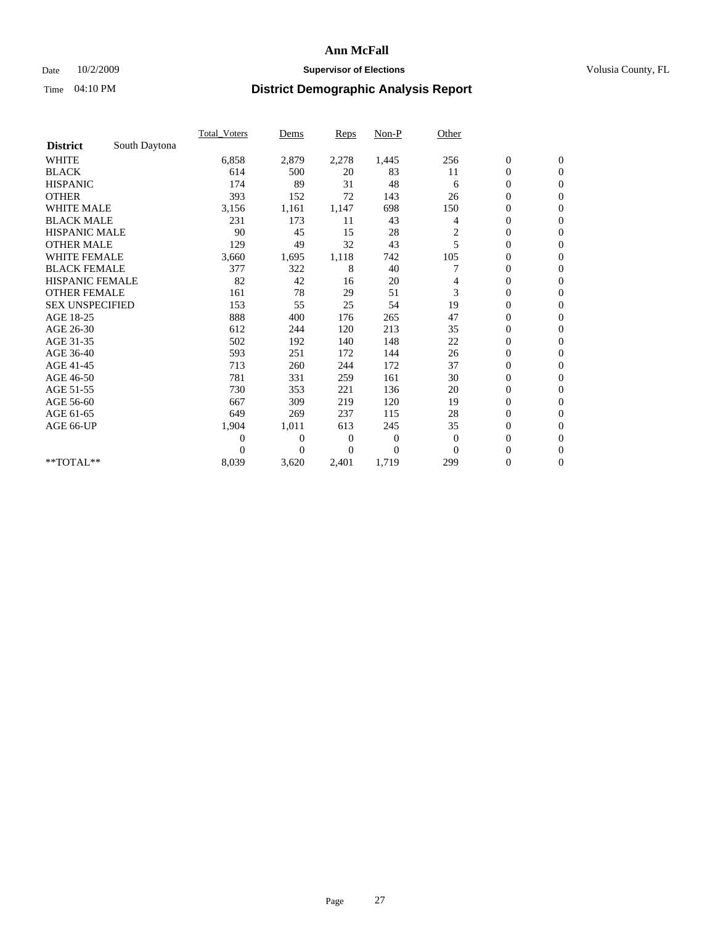### Date  $10/2/2009$  **Supervisor of Elections Supervisor of Elections** Volusia County, FL

|                        |               | Total Voters   | Dems           | <b>Reps</b> | $Non-P$      | Other          |                  |                  |  |
|------------------------|---------------|----------------|----------------|-------------|--------------|----------------|------------------|------------------|--|
| <b>District</b>        | South Daytona |                |                |             |              |                |                  |                  |  |
| <b>WHITE</b>           |               | 6,858          | 2,879          | 2,278       | 1,445        | 256            | $\boldsymbol{0}$ | $\boldsymbol{0}$ |  |
| <b>BLACK</b>           |               | 614            | 500            | 20          | 83           | 11             | $\boldsymbol{0}$ | $\mathbf{0}$     |  |
| <b>HISPANIC</b>        |               | 174            | 89             | 31          | 48           | 6              | $\overline{0}$   | $\mathbf{0}$     |  |
| <b>OTHER</b>           |               | 393            | 152            | 72          | 143          | 26             | $\boldsymbol{0}$ | $\Omega$         |  |
| <b>WHITE MALE</b>      |               | 3,156          | 1,161          | 1,147       | 698          | 150            | $\overline{0}$   | $\mathbf{0}$     |  |
| <b>BLACK MALE</b>      |               | 231            | 173            | 11          | 43           | 4              | $\boldsymbol{0}$ | $\mathbf{0}$     |  |
| <b>HISPANIC MALE</b>   |               | 90             | 45             | 15          | 28           | $\overline{c}$ | $\boldsymbol{0}$ | $\overline{0}$   |  |
| <b>OTHER MALE</b>      |               | 129            | 49             | 32          | 43           | 5              | $\boldsymbol{0}$ | $\mathbf{0}$     |  |
| WHITE FEMALE           |               | 3,660          | 1,695          | 1,118       | 742          | 105            | $\overline{0}$   | $\mathbf{0}$     |  |
| <b>BLACK FEMALE</b>    |               | 377            | 322            | 8           | 40           |                | $\boldsymbol{0}$ | $\mathbf{0}$     |  |
| <b>HISPANIC FEMALE</b> |               | 82             | 42             | 16          | 20           | 4              | $\boldsymbol{0}$ | $\mathbf{0}$     |  |
| <b>OTHER FEMALE</b>    |               | 161            | 78             | 29          | 51           | 3              | $\mathbf{0}$     | $\mathbf{0}$     |  |
| <b>SEX UNSPECIFIED</b> |               | 153            | 55             | 25          | 54           | 19             | $\boldsymbol{0}$ | $\mathbf{0}$     |  |
| AGE 18-25              |               | 888            | 400            | 176         | 265          | 47             | $\overline{0}$   | $\mathbf{0}$     |  |
| AGE 26-30              |               | 612            | 244            | 120         | 213          | 35             | $\overline{0}$   | $\mathbf{0}$     |  |
| AGE 31-35              |               | 502            | 192            | 140         | 148          | 22             | $\boldsymbol{0}$ | $\mathbf{0}$     |  |
| AGE 36-40              |               | 593            | 251            | 172         | 144          | 26             | $\boldsymbol{0}$ | $\mathbf{0}$     |  |
| AGE 41-45              |               | 713            | 260            | 244         | 172          | 37             | $\overline{0}$   | $\mathbf{0}$     |  |
| AGE 46-50              |               | 781            | 331            | 259         | 161          | 30             | $\boldsymbol{0}$ | $\mathbf{0}$     |  |
| AGE 51-55              |               | 730            | 353            | 221         | 136          | 20             | $\boldsymbol{0}$ | $\mathbf{0}$     |  |
| AGE 56-60              |               | 667            | 309            | 219         | 120          | 19             | $\overline{0}$   | $\Omega$         |  |
| AGE 61-65              |               | 649            | 269            | 237         | 115          | 28             | $\mathbf{0}$     | $\mathbf{0}$     |  |
| AGE 66-UP              |               | 1,904          | 1,011          | 613         | 245          | 35             | $\boldsymbol{0}$ | $\mathbf{0}$     |  |
|                        |               | $\overline{0}$ | $\overline{0}$ | 0           | $\mathbf{0}$ | $\mathbf{0}$   | $\overline{0}$   | $\mathbf{0}$     |  |
|                        |               | $\theta$       | $\theta$       | $\Omega$    | $\theta$     | $\Omega$       | $\boldsymbol{0}$ | $\mathbf{0}$     |  |
| **TOTAL**              |               | 8,039          | 3,620          | 2,401       | 1,719        | 299            | $\overline{0}$   | $\mathbf{0}$     |  |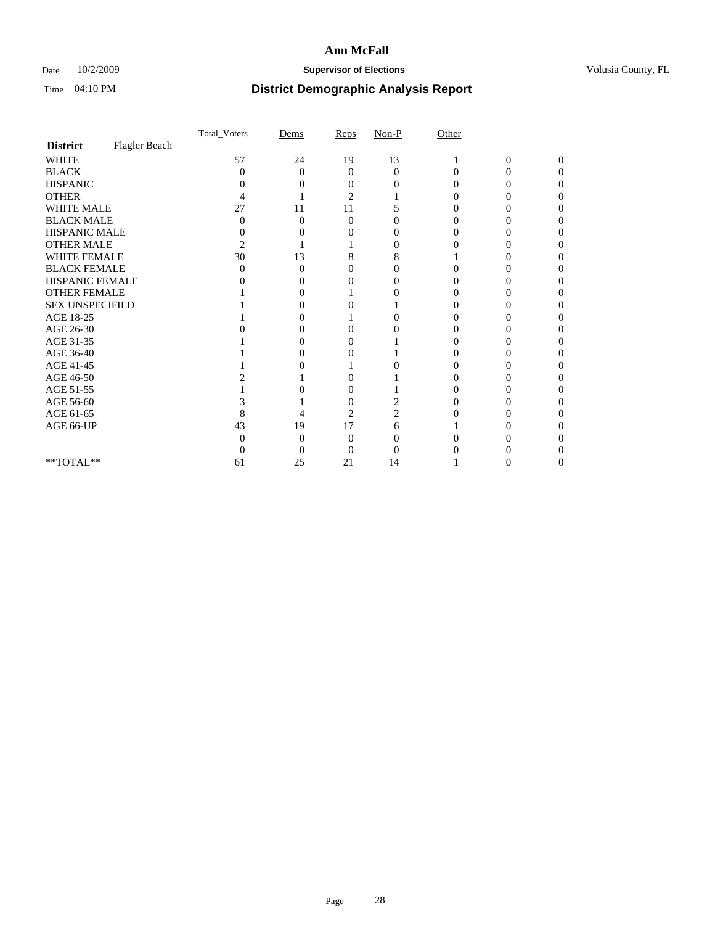### Date  $10/2/2009$  **Supervisor of Elections Supervisor of Elections** Volusia County, FL

|                        |               | Total Voters | Dems              | Reps     | $Non-P$  | Other    |                |              |  |
|------------------------|---------------|--------------|-------------------|----------|----------|----------|----------------|--------------|--|
| <b>District</b>        | Flagler Beach |              |                   |          |          |          |                |              |  |
| <b>WHITE</b>           |               | 57           | 24                | 19       | 13       |          | $\overline{0}$ | $\mathbf{0}$ |  |
| <b>BLACK</b>           |               | 0            | $\Omega$          | $\Omega$ | $\Omega$ | $\Omega$ | 0              | 0            |  |
| <b>HISPANIC</b>        |               |              |                   |          |          |          |                |              |  |
| <b>OTHER</b>           |               |              |                   | 2        |          |          |                |              |  |
| WHITE MALE             |               | 27           | 11                | 11       |          |          |                |              |  |
| <b>BLACK MALE</b>      |               | 0            | 0                 | 0        |          |          |                |              |  |
| HISPANIC MALE          |               | 0            |                   |          |          |          |                |              |  |
| <b>OTHER MALE</b>      |               | 2            |                   |          |          |          |                |              |  |
| WHITE FEMALE           |               | 30           | 13                | 8        | 8        |          |                |              |  |
| <b>BLACK FEMALE</b>    |               | 0            | 0                 | 0        |          |          |                |              |  |
| HISPANIC FEMALE        |               |              |                   |          |          |          |                |              |  |
| <b>OTHER FEMALE</b>    |               |              |                   |          |          |          |                |              |  |
| <b>SEX UNSPECIFIED</b> |               |              |                   |          |          |          |                |              |  |
| AGE 18-25              |               |              |                   |          | 0        |          |                |              |  |
| AGE 26-30              |               |              | $\mathbf{\Omega}$ | 0        |          |          |                |              |  |
| AGE 31-35              |               |              |                   |          |          |          |                |              |  |
| AGE 36-40              |               |              |                   |          |          |          |                |              |  |
| AGE 41-45              |               |              |                   |          |          |          |                |              |  |
| AGE 46-50              |               |              |                   |          |          |          |                |              |  |
| AGE 51-55              |               |              |                   | 0        |          |          |                |              |  |
| AGE 56-60              |               |              |                   | $\theta$ |          |          |                |              |  |
| AGE 61-65              |               | 8            |                   | 2        |          |          |                |              |  |
| AGE 66-UP              |               | 43           | 19                | 17       | 6        |          |                |              |  |
|                        |               |              | 0                 | 0        |          |          |                |              |  |
|                        |               |              | 0                 | 0        |          |          |                |              |  |
| **TOTAL**              |               | 61           | 25                | 21       | 14       |          |                |              |  |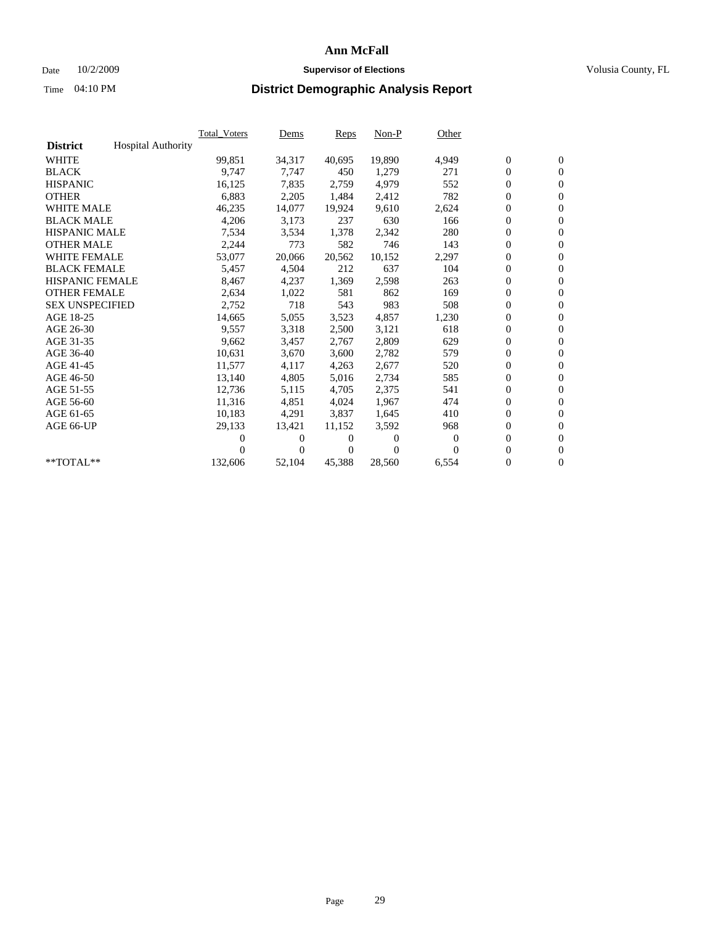### Date  $10/2/2009$  **Supervisor of Elections Supervisor of Elections** Volusia County, FL

|                        |                           | Total_Voters | Dems   | Reps   | Non-P    | Other    |                  |                  |  |
|------------------------|---------------------------|--------------|--------|--------|----------|----------|------------------|------------------|--|
| <b>District</b>        | <b>Hospital Authority</b> |              |        |        |          |          |                  |                  |  |
| <b>WHITE</b>           |                           | 99,851       | 34,317 | 40,695 | 19,890   | 4,949    | $\boldsymbol{0}$ | $\boldsymbol{0}$ |  |
| <b>BLACK</b>           |                           | 9,747        | 7,747  | 450    | 1,279    | 271      | $\boldsymbol{0}$ | $\mathbf{0}$     |  |
| <b>HISPANIC</b>        |                           | 16,125       | 7,835  | 2,759  | 4,979    | 552      | $\boldsymbol{0}$ | $\mathbf{0}$     |  |
| <b>OTHER</b>           |                           | 6,883        | 2,205  | 1,484  | 2,412    | 782      | 0                | $\mathbf{0}$     |  |
| <b>WHITE MALE</b>      |                           | 46,235       | 14,077 | 19,924 | 9,610    | 2,624    | 0                | $\mathbf{0}$     |  |
| <b>BLACK MALE</b>      |                           | 4,206        | 3,173  | 237    | 630      | 166      | $\overline{0}$   | $\mathbf{0}$     |  |
| <b>HISPANIC MALE</b>   |                           | 7,534        | 3,534  | 1,378  | 2,342    | 280      | 0                | $\mathbf{0}$     |  |
| <b>OTHER MALE</b>      |                           | 2,244        | 773    | 582    | 746      | 143      | 0                | $\mathbf{0}$     |  |
| <b>WHITE FEMALE</b>    |                           | 53,077       | 20,066 | 20,562 | 10,152   | 2,297    | $\boldsymbol{0}$ | $\mathbf{0}$     |  |
| <b>BLACK FEMALE</b>    |                           | 5,457        | 4,504  | 212    | 637      | 104      | 0                | $\mathbf{0}$     |  |
| <b>HISPANIC FEMALE</b> |                           | 8,467        | 4,237  | 1,369  | 2,598    | 263      | $\boldsymbol{0}$ | $\mathbf{0}$     |  |
| <b>OTHER FEMALE</b>    |                           | 2,634        | 1,022  | 581    | 862      | 169      | 0                | $\mathbf{0}$     |  |
| <b>SEX UNSPECIFIED</b> |                           | 2,752        | 718    | 543    | 983      | 508      | 0                | $\mathbf{0}$     |  |
| AGE 18-25              |                           | 14,665       | 5,055  | 3,523  | 4,857    | 1,230    | 0                | $\mathbf{0}$     |  |
| AGE 26-30              |                           | 9,557        | 3,318  | 2,500  | 3,121    | 618      | 0                | $\mathbf{0}$     |  |
| AGE 31-35              |                           | 9,662        | 3,457  | 2,767  | 2,809    | 629      | 0                | $\mathbf{0}$     |  |
| AGE 36-40              |                           | 10,631       | 3,670  | 3,600  | 2,782    | 579      | 0                | $\mathbf{0}$     |  |
| AGE 41-45              |                           | 11,577       | 4,117  | 4,263  | 2,677    | 520      | 0                | $\mathbf{0}$     |  |
| AGE 46-50              |                           | 13,140       | 4,805  | 5,016  | 2,734    | 585      | 0                | $\mathbf{0}$     |  |
| AGE 51-55              |                           | 12,736       | 5,115  | 4,705  | 2,375    | 541      | $\boldsymbol{0}$ | $\mathbf{0}$     |  |
| AGE 56-60              |                           | 11.316       | 4,851  | 4.024  | 1,967    | 474      | 0                | $\mathbf{0}$     |  |
| AGE 61-65              |                           | 10,183       | 4,291  | 3,837  | 1,645    | 410      | 0                | $\mathbf{0}$     |  |
| AGE 66-UP              |                           | 29,133       | 13,421 | 11,152 | 3,592    | 968      | 0                | $\mathbf{0}$     |  |
|                        |                           | 0            | 0      | 0      | $\theta$ | $\theta$ | $\overline{0}$   | $\mathbf{0}$     |  |
|                        |                           | 0            | 0      | 0      | $\Omega$ | $\Omega$ | 0                | $\mathbf{0}$     |  |
| **TOTAL**              |                           | 132,606      | 52,104 | 45,388 | 28,560   | 6,554    | 0                | $\boldsymbol{0}$ |  |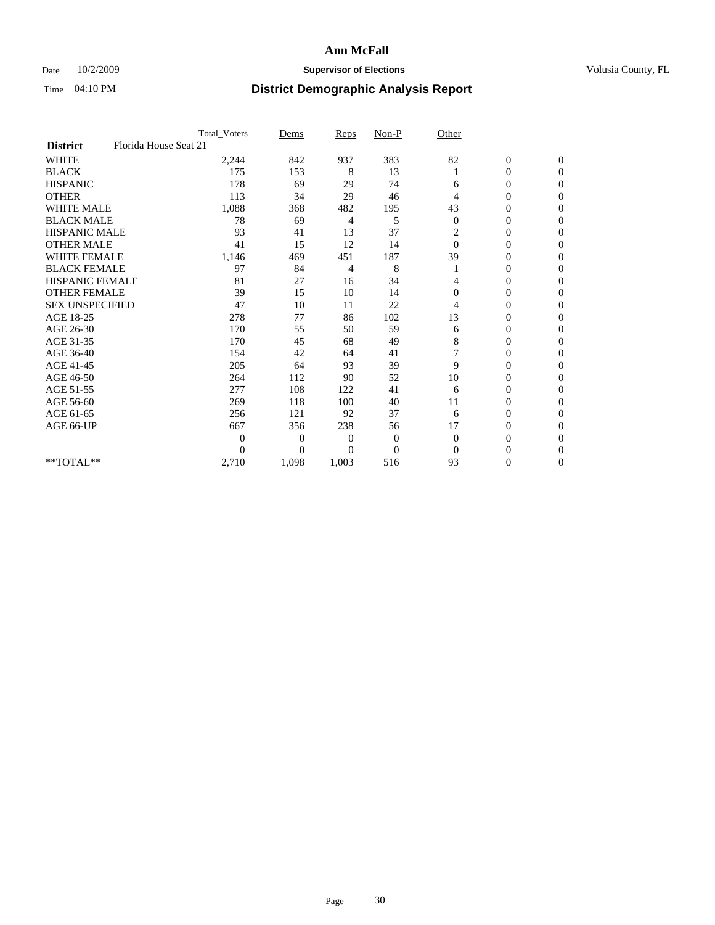### Date  $10/2/2009$  **Supervisor of Elections Supervisor of Elections** Volusia County, FL

|                        |                       | <b>Total_Voters</b> | Dems           | <b>Reps</b>  | $Non-P$        | Other          |                  |              |  |
|------------------------|-----------------------|---------------------|----------------|--------------|----------------|----------------|------------------|--------------|--|
| <b>District</b>        | Florida House Seat 21 |                     |                |              |                |                |                  |              |  |
| <b>WHITE</b>           |                       | 2,244               | 842            | 937          | 383            | 82             | $\boldsymbol{0}$ | $\mathbf{0}$ |  |
| <b>BLACK</b>           |                       | 175                 | 153            | 8            | 13             |                | $\boldsymbol{0}$ | $\mathbf{0}$ |  |
| <b>HISPANIC</b>        |                       | 178                 | 69             | 29           | 74             | 6              | $\mathbf{0}$     | $\Omega$     |  |
| <b>OTHER</b>           |                       | 113                 | 34             | 29           | 46             | 4              | 0                | $\Omega$     |  |
| <b>WHITE MALE</b>      |                       | 1,088               | 368            | 482          | 195            | 43             | 0                | $\Omega$     |  |
| <b>BLACK MALE</b>      |                       | 78                  | 69             | 4            | 5              | $\theta$       | $\mathbf{0}$     | $\Omega$     |  |
| <b>HISPANIC MALE</b>   |                       | 93                  | 41             | 13           | 37             | 2              | $\boldsymbol{0}$ | $\Omega$     |  |
| <b>OTHER MALE</b>      |                       | 41                  | 15             | 12           | 14             | $\Omega$       | 0                | $\Omega$     |  |
| <b>WHITE FEMALE</b>    |                       | 1,146               | 469            | 451          | 187            | 39             | 0                | $\Omega$     |  |
| <b>BLACK FEMALE</b>    |                       | 97                  | 84             | 4            | 8              |                | $\overline{0}$   | $\mathbf{0}$ |  |
| <b>HISPANIC FEMALE</b> |                       | 81                  | 27             | 16           | 34             | 4              | 0                | $\mathbf{0}$ |  |
| <b>OTHER FEMALE</b>    |                       | 39                  | 15             | 10           | 14             | $\Omega$       | 0                | 0            |  |
| <b>SEX UNSPECIFIED</b> |                       | 47                  | 10             | 11           | 22             | 4              | $\overline{0}$   | $\mathbf{0}$ |  |
| AGE 18-25              |                       | 278                 | 77             | 86           | 102            | 13             | 0                | $\mathbf{0}$ |  |
| AGE 26-30              |                       | 170                 | 55             | 50           | 59             | 6              | 0                | $\Omega$     |  |
| AGE 31-35              |                       | 170                 | 45             | 68           | 49             | 8              | $\overline{0}$   | $\Omega$     |  |
| AGE 36-40              |                       | 154                 | 42             | 64           | 41             | $\overline{7}$ | 0                | $\mathbf{0}$ |  |
| AGE 41-45              |                       | 205                 | 64             | 93           | 39             | 9              | 0                | $\Omega$     |  |
| AGE 46-50              |                       | 264                 | 112            | 90           | 52             | 10             | $\overline{0}$   | $\mathbf{0}$ |  |
| AGE 51-55              |                       | 277                 | 108            | 122          | 41             | 6              | $\overline{0}$   | 0            |  |
| AGE 56-60              |                       | 269                 | 118            | 100          | 40             | 11             | $\overline{0}$   | $\Omega$     |  |
| AGE 61-65              |                       | 256                 | 121            | 92           | 37             | 6              | $\overline{0}$   | $\Omega$     |  |
| AGE 66-UP              |                       | 667                 | 356            | 238          | 56             | 17             | 0                | 0            |  |
|                        |                       | 0                   | $\overline{0}$ | $\mathbf{0}$ | $\mathbf{0}$   | $\Omega$       | 0                | $\Omega$     |  |
|                        |                       | $\theta$            | $\overline{0}$ | $\Omega$     | $\overline{0}$ | $\Omega$       | $\theta$         | $\Omega$     |  |
| **TOTAL**              |                       | 2,710               | 1,098          | 1,003        | 516            | 93             | 0                | $\mathbf{0}$ |  |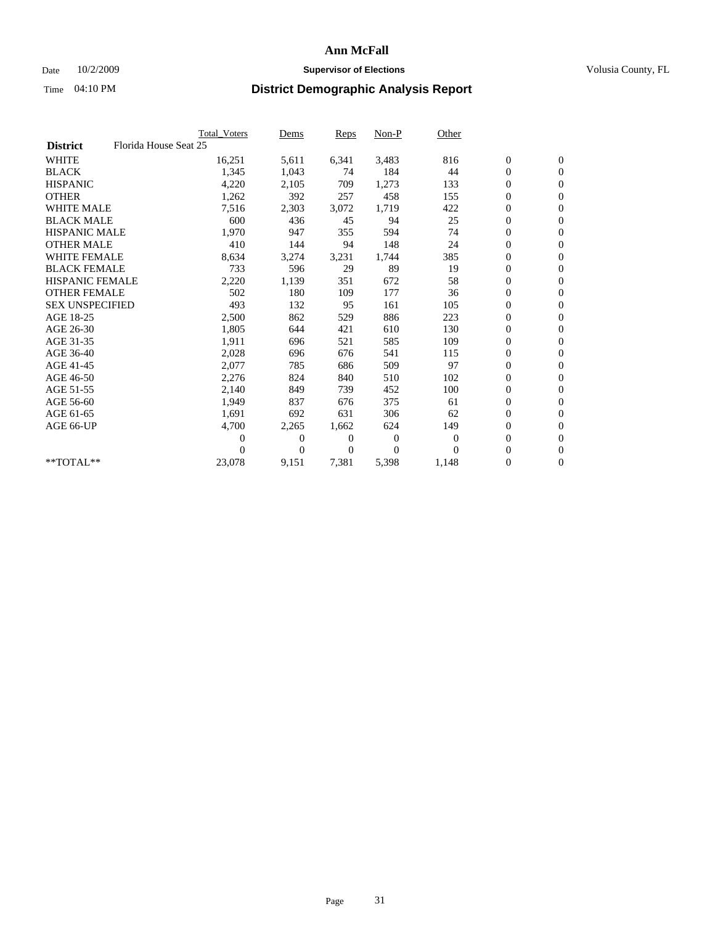### Date  $10/2/2009$  **Supervisor of Elections Supervisor of Elections** Volusia County, FL

|                        |                       | Total Voters   | Dems           | <b>Reps</b> | $Non-P$      | Other        |                  |                  |  |
|------------------------|-----------------------|----------------|----------------|-------------|--------------|--------------|------------------|------------------|--|
| <b>District</b>        | Florida House Seat 25 |                |                |             |              |              |                  |                  |  |
| <b>WHITE</b>           |                       | 16,251         | 5,611          | 6,341       | 3,483        | 816          | $\boldsymbol{0}$ | $\boldsymbol{0}$ |  |
| <b>BLACK</b>           |                       | 1,345          | 1,043          | 74          | 184          | 44           | $\boldsymbol{0}$ | $\mathbf{0}$     |  |
| <b>HISPANIC</b>        |                       | 4,220          | 2,105          | 709         | 1,273        | 133          | $\boldsymbol{0}$ | $\mathbf{0}$     |  |
| <b>OTHER</b>           |                       | 1,262          | 392            | 257         | 458          | 155          | $\boldsymbol{0}$ | $\mathbf{0}$     |  |
| <b>WHITE MALE</b>      |                       | 7,516          | 2,303          | 3,072       | 1,719        | 422          | $\boldsymbol{0}$ | $\mathbf{0}$     |  |
| <b>BLACK MALE</b>      |                       | 600            | 436            | 45          | 94           | 25           | $\overline{0}$   | $\mathbf{0}$     |  |
| <b>HISPANIC MALE</b>   |                       | 1,970          | 947            | 355         | 594          | 74           | $\boldsymbol{0}$ | $\mathbf{0}$     |  |
| <b>OTHER MALE</b>      |                       | 410            | 144            | 94          | 148          | 24           | $\boldsymbol{0}$ | $\mathbf{0}$     |  |
| <b>WHITE FEMALE</b>    |                       | 8,634          | 3,274          | 3,231       | 1,744        | 385          | $\boldsymbol{0}$ | $\mathbf{0}$     |  |
| <b>BLACK FEMALE</b>    |                       | 733            | 596            | 29          | 89           | 19           | $\boldsymbol{0}$ | $\mathbf{0}$     |  |
| <b>HISPANIC FEMALE</b> |                       | 2,220          | 1,139          | 351         | 672          | 58           | $\boldsymbol{0}$ | $\mathbf{0}$     |  |
| <b>OTHER FEMALE</b>    |                       | 502            | 180            | 109         | 177          | 36           | $\mathbf{0}$     | $\mathbf{0}$     |  |
| <b>SEX UNSPECIFIED</b> |                       | 493            | 132            | 95          | 161          | 105          | $\boldsymbol{0}$ | $\mathbf{0}$     |  |
| AGE 18-25              |                       | 2,500          | 862            | 529         | 886          | 223          | $\boldsymbol{0}$ | $\mathbf{0}$     |  |
| AGE 26-30              |                       | 1,805          | 644            | 421         | 610          | 130          | $\boldsymbol{0}$ | $\mathbf{0}$     |  |
| AGE 31-35              |                       | 1,911          | 696            | 521         | 585          | 109          | $\boldsymbol{0}$ | $\mathbf{0}$     |  |
| AGE 36-40              |                       | 2,028          | 696            | 676         | 541          | 115          | $\boldsymbol{0}$ | $\mathbf{0}$     |  |
| AGE 41-45              |                       | 2,077          | 785            | 686         | 509          | 97           | $\boldsymbol{0}$ | $\mathbf{0}$     |  |
| AGE 46-50              |                       | 2,276          | 824            | 840         | 510          | 102          | 0                | $\Omega$         |  |
| AGE 51-55              |                       | 2,140          | 849            | 739         | 452          | 100          | $\boldsymbol{0}$ | $\mathbf{0}$     |  |
| AGE 56-60              |                       | 1.949          | 837            | 676         | 375          | 61           | $\boldsymbol{0}$ | $\mathbf{0}$     |  |
| AGE 61-65              |                       | 1,691          | 692            | 631         | 306          | 62           | $\overline{0}$   | $\mathbf{0}$     |  |
| AGE 66-UP              |                       | 4,700          | 2,265          | 1,662       | 624          | 149          | $\boldsymbol{0}$ | $\mathbf{0}$     |  |
|                        |                       | $\overline{0}$ | $\overline{0}$ | 0           | $\mathbf{0}$ | $\mathbf{0}$ | $\mathbf{0}$     | $\mathbf{0}$     |  |
|                        |                       | 0              | $\overline{0}$ | 0           | $\Omega$     | $\Omega$     | 0                | $\mathbf{0}$     |  |
| **TOTAL**              |                       | 23,078         | 9,151          | 7,381       | 5,398        | 1,148        | 0                | $\boldsymbol{0}$ |  |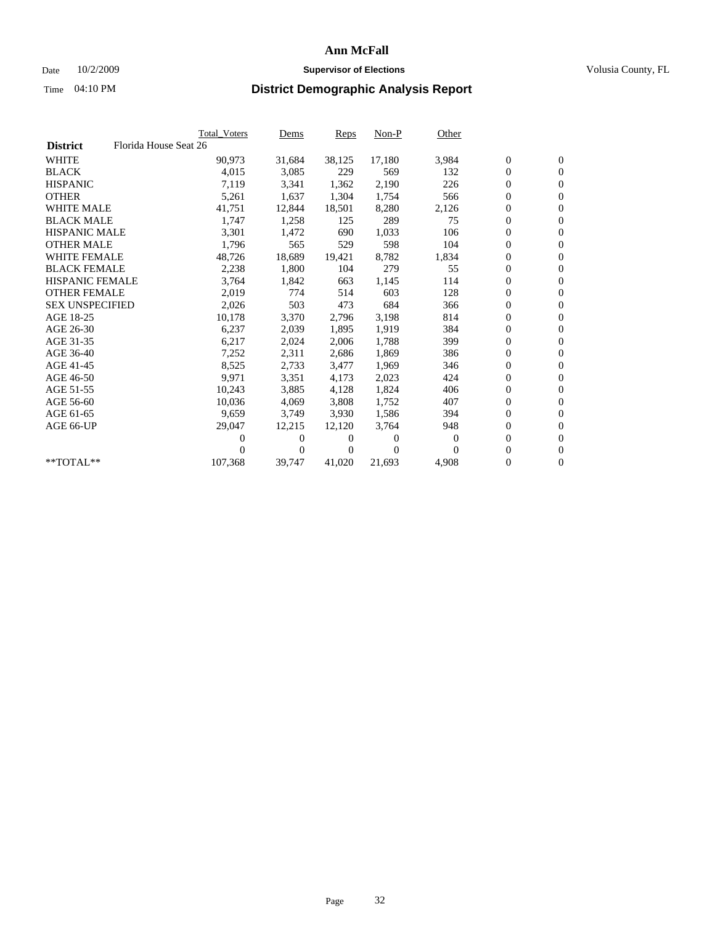### Date  $10/2/2009$  **Supervisor of Elections Supervisor of Elections** Volusia County, FL

|                        |                       | <b>Total Voters</b> | Dems   | Reps   | $Non-P$  | Other            |                  |                  |  |
|------------------------|-----------------------|---------------------|--------|--------|----------|------------------|------------------|------------------|--|
| <b>District</b>        | Florida House Seat 26 |                     |        |        |          |                  |                  |                  |  |
| <b>WHITE</b>           |                       | 90,973              | 31,684 | 38,125 | 17,180   | 3,984            | $\boldsymbol{0}$ | $\boldsymbol{0}$ |  |
| <b>BLACK</b>           |                       | 4,015               | 3,085  | 229    | 569      | 132              | 0                | $\mathbf{0}$     |  |
| <b>HISPANIC</b>        |                       | 7,119               | 3,341  | 1,362  | 2,190    | 226              | 0                | $\mathbf{0}$     |  |
| <b>OTHER</b>           |                       | 5,261               | 1,637  | 1,304  | 1,754    | 566              | 0                | $\mathbf{0}$     |  |
| <b>WHITE MALE</b>      |                       | 41,751              | 12,844 | 18,501 | 8,280    | 2,126            | 0                | $\mathbf{0}$     |  |
| <b>BLACK MALE</b>      |                       | 1,747               | 1,258  | 125    | 289      | 75               | 0                | $\mathbf{0}$     |  |
| <b>HISPANIC MALE</b>   |                       | 3,301               | 1,472  | 690    | 1,033    | 106              | 0                | $\mathbf{0}$     |  |
| <b>OTHER MALE</b>      |                       | 1,796               | 565    | 529    | 598      | 104              | 0                | $\mathbf{0}$     |  |
| <b>WHITE FEMALE</b>    |                       | 48,726              | 18,689 | 19,421 | 8,782    | 1,834            | 0                | $\mathbf{0}$     |  |
| <b>BLACK FEMALE</b>    |                       | 2,238               | 1,800  | 104    | 279      | 55               | 0                | $\mathbf{0}$     |  |
| <b>HISPANIC FEMALE</b> |                       | 3,764               | 1,842  | 663    | 1,145    | 114              | 0                | $\mathbf{0}$     |  |
| <b>OTHER FEMALE</b>    |                       | 2,019               | 774    | 514    | 603      | 128              | 0                | $\mathbf{0}$     |  |
| <b>SEX UNSPECIFIED</b> |                       | 2,026               | 503    | 473    | 684      | 366              | 0                | $\mathbf{0}$     |  |
| AGE 18-25              |                       | 10,178              | 3,370  | 2,796  | 3,198    | 814              | 0                | $\mathbf{0}$     |  |
| AGE 26-30              |                       | 6,237               | 2,039  | 1,895  | 1,919    | 384              | 0                | $\mathbf{0}$     |  |
| AGE 31-35              |                       | 6,217               | 2,024  | 2,006  | 1,788    | 399              | 0                | $\mathbf{0}$     |  |
| AGE 36-40              |                       | 7,252               | 2,311  | 2,686  | 1,869    | 386              | 0                | $\mathbf{0}$     |  |
| AGE 41-45              |                       | 8,525               | 2,733  | 3,477  | 1,969    | 346              | 0                | $\mathbf{0}$     |  |
| AGE 46-50              |                       | 9,971               | 3,351  | 4,173  | 2,023    | 424              | 0                | $\mathbf{0}$     |  |
| AGE 51-55              |                       | 10,243              | 3,885  | 4,128  | 1,824    | 406              | 0                | $\mathbf{0}$     |  |
| AGE 56-60              |                       | 10,036              | 4,069  | 3.808  | 1,752    | 407              | 0                | $\mathbf{0}$     |  |
| AGE 61-65              |                       | 9,659               | 3,749  | 3.930  | 1,586    | 394              | 0                | $\mathbf{0}$     |  |
| AGE 66-UP              |                       | 29,047              | 12,215 | 12,120 | 3,764    | 948              | 0                | $\mathbf{0}$     |  |
|                        |                       | 0                   | 0      | 0      | $\theta$ | $\boldsymbol{0}$ | 0                | $\mathbf{0}$     |  |
|                        |                       | 0                   | 0      | 0      | $\Omega$ | $\Omega$         | 0                | $\mathbf{0}$     |  |
| **TOTAL**              |                       | 107,368             | 39,747 | 41,020 | 21,693   | 4,908            | 0                | $\boldsymbol{0}$ |  |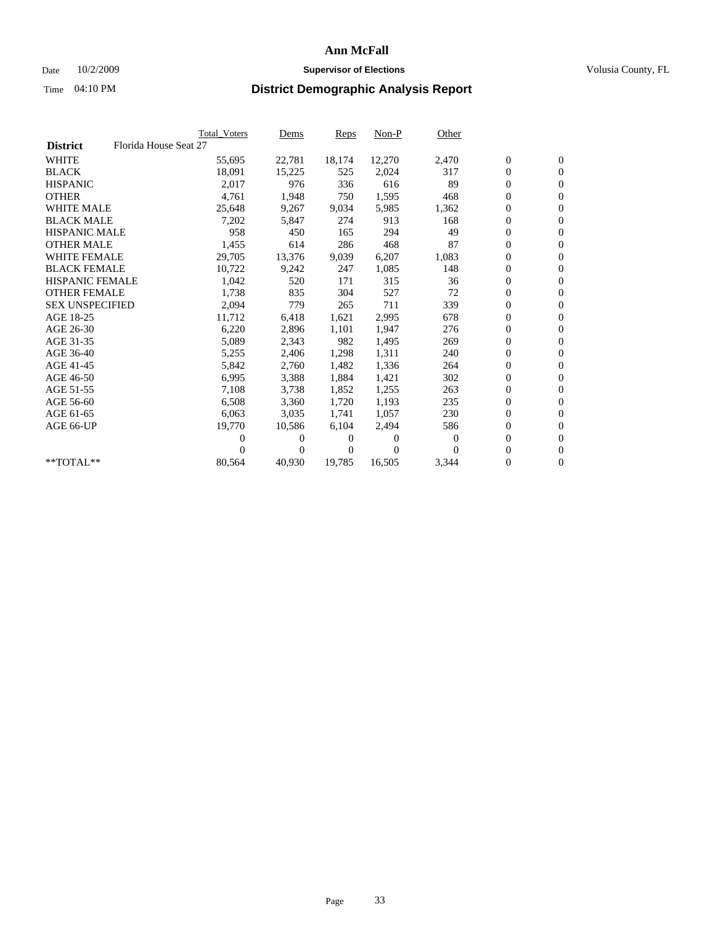### Date  $10/2/2009$  **Supervisor of Elections Supervisor of Elections** Volusia County, FL

|                        |                       | <b>Total Voters</b> | Dems     | Reps   | $Non-P$  | Other            |                  |                  |  |
|------------------------|-----------------------|---------------------|----------|--------|----------|------------------|------------------|------------------|--|
| <b>District</b>        | Florida House Seat 27 |                     |          |        |          |                  |                  |                  |  |
| <b>WHITE</b>           |                       | 55,695              | 22,781   | 18,174 | 12,270   | 2,470            | $\boldsymbol{0}$ | $\boldsymbol{0}$ |  |
| <b>BLACK</b>           |                       | 18,091              | 15,225   | 525    | 2,024    | 317              | $\boldsymbol{0}$ | $\mathbf{0}$     |  |
| <b>HISPANIC</b>        |                       | 2,017               | 976      | 336    | 616      | 89               | $\boldsymbol{0}$ | $\mathbf{0}$     |  |
| <b>OTHER</b>           |                       | 4,761               | 1,948    | 750    | 1,595    | 468              | 0                | $\mathbf{0}$     |  |
| <b>WHITE MALE</b>      |                       | 25,648              | 9,267    | 9,034  | 5,985    | 1,362            | 0                | $\mathbf{0}$     |  |
| <b>BLACK MALE</b>      |                       | 7,202               | 5,847    | 274    | 913      | 168              | 0                | $\mathbf{0}$     |  |
| <b>HISPANIC MALE</b>   |                       | 958                 | 450      | 165    | 294      | 49               | 0                | $\mathbf{0}$     |  |
| <b>OTHER MALE</b>      |                       | 1,455               | 614      | 286    | 468      | 87               | 0                | $\mathbf{0}$     |  |
| <b>WHITE FEMALE</b>    |                       | 29,705              | 13,376   | 9,039  | 6,207    | 1,083            | $\boldsymbol{0}$ | $\mathbf{0}$     |  |
| <b>BLACK FEMALE</b>    |                       | 10,722              | 9,242    | 247    | 1,085    | 148              | 0                | $\mathbf{0}$     |  |
| <b>HISPANIC FEMALE</b> |                       | 1,042               | 520      | 171    | 315      | 36               | 0                | $\mathbf{0}$     |  |
| <b>OTHER FEMALE</b>    |                       | 1,738               | 835      | 304    | 527      | 72               | 0                | $\mathbf{0}$     |  |
| <b>SEX UNSPECIFIED</b> |                       | 2,094               | 779      | 265    | 711      | 339              | 0                | $\mathbf{0}$     |  |
| AGE 18-25              |                       | 11,712              | 6,418    | 1,621  | 2,995    | 678              | 0                | $\mathbf{0}$     |  |
| AGE 26-30              |                       | 6,220               | 2,896    | 1,101  | 1,947    | 276              | 0                | $\mathbf{0}$     |  |
| AGE 31-35              |                       | 5,089               | 2,343    | 982    | 1,495    | 269              | 0                | $\mathbf{0}$     |  |
| AGE 36-40              |                       | 5,255               | 2,406    | 1,298  | 1,311    | 240              | 0                | $\mathbf{0}$     |  |
| AGE 41-45              |                       | 5,842               | 2,760    | 1,482  | 1,336    | 264              | 0                | $\mathbf{0}$     |  |
| AGE 46-50              |                       | 6,995               | 3,388    | 1,884  | 1,421    | 302              | 0                | $\mathbf{0}$     |  |
| AGE 51-55              |                       | 7,108               | 3,738    | 1,852  | 1,255    | 263              | 0                | $\mathbf{0}$     |  |
| AGE 56-60              |                       | 6,508               | 3,360    | 1,720  | 1.193    | 235              | 0                | $\mathbf{0}$     |  |
| AGE 61-65              |                       | 6,063               | 3,035    | 1,741  | 1,057    | 230              | 0                | $\mathbf{0}$     |  |
| AGE 66-UP              |                       | 19,770              | 10,586   | 6,104  | 2,494    | 586              | 0                | $\mathbf{0}$     |  |
|                        |                       | 0                   | $\theta$ | 0      | $\theta$ | $\boldsymbol{0}$ | 0                | $\mathbf{0}$     |  |
|                        |                       | 0                   | 0        | 0      | $\Omega$ | $\Omega$         | 0                | $\mathbf{0}$     |  |
| **TOTAL**              |                       | 80,564              | 40,930   | 19,785 | 16,505   | 3,344            | 0                | $\boldsymbol{0}$ |  |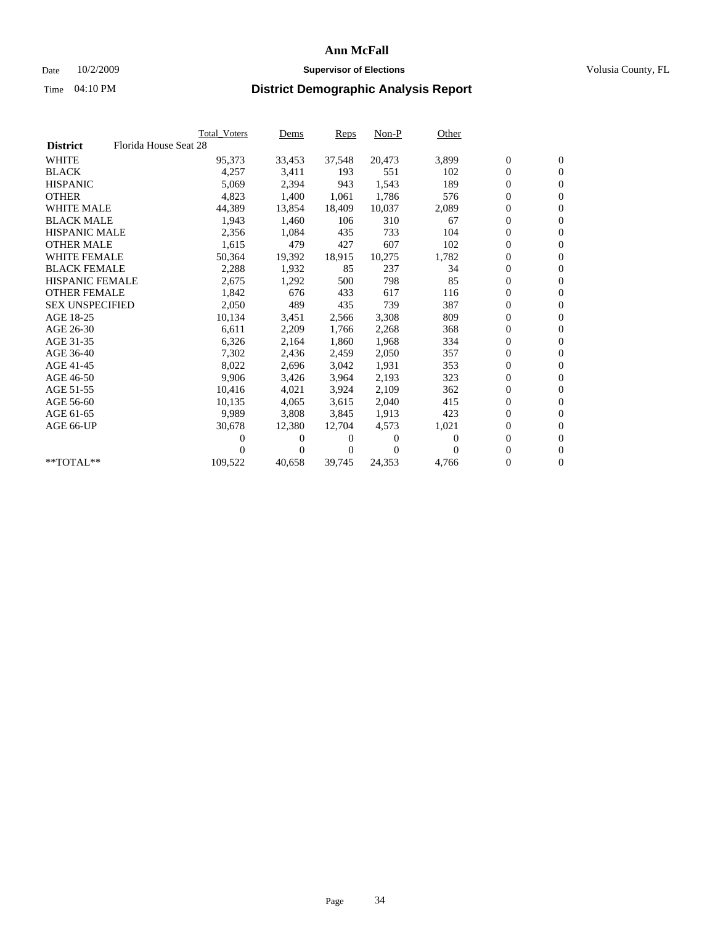### Date  $10/2/2009$  **Supervisor of Elections Supervisor of Elections** Volusia County, FL

|                        |                       | <b>Total Voters</b> | Dems   | Reps   | $Non-P$  | Other    |                  |                  |  |
|------------------------|-----------------------|---------------------|--------|--------|----------|----------|------------------|------------------|--|
| <b>District</b>        | Florida House Seat 28 |                     |        |        |          |          |                  |                  |  |
| <b>WHITE</b>           |                       | 95,373              | 33,453 | 37,548 | 20,473   | 3,899    | $\boldsymbol{0}$ | $\boldsymbol{0}$ |  |
| <b>BLACK</b>           |                       | 4,257               | 3,411  | 193    | 551      | 102      | 0                | $\mathbf{0}$     |  |
| <b>HISPANIC</b>        |                       | 5,069               | 2,394  | 943    | 1,543    | 189      | 0                | $\mathbf{0}$     |  |
| <b>OTHER</b>           |                       | 4,823               | 1,400  | 1,061  | 1,786    | 576      | 0                | $\mathbf{0}$     |  |
| <b>WHITE MALE</b>      |                       | 44,389              | 13,854 | 18,409 | 10,037   | 2,089    | 0                | $\mathbf{0}$     |  |
| <b>BLACK MALE</b>      |                       | 1,943               | 1,460  | 106    | 310      | 67       | 0                | $\mathbf{0}$     |  |
| <b>HISPANIC MALE</b>   |                       | 2,356               | 1,084  | 435    | 733      | 104      | 0                | $\mathbf{0}$     |  |
| <b>OTHER MALE</b>      |                       | 1,615               | 479    | 427    | 607      | 102      | 0                | $\mathbf{0}$     |  |
| <b>WHITE FEMALE</b>    |                       | 50,364              | 19,392 | 18,915 | 10,275   | 1,782    | $\boldsymbol{0}$ | $\mathbf{0}$     |  |
| <b>BLACK FEMALE</b>    |                       | 2,288               | 1,932  | 85     | 237      | 34       | 0                | $\mathbf{0}$     |  |
| <b>HISPANIC FEMALE</b> |                       | 2,675               | 1,292  | 500    | 798      | 85       | 0                | $\mathbf{0}$     |  |
| <b>OTHER FEMALE</b>    |                       | 1,842               | 676    | 433    | 617      | 116      | 0                | $\mathbf{0}$     |  |
| <b>SEX UNSPECIFIED</b> |                       | 2,050               | 489    | 435    | 739      | 387      | 0                | $\mathbf{0}$     |  |
| AGE 18-25              |                       | 10,134              | 3,451  | 2,566  | 3,308    | 809      | 0                | $\mathbf{0}$     |  |
| AGE 26-30              |                       | 6,611               | 2,209  | 1,766  | 2,268    | 368      | 0                | $\mathbf{0}$     |  |
| AGE 31-35              |                       | 6,326               | 2,164  | 1,860  | 1,968    | 334      | 0                | $\mathbf{0}$     |  |
| AGE 36-40              |                       | 7,302               | 2,436  | 2,459  | 2,050    | 357      | 0                | $\mathbf{0}$     |  |
| AGE 41-45              |                       | 8,022               | 2,696  | 3,042  | 1,931    | 353      | 0                | $\mathbf{0}$     |  |
| AGE 46-50              |                       | 9,906               | 3,426  | 3,964  | 2,193    | 323      | 0                | $\mathbf{0}$     |  |
| AGE 51-55              |                       | 10,416              | 4,021  | 3,924  | 2,109    | 362      | 0                | $\mathbf{0}$     |  |
| AGE 56-60              |                       | 10,135              | 4,065  | 3.615  | 2,040    | 415      | 0                | $\mathbf{0}$     |  |
| AGE 61-65              |                       | 9,989               | 3,808  | 3.845  | 1,913    | 423      | 0                | $\mathbf{0}$     |  |
| AGE 66-UP              |                       | 30,678              | 12,380 | 12,704 | 4,573    | 1,021    | 0                | $\mathbf{0}$     |  |
|                        |                       | 0                   | 0      | 0      | $\theta$ | $\Omega$ | 0                | $\mathbf{0}$     |  |
|                        |                       | 0                   | 0      | 0      | $\Omega$ | $\Omega$ | 0                | $\mathbf{0}$     |  |
| **TOTAL**              |                       | 109,522             | 40,658 | 39,745 | 24,353   | 4,766    | 0                | $\boldsymbol{0}$ |  |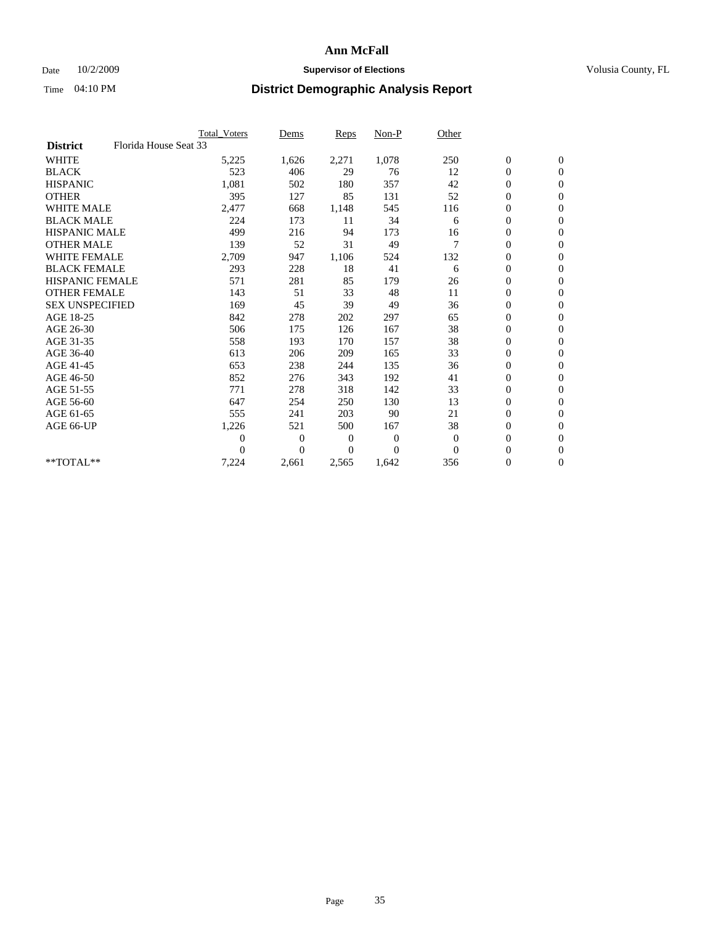### Date  $10/2/2009$  **Supervisor of Elections Supervisor of Elections** Volusia County, FL

|                        |                       | Total Voters   | Dems           | <b>Reps</b> | Non-P        | Other    |                  |                  |  |
|------------------------|-----------------------|----------------|----------------|-------------|--------------|----------|------------------|------------------|--|
| <b>District</b>        | Florida House Seat 33 |                |                |             |              |          |                  |                  |  |
| <b>WHITE</b>           |                       | 5,225          | 1,626          | 2,271       | 1,078        | 250      | $\boldsymbol{0}$ | $\boldsymbol{0}$ |  |
| <b>BLACK</b>           |                       | 523            | 406            | 29          | 76           | 12       | $\boldsymbol{0}$ | $\mathbf{0}$     |  |
| <b>HISPANIC</b>        |                       | 1,081          | 502            | 180         | 357          | 42       | $\overline{0}$   | $\mathbf{0}$     |  |
| <b>OTHER</b>           |                       | 395            | 127            | 85          | 131          | 52       | $\boldsymbol{0}$ | $\mathbf{0}$     |  |
| <b>WHITE MALE</b>      |                       | 2,477          | 668            | 1,148       | 545          | 116      | $\boldsymbol{0}$ | $\mathbf{0}$     |  |
| <b>BLACK MALE</b>      |                       | 224            | 173            | 11          | 34           | 6        | $\boldsymbol{0}$ | $\mathbf{0}$     |  |
| <b>HISPANIC MALE</b>   |                       | 499            | 216            | 94          | 173          | 16       | $\boldsymbol{0}$ | $\mathbf{0}$     |  |
| <b>OTHER MALE</b>      |                       | 139            | 52             | 31          | 49           | 7        | $\boldsymbol{0}$ | $\mathbf{0}$     |  |
| <b>WHITE FEMALE</b>    |                       | 2,709          | 947            | 1,106       | 524          | 132      | $\overline{0}$   | $\mathbf{0}$     |  |
| <b>BLACK FEMALE</b>    |                       | 293            | 228            | 18          | 41           | 6        | $\boldsymbol{0}$ | $\mathbf{0}$     |  |
| <b>HISPANIC FEMALE</b> |                       | 571            | 281            | 85          | 179          | 26       | $\boldsymbol{0}$ | $\mathbf{0}$     |  |
| <b>OTHER FEMALE</b>    |                       | 143            | 51             | 33          | 48           | 11       | $\mathbf{0}$     | $\mathbf{0}$     |  |
| <b>SEX UNSPECIFIED</b> |                       | 169            | 45             | 39          | 49           | 36       | $\boldsymbol{0}$ | $\mathbf{0}$     |  |
| AGE 18-25              |                       | 842            | 278            | 202         | 297          | 65       | $\overline{0}$   | $\mathbf{0}$     |  |
| AGE 26-30              |                       | 506            | 175            | 126         | 167          | 38       | $\overline{0}$   | $\mathbf{0}$     |  |
| AGE 31-35              |                       | 558            | 193            | 170         | 157          | 38       | $\boldsymbol{0}$ | $\mathbf{0}$     |  |
| AGE 36-40              |                       | 613            | 206            | 209         | 165          | 33       | 0                | $\mathbf{0}$     |  |
| AGE 41-45              |                       | 653            | 238            | 244         | 135          | 36       | $\overline{0}$   | $\mathbf{0}$     |  |
| AGE 46-50              |                       | 852            | 276            | 343         | 192          | 41       | $\boldsymbol{0}$ | $\mathbf{0}$     |  |
| AGE 51-55              |                       | 771            | 278            | 318         | 142          | 33       | $\boldsymbol{0}$ | $\mathbf{0}$     |  |
| AGE 56-60              |                       | 647            | 254            | 250         | 130          | 13       | $\boldsymbol{0}$ | $\Omega$         |  |
| AGE 61-65              |                       | 555            | 241            | 203         | 90           | 21       | $\overline{0}$   | $\mathbf{0}$     |  |
| AGE 66-UP              |                       | 1,226          | 521            | 500         | 167          | 38       | $\boldsymbol{0}$ | $\mathbf{0}$     |  |
|                        |                       | $\overline{0}$ | $\overline{0}$ | 0           | $\mathbf{0}$ | $\theta$ | $\overline{0}$   | $\mathbf{0}$     |  |
|                        |                       | $\theta$       | $\theta$       | $\Omega$    | $\Omega$     | $\Omega$ | $\boldsymbol{0}$ | $\mathbf{0}$     |  |
| **TOTAL**              |                       | 7,224          | 2,661          | 2,565       | 1,642        | 356      | 0                | $\mathbf{0}$     |  |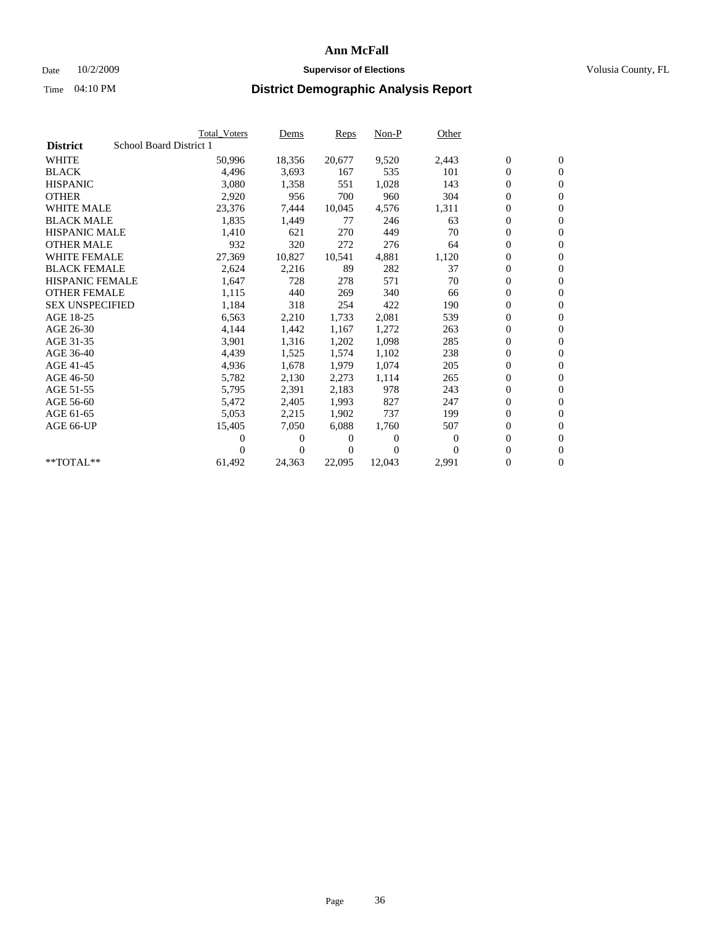### Date  $10/2/2009$  **Supervisor of Elections Supervisor of Elections** Volusia County, FL

|                        |                         | <b>Total Voters</b> | Dems           | Reps   | $Non-P$  | Other    |                  |                  |  |
|------------------------|-------------------------|---------------------|----------------|--------|----------|----------|------------------|------------------|--|
| <b>District</b>        | School Board District 1 |                     |                |        |          |          |                  |                  |  |
| <b>WHITE</b>           |                         | 50,996              | 18,356         | 20,677 | 9,520    | 2,443    | $\boldsymbol{0}$ | $\mathbf{0}$     |  |
| <b>BLACK</b>           |                         | 4,496               | 3,693          | 167    | 535      | 101      | $\overline{0}$   | $\mathbf{0}$     |  |
| <b>HISPANIC</b>        |                         | 3,080               | 1,358          | 551    | 1,028    | 143      | $\overline{0}$   | $\mathbf{0}$     |  |
| <b>OTHER</b>           |                         | 2,920               | 956            | 700    | 960      | 304      | 0                | $\mathbf{0}$     |  |
| <b>WHITE MALE</b>      |                         | 23,376              | 7,444          | 10,045 | 4,576    | 1,311    | 0                | $\mathbf{0}$     |  |
| <b>BLACK MALE</b>      |                         | 1,835               | 1,449          | 77     | 246      | 63       | $\boldsymbol{0}$ | $\mathbf{0}$     |  |
| <b>HISPANIC MALE</b>   |                         | 1,410               | 621            | 270    | 449      | 70       | 0                | $\mathbf{0}$     |  |
| <b>OTHER MALE</b>      |                         | 932                 | 320            | 272    | 276      | 64       | 0                | $\mathbf{0}$     |  |
| <b>WHITE FEMALE</b>    |                         | 27,369              | 10,827         | 10.541 | 4,881    | 1,120    | 0                | $\mathbf{0}$     |  |
| <b>BLACK FEMALE</b>    |                         | 2,624               | 2,216          | 89     | 282      | 37       | 0                | $\Omega$         |  |
| <b>HISPANIC FEMALE</b> |                         | 1,647               | 728            | 278    | 571      | 70       | $\boldsymbol{0}$ | $\mathbf{0}$     |  |
| <b>OTHER FEMALE</b>    |                         | 1,115               | 440            | 269    | 340      | 66       | 0                | $\mathbf{0}$     |  |
| <b>SEX UNSPECIFIED</b> |                         | 1,184               | 318            | 254    | 422      | 190      | 0                | $\Omega$         |  |
| AGE 18-25              |                         | 6,563               | 2,210          | 1,733  | 2,081    | 539      | $\overline{0}$   | $\mathbf{0}$     |  |
| AGE 26-30              |                         | 4,144               | 1,442          | 1,167  | 1,272    | 263      | 0                | $\mathbf{0}$     |  |
| AGE 31-35              |                         | 3,901               | 1,316          | 1,202  | 1,098    | 285      | 0                | $\mathbf{0}$     |  |
| AGE 36-40              |                         | 4,439               | 1,525          | 1,574  | 1,102    | 238      | $\overline{0}$   | $\mathbf{0}$     |  |
| AGE 41-45              |                         | 4,936               | 1,678          | 1,979  | 1,074    | 205      | 0                | $\mathbf{0}$     |  |
| AGE 46-50              |                         | 5,782               | 2,130          | 2,273  | 1,114    | 265      | 0                | $\Omega$         |  |
| AGE 51-55              |                         | 5,795               | 2,391          | 2,183  | 978      | 243      | $\boldsymbol{0}$ | $\mathbf{0}$     |  |
| AGE 56-60              |                         | 5,472               | 2,405          | 1.993  | 827      | 247      | 0                | $\mathbf{0}$     |  |
| AGE 61-65              |                         | 5,053               | 2,215          | 1,902  | 737      | 199      | 0                | $\Omega$         |  |
| AGE 66-UP              |                         | 15,405              | 7,050          | 6,088  | 1,760    | 507      | $\overline{0}$   | $\mathbf{0}$     |  |
|                        |                         | 0                   | 0              | 0      | $\theta$ | $\Omega$ | 0                | $\mathbf{0}$     |  |
|                        |                         | 0                   | $\overline{0}$ | 0      | $\Omega$ | $\Omega$ | 0                | $\mathbf{0}$     |  |
| $*$ TOTAL $**$         |                         | 61,492              | 24,363         | 22,095 | 12,043   | 2,991    | 0                | $\boldsymbol{0}$ |  |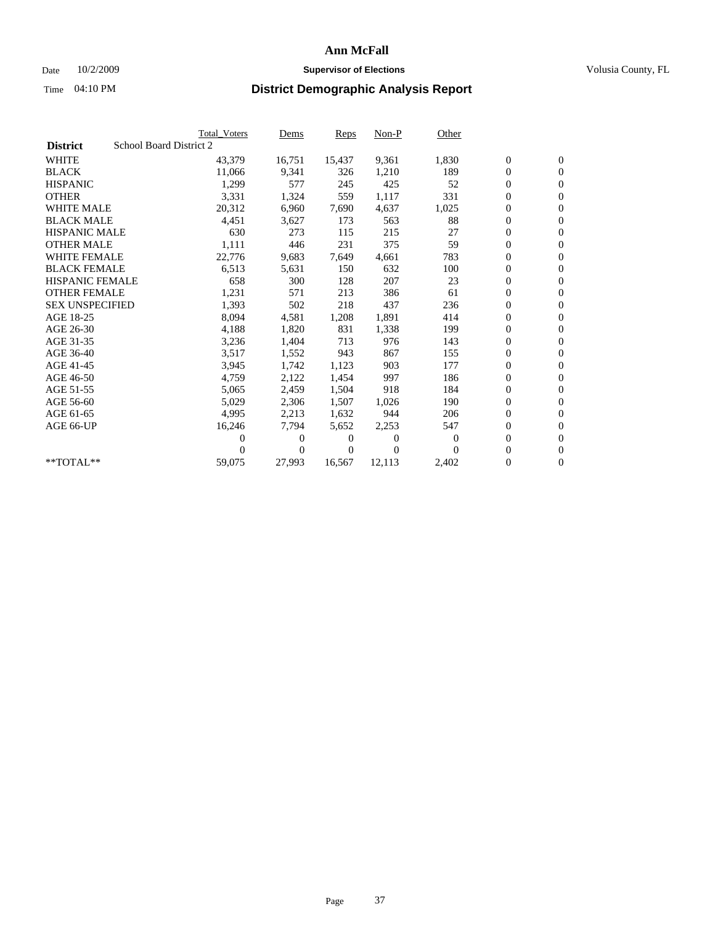## Date  $10/2/2009$  **Supervisor of Elections Supervisor of Elections** Volusia County, FL

|                        |                         | <b>Total Voters</b> | Dems           | <b>Reps</b> | $Non-P$        | Other    |                  |                  |  |
|------------------------|-------------------------|---------------------|----------------|-------------|----------------|----------|------------------|------------------|--|
| <b>District</b>        | School Board District 2 |                     |                |             |                |          |                  |                  |  |
| <b>WHITE</b>           |                         | 43,379              | 16,751         | 15,437      | 9,361          | 1,830    | $\boldsymbol{0}$ | $\boldsymbol{0}$ |  |
| <b>BLACK</b>           |                         | 11,066              | 9,341          | 326         | 1,210          | 189      | $\overline{0}$   | $\mathbf{0}$     |  |
| <b>HISPANIC</b>        |                         | 1,299               | 577            | 245         | 425            | 52       | $\overline{0}$   | $\mathbf{0}$     |  |
| <b>OTHER</b>           |                         | 3,331               | 1,324          | 559         | 1,117          | 331      | 0                | $\mathbf{0}$     |  |
| <b>WHITE MALE</b>      |                         | 20,312              | 6,960          | 7,690       | 4,637          | 1,025    | 0                | $\mathbf{0}$     |  |
| <b>BLACK MALE</b>      |                         | 4,451               | 3,627          | 173         | 563            | 88       | $\boldsymbol{0}$ | $\mathbf{0}$     |  |
| <b>HISPANIC MALE</b>   |                         | 630                 | 273            | 115         | 215            | 27       | 0                | $\mathbf{0}$     |  |
| <b>OTHER MALE</b>      |                         | 1,111               | 446            | 231         | 375            | 59       | $\boldsymbol{0}$ | $\mathbf{0}$     |  |
| <b>WHITE FEMALE</b>    |                         | 22,776              | 9,683          | 7,649       | 4,661          | 783      | 0                | $\mathbf{0}$     |  |
| <b>BLACK FEMALE</b>    |                         | 6,513               | 5,631          | 150         | 632            | 100      | 0                | $\Omega$         |  |
| <b>HISPANIC FEMALE</b> |                         | 658                 | 300            | 128         | 207            | 23       | $\boldsymbol{0}$ | $\mathbf{0}$     |  |
| <b>OTHER FEMALE</b>    |                         | 1,231               | 571            | 213         | 386            | 61       | 0                | $\mathbf{0}$     |  |
| <b>SEX UNSPECIFIED</b> |                         | 1,393               | 502            | 218         | 437            | 236      | 0                | $\mathbf{0}$     |  |
| AGE 18-25              |                         | 8,094               | 4,581          | 1,208       | 1,891          | 414      | $\overline{0}$   | $\mathbf{0}$     |  |
| AGE 26-30              |                         | 4,188               | 1,820          | 831         | 1,338          | 199      | 0                | $\mathbf{0}$     |  |
| AGE 31-35              |                         | 3,236               | 1,404          | 713         | 976            | 143      | 0                | $\mathbf{0}$     |  |
| AGE 36-40              |                         | 3,517               | 1,552          | 943         | 867            | 155      | $\overline{0}$   | $\mathbf{0}$     |  |
| AGE 41-45              |                         | 3,945               | 1,742          | 1,123       | 903            | 177      | 0                | $\mathbf{0}$     |  |
| AGE 46-50              |                         | 4,759               | 2,122          | 1,454       | 997            | 186      | 0                | $\Omega$         |  |
| AGE 51-55              |                         | 5,065               | 2,459          | 1,504       | 918            | 184      | $\boldsymbol{0}$ | $\mathbf{0}$     |  |
| AGE 56-60              |                         | 5,029               | 2,306          | 1,507       | 1.026          | 190      | 0                | $\mathbf{0}$     |  |
| AGE 61-65              |                         | 4,995               | 2,213          | 1,632       | 944            | 206      | 0                | $\Omega$         |  |
| AGE 66-UP              |                         | 16,246              | 7,794          | 5,652       | 2,253          | 547      | $\overline{0}$   | $\mathbf{0}$     |  |
|                        |                         | 0                   | 0              | 0           | $\overline{0}$ | $\Omega$ | 0                | $\mathbf{0}$     |  |
|                        |                         | 0                   | $\overline{0}$ | 0           | $\Omega$       | $\Omega$ | 0                | $\mathbf{0}$     |  |
| $*$ TOTAL $**$         |                         | 59,075              | 27,993         | 16,567      | 12,113         | 2,402    | 0                | $\boldsymbol{0}$ |  |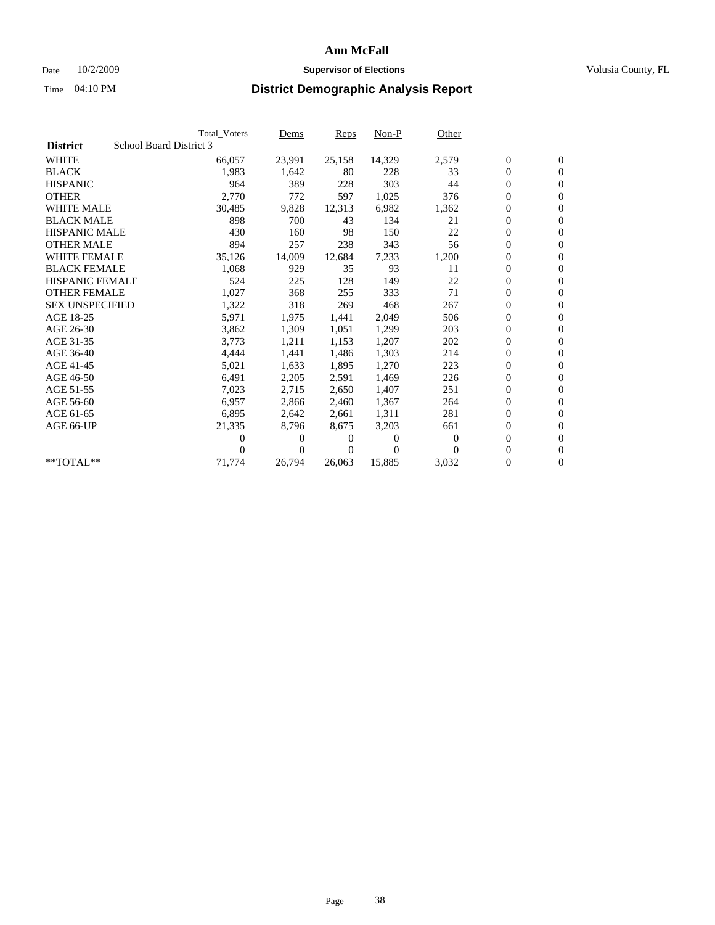### Date  $10/2/2009$  **Supervisor of Elections Supervisor of Elections** Volusia County, FL

|                        |                         | <b>Total Voters</b> | Dems     | <b>Reps</b> | $Non-P$  | Other    |                  |                  |  |
|------------------------|-------------------------|---------------------|----------|-------------|----------|----------|------------------|------------------|--|
| <b>District</b>        | School Board District 3 |                     |          |             |          |          |                  |                  |  |
| <b>WHITE</b>           |                         | 66,057              | 23,991   | 25,158      | 14,329   | 2,579    | $\boldsymbol{0}$ | $\boldsymbol{0}$ |  |
| <b>BLACK</b>           |                         | 1,983               | 1,642    | 80          | 228      | 33       | $\overline{0}$   | $\mathbf{0}$     |  |
| <b>HISPANIC</b>        |                         | 964                 | 389      | 228         | 303      | 44       | 0                | $\mathbf{0}$     |  |
| <b>OTHER</b>           |                         | 2,770               | 772      | 597         | 1,025    | 376      | 0                | $\mathbf{0}$     |  |
| <b>WHITE MALE</b>      |                         | 30,485              | 9,828    | 12,313      | 6,982    | 1,362    | 0                | $\mathbf{0}$     |  |
| <b>BLACK MALE</b>      |                         | 898                 | 700      | 43          | 134      | 21       | 0                | $\mathbf{0}$     |  |
| <b>HISPANIC MALE</b>   |                         | 430                 | 160      | 98          | 150      | 22       | 0                | $\mathbf{0}$     |  |
| <b>OTHER MALE</b>      |                         | 894                 | 257      | 238         | 343      | 56       | 0                | $\mathbf{0}$     |  |
| <b>WHITE FEMALE</b>    |                         | 35,126              | 14,009   | 12,684      | 7,233    | 1,200    | 0                | $\mathbf{0}$     |  |
| <b>BLACK FEMALE</b>    |                         | 1,068               | 929      | 35          | 93       | 11       | 0                | $\mathbf{0}$     |  |
| <b>HISPANIC FEMALE</b> |                         | 524                 | 225      | 128         | 149      | 22       | 0                | $\mathbf{0}$     |  |
| <b>OTHER FEMALE</b>    |                         | 1,027               | 368      | 255         | 333      | 71       | 0                | $\mathbf{0}$     |  |
| <b>SEX UNSPECIFIED</b> |                         | 1,322               | 318      | 269         | 468      | 267      | 0                | $\Omega$         |  |
| AGE 18-25              |                         | 5,971               | 1,975    | 1,441       | 2,049    | 506      | 0                | $\mathbf{0}$     |  |
| AGE 26-30              |                         | 3,862               | 1,309    | 1,051       | 1,299    | 203      | 0                | $\Omega$         |  |
| AGE 31-35              |                         | 3,773               | 1,211    | 1,153       | 1,207    | 202      | 0                | $\mathbf{0}$     |  |
| AGE 36-40              |                         | 4,444               | 1,441    | 1,486       | 1,303    | 214      | 0                | $\mathbf{0}$     |  |
| AGE 41-45              |                         | 5,021               | 1,633    | 1,895       | 1,270    | 223      | 0                | $\mathbf{0}$     |  |
| AGE 46-50              |                         | 6,491               | 2,205    | 2,591       | 1,469    | 226      | 0                | $\Omega$         |  |
| AGE 51-55              |                         | 7,023               | 2,715    | 2,650       | 1,407    | 251      | 0                | $\mathbf{0}$     |  |
| AGE 56-60              |                         | 6,957               | 2,866    | 2.460       | 1,367    | 264      | 0                | $\mathbf{0}$     |  |
| AGE 61-65              |                         | 6,895               | 2,642    | 2,661       | 1,311    | 281      | 0                | $\mathbf{0}$     |  |
| AGE 66-UP              |                         | 21,335              | 8,796    | 8,675       | 3,203    | 661      | 0                | $\mathbf{0}$     |  |
|                        |                         | 0                   | $\theta$ | 0           | $\theta$ | $\Omega$ | 0                | $\mathbf{0}$     |  |
|                        |                         | 0                   | 0        | 0           | $\Omega$ | $\Omega$ | 0                | $\overline{0}$   |  |
| **TOTAL**              |                         | 71,774              | 26,794   | 26,063      | 15,885   | 3,032    | 0                | $\boldsymbol{0}$ |  |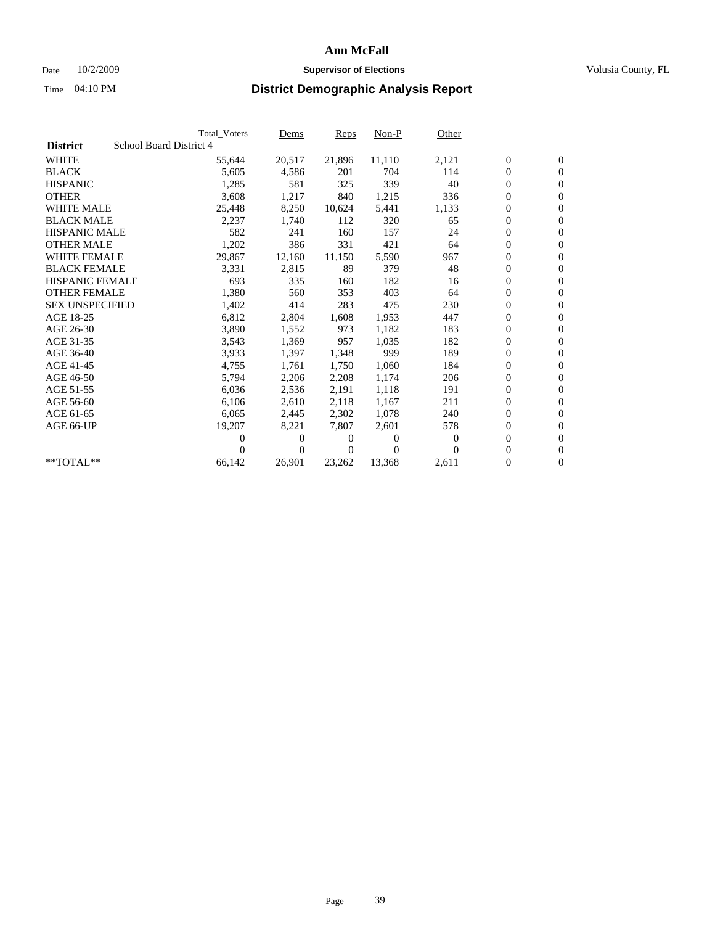## Date  $10/2/2009$  **Supervisor of Elections Supervisor of Elections** Volusia County, FL

|                        |                         | <b>Total Voters</b> | Dems           | <b>Reps</b> | $Non-P$  | Other    |                  |                  |  |
|------------------------|-------------------------|---------------------|----------------|-------------|----------|----------|------------------|------------------|--|
| <b>District</b>        | School Board District 4 |                     |                |             |          |          |                  |                  |  |
| <b>WHITE</b>           |                         | 55,644              | 20,517         | 21,896      | 11,110   | 2,121    | $\boldsymbol{0}$ | $\boldsymbol{0}$ |  |
| <b>BLACK</b>           |                         | 5,605               | 4,586          | 201         | 704      | 114      | $\overline{0}$   | $\mathbf{0}$     |  |
| <b>HISPANIC</b>        |                         | 1,285               | 581            | 325         | 339      | 40       | $\overline{0}$   | $\mathbf{0}$     |  |
| <b>OTHER</b>           |                         | 3,608               | 1,217          | 840         | 1,215    | 336      | 0                | $\mathbf{0}$     |  |
| <b>WHITE MALE</b>      |                         | 25,448              | 8,250          | 10,624      | 5,441    | 1,133    | 0                | $\mathbf{0}$     |  |
| <b>BLACK MALE</b>      |                         | 2,237               | 1,740          | 112         | 320      | 65       | $\boldsymbol{0}$ | $\mathbf{0}$     |  |
| <b>HISPANIC MALE</b>   |                         | 582                 | 241            | 160         | 157      | 24       | 0                | $\mathbf{0}$     |  |
| <b>OTHER MALE</b>      |                         | 1,202               | 386            | 331         | 421      | 64       | 0                | $\mathbf{0}$     |  |
| <b>WHITE FEMALE</b>    |                         | 29,867              | 12,160         | 11,150      | 5,590    | 967      | 0                | $\mathbf{0}$     |  |
| <b>BLACK FEMALE</b>    |                         | 3,331               | 2,815          | 89          | 379      | 48       | 0                | $\Omega$         |  |
| <b>HISPANIC FEMALE</b> |                         | 693                 | 335            | 160         | 182      | 16       | $\boldsymbol{0}$ | $\boldsymbol{0}$ |  |
| <b>OTHER FEMALE</b>    |                         | 1,380               | 560            | 353         | 403      | 64       | 0                | $\mathbf{0}$     |  |
| <b>SEX UNSPECIFIED</b> |                         | 1,402               | 414            | 283         | 475      | 230      | 0                | $\mathbf{0}$     |  |
| AGE 18-25              |                         | 6,812               | 2,804          | 1,608       | 1,953    | 447      | $\overline{0}$   | $\mathbf{0}$     |  |
| AGE 26-30              |                         | 3,890               | 1,552          | 973         | 1,182    | 183      | 0                | $\mathbf{0}$     |  |
| AGE 31-35              |                         | 3,543               | 1,369          | 957         | 1,035    | 182      | 0                | $\mathbf{0}$     |  |
| AGE 36-40              |                         | 3,933               | 1,397          | 1,348       | 999      | 189      | $\overline{0}$   | $\mathbf{0}$     |  |
| AGE 41-45              |                         | 4,755               | 1,761          | 1,750       | 1,060    | 184      | 0                | $\mathbf{0}$     |  |
| AGE 46-50              |                         | 5,794               | 2,206          | 2,208       | 1,174    | 206      | 0                | $\Omega$         |  |
| AGE 51-55              |                         | 6,036               | 2,536          | 2,191       | 1,118    | 191      | $\boldsymbol{0}$ | $\boldsymbol{0}$ |  |
| AGE 56-60              |                         | 6,106               | 2,610          | 2.118       | 1.167    | 211      | 0                | $\mathbf{0}$     |  |
| AGE 61-65              |                         | 6,065               | 2,445          | 2,302       | 1,078    | 240      | 0                | $\mathbf{0}$     |  |
| AGE 66-UP              |                         | 19,207              | 8,221          | 7,807       | 2,601    | 578      | $\overline{0}$   | $\mathbf{0}$     |  |
|                        |                         | 0                   | 0              | 0           | $\theta$ | $\bf{0}$ | 0                | $\mathbf{0}$     |  |
|                        |                         | 0                   | $\overline{0}$ | 0           | $\Omega$ | $\Omega$ | 0                | $\mathbf{0}$     |  |
| $*$ TOTAL $**$         |                         | 66,142              | 26,901         | 23,262      | 13,368   | 2,611    | 0                | $\boldsymbol{0}$ |  |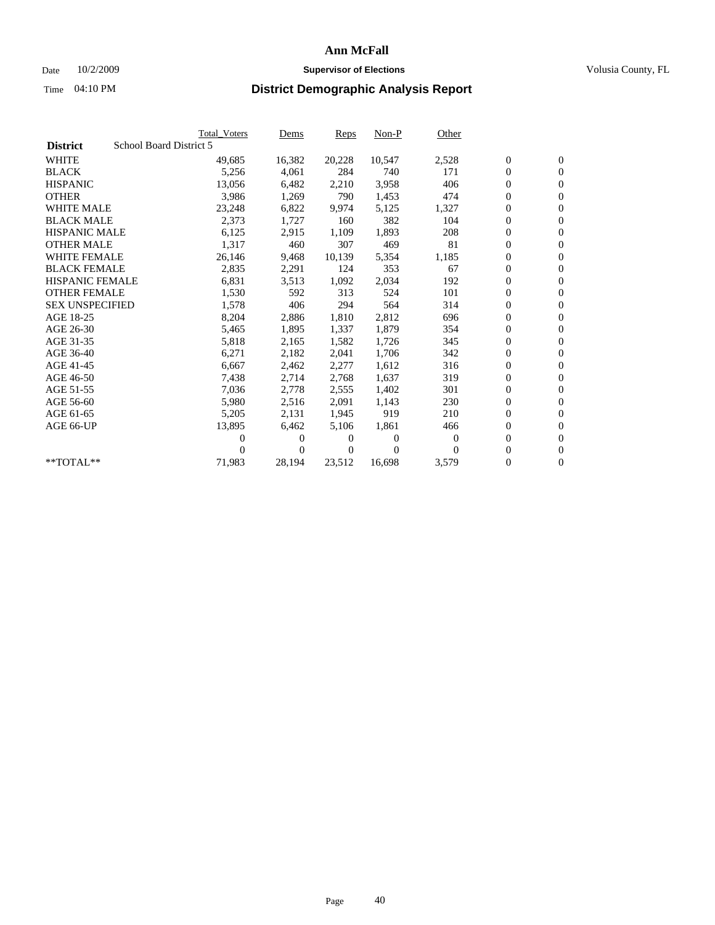### Date  $10/2/2009$  **Supervisor of Elections Supervisor of Elections** Volusia County, FL

|                        |                         | <b>Total Voters</b> | Dems   | <b>Reps</b> | $Non-P$  | Other    |                  |                  |  |
|------------------------|-------------------------|---------------------|--------|-------------|----------|----------|------------------|------------------|--|
| <b>District</b>        | School Board District 5 |                     |        |             |          |          |                  |                  |  |
| <b>WHITE</b>           |                         | 49,685              | 16,382 | 20,228      | 10,547   | 2,528    | $\boldsymbol{0}$ | $\boldsymbol{0}$ |  |
| <b>BLACK</b>           |                         | 5,256               | 4,061  | 284         | 740      | 171      | $\boldsymbol{0}$ | $\mathbf{0}$     |  |
| <b>HISPANIC</b>        |                         | 13,056              | 6,482  | 2,210       | 3,958    | 406      | 0                | $\mathbf{0}$     |  |
| <b>OTHER</b>           |                         | 3,986               | 1,269  | 790         | 1,453    | 474      | 0                | $\mathbf{0}$     |  |
| <b>WHITE MALE</b>      |                         | 23,248              | 6,822  | 9,974       | 5,125    | 1,327    | 0                | $\mathbf{0}$     |  |
| <b>BLACK MALE</b>      |                         | 2,373               | 1,727  | 160         | 382      | 104      | 0                | $\mathbf{0}$     |  |
| <b>HISPANIC MALE</b>   |                         | 6,125               | 2,915  | 1,109       | 1,893    | 208      | 0                | $\mathbf{0}$     |  |
| <b>OTHER MALE</b>      |                         | 1,317               | 460    | 307         | 469      | 81       | 0                | $\mathbf{0}$     |  |
| <b>WHITE FEMALE</b>    |                         | 26,146              | 9,468  | 10,139      | 5,354    | 1,185    | $\boldsymbol{0}$ | $\mathbf{0}$     |  |
| <b>BLACK FEMALE</b>    |                         | 2,835               | 2,291  | 124         | 353      | 67       | 0                | $\mathbf{0}$     |  |
| <b>HISPANIC FEMALE</b> |                         | 6,831               | 3,513  | 1,092       | 2,034    | 192      | 0                | $\mathbf{0}$     |  |
| <b>OTHER FEMALE</b>    |                         | 1,530               | 592    | 313         | 524      | 101      | 0                | $\mathbf{0}$     |  |
| <b>SEX UNSPECIFIED</b> |                         | 1,578               | 406    | 294         | 564      | 314      | 0                | $\mathbf{0}$     |  |
| AGE 18-25              |                         | 8,204               | 2,886  | 1,810       | 2,812    | 696      | 0                | $\mathbf{0}$     |  |
| AGE 26-30              |                         | 5,465               | 1,895  | 1,337       | 1,879    | 354      | 0                | $\mathbf{0}$     |  |
| AGE 31-35              |                         | 5,818               | 2,165  | 1,582       | 1,726    | 345      | 0                | $\mathbf{0}$     |  |
| AGE 36-40              |                         | 6,271               | 2,182  | 2,041       | 1,706    | 342      | 0                | $\mathbf{0}$     |  |
| AGE 41-45              |                         | 6,667               | 2,462  | 2,277       | 1,612    | 316      | 0                | $\mathbf{0}$     |  |
| AGE 46-50              |                         | 7,438               | 2,714  | 2,768       | 1,637    | 319      | 0                | $\mathbf{0}$     |  |
| AGE 51-55              |                         | 7,036               | 2,778  | 2,555       | 1,402    | 301      | 0                | $\mathbf{0}$     |  |
| AGE 56-60              |                         | 5,980               | 2,516  | 2.091       | 1,143    | 230      | 0                | $\mathbf{0}$     |  |
| AGE 61-65              |                         | 5,205               | 2,131  | 1,945       | 919      | 210      | 0                | $\mathbf{0}$     |  |
| AGE 66-UP              |                         | 13,895              | 6,462  | 5,106       | 1,861    | 466      | 0                | $\mathbf{0}$     |  |
|                        |                         | 0                   | 0      | 0           | $\theta$ | $\theta$ | 0                | $\mathbf{0}$     |  |
|                        |                         | 0                   | 0      | 0           | $\Omega$ | $\Omega$ | 0                | $\mathbf{0}$     |  |
| **TOTAL**              |                         | 71,983              | 28,194 | 23,512      | 16,698   | 3,579    | 0                | $\boldsymbol{0}$ |  |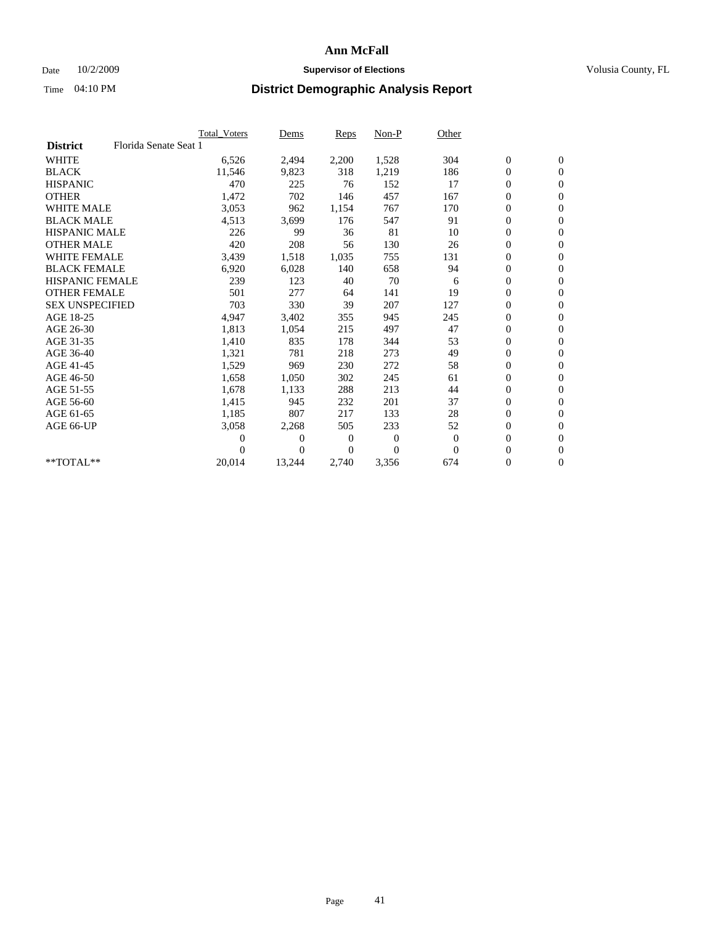## Date  $10/2/2009$  **Supervisor of Elections Supervisor of Elections** Volusia County, FL

|                        |                       | <b>Total Voters</b> | Dems           | <b>Reps</b>    | Non-P            | Other    |                  |                  |  |
|------------------------|-----------------------|---------------------|----------------|----------------|------------------|----------|------------------|------------------|--|
| <b>District</b>        | Florida Senate Seat 1 |                     |                |                |                  |          |                  |                  |  |
| <b>WHITE</b>           |                       | 6,526               | 2,494          | 2,200          | 1,528            | 304      | $\boldsymbol{0}$ | $\mathbf{0}$     |  |
| <b>BLACK</b>           |                       | 11,546              | 9,823          | 318            | 1,219            | 186      | 0                | $\mathbf{0}$     |  |
| <b>HISPANIC</b>        |                       | 470                 | 225            | 76             | 152              | 17       | $\mathbf{0}$     | $\mathbf{0}$     |  |
| <b>OTHER</b>           |                       | 1,472               | 702            | 146            | 457              | 167      | 0                | $\mathbf{0}$     |  |
| WHITE MALE             |                       | 3,053               | 962            | 1,154          | 767              | 170      | 0                | $\mathbf{0}$     |  |
| <b>BLACK MALE</b>      |                       | 4,513               | 3,699          | 176            | 547              | 91       | $\boldsymbol{0}$ | $\mathbf{0}$     |  |
| <b>HISPANIC MALE</b>   |                       | 226                 | 99             | 36             | 81               | 10       | $\boldsymbol{0}$ | $\mathbf{0}$     |  |
| <b>OTHER MALE</b>      |                       | 420                 | 208            | 56             | 130              | 26       | 0                | $\mathbf{0}$     |  |
| <b>WHITE FEMALE</b>    |                       | 3,439               | 1,518          | 1,035          | 755              | 131      | 0                | $\mathbf{0}$     |  |
| <b>BLACK FEMALE</b>    |                       | 6,920               | 6,028          | 140            | 658              | 94       | $\boldsymbol{0}$ | $\mathbf{0}$     |  |
| <b>HISPANIC FEMALE</b> |                       | 239                 | 123            | 40             | 70               | 6        | 0                | $\mathbf{0}$     |  |
| <b>OTHER FEMALE</b>    |                       | 501                 | 277            | 64             | 141              | 19       | 0                | $\Omega$         |  |
| <b>SEX UNSPECIFIED</b> |                       | 703                 | 330            | 39             | 207              | 127      | 0                | $\mathbf{0}$     |  |
| AGE 18-25              |                       | 4,947               | 3,402          | 355            | 945              | 245      | 0                | $\mathbf{0}$     |  |
| AGE 26-30              |                       | 1,813               | 1,054          | 215            | 497              | 47       | $\overline{0}$   | $\mathbf{0}$     |  |
| AGE 31-35              |                       | 1,410               | 835            | 178            | 344              | 53       | 0                | $\mathbf{0}$     |  |
| AGE 36-40              |                       | 1,321               | 781            | 218            | 273              | 49       | 0                | $\mathbf{0}$     |  |
| AGE 41-45              |                       | 1,529               | 969            | 230            | 272              | 58       | 0                | $\mathbf{0}$     |  |
| AGE 46-50              |                       | 1,658               | 1,050          | 302            | 245              | 61       | 0                | $\mathbf{0}$     |  |
| AGE 51-55              |                       | 1,678               | 1,133          | 288            | 213              | 44       | 0                | $\mathbf{0}$     |  |
| AGE 56-60              |                       | 1,415               | 945            | 232            | 201              | 37       | 0                | $\mathbf{0}$     |  |
| AGE 61-65              |                       | 1,185               | 807            | 217            | 133              | 28       | 0                | $\mathbf{0}$     |  |
| AGE 66-UP              |                       | 3,058               | 2,268          | 505            | 233              | 52       | 0                | $\mathbf{0}$     |  |
|                        |                       | 0                   | $\overline{0}$ | $\overline{0}$ | $\boldsymbol{0}$ | $\theta$ | 0                | $\mathbf{0}$     |  |
|                        |                       | 0                   | $\Omega$       | $\theta$       | $\theta$         | $\Omega$ | $\overline{0}$   | $\overline{0}$   |  |
| **TOTAL**              |                       | 20,014              | 13,244         | 2,740          | 3,356            | 674      | 0                | $\boldsymbol{0}$ |  |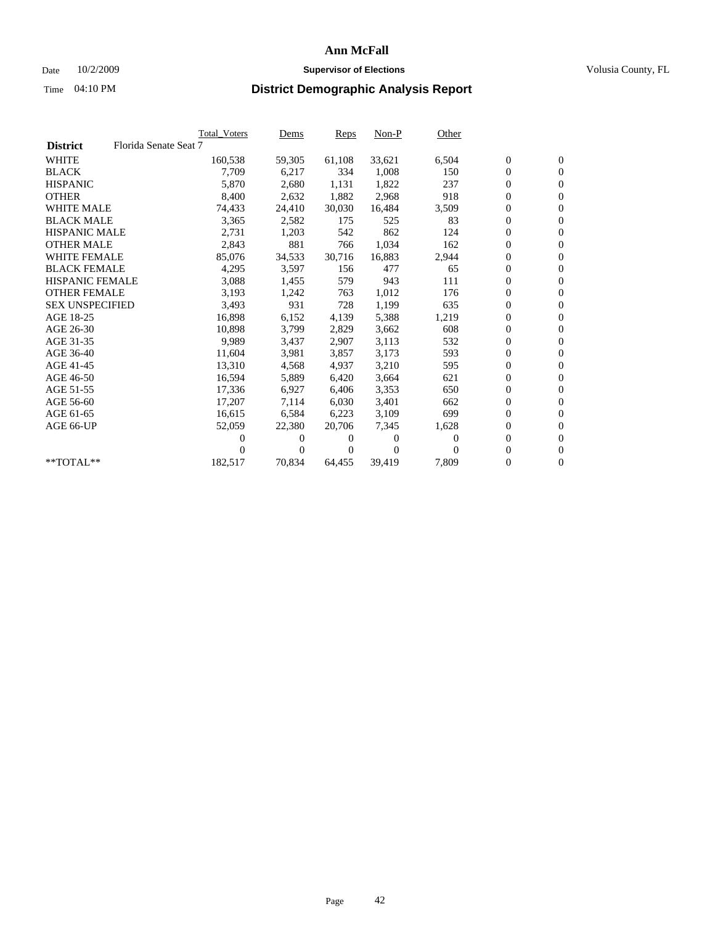## Date  $10/2/2009$  **Supervisor of Elections Supervisor of Elections** Volusia County, FL

|                        |                       | <b>Total Voters</b> | <u>Dems</u>    | <b>Reps</b> | $Non-P$      | Other    |                  |                  |  |
|------------------------|-----------------------|---------------------|----------------|-------------|--------------|----------|------------------|------------------|--|
| <b>District</b>        | Florida Senate Seat 7 |                     |                |             |              |          |                  |                  |  |
| <b>WHITE</b>           |                       | 160,538             | 59,305         | 61,108      | 33,621       | 6,504    | $\boldsymbol{0}$ | $\boldsymbol{0}$ |  |
| <b>BLACK</b>           |                       | 7,709               | 6,217          | 334         | 1,008        | 150      | $\boldsymbol{0}$ | $\mathbf{0}$     |  |
| <b>HISPANIC</b>        |                       | 5,870               | 2,680          | 1,131       | 1,822        | 237      | $\boldsymbol{0}$ | $\mathbf{0}$     |  |
| <b>OTHER</b>           |                       | 8,400               | 2,632          | 1,882       | 2,968        | 918      | 0                | $\mathbf{0}$     |  |
| <b>WHITE MALE</b>      |                       | 74,433              | 24,410         | 30,030      | 16,484       | 3,509    | $\boldsymbol{0}$ | $\mathbf{0}$     |  |
| <b>BLACK MALE</b>      |                       | 3,365               | 2,582          | 175         | 525          | 83       | $\overline{0}$   | $\mathbf{0}$     |  |
| <b>HISPANIC MALE</b>   |                       | 2,731               | 1,203          | 542         | 862          | 124      | 0                | $\mathbf{0}$     |  |
| <b>OTHER MALE</b>      |                       | 2,843               | 881            | 766         | 1,034        | 162      | 0                | $\mathbf{0}$     |  |
| <b>WHITE FEMALE</b>    |                       | 85,076              | 34,533         | 30,716      | 16,883       | 2,944    | $\boldsymbol{0}$ | $\mathbf{0}$     |  |
| <b>BLACK FEMALE</b>    |                       | 4,295               | 3,597          | 156         | 477          | 65       | $\boldsymbol{0}$ | $\mathbf{0}$     |  |
| <b>HISPANIC FEMALE</b> |                       | 3,088               | 1,455          | 579         | 943          | 111      | 0                | $\mathbf{0}$     |  |
| <b>OTHER FEMALE</b>    |                       | 3,193               | 1,242          | 763         | 1,012        | 176      | $\overline{0}$   | $\mathbf{0}$     |  |
| <b>SEX UNSPECIFIED</b> |                       | 3,493               | 931            | 728         | 1,199        | 635      | $\boldsymbol{0}$ | $\mathbf{0}$     |  |
| AGE 18-25              |                       | 16,898              | 6,152          | 4,139       | 5,388        | 1,219    | $\boldsymbol{0}$ | $\mathbf{0}$     |  |
| AGE 26-30              |                       | 10,898              | 3,799          | 2,829       | 3,662        | 608      | 0                | $\mathbf{0}$     |  |
| AGE 31-35              |                       | 9,989               | 3,437          | 2,907       | 3,113        | 532      | $\boldsymbol{0}$ | $\mathbf{0}$     |  |
| AGE 36-40              |                       | 11,604              | 3,981          | 3,857       | 3,173        | 593      | $\boldsymbol{0}$ | $\mathbf{0}$     |  |
| AGE 41-45              |                       | 13,310              | 4,568          | 4,937       | 3,210        | 595      | 0                | $\mathbf{0}$     |  |
| AGE 46-50              |                       | 16,594              | 5,889          | 6,420       | 3,664        | 621      | 0                | $\Omega$         |  |
| AGE 51-55              |                       | 17,336              | 6,927          | 6,406       | 3,353        | 650      | $\boldsymbol{0}$ | $\mathbf{0}$     |  |
| AGE 56-60              |                       | 17.207              | 7.114          | 6.030       | 3,401        | 662      | 0                | $\mathbf{0}$     |  |
| AGE 61-65              |                       | 16,615              | 6,584          | 6,223       | 3,109        | 699      | 0                | $\mathbf{0}$     |  |
| AGE 66-UP              |                       | 52,059              | 22,380         | 20,706      | 7,345        | 1,628    | 0                | $\mathbf{0}$     |  |
|                        |                       | 0                   | 0              | $^{(1)}$    | $\mathbf{0}$ | $\Omega$ | $\mathbf{0}$     | $\mathbf{0}$     |  |
|                        |                       | 0                   | $\overline{0}$ | 0           | $\mathbf{0}$ | 0        | 0                | $\mathbf{0}$     |  |
| **TOTAL**              |                       | 182,517             | 70,834         | 64,455      | 39,419       | 7,809    | 0                | $\boldsymbol{0}$ |  |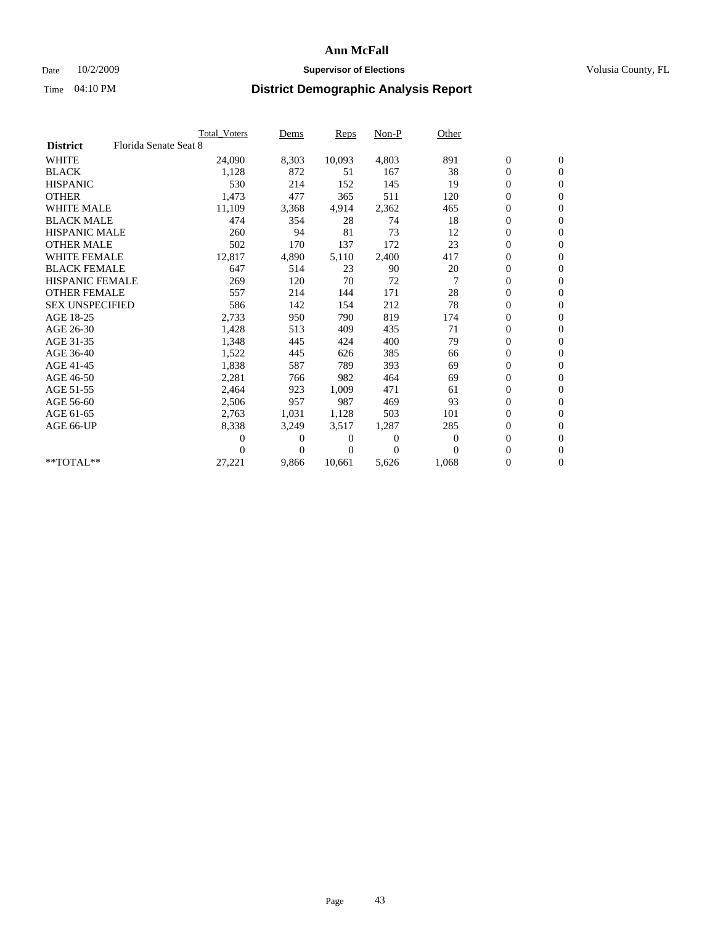## Date  $10/2/2009$  **Supervisor of Elections Supervisor of Elections** Volusia County, FL

|                        |                       | Total Voters | Dems     | <b>Reps</b> | $Non-P$        | Other    |                  |                  |  |
|------------------------|-----------------------|--------------|----------|-------------|----------------|----------|------------------|------------------|--|
| <b>District</b>        | Florida Senate Seat 8 |              |          |             |                |          |                  |                  |  |
| <b>WHITE</b>           |                       | 24,090       | 8,303    | 10,093      | 4,803          | 891      | $\boldsymbol{0}$ | $\boldsymbol{0}$ |  |
| <b>BLACK</b>           |                       | 1,128        | 872      | 51          | 167            | 38       | $\boldsymbol{0}$ | $\mathbf{0}$     |  |
| <b>HISPANIC</b>        |                       | 530          | 214      | 152         | 145            | 19       | $\overline{0}$   | $\mathbf{0}$     |  |
| <b>OTHER</b>           |                       | 1,473        | 477      | 365         | 511            | 120      | $\boldsymbol{0}$ | $\mathbf{0}$     |  |
| <b>WHITE MALE</b>      |                       | 11,109       | 3,368    | 4,914       | 2,362          | 465      | $\boldsymbol{0}$ | $\mathbf{0}$     |  |
| <b>BLACK MALE</b>      |                       | 474          | 354      | 28          | 74             | 18       | $\boldsymbol{0}$ | $\mathbf{0}$     |  |
| <b>HISPANIC MALE</b>   |                       | 260          | 94       | 81          | 73             | 12       | $\boldsymbol{0}$ | $\mathbf{0}$     |  |
| <b>OTHER MALE</b>      |                       | 502          | 170      | 137         | 172            | 23       | $\boldsymbol{0}$ | $\mathbf{0}$     |  |
| <b>WHITE FEMALE</b>    |                       | 12,817       | 4,890    | 5,110       | 2,400          | 417      | $\overline{0}$   | $\mathbf{0}$     |  |
| <b>BLACK FEMALE</b>    |                       | 647          | 514      | 23          | 90             | 20       | $\boldsymbol{0}$ | $\mathbf{0}$     |  |
| HISPANIC FEMALE        |                       | 269          | 120      | 70          | 72             | 7        | $\boldsymbol{0}$ | $\mathbf{0}$     |  |
| <b>OTHER FEMALE</b>    |                       | 557          | 214      | 144         | 171            | 28       | $\mathbf{0}$     | $\mathbf{0}$     |  |
| <b>SEX UNSPECIFIED</b> |                       | 586          | 142      | 154         | 212            | 78       | $\boldsymbol{0}$ | $\mathbf{0}$     |  |
| AGE 18-25              |                       | 2,733        | 950      | 790         | 819            | 174      | 0                | $\mathbf{0}$     |  |
| AGE 26-30              |                       | 1,428        | 513      | 409         | 435            | 71       | $\overline{0}$   | $\mathbf{0}$     |  |
| AGE 31-35              |                       | 1,348        | 445      | 424         | 400            | 79       | $\boldsymbol{0}$ | $\mathbf{0}$     |  |
| AGE 36-40              |                       | 1,522        | 445      | 626         | 385            | 66       | 0                | $\mathbf{0}$     |  |
| AGE 41-45              |                       | 1,838        | 587      | 789         | 393            | 69       | $\overline{0}$   | $\mathbf{0}$     |  |
| AGE 46-50              |                       | 2,281        | 766      | 982         | 464            | 69       | $\boldsymbol{0}$ | $\mathbf{0}$     |  |
| AGE 51-55              |                       | 2,464        | 923      | 1,009       | 471            | 61       | $\boldsymbol{0}$ | $\mathbf{0}$     |  |
| AGE 56-60              |                       | 2,506        | 957      | 987         | 469            | 93       | $\boldsymbol{0}$ | $\Omega$         |  |
| AGE 61-65              |                       | 2,763        | 1,031    | 1,128       | 503            | 101      | $\overline{0}$   | $\mathbf{0}$     |  |
| AGE 66-UP              |                       | 8,338        | 3,249    | 3,517       | 1,287          | 285      | $\boldsymbol{0}$ | $\mathbf{0}$     |  |
|                        |                       | 0            | 0        | 0           | $\overline{0}$ | $\bf{0}$ | $\overline{0}$   | $\mathbf{0}$     |  |
|                        |                       | 0            | $\Omega$ | 0           | $\Omega$       | $\Omega$ | $\boldsymbol{0}$ | $\mathbf{0}$     |  |
| $*$ TOTAL $**$         |                       | 27,221       | 9,866    | 10,661      | 5,626          | 1,068    | 0                | $\mathbf{0}$     |  |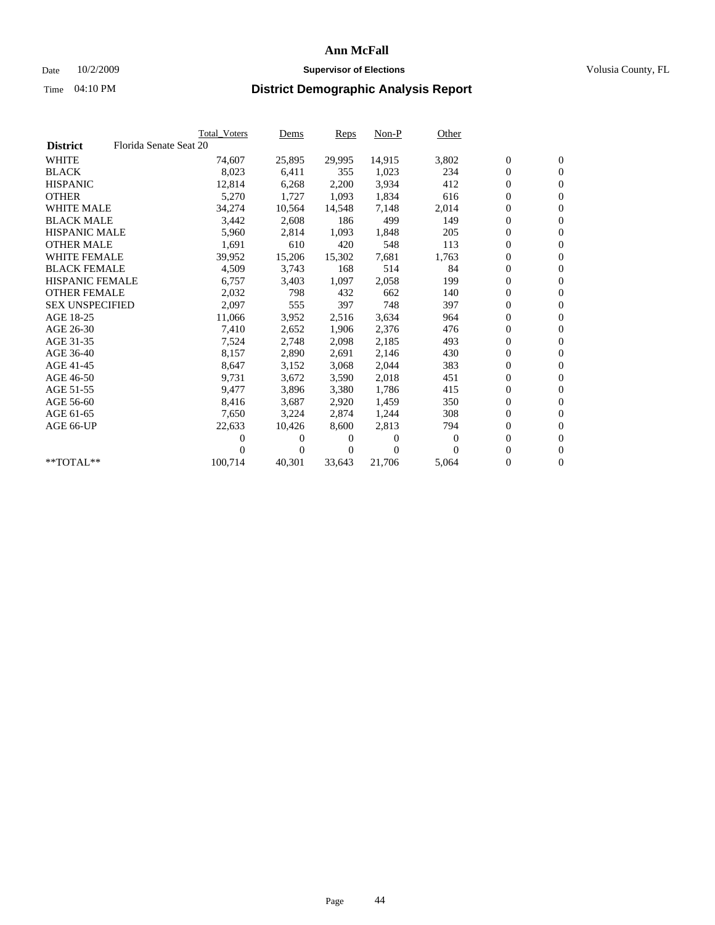## Date  $10/2/2009$  **Supervisor of Elections Supervisor of Elections** Volusia County, FL

|                        |                        | <b>Total Voters</b> | Dems     | <b>Reps</b> | $Non-P$  | Other    |                  |                  |  |
|------------------------|------------------------|---------------------|----------|-------------|----------|----------|------------------|------------------|--|
| <b>District</b>        | Florida Senate Seat 20 |                     |          |             |          |          |                  |                  |  |
| <b>WHITE</b>           |                        | 74,607              | 25,895   | 29,995      | 14,915   | 3,802    | $\boldsymbol{0}$ | $\boldsymbol{0}$ |  |
| <b>BLACK</b>           |                        | 8,023               | 6,411    | 355         | 1,023    | 234      | 0                | $\mathbf{0}$     |  |
| <b>HISPANIC</b>        |                        | 12,814              | 6,268    | 2,200       | 3,934    | 412      | 0                | $\mathbf{0}$     |  |
| <b>OTHER</b>           |                        | 5,270               | 1,727    | 1,093       | 1,834    | 616      | 0                | $\mathbf{0}$     |  |
| <b>WHITE MALE</b>      |                        | 34,274              | 10,564   | 14,548      | 7,148    | 2,014    | 0                | $\mathbf{0}$     |  |
| <b>BLACK MALE</b>      |                        | 3,442               | 2,608    | 186         | 499      | 149      | 0                | $\mathbf{0}$     |  |
| <b>HISPANIC MALE</b>   |                        | 5,960               | 2,814    | 1,093       | 1,848    | 205      | 0                | $\mathbf{0}$     |  |
| <b>OTHER MALE</b>      |                        | 1,691               | 610      | 420         | 548      | 113      | 0                | $\mathbf{0}$     |  |
| <b>WHITE FEMALE</b>    |                        | 39,952              | 15,206   | 15,302      | 7,681    | 1,763    | $\boldsymbol{0}$ | $\mathbf{0}$     |  |
| <b>BLACK FEMALE</b>    |                        | 4,509               | 3,743    | 168         | 514      | 84       | 0                | $\mathbf{0}$     |  |
| <b>HISPANIC FEMALE</b> |                        | 6,757               | 3,403    | 1,097       | 2,058    | 199      | 0                | $\mathbf{0}$     |  |
| <b>OTHER FEMALE</b>    |                        | 2,032               | 798      | 432         | 662      | 140      | 0                | $\mathbf{0}$     |  |
| <b>SEX UNSPECIFIED</b> |                        | 2,097               | 555      | 397         | 748      | 397      | 0                | $\mathbf{0}$     |  |
| AGE 18-25              |                        | 11,066              | 3,952    | 2,516       | 3,634    | 964      | 0                | $\mathbf{0}$     |  |
| AGE 26-30              |                        | 7,410               | 2,652    | 1,906       | 2,376    | 476      | 0                | $\mathbf{0}$     |  |
| AGE 31-35              |                        | 7,524               | 2,748    | 2,098       | 2,185    | 493      | 0                | $\mathbf{0}$     |  |
| AGE 36-40              |                        | 8,157               | 2,890    | 2,691       | 2,146    | 430      | 0                | $\mathbf{0}$     |  |
| AGE 41-45              |                        | 8,647               | 3,152    | 3,068       | 2,044    | 383      | 0                | $\mathbf{0}$     |  |
| AGE 46-50              |                        | 9,731               | 3,672    | 3,590       | 2,018    | 451      | 0                | $\mathbf{0}$     |  |
| AGE 51-55              |                        | 9,477               | 3,896    | 3,380       | 1,786    | 415      | 0                | $\mathbf{0}$     |  |
| AGE 56-60              |                        | 8,416               | 3,687    | 2.920       | 1,459    | 350      | 0                | $\mathbf{0}$     |  |
| AGE 61-65              |                        | 7,650               | 3,224    | 2,874       | 1,244    | 308      | 0                | $\mathbf{0}$     |  |
| AGE 66-UP              |                        | 22,633              | 10,426   | 8,600       | 2,813    | 794      | 0                | $\mathbf{0}$     |  |
|                        |                        | 0                   | $\theta$ | 0           | $\theta$ | $\theta$ | 0                | $\mathbf{0}$     |  |
|                        |                        | 0                   | 0        | 0           | $\Omega$ | $\Omega$ | 0                | $\mathbf{0}$     |  |
| **TOTAL**              |                        | 100,714             | 40,301   | 33,643      | 21,706   | 5,064    | 0                | $\boldsymbol{0}$ |  |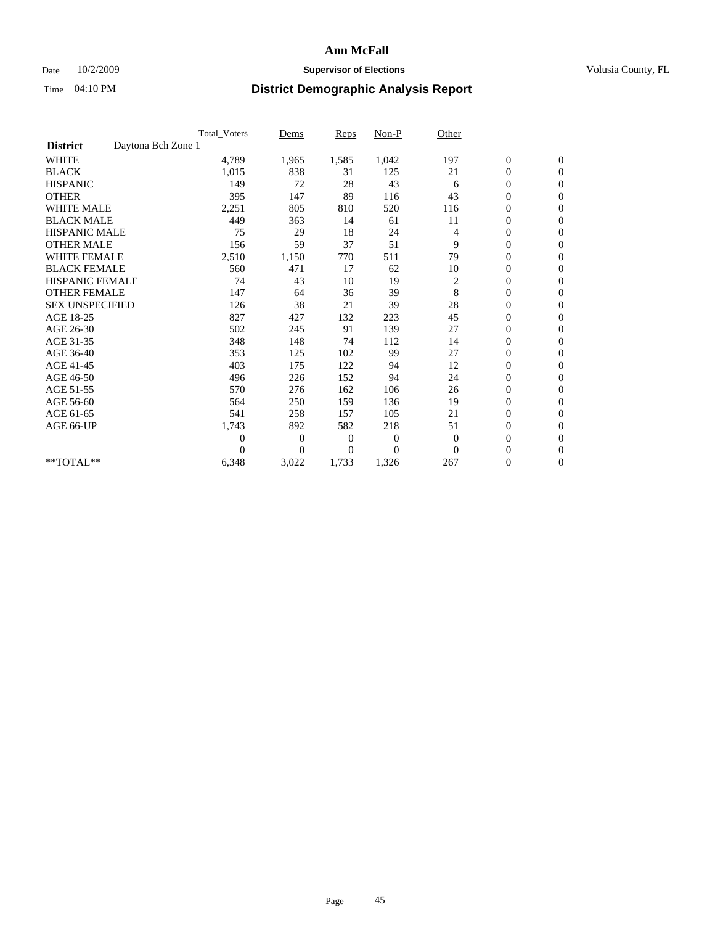## Date  $10/2/2009$  **Supervisor of Elections Supervisor of Elections** Volusia County, FL

|                                       | Total Voters   | Dems           | <b>Reps</b> | Non-P        | Other          |                  |                  |  |
|---------------------------------------|----------------|----------------|-------------|--------------|----------------|------------------|------------------|--|
| Daytona Bch Zone 1<br><b>District</b> |                |                |             |              |                |                  |                  |  |
| <b>WHITE</b>                          | 4,789          | 1,965          | 1,585       | 1,042        | 197            | $\boldsymbol{0}$ | $\boldsymbol{0}$ |  |
| <b>BLACK</b>                          | 1,015          | 838            | 31          | 125          | 21             | $\boldsymbol{0}$ | $\mathbf{0}$     |  |
| <b>HISPANIC</b>                       | 149            | 72             | 28          | 43           | 6              | $\overline{0}$   | $\mathbf{0}$     |  |
| <b>OTHER</b>                          | 395            | 147            | 89          | 116          | 43             | $\boldsymbol{0}$ | $\mathbf{0}$     |  |
| <b>WHITE MALE</b>                     | 2,251          | 805            | 810         | 520          | 116            | $\overline{0}$   | $\mathbf{0}$     |  |
| <b>BLACK MALE</b>                     | 449            | 363            | 14          | 61           | 11             | $\boldsymbol{0}$ | $\mathbf{0}$     |  |
| <b>HISPANIC MALE</b>                  | 75             | 29             | 18          | 24           | 4              | $\boldsymbol{0}$ | $\mathbf{0}$     |  |
| <b>OTHER MALE</b>                     | 156            | 59             | 37          | 51           | 9              | $\boldsymbol{0}$ | $\mathbf{0}$     |  |
| WHITE FEMALE                          | 2,510          | 1,150          | 770         | 511          | 79             | $\overline{0}$   | $\mathbf{0}$     |  |
| <b>BLACK FEMALE</b>                   | 560            | 471            | 17          | 62           | 10             | $\boldsymbol{0}$ | $\mathbf{0}$     |  |
| <b>HISPANIC FEMALE</b>                | 74             | 43             | 10          | 19           | $\overline{c}$ | $\boldsymbol{0}$ | $\mathbf{0}$     |  |
| <b>OTHER FEMALE</b>                   | 147            | 64             | 36          | 39           | 8              | $\mathbf{0}$     | $\mathbf{0}$     |  |
| <b>SEX UNSPECIFIED</b>                | 126            | 38             | 21          | 39           | 28             | $\boldsymbol{0}$ | $\mathbf{0}$     |  |
| AGE 18-25                             | 827            | 427            | 132         | 223          | 45             | $\boldsymbol{0}$ | $\mathbf{0}$     |  |
| AGE 26-30                             | 502            | 245            | 91          | 139          | 27             | $\overline{0}$   | $\mathbf{0}$     |  |
| AGE 31-35                             | 348            | 148            | 74          | 112          | 14             | $\boldsymbol{0}$ | $\mathbf{0}$     |  |
| AGE 36-40                             | 353            | 125            | 102         | 99           | 27             | $\boldsymbol{0}$ | $\mathbf{0}$     |  |
| AGE 41-45                             | 403            | 175            | 122         | 94           | 12             | $\overline{0}$   | $\mathbf{0}$     |  |
| AGE 46-50                             | 496            | 226            | 152         | 94           | 24             | $\boldsymbol{0}$ | $\mathbf{0}$     |  |
| AGE 51-55                             | 570            | 276            | 162         | 106          | 26             | $\boldsymbol{0}$ | $\mathbf{0}$     |  |
| AGE 56-60                             | 564            | 250            | 159         | 136          | 19             | $\boldsymbol{0}$ | $\Omega$         |  |
| AGE 61-65                             | 541            | 258            | 157         | 105          | 21             | $\overline{0}$   | $\mathbf{0}$     |  |
| AGE 66-UP                             | 1,743          | 892            | 582         | 218          | 51             | $\boldsymbol{0}$ | $\mathbf{0}$     |  |
|                                       | $\overline{0}$ | $\overline{0}$ | 0           | $\mathbf{0}$ | $\mathbf{0}$   | $\overline{0}$   | $\mathbf{0}$     |  |
|                                       | $\Omega$       | $\overline{0}$ | $\Omega$    | $\theta$     | $\mathbf{0}$   | $\boldsymbol{0}$ | $\mathbf{0}$     |  |
| **TOTAL**                             | 6,348          | 3,022          | 1,733       | 1,326        | 267            | 0                | $\mathbf{0}$     |  |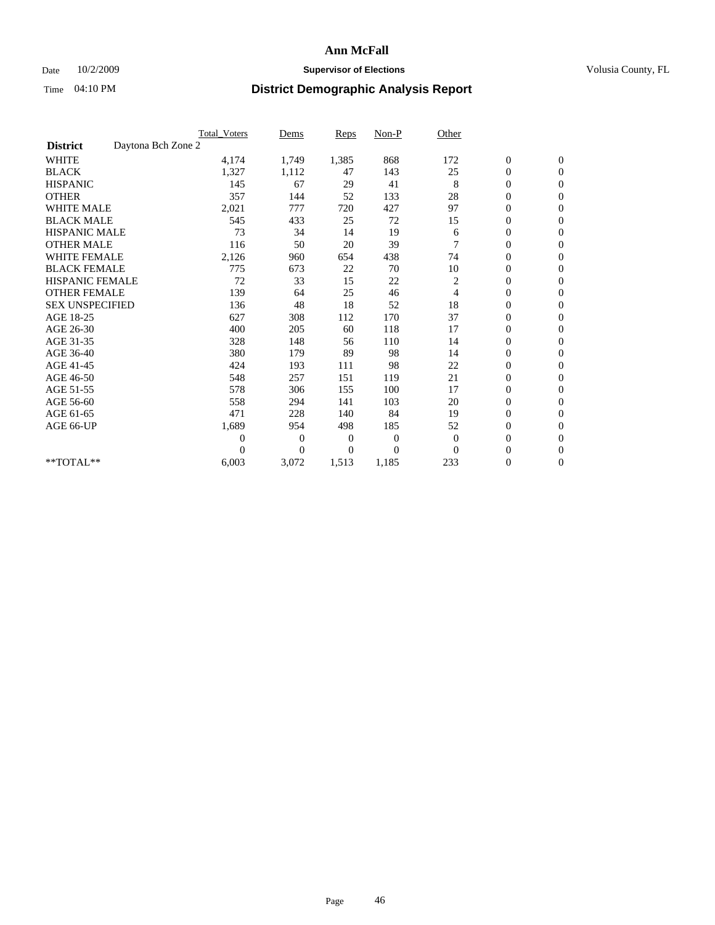### Date  $10/2/2009$  **Supervisor of Elections Supervisor of Elections** Volusia County, FL

|                        |                    | <b>Total Voters</b> | Dems           | <b>Reps</b> | $Non-P$      | Other          |                  |                  |  |
|------------------------|--------------------|---------------------|----------------|-------------|--------------|----------------|------------------|------------------|--|
| <b>District</b>        | Daytona Bch Zone 2 |                     |                |             |              |                |                  |                  |  |
| <b>WHITE</b>           |                    | 4,174               | 1,749          | 1,385       | 868          | 172            | $\boldsymbol{0}$ | $\boldsymbol{0}$ |  |
| <b>BLACK</b>           |                    | 1,327               | 1,112          | 47          | 143          | 25             | $\boldsymbol{0}$ | $\mathbf{0}$     |  |
| <b>HISPANIC</b>        |                    | 145                 | 67             | 29          | 41           | 8              | $\overline{0}$   | $\mathbf{0}$     |  |
| <b>OTHER</b>           |                    | 357                 | 144            | 52          | 133          | 28             | $\boldsymbol{0}$ | $\Omega$         |  |
| <b>WHITE MALE</b>      |                    | 2,021               | 777            | 720         | 427          | 97             | $\overline{0}$   | $\mathbf{0}$     |  |
| <b>BLACK MALE</b>      |                    | 545                 | 433            | 25          | 72           | 15             | $\boldsymbol{0}$ | $\mathbf{0}$     |  |
| <b>HISPANIC MALE</b>   |                    | 73                  | 34             | 14          | 19           | 6              | $\boldsymbol{0}$ | $\mathbf{0}$     |  |
| <b>OTHER MALE</b>      |                    | 116                 | 50             | 20          | 39           | 7              | $\boldsymbol{0}$ | $\mathbf{0}$     |  |
| WHITE FEMALE           |                    | 2,126               | 960            | 654         | 438          | 74             | $\overline{0}$   | $\mathbf{0}$     |  |
| <b>BLACK FEMALE</b>    |                    | 775                 | 673            | 22          | 70           | 10             | $\boldsymbol{0}$ | $\mathbf{0}$     |  |
| <b>HISPANIC FEMALE</b> |                    | 72                  | 33             | 15          | 22           | $\overline{c}$ | $\boldsymbol{0}$ | $\mathbf{0}$     |  |
| <b>OTHER FEMALE</b>    |                    | 139                 | 64             | 25          | 46           | $\overline{4}$ | $\mathbf{0}$     | $\mathbf{0}$     |  |
| <b>SEX UNSPECIFIED</b> |                    | 136                 | 48             | 18          | 52           | 18             | $\boldsymbol{0}$ | $\mathbf{0}$     |  |
| AGE 18-25              |                    | 627                 | 308            | 112         | 170          | 37             | $\overline{0}$   | $\mathbf{0}$     |  |
| AGE 26-30              |                    | 400                 | 205            | 60          | 118          | 17             | $\overline{0}$   | $\mathbf{0}$     |  |
| AGE 31-35              |                    | 328                 | 148            | 56          | 110          | 14             | $\boldsymbol{0}$ | $\mathbf{0}$     |  |
| AGE 36-40              |                    | 380                 | 179            | 89          | 98           | 14             | $\boldsymbol{0}$ | $\mathbf{0}$     |  |
| AGE 41-45              |                    | 424                 | 193            | 111         | 98           | 22             | $\overline{0}$   | $\mathbf{0}$     |  |
| AGE 46-50              |                    | 548                 | 257            | 151         | 119          | 21             | $\boldsymbol{0}$ | $\mathbf{0}$     |  |
| AGE 51-55              |                    | 578                 | 306            | 155         | 100          | 17             | $\boldsymbol{0}$ | $\mathbf{0}$     |  |
| AGE 56-60              |                    | 558                 | 294            | 141         | 103          | 20             | $\boldsymbol{0}$ | $\Omega$         |  |
| AGE 61-65              |                    | 471                 | 228            | 140         | 84           | 19             | $\mathbf{0}$     | $\mathbf{0}$     |  |
| AGE 66-UP              |                    | 1,689               | 954            | 498         | 185          | 52             | $\boldsymbol{0}$ | $\mathbf{0}$     |  |
|                        |                    | $\overline{0}$      | $\overline{0}$ | 0           | $\mathbf{0}$ | $\theta$       | $\overline{0}$   | $\mathbf{0}$     |  |
|                        |                    | $\Omega$            | $\overline{0}$ | $\Omega$    | $\theta$     | $\Omega$       | $\boldsymbol{0}$ | $\mathbf{0}$     |  |
| **TOTAL**              |                    | 6,003               | 3,072          | 1,513       | 1,185        | 233            | 0                | $\mathbf{0}$     |  |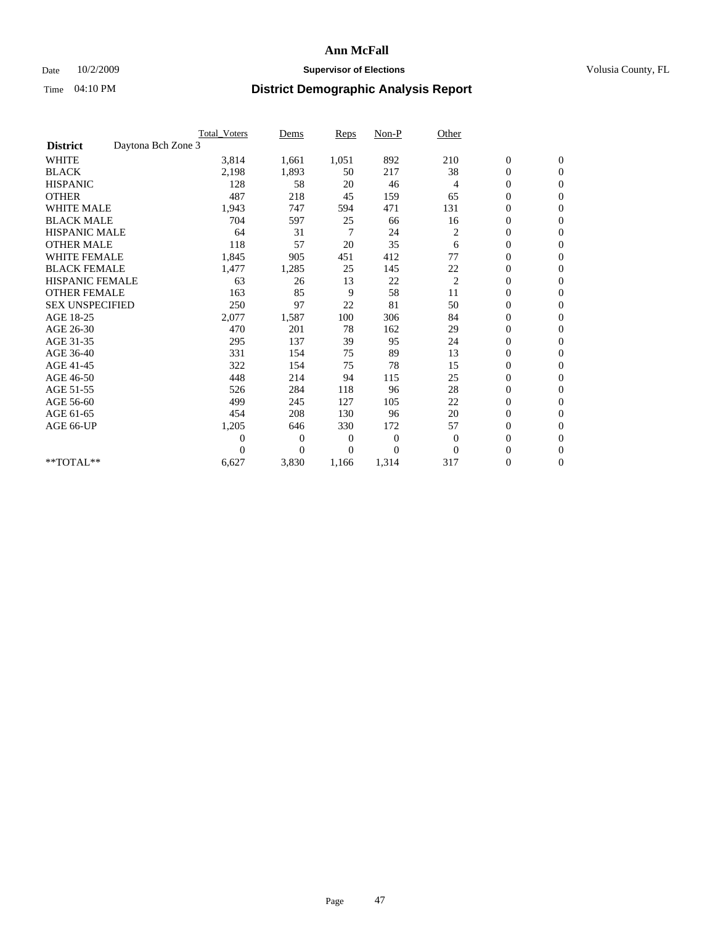## Date  $10/2/2009$  **Supervisor of Elections Supervisor of Elections** Volusia County, FL

|                        |                    | <b>Total Voters</b> | Dems           | <b>Reps</b>    | $Non-P$      | Other          |                  |                  |  |
|------------------------|--------------------|---------------------|----------------|----------------|--------------|----------------|------------------|------------------|--|
| <b>District</b>        | Daytona Bch Zone 3 |                     |                |                |              |                |                  |                  |  |
| <b>WHITE</b>           |                    | 3,814               | 1,661          | 1,051          | 892          | 210            | $\boldsymbol{0}$ | $\boldsymbol{0}$ |  |
| <b>BLACK</b>           |                    | 2,198               | 1,893          | 50             | 217          | 38             | $\boldsymbol{0}$ | $\mathbf{0}$     |  |
| <b>HISPANIC</b>        |                    | 128                 | 58             | 20             | 46           | $\overline{4}$ | $\overline{0}$   | $\mathbf{0}$     |  |
| <b>OTHER</b>           |                    | 487                 | 218            | 45             | 159          | 65             | $\boldsymbol{0}$ | $\Omega$         |  |
| <b>WHITE MALE</b>      |                    | 1,943               | 747            | 594            | 471          | 131            | $\boldsymbol{0}$ | $\mathbf{0}$     |  |
| <b>BLACK MALE</b>      |                    | 704                 | 597            | 25             | 66           | 16             | $\boldsymbol{0}$ | $\mathbf{0}$     |  |
| <b>HISPANIC MALE</b>   |                    | 64                  | 31             | $\overline{7}$ | 24           | $\overline{c}$ | $\boldsymbol{0}$ | $\mathbf{0}$     |  |
| <b>OTHER MALE</b>      |                    | 118                 | 57             | 20             | 35           | 6              | $\boldsymbol{0}$ | $\mathbf{0}$     |  |
| WHITE FEMALE           |                    | 1,845               | 905            | 451            | 412          | 77             | $\overline{0}$   | $\mathbf{0}$     |  |
| <b>BLACK FEMALE</b>    |                    | 1,477               | 1,285          | 25             | 145          | 22             | $\boldsymbol{0}$ | $\mathbf{0}$     |  |
| <b>HISPANIC FEMALE</b> |                    | 63                  | 26             | 13             | 22           | $\overline{c}$ | $\boldsymbol{0}$ | $\mathbf{0}$     |  |
| <b>OTHER FEMALE</b>    |                    | 163                 | 85             | 9              | 58           | 11             | $\mathbf{0}$     | $\mathbf{0}$     |  |
| <b>SEX UNSPECIFIED</b> |                    | 250                 | 97             | 22             | 81           | 50             | $\boldsymbol{0}$ | $\mathbf{0}$     |  |
| AGE 18-25              |                    | 2,077               | 1,587          | 100            | 306          | 84             | $\boldsymbol{0}$ | $\mathbf{0}$     |  |
| AGE 26-30              |                    | 470                 | 201            | 78             | 162          | 29             | $\overline{0}$   | $\mathbf{0}$     |  |
| AGE 31-35              |                    | 295                 | 137            | 39             | 95           | 24             | $\boldsymbol{0}$ | $\mathbf{0}$     |  |
| AGE 36-40              |                    | 331                 | 154            | 75             | 89           | 13             | $\boldsymbol{0}$ | $\mathbf{0}$     |  |
| AGE 41-45              |                    | 322                 | 154            | 75             | 78           | 15             | $\overline{0}$   | $\mathbf{0}$     |  |
| AGE 46-50              |                    | 448                 | 214            | 94             | 115          | 25             | $\boldsymbol{0}$ | $\mathbf{0}$     |  |
| AGE 51-55              |                    | 526                 | 284            | 118            | 96           | 28             | $\boldsymbol{0}$ | $\mathbf{0}$     |  |
| AGE 56-60              |                    | 499                 | 245            | 127            | 105          | 22             | $\overline{0}$   | $\Omega$         |  |
| AGE 61-65              |                    | 454                 | 208            | 130            | 96           | 20             | $\overline{0}$   | $\mathbf{0}$     |  |
| AGE 66-UP              |                    | 1,205               | 646            | 330            | 172          | 57             | $\boldsymbol{0}$ | $\mathbf{0}$     |  |
|                        |                    | $\overline{0}$      | $\overline{0}$ | 0              | $\mathbf{0}$ | $\mathbf{0}$   | $\overline{0}$   | $\mathbf{0}$     |  |
|                        |                    | $\theta$            | $\overline{0}$ | $\Omega$       | $\Omega$     | $\mathbf{0}$   | $\boldsymbol{0}$ | $\mathbf{0}$     |  |
| **TOTAL**              |                    | 6,627               | 3,830          | 1,166          | 1,314        | 317            | 0                | $\mathbf{0}$     |  |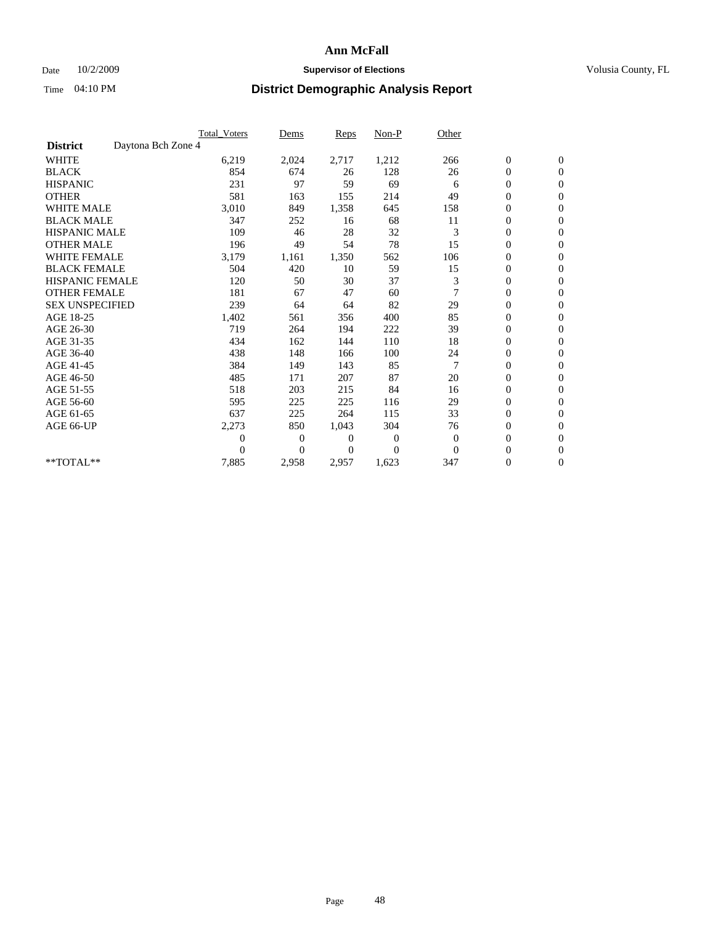## Date  $10/2/2009$  **Supervisor of Elections Supervisor of Elections** Volusia County, FL

|                        |                    | <b>Total Voters</b> | Dems           | <b>Reps</b> | Non-P    | Other          |                  |                  |  |
|------------------------|--------------------|---------------------|----------------|-------------|----------|----------------|------------------|------------------|--|
| <b>District</b>        | Daytona Bch Zone 4 |                     |                |             |          |                |                  |                  |  |
| <b>WHITE</b>           |                    | 6,219               | 2,024          | 2,717       | 1,212    | 266            | $\boldsymbol{0}$ | $\boldsymbol{0}$ |  |
| <b>BLACK</b>           |                    | 854                 | 674            | 26          | 128      | 26             | $\boldsymbol{0}$ | $\mathbf{0}$     |  |
| <b>HISPANIC</b>        |                    | 231                 | 97             | 59          | 69       | 6              | $\overline{0}$   | $\mathbf{0}$     |  |
| <b>OTHER</b>           |                    | 581                 | 163            | 155         | 214      | 49             | $\boldsymbol{0}$ | $\mathbf{0}$     |  |
| <b>WHITE MALE</b>      |                    | 3,010               | 849            | 1,358       | 645      | 158            | $\overline{0}$   | $\mathbf{0}$     |  |
| <b>BLACK MALE</b>      |                    | 347                 | 252            | 16          | 68       | 11             | $\boldsymbol{0}$ | $\mathbf{0}$     |  |
| <b>HISPANIC MALE</b>   |                    | 109                 | 46             | 28          | 32       | 3              | $\boldsymbol{0}$ | $\mathbf{0}$     |  |
| <b>OTHER MALE</b>      |                    | 196                 | 49             | 54          | 78       | 15             | $\boldsymbol{0}$ | $\mathbf{0}$     |  |
| <b>WHITE FEMALE</b>    |                    | 3,179               | 1,161          | 1,350       | 562      | 106            | $\overline{0}$   | $\mathbf{0}$     |  |
| <b>BLACK FEMALE</b>    |                    | 504                 | 420            | 10          | 59       | 15             | $\boldsymbol{0}$ | $\mathbf{0}$     |  |
| <b>HISPANIC FEMALE</b> |                    | 120                 | 50             | 30          | 37       | 3              | $\boldsymbol{0}$ | $\mathbf{0}$     |  |
| <b>OTHER FEMALE</b>    |                    | 181                 | 67             | 47          | 60       | $\overline{7}$ | $\mathbf{0}$     | $\mathbf{0}$     |  |
| <b>SEX UNSPECIFIED</b> |                    | 239                 | 64             | 64          | 82       | 29             | $\boldsymbol{0}$ | $\mathbf{0}$     |  |
| AGE 18-25              |                    | 1,402               | 561            | 356         | 400      | 85             | $\overline{0}$   | $\mathbf{0}$     |  |
| AGE 26-30              |                    | 719                 | 264            | 194         | 222      | 39             | $\overline{0}$   | $\mathbf{0}$     |  |
| AGE 31-35              |                    | 434                 | 162            | 144         | 110      | 18             | $\boldsymbol{0}$ | $\mathbf{0}$     |  |
| AGE 36-40              |                    | 438                 | 148            | 166         | 100      | 24             | $\boldsymbol{0}$ | $\mathbf{0}$     |  |
| AGE 41-45              |                    | 384                 | 149            | 143         | 85       | $\overline{7}$ | $\overline{0}$   | $\mathbf{0}$     |  |
| AGE 46-50              |                    | 485                 | 171            | 207         | 87       | 20             | $\boldsymbol{0}$ | $\mathbf{0}$     |  |
| AGE 51-55              |                    | 518                 | 203            | 215         | 84       | 16             | $\boldsymbol{0}$ | $\mathbf{0}$     |  |
| AGE 56-60              |                    | 595                 | 225            | 225         | 116      | 29             | $\overline{0}$   | $\Omega$         |  |
| AGE 61-65              |                    | 637                 | 225            | 264         | 115      | 33             | $\mathbf{0}$     | $\mathbf{0}$     |  |
| AGE 66-UP              |                    | 2,273               | 850            | 1,043       | 304      | 76             | $\boldsymbol{0}$ | $\mathbf{0}$     |  |
|                        |                    | 0                   | $\overline{0}$ | 0           | 0        | $\theta$       | $\overline{0}$   | $\mathbf{0}$     |  |
|                        |                    | $\theta$            | $\overline{0}$ | $\Omega$    | $\Omega$ | $\mathbf{0}$   | $\boldsymbol{0}$ | $\mathbf{0}$     |  |
| **TOTAL**              |                    | 7,885               | 2,958          | 2,957       | 1,623    | 347            | 0                | $\mathbf{0}$     |  |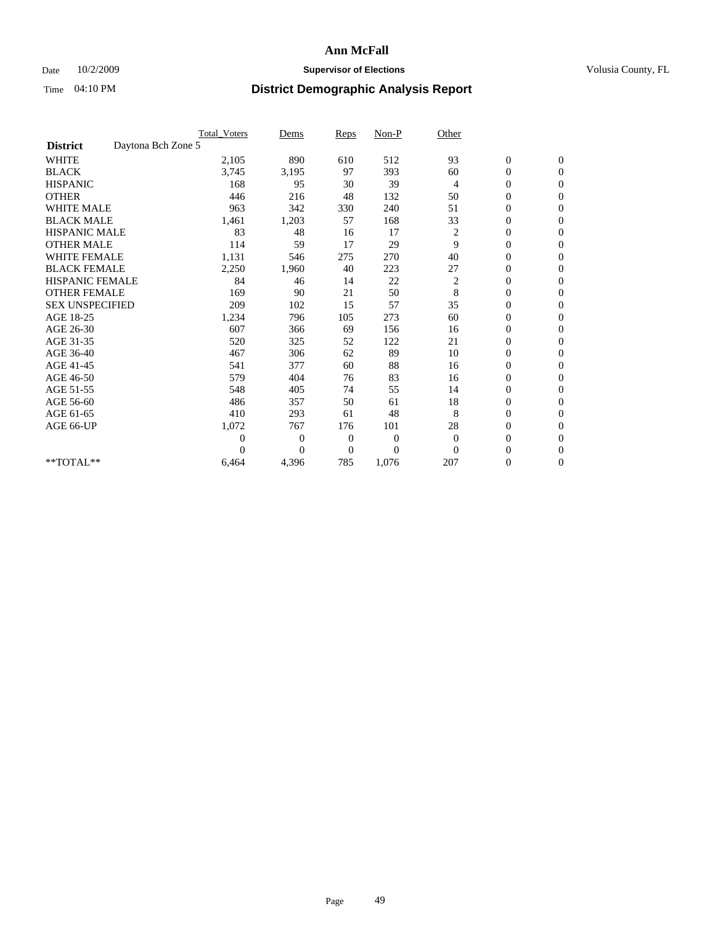## Date  $10/2/2009$  **Supervisor of Elections Supervisor of Elections** Volusia County, FL

|                        |                    | <b>Total Voters</b> | Dems           | <b>Reps</b>    | $Non-P$          | Other          |                  |                  |  |
|------------------------|--------------------|---------------------|----------------|----------------|------------------|----------------|------------------|------------------|--|
| <b>District</b>        | Daytona Bch Zone 5 |                     |                |                |                  |                |                  |                  |  |
| <b>WHITE</b>           |                    | 2,105               | 890            | 610            | 512              | 93             | $\boldsymbol{0}$ | $\mathbf{0}$     |  |
| <b>BLACK</b>           |                    | 3,745               | 3,195          | 97             | 393              | 60             | $\boldsymbol{0}$ | $\mathbf{0}$     |  |
| <b>HISPANIC</b>        |                    | 168                 | 95             | 30             | 39               | $\overline{4}$ | $\mathbf{0}$     | $\mathbf{0}$     |  |
| <b>OTHER</b>           |                    | 446                 | 216            | 48             | 132              | 50             | $\overline{0}$   | $\mathbf{0}$     |  |
| <b>WHITE MALE</b>      |                    | 963                 | 342            | 330            | 240              | 51             | $\boldsymbol{0}$ | $\mathbf{0}$     |  |
| <b>BLACK MALE</b>      |                    | 1,461               | 1,203          | 57             | 168              | 33             | $\boldsymbol{0}$ | $\mathbf{0}$     |  |
| <b>HISPANIC MALE</b>   |                    | 83                  | 48             | 16             | 17               | 2              | $\boldsymbol{0}$ | $\mathbf{0}$     |  |
| <b>OTHER MALE</b>      |                    | 114                 | 59             | 17             | 29               | 9              | 0                | $\mathbf{0}$     |  |
| <b>WHITE FEMALE</b>    |                    | 1,131               | 546            | 275            | 270              | 40             | $\overline{0}$   | $\mathbf{0}$     |  |
| <b>BLACK FEMALE</b>    |                    | 2,250               | 1,960          | 40             | 223              | 27             | $\boldsymbol{0}$ | $\mathbf{0}$     |  |
| <b>HISPANIC FEMALE</b> |                    | 84                  | 46             | 14             | 22               | 2              | $\boldsymbol{0}$ | $\boldsymbol{0}$ |  |
| <b>OTHER FEMALE</b>    |                    | 169                 | 90             | 21             | 50               | 8              | $\overline{0}$   | $\Omega$         |  |
| <b>SEX UNSPECIFIED</b> |                    | 209                 | 102            | 15             | 57               | 35             | $\overline{0}$   | $\mathbf{0}$     |  |
| AGE 18-25              |                    | 1,234               | 796            | 105            | 273              | 60             | 0                | $\mathbf{0}$     |  |
| AGE 26-30              |                    | 607                 | 366            | 69             | 156              | 16             | $\overline{0}$   | $\mathbf{0}$     |  |
| AGE 31-35              |                    | 520                 | 325            | 52             | 122              | 21             | $\boldsymbol{0}$ | $\mathbf{0}$     |  |
| AGE 36-40              |                    | 467                 | 306            | 62             | 89               | 10             | $\boldsymbol{0}$ | $\mathbf{0}$     |  |
| AGE 41-45              |                    | 541                 | 377            | 60             | 88               | 16             | $\overline{0}$   | $\mathbf{0}$     |  |
| AGE 46-50              |                    | 579                 | 404            | 76             | 83               | 16             | $\mathbf{0}$     | $\mathbf{0}$     |  |
| AGE 51-55              |                    | 548                 | 405            | 74             | 55               | 14             | $\boldsymbol{0}$ | $\mathbf{0}$     |  |
| AGE 56-60              |                    | 486                 | 357            | 50             | 61               | 18             | $\boldsymbol{0}$ | $\mathbf{0}$     |  |
| AGE 61-65              |                    | 410                 | 293            | 61             | 48               | 8              | $\boldsymbol{0}$ | $\mathbf{0}$     |  |
| AGE 66-UP              |                    | 1,072               | 767            | 176            | 101              | 28             | $\overline{0}$   | $\mathbf{0}$     |  |
|                        |                    | $\theta$            | 0              | $\mathbf{0}$   | $\boldsymbol{0}$ | $\theta$       | $\overline{0}$   | $\Omega$         |  |
|                        |                    | $\Omega$            | $\overline{0}$ | $\overline{0}$ | $\overline{0}$   | $\mathbf{0}$   | $\overline{0}$   | $\overline{0}$   |  |
| **TOTAL**              |                    | 6,464               | 4,396          | 785            | 1,076            | 207            | $\boldsymbol{0}$ | $\mathbf{0}$     |  |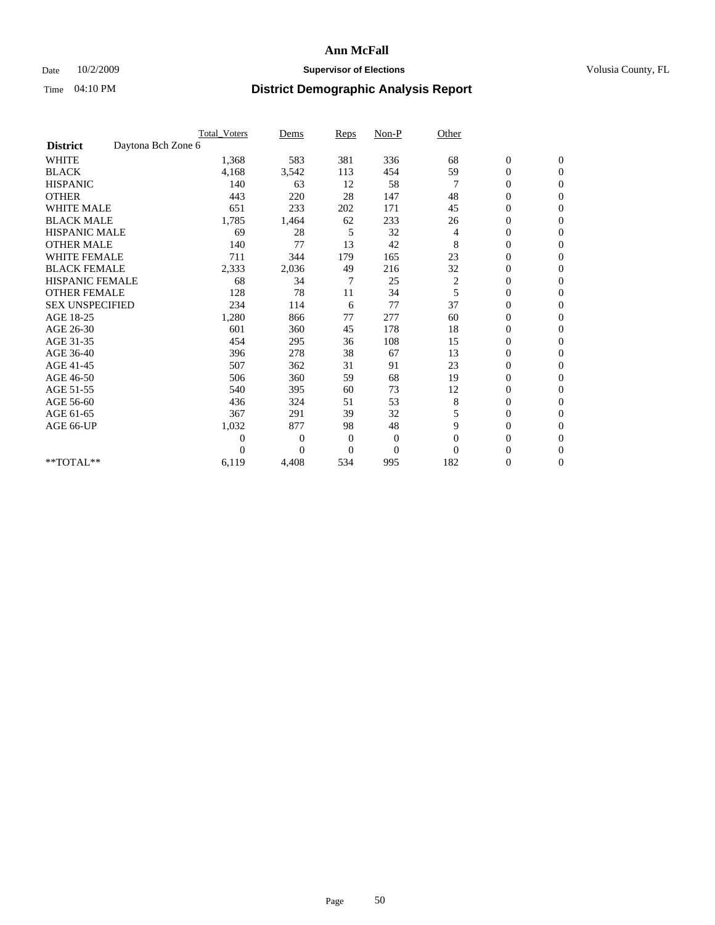## Date  $10/2/2009$  **Supervisor of Elections Supervisor of Elections** Volusia County, FL

|                        |                    | <b>Total_Voters</b> | Dems           | <b>Reps</b>  | $Non-P$        | Other    |                  |                |  |
|------------------------|--------------------|---------------------|----------------|--------------|----------------|----------|------------------|----------------|--|
| <b>District</b>        | Daytona Bch Zone 6 |                     |                |              |                |          |                  |                |  |
| <b>WHITE</b>           |                    | 1,368               | 583            | 381          | 336            | 68       | $\boldsymbol{0}$ | $\mathbf{0}$   |  |
| <b>BLACK</b>           |                    | 4,168               | 3,542          | 113          | 454            | 59       | $\boldsymbol{0}$ | $\mathbf{0}$   |  |
| <b>HISPANIC</b>        |                    | 140                 | 63             | 12           | 58             |          | $\mathbf{0}$     | $\mathbf{0}$   |  |
| <b>OTHER</b>           |                    | 443                 | 220            | 28           | 147            | 48       | $\overline{0}$   | $\mathbf{0}$   |  |
| <b>WHITE MALE</b>      |                    | 651                 | 233            | 202          | 171            | 45       | $\boldsymbol{0}$ | $\mathbf{0}$   |  |
| <b>BLACK MALE</b>      |                    | 1,785               | 1,464          | 62           | 233            | 26       | $\boldsymbol{0}$ | $\mathbf{0}$   |  |
| <b>HISPANIC MALE</b>   |                    | 69                  | 28             | 5            | 32             | 4        | $\boldsymbol{0}$ | $\Omega$       |  |
| <b>OTHER MALE</b>      |                    | 140                 | 77             | 13           | 42             | 8        | 0                | $\mathbf{0}$   |  |
| <b>WHITE FEMALE</b>    |                    | 711                 | 344            | 179          | 165            | 23       | $\overline{0}$   | $\mathbf{0}$   |  |
| <b>BLACK FEMALE</b>    |                    | 2,333               | 2,036          | 49           | 216            | 32       | $\boldsymbol{0}$ | $\mathbf{0}$   |  |
| <b>HISPANIC FEMALE</b> |                    | 68                  | 34             | 7            | 25             | 2        | $\boldsymbol{0}$ | $\mathbf{0}$   |  |
| <b>OTHER FEMALE</b>    |                    | 128                 | 78             | 11           | 34             | 5        | $\overline{0}$   | $\Omega$       |  |
| <b>SEX UNSPECIFIED</b> |                    | 234                 | 114            | 6            | 77             | 37       | $\overline{0}$   | $\mathbf{0}$   |  |
| AGE 18-25              |                    | 1,280               | 866            | 77           | 277            | 60       | 0                | $\mathbf{0}$   |  |
| AGE 26-30              |                    | 601                 | 360            | 45           | 178            | 18       | $\overline{0}$   | $\mathbf{0}$   |  |
| AGE 31-35              |                    | 454                 | 295            | 36           | 108            | 15       | $\boldsymbol{0}$ | $\mathbf{0}$   |  |
| AGE 36-40              |                    | 396                 | 278            | 38           | 67             | 13       | $\boldsymbol{0}$ | $\mathbf{0}$   |  |
| AGE 41-45              |                    | 507                 | 362            | 31           | 91             | 23       | $\overline{0}$   | $\mathbf{0}$   |  |
| AGE 46-50              |                    | 506                 | 360            | 59           | 68             | 19       | $\overline{0}$   | $\mathbf{0}$   |  |
| AGE 51-55              |                    | 540                 | 395            | 60           | 73             | 12       | $\boldsymbol{0}$ | $\mathbf{0}$   |  |
| AGE 56-60              |                    | 436                 | 324            | 51           | 53             | 8        | $\overline{0}$   | $\Omega$       |  |
| AGE 61-65              |                    | 367                 | 291            | 39           | 32             | 5        | $\boldsymbol{0}$ | $\mathbf{0}$   |  |
| AGE 66-UP              |                    | 1,032               | 877            | 98           | 48             | 9        | $\overline{0}$   | $\mathbf{0}$   |  |
|                        |                    | $\theta$            | $\overline{0}$ | $\mathbf{0}$ | $\mathbf{0}$   | $\theta$ | 0                | $\Omega$       |  |
|                        |                    | $\Omega$            | $\overline{0}$ | $\mathbf{0}$ | $\overline{0}$ | $\Omega$ | $\overline{0}$   | $\overline{0}$ |  |
| **TOTAL**              |                    | 6,119               | 4,408          | 534          | 995            | 182      | 0                | $\mathbf{0}$   |  |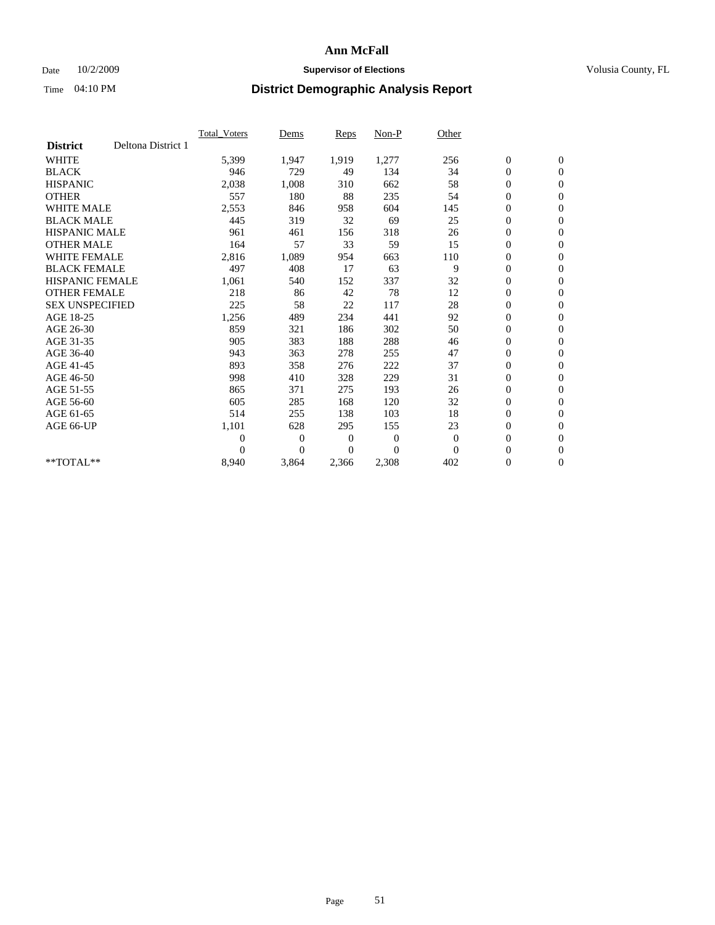### Date  $10/2/2009$  **Supervisor of Elections Supervisor of Elections** Volusia County, FL

|                        |                    | Total Voters   | Dems           | <b>Reps</b> | Non-P        | Other        |                  |                  |  |
|------------------------|--------------------|----------------|----------------|-------------|--------------|--------------|------------------|------------------|--|
| <b>District</b>        | Deltona District 1 |                |                |             |              |              |                  |                  |  |
| <b>WHITE</b>           |                    | 5,399          | 1,947          | 1,919       | 1,277        | 256          | $\boldsymbol{0}$ | $\boldsymbol{0}$ |  |
| <b>BLACK</b>           |                    | 946            | 729            | 49          | 134          | 34           | $\boldsymbol{0}$ | $\mathbf{0}$     |  |
| <b>HISPANIC</b>        |                    | 2,038          | 1,008          | 310         | 662          | 58           | $\overline{0}$   | $\mathbf{0}$     |  |
| <b>OTHER</b>           |                    | 557            | 180            | 88          | 235          | 54           | $\boldsymbol{0}$ | $\mathbf{0}$     |  |
| <b>WHITE MALE</b>      |                    | 2,553          | 846            | 958         | 604          | 145          | $\boldsymbol{0}$ | $\mathbf{0}$     |  |
| <b>BLACK MALE</b>      |                    | 445            | 319            | 32          | 69           | 25           | $\boldsymbol{0}$ | $\mathbf{0}$     |  |
| <b>HISPANIC MALE</b>   |                    | 961            | 461            | 156         | 318          | 26           | $\boldsymbol{0}$ | $\mathbf{0}$     |  |
| <b>OTHER MALE</b>      |                    | 164            | 57             | 33          | 59           | 15           | $\boldsymbol{0}$ | $\mathbf{0}$     |  |
| <b>WHITE FEMALE</b>    |                    | 2,816          | 1,089          | 954         | 663          | 110          | $\boldsymbol{0}$ | $\mathbf{0}$     |  |
| <b>BLACK FEMALE</b>    |                    | 497            | 408            | 17          | 63           | 9            | $\boldsymbol{0}$ | $\mathbf{0}$     |  |
| <b>HISPANIC FEMALE</b> |                    | 1,061          | 540            | 152         | 337          | 32           | $\boldsymbol{0}$ | $\mathbf{0}$     |  |
| <b>OTHER FEMALE</b>    |                    | 218            | 86             | 42          | 78           | 12           | $\mathbf{0}$     | $\mathbf{0}$     |  |
| <b>SEX UNSPECIFIED</b> |                    | 225            | 58             | 22          | 117          | 28           | $\boldsymbol{0}$ | $\mathbf{0}$     |  |
| AGE 18-25              |                    | 1,256          | 489            | 234         | 441          | 92           | $\boldsymbol{0}$ | $\mathbf{0}$     |  |
| AGE 26-30              |                    | 859            | 321            | 186         | 302          | 50           | $\boldsymbol{0}$ | $\mathbf{0}$     |  |
| AGE 31-35              |                    | 905            | 383            | 188         | 288          | 46           | $\boldsymbol{0}$ | $\boldsymbol{0}$ |  |
| AGE 36-40              |                    | 943            | 363            | 278         | 255          | 47           | $\boldsymbol{0}$ | $\mathbf{0}$     |  |
| AGE 41-45              |                    | 893            | 358            | 276         | 222          | 37           | $\overline{0}$   | $\mathbf{0}$     |  |
| AGE 46-50              |                    | 998            | 410            | 328         | 229          | 31           | $\boldsymbol{0}$ | $\mathbf{0}$     |  |
| AGE 51-55              |                    | 865            | 371            | 275         | 193          | 26           | $\boldsymbol{0}$ | $\mathbf{0}$     |  |
| AGE 56-60              |                    | 605            | 285            | 168         | 120          | 32           | $\boldsymbol{0}$ | $\mathbf{0}$     |  |
| AGE 61-65              |                    | 514            | 255            | 138         | 103          | 18           | $\boldsymbol{0}$ | $\mathbf{0}$     |  |
| AGE 66-UP              |                    | 1,101          | 628            | 295         | 155          | 23           | $\boldsymbol{0}$ | $\mathbf{0}$     |  |
|                        |                    | $\overline{0}$ | $\overline{0}$ | 0           | $\mathbf{0}$ | $\theta$     | $\overline{0}$   | $\mathbf{0}$     |  |
|                        |                    | $\Omega$       | $\theta$       | $\Omega$    | $\theta$     | $\mathbf{0}$ | $\boldsymbol{0}$ | $\boldsymbol{0}$ |  |
| $*$ TOTAL $**$         |                    | 8,940          | 3,864          | 2,366       | 2,308        | 402          | 0                | $\mathbf{0}$     |  |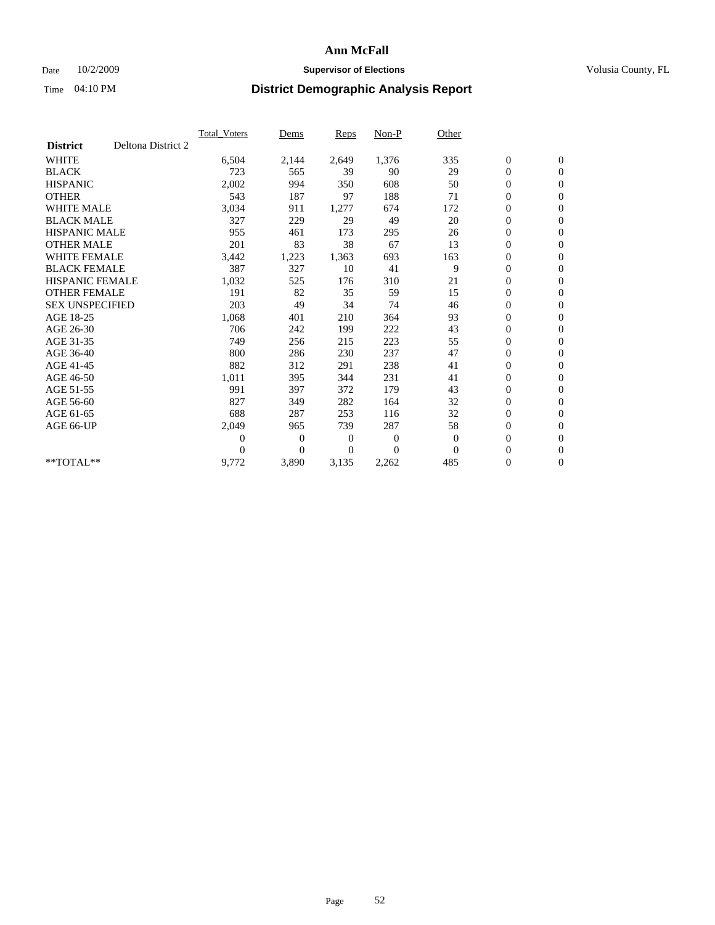## Date  $10/2/2009$  **Supervisor of Elections Supervisor of Elections** Volusia County, FL

|                        |                    | <b>Total Voters</b> | Dems           | <b>Reps</b> | Non-P        | Other    |                  |                  |  |
|------------------------|--------------------|---------------------|----------------|-------------|--------------|----------|------------------|------------------|--|
| <b>District</b>        | Deltona District 2 |                     |                |             |              |          |                  |                  |  |
| <b>WHITE</b>           |                    | 6,504               | 2,144          | 2,649       | 1,376        | 335      | $\boldsymbol{0}$ | $\boldsymbol{0}$ |  |
| <b>BLACK</b>           |                    | 723                 | 565            | 39          | 90           | 29       | $\boldsymbol{0}$ | $\mathbf{0}$     |  |
| <b>HISPANIC</b>        |                    | 2,002               | 994            | 350         | 608          | 50       | $\overline{0}$   | $\mathbf{0}$     |  |
| <b>OTHER</b>           |                    | 543                 | 187            | 97          | 188          | 71       | $\boldsymbol{0}$ | $\mathbf{0}$     |  |
| <b>WHITE MALE</b>      |                    | 3,034               | 911            | 1,277       | 674          | 172      | $\boldsymbol{0}$ | $\mathbf{0}$     |  |
| <b>BLACK MALE</b>      |                    | 327                 | 229            | 29          | 49           | 20       | $\boldsymbol{0}$ | $\mathbf{0}$     |  |
| <b>HISPANIC MALE</b>   |                    | 955                 | 461            | 173         | 295          | 26       | $\boldsymbol{0}$ | $\mathbf{0}$     |  |
| <b>OTHER MALE</b>      |                    | 201                 | 83             | 38          | 67           | 13       | $\boldsymbol{0}$ | $\mathbf{0}$     |  |
| <b>WHITE FEMALE</b>    |                    | 3,442               | 1,223          | 1,363       | 693          | 163      | $\overline{0}$   | $\mathbf{0}$     |  |
| <b>BLACK FEMALE</b>    |                    | 387                 | 327            | 10          | 41           | 9        | $\boldsymbol{0}$ | $\mathbf{0}$     |  |
| <b>HISPANIC FEMALE</b> |                    | 1,032               | 525            | 176         | 310          | 21       | $\boldsymbol{0}$ | $\mathbf{0}$     |  |
| <b>OTHER FEMALE</b>    |                    | 191                 | 82             | 35          | 59           | 15       | $\mathbf{0}$     | $\mathbf{0}$     |  |
| <b>SEX UNSPECIFIED</b> |                    | 203                 | 49             | 34          | 74           | 46       | $\boldsymbol{0}$ | $\mathbf{0}$     |  |
| AGE 18-25              |                    | 1,068               | 401            | 210         | 364          | 93       | $\overline{0}$   | $\mathbf{0}$     |  |
| AGE 26-30              |                    | 706                 | 242            | 199         | 222          | 43       | $\overline{0}$   | $\mathbf{0}$     |  |
| AGE 31-35              |                    | 749                 | 256            | 215         | 223          | 55       | $\boldsymbol{0}$ | $\mathbf{0}$     |  |
| AGE 36-40              |                    | 800                 | 286            | 230         | 237          | 47       | $\boldsymbol{0}$ | $\mathbf{0}$     |  |
| AGE 41-45              |                    | 882                 | 312            | 291         | 238          | 41       | $\overline{0}$   | $\mathbf{0}$     |  |
| AGE 46-50              |                    | 1,011               | 395            | 344         | 231          | 41       | $\boldsymbol{0}$ | $\mathbf{0}$     |  |
| AGE 51-55              |                    | 991                 | 397            | 372         | 179          | 43       | $\boldsymbol{0}$ | $\mathbf{0}$     |  |
| AGE 56-60              |                    | 827                 | 349            | 282         | 164          | 32       | $\boldsymbol{0}$ | $\Omega$         |  |
| AGE 61-65              |                    | 688                 | 287            | 253         | 116          | 32       | $\boldsymbol{0}$ | $\mathbf{0}$     |  |
| AGE 66-UP              |                    | 2,049               | 965            | 739         | 287          | 58       | $\boldsymbol{0}$ | $\mathbf{0}$     |  |
|                        |                    | $\boldsymbol{0}$    | $\overline{0}$ | 0           | $\mathbf{0}$ | $\theta$ | $\overline{0}$   | $\mathbf{0}$     |  |
|                        |                    | $\theta$            | $\overline{0}$ | $\Omega$    | $\Omega$     | $\Omega$ | $\boldsymbol{0}$ | $\mathbf{0}$     |  |
| $*$ TOTAL $**$         |                    | 9,772               | 3,890          | 3,135       | 2,262        | 485      | 0                | $\mathbf{0}$     |  |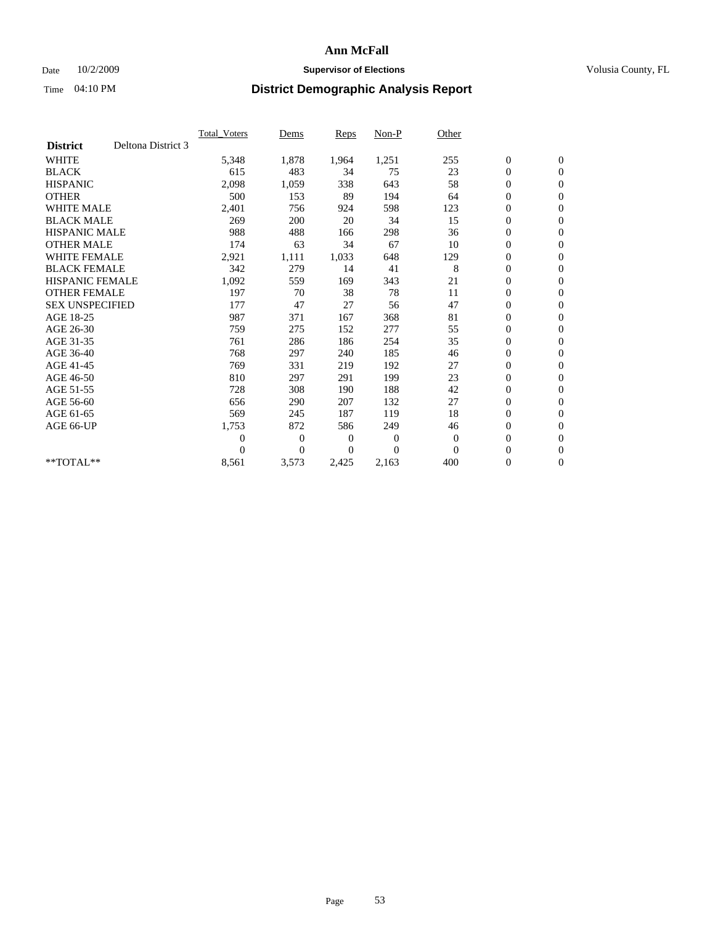### Date  $10/2/2009$  **Supervisor of Elections Supervisor of Elections** Volusia County, FL

|                        |                    | Total Voters   | Dems           | <b>Reps</b>    | Non-P        | Other        |                  |                  |  |
|------------------------|--------------------|----------------|----------------|----------------|--------------|--------------|------------------|------------------|--|
| <b>District</b>        | Deltona District 3 |                |                |                |              |              |                  |                  |  |
| <b>WHITE</b>           |                    | 5,348          | 1,878          | 1,964          | 1,251        | 255          | $\boldsymbol{0}$ | $\boldsymbol{0}$ |  |
| <b>BLACK</b>           |                    | 615            | 483            | 34             | 75           | 23           | $\boldsymbol{0}$ | $\mathbf{0}$     |  |
| <b>HISPANIC</b>        |                    | 2,098          | 1,059          | 338            | 643          | 58           | $\boldsymbol{0}$ | $\mathbf{0}$     |  |
| <b>OTHER</b>           |                    | 500            | 153            | 89             | 194          | 64           | $\boldsymbol{0}$ | $\mathbf{0}$     |  |
| <b>WHITE MALE</b>      |                    | 2,401          | 756            | 924            | 598          | 123          | $\boldsymbol{0}$ | $\mathbf{0}$     |  |
| <b>BLACK MALE</b>      |                    | 269            | 200            | 20             | 34           | 15           | $\overline{0}$   | $\mathbf{0}$     |  |
| <b>HISPANIC MALE</b>   |                    | 988            | 488            | 166            | 298          | 36           | $\boldsymbol{0}$ | $\Omega$         |  |
| <b>OTHER MALE</b>      |                    | 174            | 63             | 34             | 67           | 10           | $\overline{0}$   | $\mathbf{0}$     |  |
| <b>WHITE FEMALE</b>    |                    | 2,921          | 1,111          | 1,033          | 648          | 129          | $\boldsymbol{0}$ | $\mathbf{0}$     |  |
| <b>BLACK FEMALE</b>    |                    | 342            | 279            | 14             | 41           | 8            | $\boldsymbol{0}$ | $\mathbf{0}$     |  |
| <b>HISPANIC FEMALE</b> |                    | 1,092          | 559            | 169            | 343          | 21           | $\boldsymbol{0}$ | $\mathbf{0}$     |  |
| <b>OTHER FEMALE</b>    |                    | 197            | 70             | 38             | 78           | 11           | $\mathbf{0}$     | $\mathbf{0}$     |  |
| <b>SEX UNSPECIFIED</b> |                    | 177            | 47             | 27             | 56           | 47           | $\boldsymbol{0}$ | $\mathbf{0}$     |  |
| AGE 18-25              |                    | 987            | 371            | 167            | 368          | 81           | $\boldsymbol{0}$ | $\mathbf{0}$     |  |
| AGE 26-30              |                    | 759            | 275            | 152            | 277          | 55           | $\boldsymbol{0}$ | $\mathbf{0}$     |  |
| AGE 31-35              |                    | 761            | 286            | 186            | 254          | 35           | $\boldsymbol{0}$ | $\mathbf{0}$     |  |
| AGE 36-40              |                    | 768            | 297            | 240            | 185          | 46           | $\boldsymbol{0}$ | $\mathbf{0}$     |  |
| AGE 41-45              |                    | 769            | 331            | 219            | 192          | 27           | $\boldsymbol{0}$ | $\mathbf{0}$     |  |
| AGE 46-50              |                    | 810            | 297            | 291            | 199          | 23           | $\boldsymbol{0}$ | $\Omega$         |  |
| AGE 51-55              |                    | 728            | 308            | 190            | 188          | 42           | $\boldsymbol{0}$ | $\mathbf{0}$     |  |
| AGE 56-60              |                    | 656            | 290            | 207            | 132          | 27           | $\overline{0}$   | $\mathbf{0}$     |  |
| AGE 61-65              |                    | 569            | 245            | 187            | 119          | 18           | $\overline{0}$   | $\mathbf{0}$     |  |
| AGE 66-UP              |                    | 1,753          | 872            | 586            | 249          | 46           | $\boldsymbol{0}$ | $\mathbf{0}$     |  |
|                        |                    | $\overline{0}$ | $\overline{0}$ | $\mathbf{0}$   | $\mathbf{0}$ | $\mathbf{0}$ | $\mathbf{0}$     | $\mathbf{0}$     |  |
|                        |                    | $\theta$       | $\overline{0}$ | $\overline{0}$ | $\theta$     | $\mathbf{0}$ | $\boldsymbol{0}$ | $\mathbf{0}$     |  |
| **TOTAL**              |                    | 8,561          | 3,573          | 2,425          | 2,163        | 400          | 0                | $\boldsymbol{0}$ |  |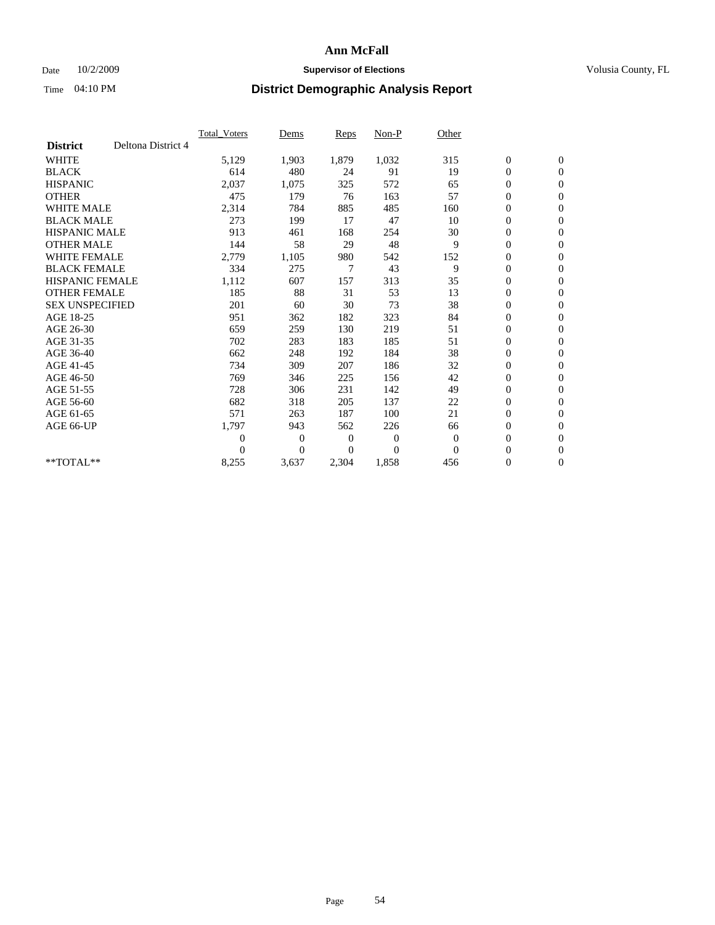## Date  $10/2/2009$  **Supervisor of Elections Supervisor of Elections** Volusia County, FL

|                        |                    | Total Voters     | Dems           | <b>Reps</b>  | Non-P          | Other        |                  |                  |  |
|------------------------|--------------------|------------------|----------------|--------------|----------------|--------------|------------------|------------------|--|
| <b>District</b>        | Deltona District 4 |                  |                |              |                |              |                  |                  |  |
| <b>WHITE</b>           |                    | 5,129            | 1,903          | 1,879        | 1,032          | 315          | $\boldsymbol{0}$ | $\mathbf{0}$     |  |
| <b>BLACK</b>           |                    | 614              | 480            | 24           | 91             | 19           | $\boldsymbol{0}$ | $\mathbf{0}$     |  |
| <b>HISPANIC</b>        |                    | 2,037            | 1,075          | 325          | 572            | 65           | $\mathbf{0}$     | $\mathbf{0}$     |  |
| <b>OTHER</b>           |                    | 475              | 179            | 76           | 163            | 57           | $\overline{0}$   | $\mathbf{0}$     |  |
| <b>WHITE MALE</b>      |                    | 2,314            | 784            | 885          | 485            | 160          | $\boldsymbol{0}$ | $\mathbf{0}$     |  |
| <b>BLACK MALE</b>      |                    | 273              | 199            | 17           | 47             | 10           | $\boldsymbol{0}$ | $\mathbf{0}$     |  |
| <b>HISPANIC MALE</b>   |                    | 913              | 461            | 168          | 254            | 30           | $\boldsymbol{0}$ | $\mathbf{0}$     |  |
| <b>OTHER MALE</b>      |                    | 144              | 58             | 29           | 48             | 9            | 0                | $\mathbf{0}$     |  |
| <b>WHITE FEMALE</b>    |                    | 2,779            | 1,105          | 980          | 542            | 152          | $\mathbf{0}$     | $\mathbf{0}$     |  |
| <b>BLACK FEMALE</b>    |                    | 334              | 275            | 7            | 43             | 9            | $\boldsymbol{0}$ | $\mathbf{0}$     |  |
| <b>HISPANIC FEMALE</b> |                    | 1,112            | 607            | 157          | 313            | 35           | $\boldsymbol{0}$ | $\boldsymbol{0}$ |  |
| <b>OTHER FEMALE</b>    |                    | 185              | 88             | 31           | 53             | 13           | $\overline{0}$   | $\Omega$         |  |
| <b>SEX UNSPECIFIED</b> |                    | 201              | 60             | 30           | 73             | 38           | $\mathbf{0}$     | $\mathbf{0}$     |  |
| AGE 18-25              |                    | 951              | 362            | 182          | 323            | 84           | $\boldsymbol{0}$ | $\mathbf{0}$     |  |
| AGE 26-30              |                    | 659              | 259            | 130          | 219            | 51           | $\overline{0}$   | $\mathbf{0}$     |  |
| AGE 31-35              |                    | 702              | 283            | 183          | 185            | 51           | $\boldsymbol{0}$ | $\mathbf{0}$     |  |
| AGE 36-40              |                    | 662              | 248            | 192          | 184            | 38           | $\boldsymbol{0}$ | $\boldsymbol{0}$ |  |
| AGE 41-45              |                    | 734              | 309            | 207          | 186            | 32           | $\overline{0}$   | $\mathbf{0}$     |  |
| AGE 46-50              |                    | 769              | 346            | 225          | 156            | 42           | $\mathbf{0}$     | $\mathbf{0}$     |  |
| AGE 51-55              |                    | 728              | 306            | 231          | 142            | 49           | $\boldsymbol{0}$ | $\mathbf{0}$     |  |
| AGE 56-60              |                    | 682              | 318            | 205          | 137            | 22           | $\boldsymbol{0}$ | $\mathbf{0}$     |  |
| AGE 61-65              |                    | 571              | 263            | 187          | 100            | 21           | $\boldsymbol{0}$ | $\mathbf{0}$     |  |
| AGE 66-UP              |                    | 1,797            | 943            | 562          | 226            | 66           | $\boldsymbol{0}$ | $\mathbf{0}$     |  |
|                        |                    | $\boldsymbol{0}$ | 0              | $\mathbf{0}$ | $\mathbf{0}$   | $\mathbf{0}$ | $\boldsymbol{0}$ | $\mathbf{0}$     |  |
|                        |                    | $\Omega$         | $\overline{0}$ | 0            | $\overline{0}$ | $\Omega$     | $\overline{0}$   | $\mathbf{0}$     |  |
| **TOTAL**              |                    | 8,255            | 3,637          | 2,304        | 1,858          | 456          | 0                | $\mathbf{0}$     |  |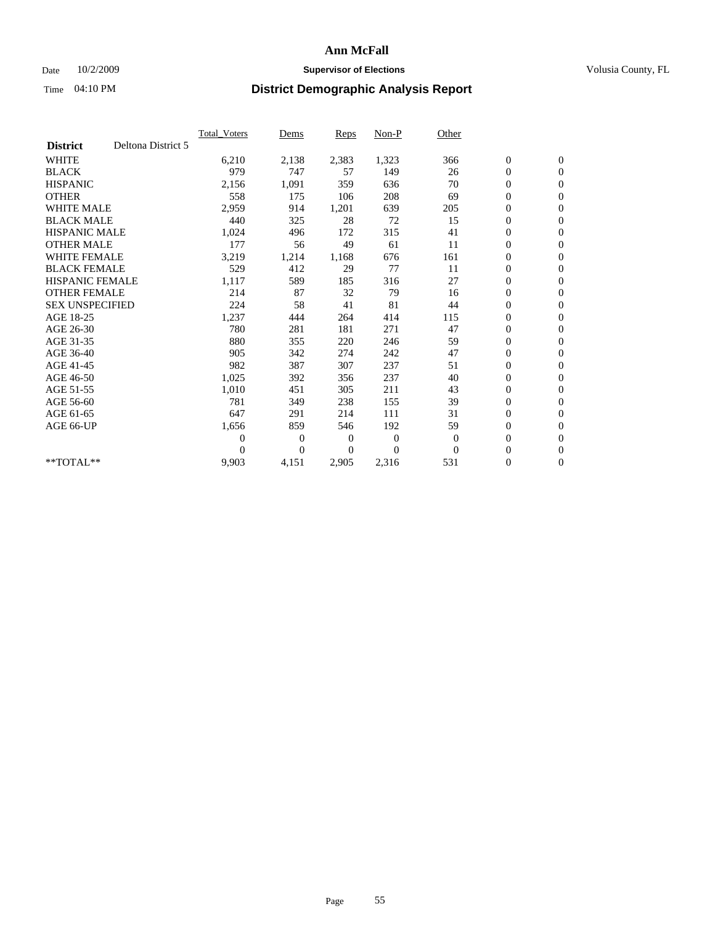### Date  $10/2/2009$  **Supervisor of Elections Supervisor of Elections** Volusia County, FL

|                        |                    | <b>Total Voters</b> | Dems           | <b>Reps</b> | Non-P        | Other        |                  |                  |  |
|------------------------|--------------------|---------------------|----------------|-------------|--------------|--------------|------------------|------------------|--|
| <b>District</b>        | Deltona District 5 |                     |                |             |              |              |                  |                  |  |
| <b>WHITE</b>           |                    | 6,210               | 2,138          | 2,383       | 1,323        | 366          | $\boldsymbol{0}$ | $\boldsymbol{0}$ |  |
| <b>BLACK</b>           |                    | 979                 | 747            | 57          | 149          | 26           | $\boldsymbol{0}$ | $\mathbf{0}$     |  |
| <b>HISPANIC</b>        |                    | 2,156               | 1,091          | 359         | 636          | 70           | $\overline{0}$   | $\mathbf{0}$     |  |
| <b>OTHER</b>           |                    | 558                 | 175            | 106         | 208          | 69           | $\boldsymbol{0}$ | $\mathbf{0}$     |  |
| <b>WHITE MALE</b>      |                    | 2,959               | 914            | 1,201       | 639          | 205          | $\boldsymbol{0}$ | $\mathbf{0}$     |  |
| <b>BLACK MALE</b>      |                    | 440                 | 325            | 28          | 72           | 15           | $\boldsymbol{0}$ | $\mathbf{0}$     |  |
| <b>HISPANIC MALE</b>   |                    | 1,024               | 496            | 172         | 315          | 41           | $\boldsymbol{0}$ | $\mathbf{0}$     |  |
| <b>OTHER MALE</b>      |                    | 177                 | 56             | 49          | 61           | 11           | $\boldsymbol{0}$ | $\mathbf{0}$     |  |
| <b>WHITE FEMALE</b>    |                    | 3,219               | 1,214          | 1,168       | 676          | 161          | $\overline{0}$   | $\mathbf{0}$     |  |
| <b>BLACK FEMALE</b>    |                    | 529                 | 412            | 29          | 77           | 11           | $\boldsymbol{0}$ | $\mathbf{0}$     |  |
| <b>HISPANIC FEMALE</b> |                    | 1,117               | 589            | 185         | 316          | 27           | $\boldsymbol{0}$ | $\mathbf{0}$     |  |
| <b>OTHER FEMALE</b>    |                    | 214                 | 87             | 32          | 79           | 16           | $\mathbf{0}$     | $\mathbf{0}$     |  |
| <b>SEX UNSPECIFIED</b> |                    | 224                 | 58             | 41          | 81           | 44           | $\boldsymbol{0}$ | $\mathbf{0}$     |  |
| AGE 18-25              |                    | 1,237               | 444            | 264         | 414          | 115          | $\boldsymbol{0}$ | $\mathbf{0}$     |  |
| AGE 26-30              |                    | 780                 | 281            | 181         | 271          | 47           | $\overline{0}$   | $\mathbf{0}$     |  |
| AGE 31-35              |                    | 880                 | 355            | 220         | 246          | 59           | $\boldsymbol{0}$ | $\mathbf{0}$     |  |
| AGE 36-40              |                    | 905                 | 342            | 274         | 242          | 47           | $\boldsymbol{0}$ | $\mathbf{0}$     |  |
| AGE 41-45              |                    | 982                 | 387            | 307         | 237          | 51           | $\overline{0}$   | $\mathbf{0}$     |  |
| AGE 46-50              |                    | 1,025               | 392            | 356         | 237          | 40           | $\boldsymbol{0}$ | $\mathbf{0}$     |  |
| AGE 51-55              |                    | 1,010               | 451            | 305         | 211          | 43           | $\boldsymbol{0}$ | $\mathbf{0}$     |  |
| AGE 56-60              |                    | 781                 | 349            | 238         | 155          | 39           | $\overline{0}$   | $\mathbf{0}$     |  |
| AGE 61-65              |                    | 647                 | 291            | 214         | 111          | 31           | $\overline{0}$   | $\mathbf{0}$     |  |
| AGE 66-UP              |                    | 1,656               | 859            | 546         | 192          | 59           | $\boldsymbol{0}$ | $\boldsymbol{0}$ |  |
|                        |                    | $\overline{0}$      | $\overline{0}$ | 0           | $\mathbf{0}$ | $\mathbf{0}$ | $\overline{0}$   | $\mathbf{0}$     |  |
|                        |                    | $\theta$            | $\theta$       | $\Omega$    | $\theta$     | $\Omega$     | $\boldsymbol{0}$ | $\boldsymbol{0}$ |  |
| $*$ TOTAL $**$         |                    | 9,903               | 4,151          | 2,905       | 2,316        | 531          | 0                | $\mathbf{0}$     |  |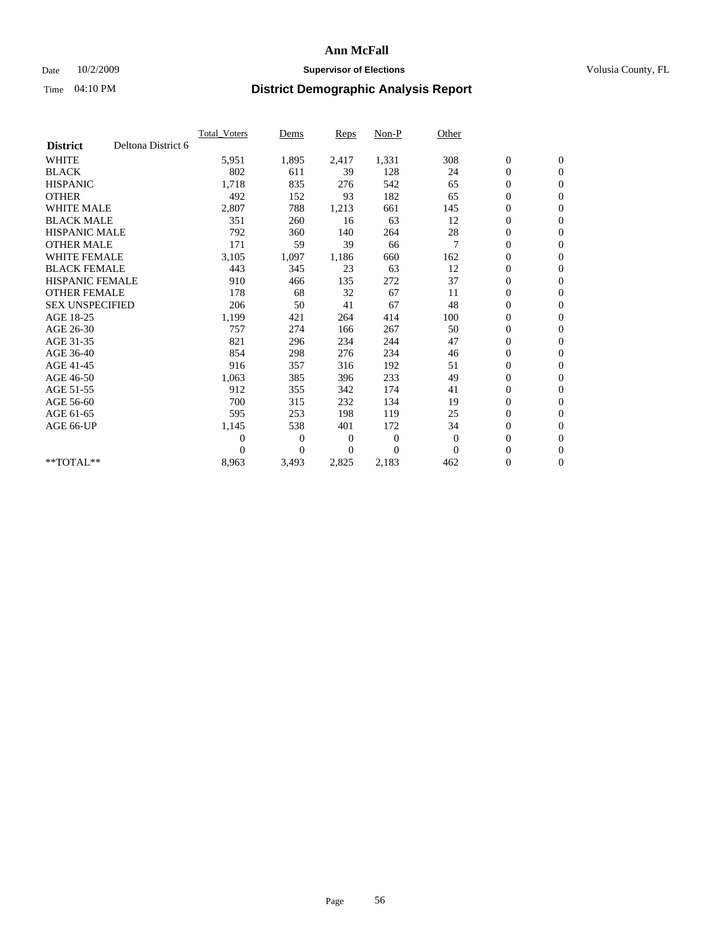## Date  $10/2/2009$  **Supervisor of Elections Supervisor of Elections** Volusia County, FL

|                        |                    | Total Voters   | Dems           | <b>Reps</b> | Non-P        | Other          |                  |                  |  |
|------------------------|--------------------|----------------|----------------|-------------|--------------|----------------|------------------|------------------|--|
| <b>District</b>        | Deltona District 6 |                |                |             |              |                |                  |                  |  |
| <b>WHITE</b>           |                    | 5,951          | 1,895          | 2,417       | 1,331        | 308            | $\boldsymbol{0}$ | $\boldsymbol{0}$ |  |
| <b>BLACK</b>           |                    | 802            | 611            | 39          | 128          | 24             | $\boldsymbol{0}$ | $\mathbf{0}$     |  |
| <b>HISPANIC</b>        |                    | 1,718          | 835            | 276         | 542          | 65             | $\overline{0}$   | $\mathbf{0}$     |  |
| <b>OTHER</b>           |                    | 492            | 152            | 93          | 182          | 65             | $\boldsymbol{0}$ | $\mathbf{0}$     |  |
| <b>WHITE MALE</b>      |                    | 2,807          | 788            | 1,213       | 661          | 145            | $\boldsymbol{0}$ | $\mathbf{0}$     |  |
| <b>BLACK MALE</b>      |                    | 351            | 260            | 16          | 63           | 12             | $\boldsymbol{0}$ | $\mathbf{0}$     |  |
| <b>HISPANIC MALE</b>   |                    | 792            | 360            | 140         | 264          | 28             | $\boldsymbol{0}$ | $\mathbf{0}$     |  |
| <b>OTHER MALE</b>      |                    | 171            | 59             | 39          | 66           | $\overline{7}$ | $\boldsymbol{0}$ | $\mathbf{0}$     |  |
| <b>WHITE FEMALE</b>    |                    | 3,105          | 1,097          | 1,186       | 660          | 162            | $\mathbf{0}$     | $\mathbf{0}$     |  |
| <b>BLACK FEMALE</b>    |                    | 443            | 345            | 23          | 63           | 12             | $\boldsymbol{0}$ | $\mathbf{0}$     |  |
| <b>HISPANIC FEMALE</b> |                    | 910            | 466            | 135         | 272          | 37             | $\boldsymbol{0}$ | $\mathbf{0}$     |  |
| <b>OTHER FEMALE</b>    |                    | 178            | 68             | 32          | 67           | 11             | $\mathbf{0}$     | $\mathbf{0}$     |  |
| <b>SEX UNSPECIFIED</b> |                    | 206            | 50             | 41          | 67           | 48             | $\boldsymbol{0}$ | $\mathbf{0}$     |  |
| AGE 18-25              |                    | 1,199          | 421            | 264         | 414          | 100            | $\boldsymbol{0}$ | $\mathbf{0}$     |  |
| AGE 26-30              |                    | 757            | 274            | 166         | 267          | 50             | $\boldsymbol{0}$ | $\mathbf{0}$     |  |
| AGE 31-35              |                    | 821            | 296            | 234         | 244          | 47             | $\boldsymbol{0}$ | $\boldsymbol{0}$ |  |
| AGE 36-40              |                    | 854            | 298            | 276         | 234          | 46             | $\boldsymbol{0}$ | $\mathbf{0}$     |  |
| AGE 41-45              |                    | 916            | 357            | 316         | 192          | 51             | $\overline{0}$   | $\mathbf{0}$     |  |
| AGE 46-50              |                    | 1,063          | 385            | 396         | 233          | 49             | $\boldsymbol{0}$ | $\mathbf{0}$     |  |
| AGE 51-55              |                    | 912            | 355            | 342         | 174          | 41             | $\boldsymbol{0}$ | $\mathbf{0}$     |  |
| AGE 56-60              |                    | 700            | 315            | 232         | 134          | 19             | $\boldsymbol{0}$ | $\mathbf{0}$     |  |
| AGE 61-65              |                    | 595            | 253            | 198         | 119          | 25             | $\mathbf{0}$     | $\mathbf{0}$     |  |
| AGE 66-UP              |                    | 1,145          | 538            | 401         | 172          | 34             | $\boldsymbol{0}$ | $\mathbf{0}$     |  |
|                        |                    | $\overline{0}$ | $\overline{0}$ | 0           | $\mathbf{0}$ | $\theta$       | $\overline{0}$   | $\mathbf{0}$     |  |
|                        |                    | $\theta$       | $\overline{0}$ | $\Omega$    | $\theta$     | $\Omega$       | $\boldsymbol{0}$ | $\mathbf{0}$     |  |
| $*$ TOTAL $**$         |                    | 8,963          | 3,493          | 2,825       | 2,183        | 462            | 0                | $\mathbf{0}$     |  |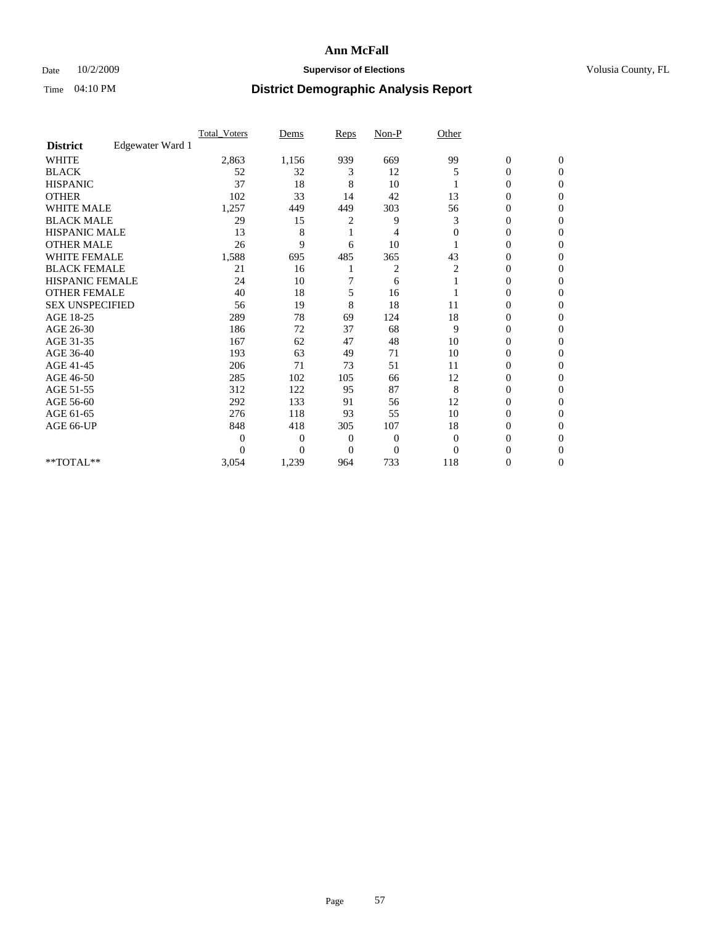## Date  $10/2/2009$  **Supervisor of Elections Supervisor of Elections** Volusia County, FL

|                        |                  | Total Voters   | Dems           | <b>Reps</b> | $Non-P$      | Other        |                  |                  |  |
|------------------------|------------------|----------------|----------------|-------------|--------------|--------------|------------------|------------------|--|
| <b>District</b>        | Edgewater Ward 1 |                |                |             |              |              |                  |                  |  |
| <b>WHITE</b>           |                  | 2,863          | 1,156          | 939         | 669          | 99           | $\boldsymbol{0}$ | $\boldsymbol{0}$ |  |
| <b>BLACK</b>           |                  | 52             | 32             | 3           | 12           | 5            | $\overline{0}$   | $\Omega$         |  |
| <b>HISPANIC</b>        |                  | 37             | 18             | 8           | 10           |              | 0                | $\Omega$         |  |
| <b>OTHER</b>           |                  | 102            | 33             | 14          | 42           | 13           | 0                | $\Omega$         |  |
| <b>WHITE MALE</b>      |                  | 1,257          | 449            | 449         | 303          | 56           | $\mathbf{0}$     | $\mathbf{0}$     |  |
| <b>BLACK MALE</b>      |                  | 29             | 15             | 2           | 9            | 3            | $\overline{0}$   | $\Omega$         |  |
| <b>HISPANIC MALE</b>   |                  | 13             | 8              |             | 4            | $\mathbf{0}$ | 0                | $\Omega$         |  |
| <b>OTHER MALE</b>      |                  | 26             | 9              | 6           | 10           |              | 0                | 0                |  |
| WHITE FEMALE           |                  | 1,588          | 695            | 485         | 365          | 43           | 0                | $\mathbf{0}$     |  |
| <b>BLACK FEMALE</b>    |                  | 21             | 16             |             | 2            | 2            | 0                | $\Omega$         |  |
| <b>HISPANIC FEMALE</b> |                  | 24             | 10             |             | 6            |              | 0                | $\mathbf{0}$     |  |
| <b>OTHER FEMALE</b>    |                  | 40             | 18             | 5           | 16           |              | 0                | $\Omega$         |  |
| <b>SEX UNSPECIFIED</b> |                  | 56             | 19             | 8           | 18           | 11           | 0                | $\mathbf{0}$     |  |
| AGE 18-25              |                  | 289            | 78             | 69          | 124          | 18           | 0                | $\Omega$         |  |
| AGE 26-30              |                  | 186            | 72             | 37          | 68           | 9            | 0                | $\Omega$         |  |
| AGE 31-35              |                  | 167            | 62             | 47          | 48           | 10           | $\boldsymbol{0}$ | $\Omega$         |  |
| AGE 36-40              |                  | 193            | 63             | 49          | 71           | 10           | 0                | 0                |  |
| AGE 41-45              |                  | 206            | 71             | 73          | 51           | 11           | 0                | $\Omega$         |  |
| AGE 46-50              |                  | 285            | 102            | 105         | 66           | 12           | 0                | $\Omega$         |  |
| AGE 51-55              |                  | 312            | 122            | 95          | 87           | 8            | $\overline{0}$   | $\mathbf{0}$     |  |
| AGE 56-60              |                  | 292            | 133            | 91          | 56           | 12           | 0                | 0                |  |
| AGE 61-65              |                  | 276            | 118            | 93          | 55           | 10           | 0                | $\Omega$         |  |
| AGE 66-UP              |                  | 848            | 418            | 305         | 107          | 18           | 0                | $\Omega$         |  |
|                        |                  | $\overline{0}$ | $\overline{0}$ | 0           | $\mathbf{0}$ | $\mathbf{0}$ | 0                | $\Omega$         |  |
|                        |                  | $\theta$       | $\overline{0}$ | $\Omega$    | $\theta$     | $\Omega$     | 0                | $\Omega$         |  |
| **TOTAL**              |                  | 3,054          | 1,239          | 964         | 733          | 118          | 0                | $\mathbf{0}$     |  |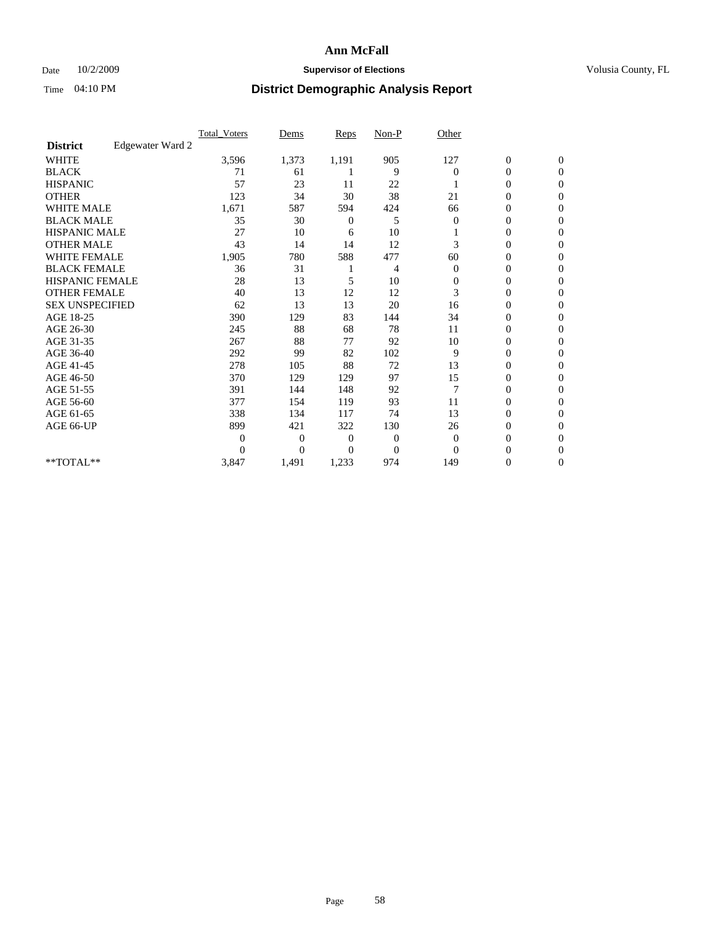## Date  $10/2/2009$  **Supervisor of Elections Supervisor of Elections** Volusia County, FL

|                        |                  | <b>Total_Voters</b> | Dems           | <b>Reps</b>  | $Non-P$        | Other        |                  |                |  |
|------------------------|------------------|---------------------|----------------|--------------|----------------|--------------|------------------|----------------|--|
| <b>District</b>        | Edgewater Ward 2 |                     |                |              |                |              |                  |                |  |
| <b>WHITE</b>           |                  | 3,596               | 1,373          | 1,191        | 905            | 127          | $\boldsymbol{0}$ | $\mathbf{0}$   |  |
| <b>BLACK</b>           |                  | 71                  | 61             |              | 9              | $\Omega$     | $\boldsymbol{0}$ | $\mathbf{0}$   |  |
| <b>HISPANIC</b>        |                  | 57                  | 23             | 11           | 22             |              | $\mathbf{0}$     | $\Omega$       |  |
| <b>OTHER</b>           |                  | 123                 | 34             | 30           | 38             | 21           | 0                | $\Omega$       |  |
| <b>WHITE MALE</b>      |                  | 1,671               | 587            | 594          | 424            | 66           | 0                | $\Omega$       |  |
| <b>BLACK MALE</b>      |                  | 35                  | 30             | 0            | 5              | $\mathbf{0}$ | $\boldsymbol{0}$ | $\Omega$       |  |
| HISPANIC MALE          |                  | 27                  | 10             | 6            | 10             |              | $\boldsymbol{0}$ | $\Omega$       |  |
| <b>OTHER MALE</b>      |                  | 43                  | 14             | 14           | 12             | 3            | 0                | $\mathbf{0}$   |  |
| <b>WHITE FEMALE</b>    |                  | 1,905               | 780            | 588          | 477            | 60           | 0                | $\Omega$       |  |
| <b>BLACK FEMALE</b>    |                  | 36                  | 31             |              | 4              | $\mathbf{0}$ | $\overline{0}$   | $\mathbf{0}$   |  |
| <b>HISPANIC FEMALE</b> |                  | 28                  | 13             | 5            | 10             | $\mathbf{0}$ | 0                | $\mathbf{0}$   |  |
| <b>OTHER FEMALE</b>    |                  | 40                  | 13             | 12           | 12             | 3            | $\theta$         | $\Omega$       |  |
| <b>SEX UNSPECIFIED</b> |                  | 62                  | 13             | 13           | 20             | 16           | $\overline{0}$   | $\mathbf{0}$   |  |
| AGE 18-25              |                  | 390                 | 129            | 83           | 144            | 34           | 0                | $\mathbf{0}$   |  |
| AGE 26-30              |                  | 245                 | 88             | 68           | 78             | 11           | $\overline{0}$   | $\Omega$       |  |
| AGE 31-35              |                  | 267                 | 88             | 77           | 92             | 10           | $\boldsymbol{0}$ | $\Omega$       |  |
| AGE 36-40              |                  | 292                 | 99             | 82           | 102            | 9            | 0                | $\mathbf{0}$   |  |
| AGE 41-45              |                  | 278                 | 105            | 88           | 72             | 13           | $\mathbf{0}$     | $\Omega$       |  |
| AGE 46-50              |                  | 370                 | 129            | 129          | 97             | 15           | $\overline{0}$   | $\mathbf{0}$   |  |
| AGE 51-55              |                  | 391                 | 144            | 148          | 92             | 7            | $\overline{0}$   | $\mathbf{0}$   |  |
| AGE 56-60              |                  | 377                 | 154            | 119          | 93             | 11           | $\overline{0}$   | $\Omega$       |  |
| AGE 61-65              |                  | 338                 | 134            | 117          | 74             | 13           | $\overline{0}$   | $\Omega$       |  |
| AGE 66-UP              |                  | 899                 | 421            | 322          | 130            | 26           | 0                | $\mathbf{0}$   |  |
|                        |                  | $\theta$            | $\overline{0}$ | $\mathbf{0}$ | 0              | $\mathbf{0}$ | 0                | $\Omega$       |  |
|                        |                  | $\theta$            | $\overline{0}$ | $\Omega$     | $\overline{0}$ | $\Omega$     | $\overline{0}$   | $\Omega$       |  |
| **TOTAL**              |                  | 3,847               | 1,491          | 1,233        | 974            | 149          | 0                | $\overline{0}$ |  |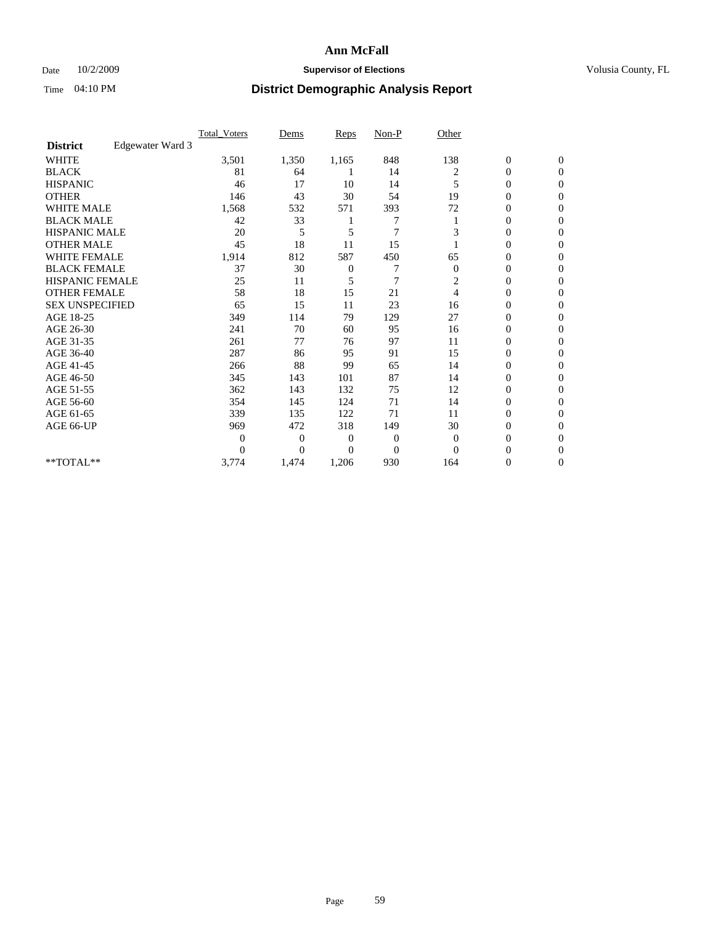## Date  $10/2/2009$  **Supervisor of Elections Supervisor of Elections** Volusia County, FL

|                        |                  | <b>Total_Voters</b> | Dems           | <b>Reps</b>    | $Non-P$        | Other          |                  |                |  |
|------------------------|------------------|---------------------|----------------|----------------|----------------|----------------|------------------|----------------|--|
| <b>District</b>        | Edgewater Ward 3 |                     |                |                |                |                |                  |                |  |
| <b>WHITE</b>           |                  | 3,501               | 1,350          | 1,165          | 848            | 138            | $\boldsymbol{0}$ | $\mathbf{0}$   |  |
| <b>BLACK</b>           |                  | 81                  | 64             |                | 14             | 2              | $\boldsymbol{0}$ | $\mathbf{0}$   |  |
| <b>HISPANIC</b>        |                  | 46                  | 17             | 10             | 14             | 5              | $\mathbf{0}$     | $\Omega$       |  |
| <b>OTHER</b>           |                  | 146                 | 43             | 30             | 54             | 19             | 0                | $\Omega$       |  |
| <b>WHITE MALE</b>      |                  | 1,568               | 532            | 571            | 393            | 72             | 0                | $\Omega$       |  |
| <b>BLACK MALE</b>      |                  | 42                  | 33             |                |                |                | 0                | $\Omega$       |  |
| HISPANIC MALE          |                  | 20                  | 5              | 5              | $\overline{7}$ | 3              | $\boldsymbol{0}$ | $\Omega$       |  |
| <b>OTHER MALE</b>      |                  | 45                  | 18             | 11             | 15             |                | 0                | $\mathbf{0}$   |  |
| <b>WHITE FEMALE</b>    |                  | 1,914               | 812            | 587            | 450            | 65             | 0                | $\Omega$       |  |
| <b>BLACK FEMALE</b>    |                  | 37                  | 30             | $\mathbf{0}$   | 7              | $\mathbf{0}$   | $\overline{0}$   | $\mathbf{0}$   |  |
| <b>HISPANIC FEMALE</b> |                  | 25                  | 11             | 5              | $\overline{7}$ | 2              | 0                | $\mathbf{0}$   |  |
| <b>OTHER FEMALE</b>    |                  | 58                  | 18             | 15             | 21             | $\overline{4}$ | 0                | $\Omega$       |  |
| <b>SEX UNSPECIFIED</b> |                  | 65                  | 15             | 11             | 23             | 16             | $\overline{0}$   | $\mathbf{0}$   |  |
| AGE 18-25              |                  | 349                 | 114            | 79             | 129            | 27             | 0                | $\mathbf{0}$   |  |
| AGE 26-30              |                  | 241                 | 70             | 60             | 95             | 16             | $\overline{0}$   | $\Omega$       |  |
| AGE 31-35              |                  | 261                 | 77             | 76             | 97             | 11             | $\boldsymbol{0}$ | $\Omega$       |  |
| AGE 36-40              |                  | 287                 | 86             | 95             | 91             | 15             | 0                | $\mathbf{0}$   |  |
| AGE 41-45              |                  | 266                 | 88             | 99             | 65             | 14             | $\overline{0}$   | $\Omega$       |  |
| AGE 46-50              |                  | 345                 | 143            | 101            | 87             | 14             | $\overline{0}$   | $\mathbf{0}$   |  |
| AGE 51-55              |                  | 362                 | 143            | 132            | 75             | 12             | 0                | 0              |  |
| AGE 56-60              |                  | 354                 | 145            | 124            | 71             | 14             | $\overline{0}$   | $\Omega$       |  |
| AGE 61-65              |                  | 339                 | 135            | 122            | 71             | 11             | $\overline{0}$   | $\Omega$       |  |
| AGE 66-UP              |                  | 969                 | 472            | 318            | 149            | 30             | 0                | $\mathbf{0}$   |  |
|                        |                  | $\theta$            | $\overline{0}$ | $\overline{0}$ | 0              | $\overline{0}$ | 0                | $\Omega$       |  |
|                        |                  | $\theta$            | $\overline{0}$ | $\overline{0}$ | $\overline{0}$ | $\Omega$       | $\overline{0}$   | $\Omega$       |  |
| **TOTAL**              |                  | 3,774               | 1,474          | 1,206          | 930            | 164            | 0                | $\overline{0}$ |  |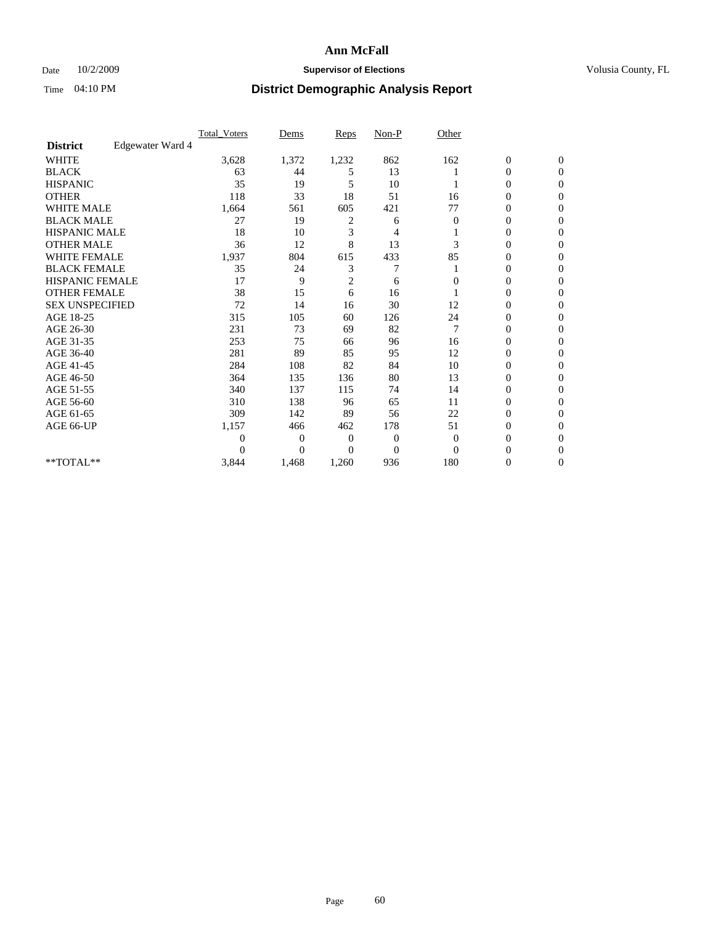## Date  $10/2/2009$  **Supervisor of Elections Supervisor of Elections** Volusia County, FL

|                        |                  | Total Voters | Dems           | <b>Reps</b>  | $Non-P$        | Other          |                  |                |  |
|------------------------|------------------|--------------|----------------|--------------|----------------|----------------|------------------|----------------|--|
| <b>District</b>        | Edgewater Ward 4 |              |                |              |                |                |                  |                |  |
| <b>WHITE</b>           |                  | 3,628        | 1,372          | 1,232        | 862            | 162            | $\boldsymbol{0}$ | $\mathbf{0}$   |  |
| <b>BLACK</b>           |                  | 63           | 44             | 5            | 13             |                | $\boldsymbol{0}$ | $\mathbf{0}$   |  |
| <b>HISPANIC</b>        |                  | 35           | 19             | 5            | 10             |                | $\overline{0}$   | $\Omega$       |  |
| <b>OTHER</b>           |                  | 118          | 33             | 18           | 51             | 16             | 0                | $\Omega$       |  |
| <b>WHITE MALE</b>      |                  | 1,664        | 561            | 605          | 421            | 77             | 0                | $\Omega$       |  |
| <b>BLACK MALE</b>      |                  | 27           | 19             | 2            | 6              | $\overline{0}$ | 0                | $\Omega$       |  |
| HISPANIC MALE          |                  | 18           | 10             | 3            | 4              |                | $\boldsymbol{0}$ | $\Omega$       |  |
| <b>OTHER MALE</b>      |                  | 36           | 12             | 8            | 13             | 3              | 0                | $\Omega$       |  |
| <b>WHITE FEMALE</b>    |                  | 1,937        | 804            | 615          | 433            | 85             | 0                | $\Omega$       |  |
| <b>BLACK FEMALE</b>    |                  | 35           | 24             | 3            | 7              |                | $\overline{0}$   | $\mathbf{0}$   |  |
| <b>HISPANIC FEMALE</b> |                  | 17           | 9              | 2            | 6              | 0              | 0                | $\mathbf{0}$   |  |
| <b>OTHER FEMALE</b>    |                  | 38           | 15             | 6            | 16             |                | 0                | $\Omega$       |  |
| <b>SEX UNSPECIFIED</b> |                  | 72           | 14             | 16           | 30             | 12             | 0                | $\mathbf{0}$   |  |
| AGE 18-25              |                  | 315          | 105            | 60           | 126            | 24             | 0                | $\mathbf{0}$   |  |
| AGE 26-30              |                  | 231          | 73             | 69           | 82             | 7              | $\overline{0}$   | $\Omega$       |  |
| AGE 31-35              |                  | 253          | 75             | 66           | 96             | 16             | $\boldsymbol{0}$ | $\Omega$       |  |
| AGE 36-40              |                  | 281          | 89             | 85           | 95             | 12             | 0                | $\mathbf{0}$   |  |
| AGE 41-45              |                  | 284          | 108            | 82           | 84             | 10             | $\mathbf{0}$     | $\Omega$       |  |
| AGE 46-50              |                  | 364          | 135            | 136          | 80             | 13             | $\overline{0}$   | $\mathbf{0}$   |  |
| AGE 51-55              |                  | 340          | 137            | 115          | 74             | 14             | 0                | 0              |  |
| AGE 56-60              |                  | 310          | 138            | 96           | 65             | 11             | $\overline{0}$   | $\Omega$       |  |
| AGE 61-65              |                  | 309          | 142            | 89           | 56             | 22             | $\overline{0}$   | $\Omega$       |  |
| AGE 66-UP              |                  | 1,157        | 466            | 462          | 178            | 51             | $\mathbf{0}$     | $\Omega$       |  |
|                        |                  | 0            | $\overline{0}$ | $\mathbf{0}$ | 0              | $\Omega$       | 0                | $\Omega$       |  |
|                        |                  | 0            | $\overline{0}$ | $\Omega$     | $\overline{0}$ | $\Omega$       | $\overline{0}$   | $\Omega$       |  |
| **TOTAL**              |                  | 3,844        | 1,468          | 1,260        | 936            | 180            | 0                | $\overline{0}$ |  |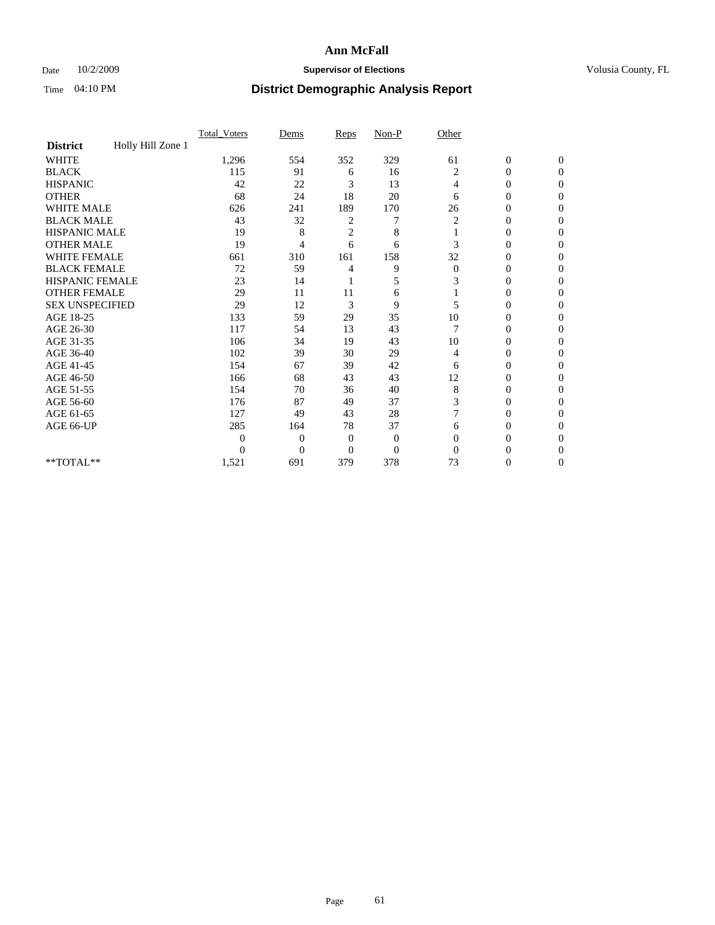## Date  $10/2/2009$  **Supervisor of Elections Supervisor of Elections** Volusia County, FL

|                        |                   | Total Voters | Dems           | Reps           | $Non-P$          | Other        |                  |                |  |
|------------------------|-------------------|--------------|----------------|----------------|------------------|--------------|------------------|----------------|--|
| <b>District</b>        | Holly Hill Zone 1 |              |                |                |                  |              |                  |                |  |
| <b>WHITE</b>           |                   | 1,296        | 554            | 352            | 329              | 61           | $\boldsymbol{0}$ | $\mathbf{0}$   |  |
| <b>BLACK</b>           |                   | 115          | 91             | 6              | 16               | 2            | $\overline{0}$   | $\mathbf{0}$   |  |
| <b>HISPANIC</b>        |                   | 42           | 22             | 3              | 13               | 4            | 0                | $\Omega$       |  |
| <b>OTHER</b>           |                   | 68           | 24             | 18             | 20               | 6            | 0                | $\Omega$       |  |
| <b>WHITE MALE</b>      |                   | 626          | 241            | 189            | 170              | 26           | 0                | 0              |  |
| <b>BLACK MALE</b>      |                   | 43           | 32             | 2              |                  | 2            | $\overline{0}$   | $\Omega$       |  |
| HISPANIC MALE          |                   | 19           | 8              | $\overline{c}$ | 8                |              | $\overline{0}$   | $\Omega$       |  |
| <b>OTHER MALE</b>      |                   | 19           | 4              | 6              | 6                | 3            | 0                | 0              |  |
| <b>WHITE FEMALE</b>    |                   | 661          | 310            | 161            | 158              | 32           | 0                | $\Omega$       |  |
| <b>BLACK FEMALE</b>    |                   | 72           | 59             | 4              | 9                | $\mathbf{0}$ | $\overline{0}$   | $\overline{0}$ |  |
| <b>HISPANIC FEMALE</b> |                   | 23           | 14             |                | 5                | 3            | 0                | $\Omega$       |  |
| <b>OTHER FEMALE</b>    |                   | 29           | 11             | 11             | 6                |              | 0                | 0              |  |
| <b>SEX UNSPECIFIED</b> |                   | 29           | 12             | $\mathfrak{Z}$ | 9                | 5            | 0                | $\Omega$       |  |
| AGE 18-25              |                   | 133          | 59             | 29             | 35               | 10           | 0                | $\overline{0}$ |  |
| AGE 26-30              |                   | 117          | 54             | 13             | 43               |              | 0                | $\Omega$       |  |
| AGE 31-35              |                   | 106          | 34             | 19             | 43               | 10           | $\overline{0}$   | $\Omega$       |  |
| AGE 36-40              |                   | 102          | 39             | 30             | 29               | 4            | 0                | 0              |  |
| AGE 41-45              |                   | 154          | 67             | 39             | 42               | 6            | 0                | $\Omega$       |  |
| AGE 46-50              |                   | 166          | 68             | 43             | 43               | 12           | $\overline{0}$   | $\Omega$       |  |
| AGE 51-55              |                   | 154          | 70             | 36             | 40               | 8            | 0                | 0              |  |
| AGE 56-60              |                   | 176          | 87             | 49             | 37               | 3            | 0                | $\Omega$       |  |
| AGE 61-65              |                   | 127          | 49             | 43             | 28               | 7            | 0                | $\Omega$       |  |
| AGE 66-UP              |                   | 285          | 164            | 78             | 37               | 6            | 0                | 0              |  |
|                        |                   | $\Omega$     | $\overline{0}$ | $\mathbf{0}$   | $\boldsymbol{0}$ | $\Omega$     | 0                | $\Omega$       |  |
|                        |                   | $\theta$     | $\overline{0}$ | $\overline{0}$ | $\overline{0}$   | $\Omega$     | 0                | $\Omega$       |  |
| **TOTAL**              |                   | 1,521        | 691            | 379            | 378              | 73           | 0                | 0              |  |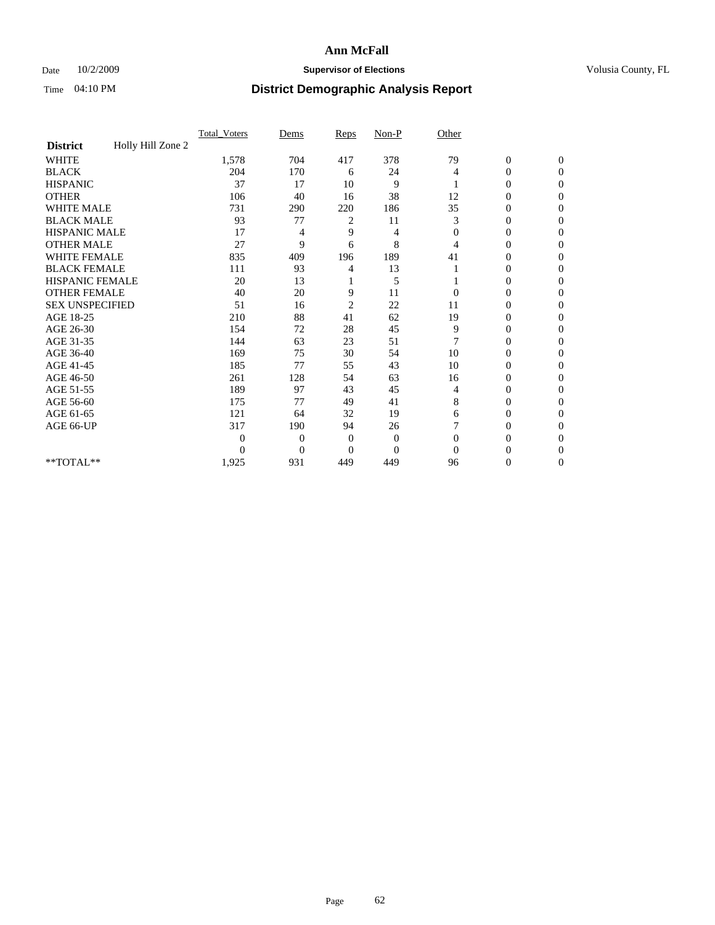## Date  $10/2/2009$  **Supervisor of Elections Supervisor of Elections** Volusia County, FL

|                        |                   | Total Voters | Dems           | Reps           | $Non-P$        | Other        |                  |                |  |
|------------------------|-------------------|--------------|----------------|----------------|----------------|--------------|------------------|----------------|--|
| <b>District</b>        | Holly Hill Zone 2 |              |                |                |                |              |                  |                |  |
| <b>WHITE</b>           |                   | 1,578        | 704            | 417            | 378            | 79           | $\boldsymbol{0}$ | $\mathbf{0}$   |  |
| <b>BLACK</b>           |                   | 204          | 170            | 6              | 24             | 4            | $\overline{0}$   | $\mathbf{0}$   |  |
| <b>HISPANIC</b>        |                   | 37           | 17             | 10             | 9              |              | 0                | $\Omega$       |  |
| <b>OTHER</b>           |                   | 106          | 40             | 16             | 38             | 12           | 0                | $\Omega$       |  |
| <b>WHITE MALE</b>      |                   | 731          | 290            | 220            | 186            | 35           | 0                | $\Omega$       |  |
| <b>BLACK MALE</b>      |                   | 93           | 77             | 2              | 11             | 3            | $\mathbf{0}$     | $\Omega$       |  |
| HISPANIC MALE          |                   | 17           | 4              | 9              | 4              | $\mathbf{0}$ | $\overline{0}$   | $\Omega$       |  |
| <b>OTHER MALE</b>      |                   | 27           | 9              | 6              | 8              | 4            | 0                | 0              |  |
| <b>WHITE FEMALE</b>    |                   | 835          | 409            | 196            | 189            | 41           | 0                | $\Omega$       |  |
| <b>BLACK FEMALE</b>    |                   | 111          | 93             | 4              | 13             |              | $\overline{0}$   | $\mathbf{0}$   |  |
| <b>HISPANIC FEMALE</b> |                   | 20           | 13             |                | 5              |              | 0                | $\Omega$       |  |
| <b>OTHER FEMALE</b>    |                   | 40           | 20             | 9              | 11             | $\Omega$     | 0                | 0              |  |
| <b>SEX UNSPECIFIED</b> |                   | 51           | 16             | $\overline{2}$ | 22             | 11           | 0                | $\Omega$       |  |
| AGE 18-25              |                   | 210          | 88             | 41             | 62             | 19           | 0                | $\mathbf{0}$   |  |
| AGE 26-30              |                   | 154          | 72             | 28             | 45             | 9            | 0                | $\Omega$       |  |
| AGE 31-35              |                   | 144          | 63             | 23             | 51             | 7            | 0                | $\Omega$       |  |
| AGE 36-40              |                   | 169          | 75             | 30             | 54             | 10           | 0                | 0              |  |
| AGE 41-45              |                   | 185          | 77             | 55             | 43             | 10           | 0                | $\Omega$       |  |
| AGE 46-50              |                   | 261          | 128            | 54             | 63             | 16           | 0                | $\Omega$       |  |
| AGE 51-55              |                   | 189          | 97             | 43             | 45             | 4            | 0                | 0              |  |
| AGE 56-60              |                   | 175          | 77             | 49             | 41             | 8            | $\theta$         | $\Omega$       |  |
| AGE 61-65              |                   | 121          | 64             | 32             | 19             | 6            | 0                | $\Omega$       |  |
| AGE 66-UP              |                   | 317          | 190            | 94             | 26             |              | 0                | 0              |  |
|                        |                   | 0            | $\overline{0}$ | $\mathbf{0}$   | $\mathbf{0}$   | $\Omega$     | 0                | $\Omega$       |  |
|                        |                   | $\theta$     | $\overline{0}$ | $\Omega$       | $\overline{0}$ | $\Omega$     | 0                | $\Omega$       |  |
| **TOTAL**              |                   | 1,925        | 931            | 449            | 449            | 96           | 0                | $\overline{0}$ |  |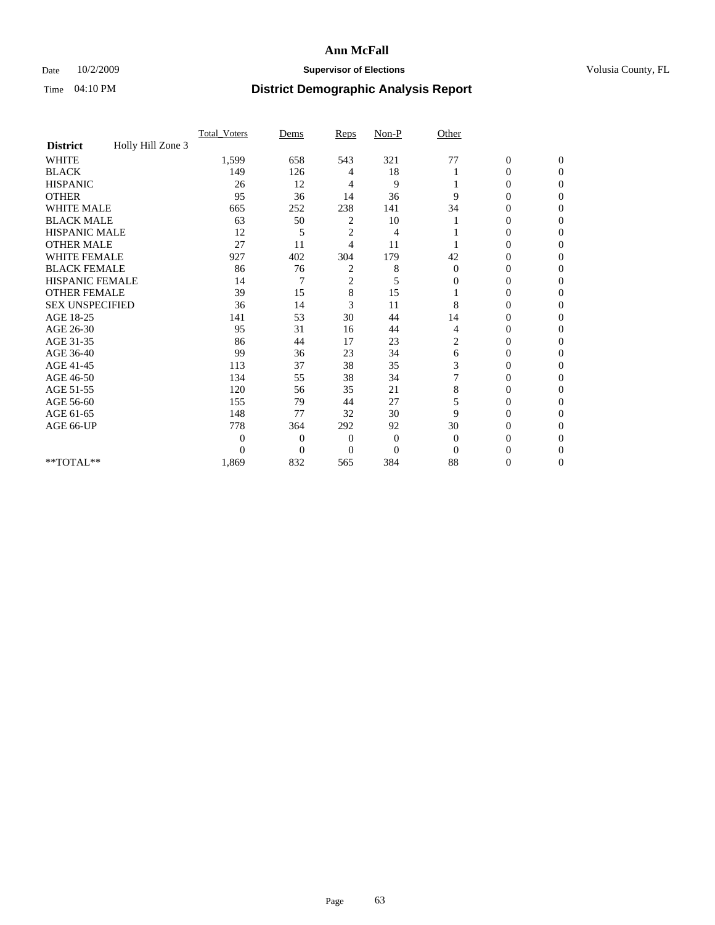## Date  $10/2/2009$  **Supervisor of Elections Supervisor of Elections** Volusia County, FL

|                        |                   | Total Voters   | Dems           | Reps           | $Non-P$      | Other        |                  |                  |  |
|------------------------|-------------------|----------------|----------------|----------------|--------------|--------------|------------------|------------------|--|
| <b>District</b>        | Holly Hill Zone 3 |                |                |                |              |              |                  |                  |  |
| WHITE                  |                   | 1,599          | 658            | 543            | 321          | 77           | $\boldsymbol{0}$ | $\boldsymbol{0}$ |  |
| <b>BLACK</b>           |                   | 149            | 126            | 4              | 18           |              | $\overline{0}$   | $\Omega$         |  |
| <b>HISPANIC</b>        |                   | 26             | 12             | 4              | 9            |              | 0                | $\Omega$         |  |
| <b>OTHER</b>           |                   | 95             | 36             | 14             | 36           | 9            | 0                | $\Omega$         |  |
| <b>WHITE MALE</b>      |                   | 665            | 252            | 238            | 141          | 34           | 0                | $\Omega$         |  |
| <b>BLACK MALE</b>      |                   | 63             | 50             | 2              | 10           |              | 0                | 0                |  |
| <b>HISPANIC MALE</b>   |                   | 12             | 5              | $\overline{2}$ | 4            |              | 0                | 0                |  |
| <b>OTHER MALE</b>      |                   | 27             | 11             | 4              | 11           |              | 0                | 0                |  |
| WHITE FEMALE           |                   | 927            | 402            | 304            | 179          | 42           | 0                | $\Omega$         |  |
| <b>BLACK FEMALE</b>    |                   | 86             | 76             | 2              | 8            | $\mathbf{0}$ | 0                | $\Omega$         |  |
| HISPANIC FEMALE        |                   | 14             | 7              | $\overline{c}$ | 5            | 0            | 0                | $\Omega$         |  |
| <b>OTHER FEMALE</b>    |                   | 39             | 15             | 8              | 15           |              | 0                | $\Omega$         |  |
| <b>SEX UNSPECIFIED</b> |                   | 36             | 14             | 3              | 11           | 8            | 0                | $\Omega$         |  |
| AGE 18-25              |                   | 141            | 53             | 30             | 44           | 14           | 0                | 0                |  |
| AGE 26-30              |                   | 95             | 31             | 16             | 44           | 4            | 0                | $\Omega$         |  |
| AGE 31-35              |                   | 86             | 44             | 17             | 23           | 2            | 0                | $\Omega$         |  |
| AGE 36-40              |                   | 99             | 36             | 23             | 34           | 6            | 0                | 0                |  |
| AGE 41-45              |                   | 113            | 37             | 38             | 35           | 3            | 0                | $\Omega$         |  |
| AGE 46-50              |                   | 134            | 55             | 38             | 34           | 7            | 0                | $\Omega$         |  |
| AGE 51-55              |                   | 120            | 56             | 35             | 21           | 8            | 0                | $\mathbf{0}$     |  |
| AGE 56-60              |                   | 155            | 79             | 44             | 27           | 5            | 0                | 0                |  |
| AGE 61-65              |                   | 148            | 77             | 32             | 30           | 9            | $\overline{0}$   | 0                |  |
| AGE 66-UP              |                   | 778            | 364            | 292            | 92           | 30           | 0                | 0                |  |
|                        |                   | $\overline{0}$ | $\overline{0}$ | 0              | $\mathbf{0}$ | $\mathbf{0}$ | 0                | $\Omega$         |  |
|                        |                   | $\Omega$       | $\overline{0}$ | $\Omega$       | $\Omega$     | $\Omega$     | 0                | $\Omega$         |  |
| **TOTAL**              |                   | 1,869          | 832            | 565            | 384          | 88           | 0                | $\mathbf{0}$     |  |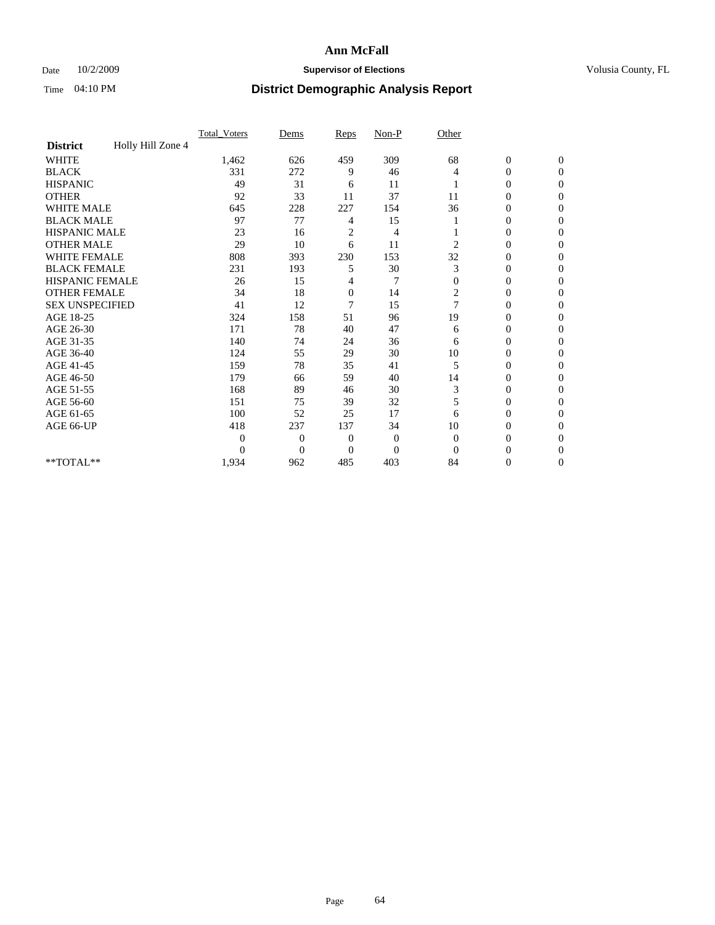## Date  $10/2/2009$  **Supervisor of Elections Supervisor of Elections** Volusia County, FL

|                        |                   | Total Voters | Dems           | Reps           | $Non-P$        | Other    |                  |                |  |
|------------------------|-------------------|--------------|----------------|----------------|----------------|----------|------------------|----------------|--|
| <b>District</b>        | Holly Hill Zone 4 |              |                |                |                |          |                  |                |  |
| <b>WHITE</b>           |                   | 1,462        | 626            | 459            | 309            | 68       | $\boldsymbol{0}$ | $\mathbf{0}$   |  |
| <b>BLACK</b>           |                   | 331          | 272            | 9              | 46             | 4        | $\overline{0}$   | $\mathbf{0}$   |  |
| <b>HISPANIC</b>        |                   | 49           | 31             | 6              | 11             |          | $\mathbf{0}$     | $\Omega$       |  |
| <b>OTHER</b>           |                   | 92           | 33             | 11             | 37             | 11       | 0                | $\Omega$       |  |
| <b>WHITE MALE</b>      |                   | 645          | 228            | 227            | 154            | 36       | 0                | $\Omega$       |  |
| <b>BLACK MALE</b>      |                   | 97           | 77             | 4              | 15             |          | $\mathbf{0}$     | $\Omega$       |  |
| HISPANIC MALE          |                   | 23           | 16             | $\overline{c}$ | 4              |          | $\boldsymbol{0}$ | $\Omega$       |  |
| <b>OTHER MALE</b>      |                   | 29           | 10             | 6              | 11             | 2        | 0                | 0              |  |
| <b>WHITE FEMALE</b>    |                   | 808          | 393            | 230            | 153            | 32       | 0                | $\Omega$       |  |
| <b>BLACK FEMALE</b>    |                   | 231          | 193            | 5              | 30             | 3        | $\overline{0}$   | $\overline{0}$ |  |
| <b>HISPANIC FEMALE</b> |                   | 26           | 15             | 4              | 7              | $\Omega$ | 0                | $\Omega$       |  |
| <b>OTHER FEMALE</b>    |                   | 34           | 18             | $\mathbf{0}$   | 14             | 2        | 0                | 0              |  |
| <b>SEX UNSPECIFIED</b> |                   | 41           | 12             | 7              | 15             | 7        | 0                | $\Omega$       |  |
| AGE 18-25              |                   | 324          | 158            | 51             | 96             | 19       | 0                | $\mathbf{0}$   |  |
| AGE 26-30              |                   | 171          | 78             | 40             | 47             | 6        | 0                | $\Omega$       |  |
| AGE 31-35              |                   | 140          | 74             | 24             | 36             | 6        | 0                | $\Omega$       |  |
| AGE 36-40              |                   | 124          | 55             | 29             | 30             | 10       | 0                | $\mathbf{0}$   |  |
| AGE 41-45              |                   | 159          | 78             | 35             | 41             | 5        | $\overline{0}$   | $\Omega$       |  |
| AGE 46-50              |                   | 179          | 66             | 59             | 40             | 14       | $\overline{0}$   | $\Omega$       |  |
| AGE 51-55              |                   | 168          | 89             | 46             | 30             | 3        | 0                | 0              |  |
| AGE 56-60              |                   | 151          | 75             | 39             | 32             | 5        | 0                | $\Omega$       |  |
| AGE 61-65              |                   | 100          | 52             | 25             | 17             | 6        | $\overline{0}$   | $\Omega$       |  |
| AGE 66-UP              |                   | 418          | 237            | 137            | 34             | 10       | 0                | 0              |  |
|                        |                   | $\theta$     | $\overline{0}$ | $\overline{0}$ | $\mathbf{0}$   | $\Omega$ | 0                | $\Omega$       |  |
|                        |                   | $\theta$     | $\overline{0}$ | $\overline{0}$ | $\overline{0}$ | $\Omega$ | $\theta$         | $\Omega$       |  |
| **TOTAL**              |                   | 1,934        | 962            | 485            | 403            | 84       | 0                | $\overline{0}$ |  |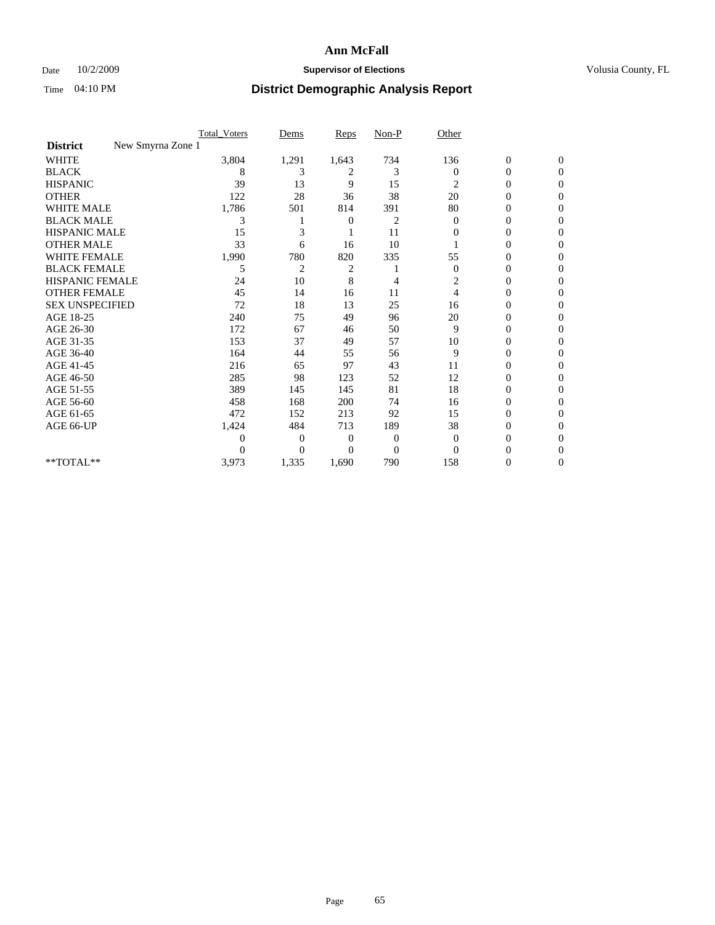## Date  $10/2/2009$  **Supervisor of Elections Supervisor of Elections** Volusia County, FL

|                                      | <b>Total_Voters</b> | Dems           | <b>Reps</b> | $Non-P$        | Other            |                  |                  |  |
|--------------------------------------|---------------------|----------------|-------------|----------------|------------------|------------------|------------------|--|
| New Smyrna Zone 1<br><b>District</b> |                     |                |             |                |                  |                  |                  |  |
| WHITE                                | 3,804               | 1,291          | 1,643       | 734            | 136              | $\boldsymbol{0}$ | $\boldsymbol{0}$ |  |
| <b>BLACK</b>                         | 8                   | 3              | 2           | 3              | $\Omega$         | $\boldsymbol{0}$ | $\Omega$         |  |
| <b>HISPANIC</b>                      | 39                  | 13             | 9           | 15             | 2                | 0                | $\Omega$         |  |
| <b>OTHER</b>                         | 122                 | 28             | 36          | 38             | 20               | 0                | $\Omega$         |  |
| <b>WHITE MALE</b>                    | 1,786               | 501            | 814         | 391            | 80               | $\mathbf{0}$     | $\mathbf{0}$     |  |
| <b>BLACK MALE</b>                    | 3                   |                | 0           | 2              | $\bf{0}$         | 0                | 0                |  |
| <b>HISPANIC MALE</b>                 | 15                  | 3              |             | 11             | 0                | 0                | 0                |  |
| <b>OTHER MALE</b>                    | 33                  | 6              | 16          | 10             |                  | 0                | 0                |  |
| WHITE FEMALE                         | 1,990               | 780            | 820         | 335            | 55               | 0                | $\Omega$         |  |
| <b>BLACK FEMALE</b>                  | 5                   | $\overline{c}$ | 2           |                | $\boldsymbol{0}$ | $\boldsymbol{0}$ | $\Omega$         |  |
| <b>HISPANIC FEMALE</b>               | 24                  | 10             | 8           | 4              | 2                | 0                | $\Omega$         |  |
| <b>OTHER FEMALE</b>                  | 45                  | 14             | 16          | 11             | $\overline{4}$   | 0                | $\Omega$         |  |
| <b>SEX UNSPECIFIED</b>               | 72                  | 18             | 13          | 25             | 16               | 0                | $\Omega$         |  |
| AGE 18-25                            | 240                 | 75             | 49          | 96             | 20               | 0                | 0                |  |
| AGE 26-30                            | 172                 | 67             | 46          | 50             | 9                | 0                | $\Omega$         |  |
| AGE 31-35                            | 153                 | 37             | 49          | 57             | 10               | 0                | $\Omega$         |  |
| AGE 36-40                            | 164                 | 44             | 55          | 56             | 9                | 0                | 0                |  |
| AGE 41-45                            | 216                 | 65             | 97          | 43             | 11               | 0                | $\Omega$         |  |
| AGE 46-50                            | 285                 | 98             | 123         | 52             | 12               | 0                | $\Omega$         |  |
| AGE 51-55                            | 389                 | 145            | 145         | 81             | 18               | 0                | $\mathbf{0}$     |  |
| AGE 56-60                            | 458                 | 168            | 200         | 74             | 16               | 0                | 0                |  |
| AGE 61-65                            | 472                 | 152            | 213         | 92             | 15               | 0                | $\Omega$         |  |
| AGE 66-UP                            | 1,424               | 484            | 713         | 189            | 38               | 0                | 0                |  |
|                                      | 0                   | 0              | 0           | 0              | $\mathbf{0}$     | 0                | $\Omega$         |  |
|                                      | $\theta$            | $\Omega$       | $\Omega$    | $\overline{0}$ | $\Omega$         | 0                | $\Omega$         |  |
| **TOTAL**                            | 3,973               | 1,335          | 1,690       | 790            | 158              | 0                | $\overline{0}$   |  |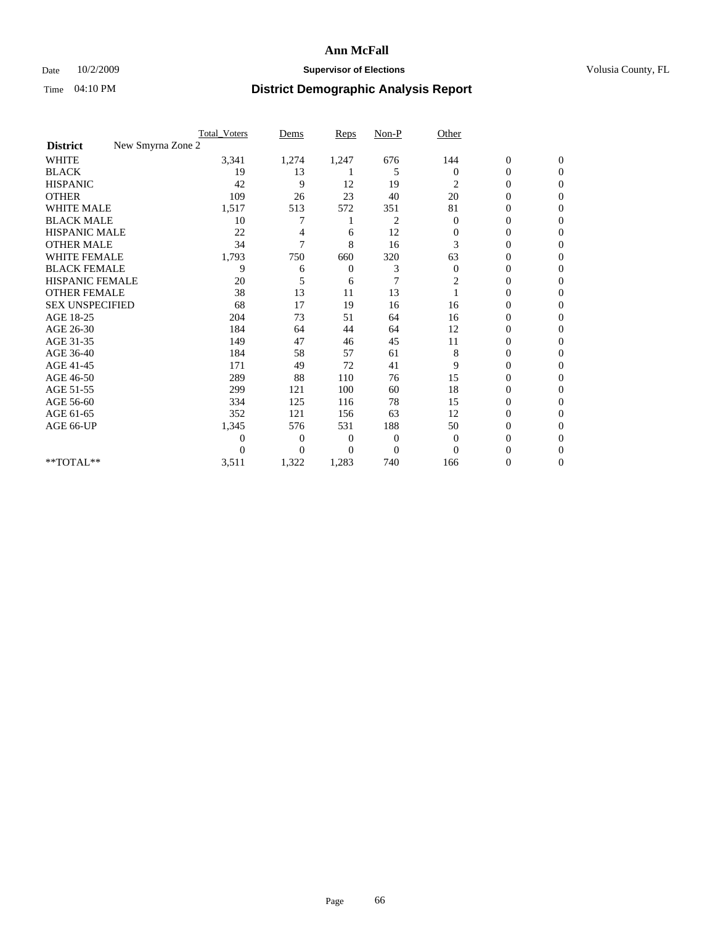## Date  $10/2/2009$  **Supervisor of Elections Supervisor of Elections** Volusia County, FL

|                                      | <b>Total_Voters</b> | Dems           | <b>Reps</b>    | $Non-P$        | Other          |                  |              |  |
|--------------------------------------|---------------------|----------------|----------------|----------------|----------------|------------------|--------------|--|
| New Smyrna Zone 2<br><b>District</b> |                     |                |                |                |                |                  |              |  |
| <b>WHITE</b>                         | 3,341               | 1,274          | 1,247          | 676            | 144            | $\boldsymbol{0}$ | $\mathbf{0}$ |  |
| <b>BLACK</b>                         | 19                  | 13             |                | 5              | $\mathbf{0}$   | $\boldsymbol{0}$ | $\mathbf{0}$ |  |
| <b>HISPANIC</b>                      | 42                  | 9              | 12             | 19             | 2              | $\overline{0}$   | $\Omega$     |  |
| <b>OTHER</b>                         | 109                 | 26             | 23             | 40             | 20             | 0                | $\Omega$     |  |
| <b>WHITE MALE</b>                    | 1,517               | 513            | 572            | 351            | 81             | 0                | $\Omega$     |  |
| <b>BLACK MALE</b>                    | 10                  |                |                | 2              | $\Omega$       | $\overline{0}$   | $\Omega$     |  |
| HISPANIC MALE                        | 22                  |                | 6              | 12             | $\mathbf{0}$   | $\boldsymbol{0}$ | $\Omega$     |  |
| <b>OTHER MALE</b>                    | 34                  | 7              | 8              | 16             | 3              | 0                | 0            |  |
| <b>WHITE FEMALE</b>                  | 1,793               | 750            | 660            | 320            | 63             | 0                | $\Omega$     |  |
| <b>BLACK FEMALE</b>                  | 9                   | 6              | $\mathbf{0}$   | 3              | $\mathbf{0}$   | $\overline{0}$   | $\mathbf{0}$ |  |
| <b>HISPANIC FEMALE</b>               | 20                  | 5              | 6              | 7              | 2              | 0                | $\Omega$     |  |
| <b>OTHER FEMALE</b>                  | 38                  | 13             | 11             | 13             |                | 0                | 0            |  |
| <b>SEX UNSPECIFIED</b>               | 68                  | 17             | 19             | 16             | 16             | 0                | $\Omega$     |  |
| AGE 18-25                            | 204                 | 73             | 51             | 64             | 16             | 0                | $\mathbf{0}$ |  |
| AGE 26-30                            | 184                 | 64             | 44             | 64             | 12             | 0                | $\Omega$     |  |
| AGE 31-35                            | 149                 | 47             | 46             | 45             | 11             | 0                | $\Omega$     |  |
| AGE 36-40                            | 184                 | 58             | 57             | 61             | 8              | 0                | $\bf{0}$     |  |
| AGE 41-45                            | 171                 | 49             | 72             | 41             | 9              | $\mathbf{0}$     | $\Omega$     |  |
| AGE 46-50                            | 289                 | 88             | 110            | 76             | 15             | $\overline{0}$   | $\Omega$     |  |
| AGE 51-55                            | 299                 | 121            | 100            | 60             | 18             | 0                | 0            |  |
| AGE 56-60                            | 334                 | 125            | 116            | 78             | 15             | $\mathbf{0}$     | $\Omega$     |  |
| AGE 61-65                            | 352                 | 121            | 156            | 63             | 12             | $\overline{0}$   | $\Omega$     |  |
| AGE 66-UP                            | 1,345               | 576            | 531            | 188            | 50             | 0                | 0            |  |
|                                      | $\theta$            | $\overline{0}$ | $\mathbf{0}$   | $\mathbf{0}$   | $\overline{0}$ | 0                | $\Omega$     |  |
|                                      | $\Omega$            | $\overline{0}$ | $\overline{0}$ | $\overline{0}$ | $\Omega$       | 0                | $\Omega$     |  |
| **TOTAL**                            | 3,511               | 1,322          | 1,283          | 740            | 166            | 0                | 0            |  |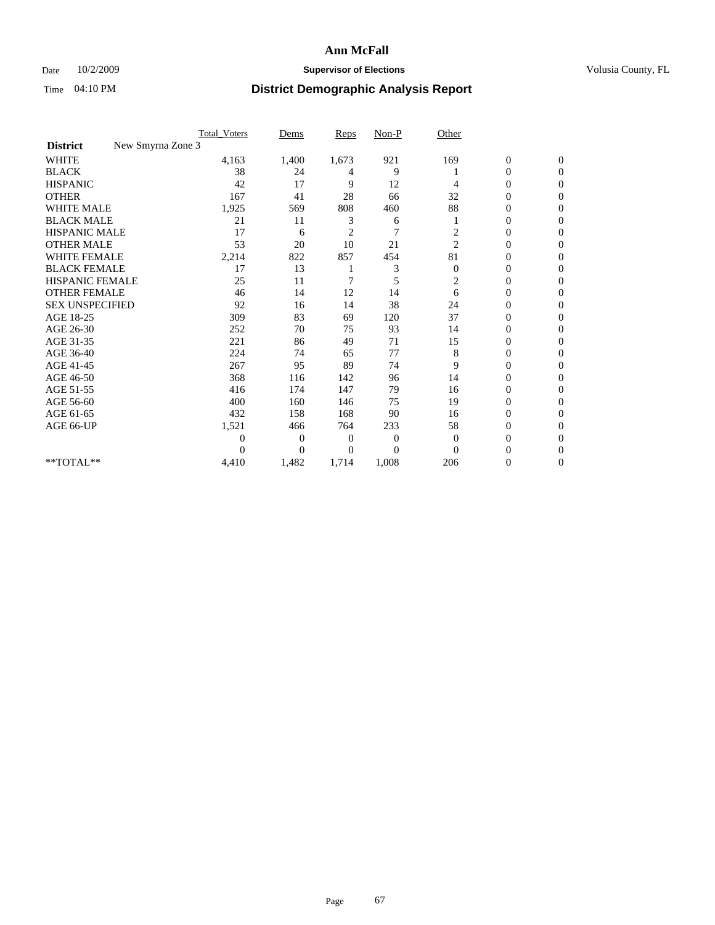## Date  $10/2/2009$  **Supervisor of Elections Supervisor of Elections** Volusia County, FL

|                                      | <b>Total_Voters</b> | Dems           | <b>Reps</b>    | $Non-P$        | Other            |                  |                  |  |
|--------------------------------------|---------------------|----------------|----------------|----------------|------------------|------------------|------------------|--|
| New Smyrna Zone 3<br><b>District</b> |                     |                |                |                |                  |                  |                  |  |
| <b>WHITE</b>                         | 4,163               | 1,400          | 1,673          | 921            | 169              | $\boldsymbol{0}$ | $\boldsymbol{0}$ |  |
| <b>BLACK</b>                         | 38                  | 24             | 4              | 9              |                  | $\boldsymbol{0}$ | $\Omega$         |  |
| <b>HISPANIC</b>                      | 42                  | 17             | 9              | 12             | 4                | $\mathbf{0}$     | $\Omega$         |  |
| <b>OTHER</b>                         | 167                 | 41             | 28             | 66             | 32               | 0                | $\Omega$         |  |
| <b>WHITE MALE</b>                    | 1,925               | 569            | 808            | 460            | 88               | $\mathbf{0}$     | $\mathbf{0}$     |  |
| <b>BLACK MALE</b>                    | 21                  | 11             | 3              | 6              |                  | $\mathbf{0}$     | $\Omega$         |  |
| <b>HISPANIC MALE</b>                 | 17                  | 6              | $\overline{2}$ | $\overline{7}$ | $\overline{c}$   | 0                | $\Omega$         |  |
| <b>OTHER MALE</b>                    | 53                  | 20             | 10             | 21             | $\overline{2}$   | 0                | 0                |  |
| WHITE FEMALE                         | 2,214               | 822            | 857            | 454            | 81               | 0                | $\mathbf{0}$     |  |
| <b>BLACK FEMALE</b>                  | 17                  | 13             |                | 3              | $\boldsymbol{0}$ | $\boldsymbol{0}$ | $\Omega$         |  |
| <b>HISPANIC FEMALE</b>               | 25                  | 11             | 7              | 5              | $\overline{c}$   | 0                | $\mathbf{0}$     |  |
| <b>OTHER FEMALE</b>                  | 46                  | 14             | 12             | 14             | 6                | 0                | $\Omega$         |  |
| <b>SEX UNSPECIFIED</b>               | 92                  | 16             | 14             | 38             | 24               | $\overline{0}$   | $\mathbf{0}$     |  |
| AGE 18-25                            | 309                 | 83             | 69             | 120            | 37               | 0                | $\mathbf{0}$     |  |
| AGE 26-30                            | 252                 | 70             | 75             | 93             | 14               | $\overline{0}$   | $\Omega$         |  |
| AGE 31-35                            | 221                 | 86             | 49             | 71             | 15               | $\boldsymbol{0}$ | $\Omega$         |  |
| AGE 36-40                            | 224                 | 74             | 65             | 77             | 8                | 0                | 0                |  |
| AGE 41-45                            | 267                 | 95             | 89             | 74             | 9                | 0                | $\Omega$         |  |
| AGE 46-50                            | 368                 | 116            | 142            | 96             | 14               | 0                | $\Omega$         |  |
| AGE 51-55                            | 416                 | 174            | 147            | 79             | 16               | 0                | $\mathbf{0}$     |  |
| AGE 56-60                            | 400                 | 160            | 146            | 75             | 19               | $\mathbf{0}$     | 0                |  |
| AGE 61-65                            | 432                 | 158            | 168            | 90             | 16               | $\overline{0}$   | $\mathbf{0}$     |  |
| AGE 66-UP                            | 1,521               | 466            | 764            | 233            | 58               | 0                | $\Omega$         |  |
|                                      | $\boldsymbol{0}$    | 0              | 0              | 0              | $\theta$         | 0                | $\Omega$         |  |
|                                      | $\theta$            | $\overline{0}$ | $\Omega$       | $\Omega$       | $\Omega$         | 0                | $\Omega$         |  |
| **TOTAL**                            | 4,410               | 1,482          | 1,714          | 1,008          | 206              | 0                | $\mathbf{0}$     |  |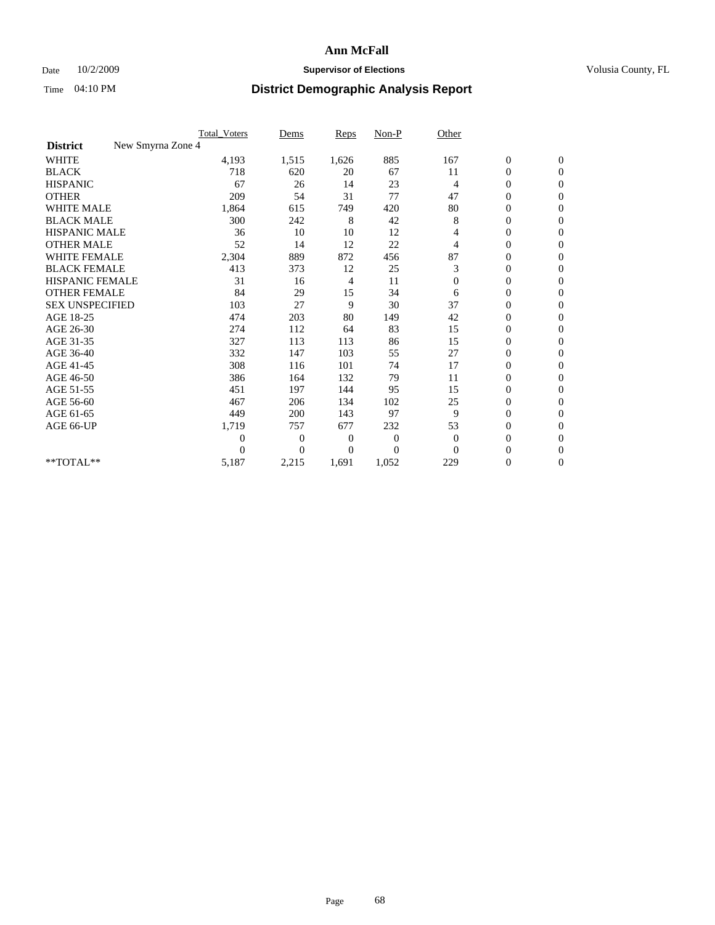## Date  $10/2/2009$  **Supervisor of Elections Supervisor of Elections** Volusia County, FL

|                                      | <b>Total_Voters</b> | Dems           | <b>Reps</b> | $Non-P$      | Other          |                  |                  |  |
|--------------------------------------|---------------------|----------------|-------------|--------------|----------------|------------------|------------------|--|
| New Smyrna Zone 4<br><b>District</b> |                     |                |             |              |                |                  |                  |  |
| <b>WHITE</b>                         | 4,193               | 1,515          | 1,626       | 885          | 167            | $\boldsymbol{0}$ | $\boldsymbol{0}$ |  |
| <b>BLACK</b>                         | 718                 | 620            | 20          | 67           | 11             | $\boldsymbol{0}$ | $\mathbf{0}$     |  |
| <b>HISPANIC</b>                      | 67                  | 26             | 14          | 23           | $\overline{4}$ | $\overline{0}$   | $\mathbf{0}$     |  |
| <b>OTHER</b>                         | 209                 | 54             | 31          | 77           | 47             | $\boldsymbol{0}$ | $\Omega$         |  |
| <b>WHITE MALE</b>                    | 1,864               | 615            | 749         | 420          | 80             | $\overline{0}$   | $\mathbf{0}$     |  |
| <b>BLACK MALE</b>                    | 300                 | 242            | 8           | 42           | 8              | $\overline{0}$   | $\mathbf{0}$     |  |
| <b>HISPANIC MALE</b>                 | 36                  | 10             | 10          | 12           | 4              | $\overline{0}$   | $\mathbf{0}$     |  |
| <b>OTHER MALE</b>                    | 52                  | 14             | 12          | 22           | 4              | 0                | $\mathbf{0}$     |  |
| WHITE FEMALE                         | 2,304               | 889            | 872         | 456          | 87             | $\overline{0}$   | $\mathbf{0}$     |  |
| <b>BLACK FEMALE</b>                  | 413                 | 373            | 12          | 25           | 3              | $\boldsymbol{0}$ | $\Omega$         |  |
| <b>HISPANIC FEMALE</b>               | 31                  | 16             | 4           | 11           | $\mathbf{0}$   | 0                | $\mathbf{0}$     |  |
| <b>OTHER FEMALE</b>                  | 84                  | 29             | 15          | 34           | 6              | $\overline{0}$   | $\Omega$         |  |
| <b>SEX UNSPECIFIED</b>               | 103                 | 27             | 9           | 30           | 37             | $\overline{0}$   | $\mathbf{0}$     |  |
| AGE 18-25                            | 474                 | 203            | 80          | 149          | 42             | $\mathbf{0}$     | $\mathbf{0}$     |  |
| AGE 26-30                            | 274                 | 112            | 64          | 83           | 15             | $\overline{0}$   | $\mathbf{0}$     |  |
| AGE 31-35                            | 327                 | 113            | 113         | 86           | 15             | $\boldsymbol{0}$ | $\mathbf{0}$     |  |
| AGE 36-40                            | 332                 | 147            | 103         | 55           | 27             | 0                | $\mathbf{0}$     |  |
| AGE 41-45                            | 308                 | 116            | 101         | 74           | 17             | $\overline{0}$   | $\Omega$         |  |
| AGE 46-50                            | 386                 | 164            | 132         | 79           | 11             | $\boldsymbol{0}$ | $\Omega$         |  |
| AGE 51-55                            | 451                 | 197            | 144         | 95           | 15             | $\boldsymbol{0}$ | $\mathbf{0}$     |  |
| AGE 56-60                            | 467                 | 206            | 134         | 102          | 25             | $\overline{0}$   | $\Omega$         |  |
| AGE 61-65                            | 449                 | 200            | 143         | 97           | 9              | $\overline{0}$   | $\mathbf{0}$     |  |
| AGE 66-UP                            | 1,719               | 757            | 677         | 232          | 53             | $\boldsymbol{0}$ | $\mathbf{0}$     |  |
|                                      | $\overline{0}$      | $\overline{0}$ | 0           | $\mathbf{0}$ | $\mathbf{0}$   | $\overline{0}$   | $\mathbf{0}$     |  |
|                                      | $\theta$            | $\Omega$       | $\Omega$    | $\Omega$     | $\Omega$       | $\overline{0}$   | $\mathbf{0}$     |  |
| **TOTAL**                            | 5,187               | 2,215          | 1,691       | 1,052        | 229            | 0                | $\mathbf{0}$     |  |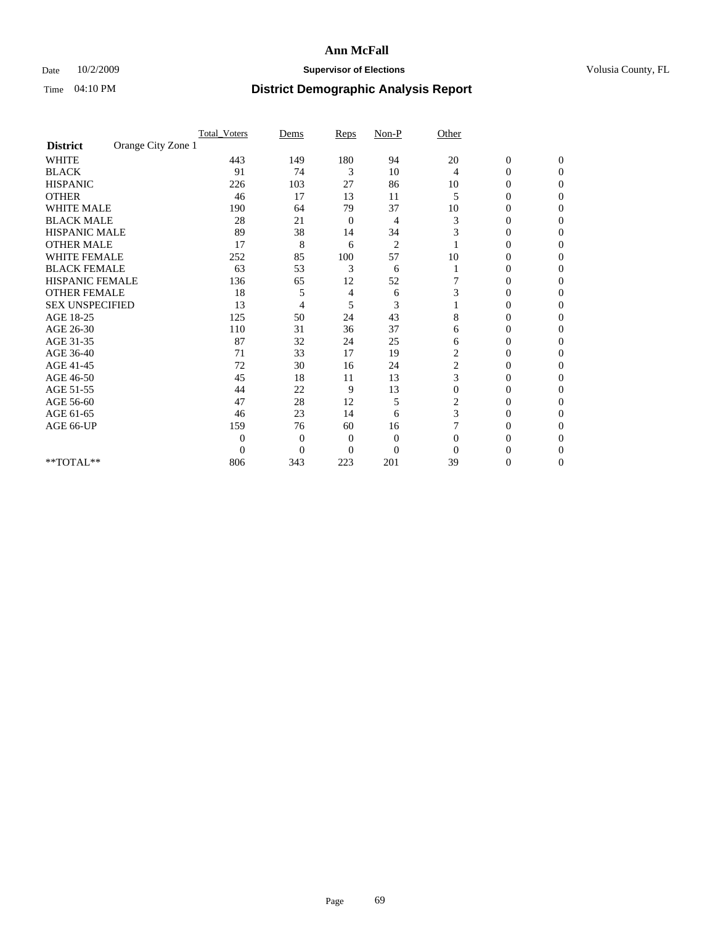## Date  $10/2/2009$  **Supervisor of Elections Supervisor of Elections** Volusia County, FL

|                        |                    | <b>Total_Voters</b> | Dems           | Reps           | $Non-P$        | Other          |                  |              |  |
|------------------------|--------------------|---------------------|----------------|----------------|----------------|----------------|------------------|--------------|--|
| <b>District</b>        | Orange City Zone 1 |                     |                |                |                |                |                  |              |  |
| <b>WHITE</b>           |                    | 443                 | 149            | 180            | 94             | 20             | $\boldsymbol{0}$ | $\mathbf{0}$ |  |
| <b>BLACK</b>           |                    | 91                  | 74             | 3              | 10             | 4              | $\overline{0}$   | $\Omega$     |  |
| <b>HISPANIC</b>        |                    | 226                 | 103            | 27             | 86             | 10             | 0                | $\Omega$     |  |
| <b>OTHER</b>           |                    | 46                  | 17             | 13             | 11             | 5              | 0                | $\Omega$     |  |
| <b>WHITE MALE</b>      |                    | 190                 | 64             | 79             | 37             | 10             | 0                | 0            |  |
| <b>BLACK MALE</b>      |                    | 28                  | 21             | 0              | 4              | 3              | 0                | $\Omega$     |  |
| HISPANIC MALE          |                    | 89                  | 38             | 14             | 34             | 3              | 0                | $\Omega$     |  |
| <b>OTHER MALE</b>      |                    | 17                  | 8              | 6              | $\overline{2}$ |                | 0                | 0            |  |
| <b>WHITE FEMALE</b>    |                    | 252                 | 85             | 100            | 57             | 10             | 0                | $\Omega$     |  |
| <b>BLACK FEMALE</b>    |                    | 63                  | 53             | 3              | 6              |                | $\overline{0}$   | 0            |  |
| <b>HISPANIC FEMALE</b> |                    | 136                 | 65             | 12             | 52             |                | 0                | 0            |  |
| <b>OTHER FEMALE</b>    |                    | 18                  | 5              | 4              | 6              | 3              | 0                | 0            |  |
| <b>SEX UNSPECIFIED</b> |                    | 13                  | 4              | 5              | 3              |                | 0                | $\Omega$     |  |
| AGE 18-25              |                    | 125                 | 50             | 24             | 43             | 8              | 0                | $\Omega$     |  |
| AGE 26-30              |                    | 110                 | 31             | 36             | 37             | 6              | 0                | 0            |  |
| AGE 31-35              |                    | 87                  | 32             | 24             | 25             | 6              | 0                | $\Omega$     |  |
| AGE 36-40              |                    | 71                  | 33             | 17             | 19             | $\overline{c}$ | 0                | 0            |  |
| AGE 41-45              |                    | 72                  | 30             | 16             | 24             | 2              | 0                | $\Omega$     |  |
| AGE 46-50              |                    | 45                  | 18             | 11             | 13             | 3              | 0                | $\Omega$     |  |
| AGE 51-55              |                    | 44                  | 22             | 9              | 13             | $\overline{0}$ | 0                | 0            |  |
| AGE 56-60              |                    | 47                  | 28             | 12             | 5              | 2              | 0                | 0            |  |
| AGE 61-65              |                    | 46                  | 23             | 14             | 6              | 3              | $\overline{0}$   | 0            |  |
| AGE 66-UP              |                    | 159                 | 76             | 60             | 16             |                | 0                | 0            |  |
|                        |                    | $\theta$            | $\overline{0}$ | $\mathbf{0}$   | $\mathbf{0}$   | $\Omega$       | 0                | 0            |  |
|                        |                    | $\overline{0}$      | $\overline{0}$ | $\overline{0}$ | $\overline{0}$ | $\Omega$       |                  | 0            |  |
| **TOTAL**              |                    | 806                 | 343            | 223            | 201            | 39             | 0                | 0            |  |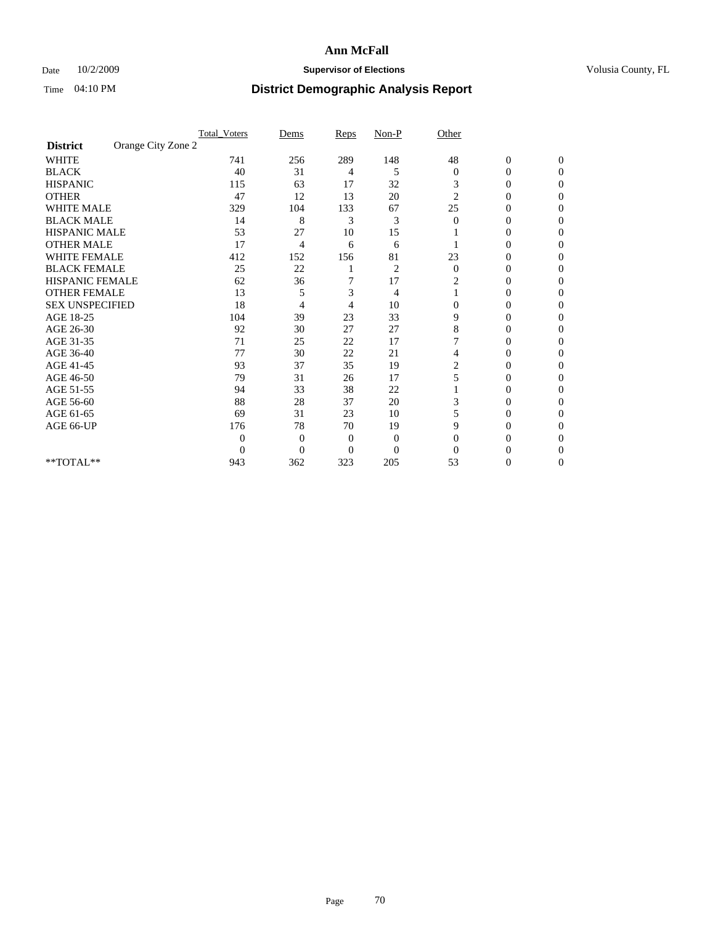## Date  $10/2/2009$  **Supervisor of Elections Supervisor of Elections** Volusia County, FL

|                        |                    | <b>Total_Voters</b> | Dems           | Reps           | $Non-P$        | Other          |                  |              |  |
|------------------------|--------------------|---------------------|----------------|----------------|----------------|----------------|------------------|--------------|--|
| <b>District</b>        | Orange City Zone 2 |                     |                |                |                |                |                  |              |  |
| <b>WHITE</b>           |                    | 741                 | 256            | 289            | 148            | 48             | $\boldsymbol{0}$ | $\mathbf{0}$ |  |
| <b>BLACK</b>           |                    | 40                  | 31             | 4              | 5              | $\mathbf{0}$   | $\overline{0}$   | $\Omega$     |  |
| <b>HISPANIC</b>        |                    | 115                 | 63             | 17             | 32             | 3              | 0                | $\Omega$     |  |
| <b>OTHER</b>           |                    | 47                  | 12             | 13             | 20             | $\overline{c}$ | 0                | 0            |  |
| <b>WHITE MALE</b>      |                    | 329                 | 104            | 133            | 67             | 25             | 0                | 0            |  |
| <b>BLACK MALE</b>      |                    | 14                  | 8              | 3              | 3              | $\Omega$       | 0                | $\Omega$     |  |
| HISPANIC MALE          |                    | 53                  | 27             | 10             | 15             |                | 0                | $\Omega$     |  |
| <b>OTHER MALE</b>      |                    | 17                  | 4              | 6              | 6              |                | 0                | 0            |  |
| <b>WHITE FEMALE</b>    |                    | 412                 | 152            | 156            | 81             | 23             | 0                | $\Omega$     |  |
| <b>BLACK FEMALE</b>    |                    | 25                  | 22             |                | $\overline{c}$ | $\mathbf{0}$   | $\overline{0}$   | 0            |  |
| <b>HISPANIC FEMALE</b> |                    | 62                  | 36             | 7              | 17             | 2              | 0                | 0            |  |
| <b>OTHER FEMALE</b>    |                    | 13                  | 5              | 3              | 4              |                | 0                | 0            |  |
| <b>SEX UNSPECIFIED</b> |                    | 18                  | 4              | 4              | 10             | $\mathbf{0}$   | 0                | 0            |  |
| AGE 18-25              |                    | 104                 | 39             | 23             | 33             | 9              | 0                | $\Omega$     |  |
| AGE 26-30              |                    | 92                  | 30             | 27             | 27             | 8              | 0                | 0            |  |
| AGE 31-35              |                    | 71                  | 25             | 22             | 17             |                | 0                | 0            |  |
| AGE 36-40              |                    | 77                  | 30             | 22             | 21             | 4              | 0                | 0            |  |
| AGE 41-45              |                    | 93                  | 37             | 35             | 19             | 2              | 0                | $\Omega$     |  |
| AGE 46-50              |                    | 79                  | 31             | 26             | 17             | 5              | 0                | $\Omega$     |  |
| AGE 51-55              |                    | 94                  | 33             | 38             | 22             |                | 0                | 0            |  |
| AGE 56-60              |                    | 88                  | 28             | 37             | 20             | 3              | 0                | 0            |  |
| AGE 61-65              |                    | 69                  | 31             | 23             | 10             | 5              | $\overline{0}$   | 0            |  |
| AGE 66-UP              |                    | 176                 | 78             | 70             | 19             | 9              | 0                | 0            |  |
|                        |                    | $\theta$            | $\overline{0}$ | $\mathbf{0}$   | $\mathbf{0}$   | $\Omega$       | 0                | 0            |  |
|                        |                    | $\overline{0}$      | $\overline{0}$ | $\overline{0}$ | $\overline{0}$ | $\Omega$       |                  | 0            |  |
| **TOTAL**              |                    | 943                 | 362            | 323            | 205            | 53             | 0                | 0            |  |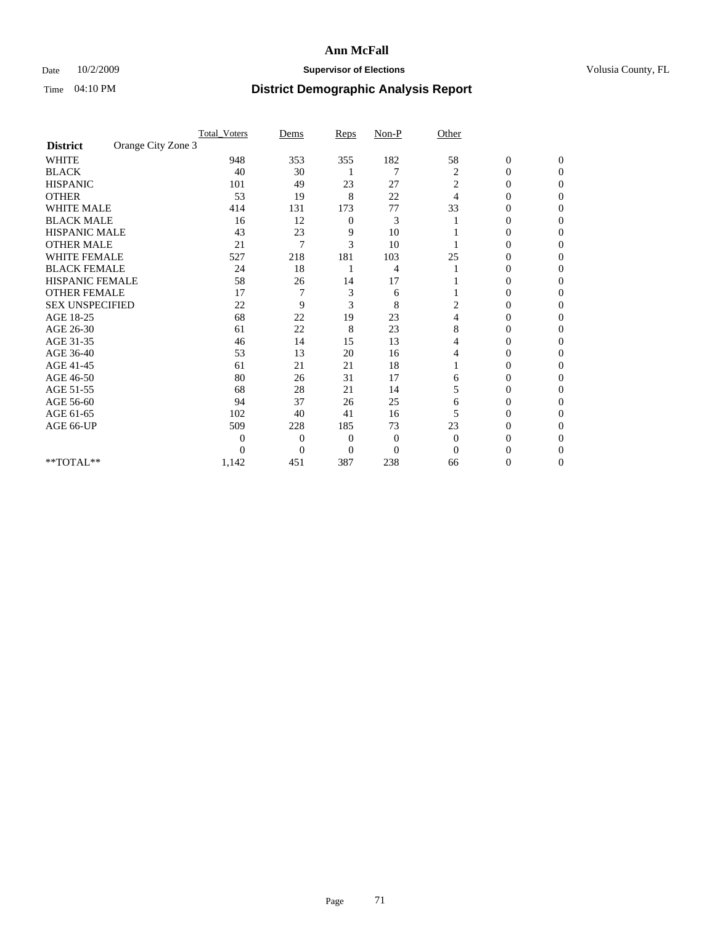## Date  $10/2/2009$  **Supervisor of Elections Supervisor of Elections** Volusia County, FL

|                        |                    | <b>Total_Voters</b> | Dems           | Reps           | $Non-P$        | Other          |                  |              |  |
|------------------------|--------------------|---------------------|----------------|----------------|----------------|----------------|------------------|--------------|--|
| <b>District</b>        | Orange City Zone 3 |                     |                |                |                |                |                  |              |  |
| <b>WHITE</b>           |                    | 948                 | 353            | 355            | 182            | 58             | $\boldsymbol{0}$ | $\mathbf{0}$ |  |
| <b>BLACK</b>           |                    | 40                  | 30             |                | 7              | 2              | $\overline{0}$   | $\Omega$     |  |
| <b>HISPANIC</b>        |                    | 101                 | 49             | 23             | 27             | 2              | 0                | $\Omega$     |  |
| <b>OTHER</b>           |                    | 53                  | 19             | 8              | 22             | 4              | 0                | $\Omega$     |  |
| <b>WHITE MALE</b>      |                    | 414                 | 131            | 173            | 77             | 33             | 0                | 0            |  |
| <b>BLACK MALE</b>      |                    | 16                  | 12             | 0              | 3              |                | 0                | $\Omega$     |  |
| HISPANIC MALE          |                    | 43                  | 23             | 9              | 10             |                | 0                | $\Omega$     |  |
| <b>OTHER MALE</b>      |                    | 21                  | 7              | 3              | 10             |                | 0                | 0            |  |
| <b>WHITE FEMALE</b>    |                    | 527                 | 218            | 181            | 103            | 25             | 0                | $\Omega$     |  |
| <b>BLACK FEMALE</b>    |                    | 24                  | 18             |                | 4              |                | 0                | 0            |  |
| <b>HISPANIC FEMALE</b> |                    | 58                  | 26             | 14             | 17             |                | 0                | 0            |  |
| <b>OTHER FEMALE</b>    |                    | 17                  |                | 3              | 6              |                | 0                | 0            |  |
| <b>SEX UNSPECIFIED</b> |                    | 22                  | 9              | 3              | 8              | 2              | 0                | $\Omega$     |  |
| AGE 18-25              |                    | 68                  | 22             | 19             | 23             | 4              | 0                | $\Omega$     |  |
| AGE 26-30              |                    | 61                  | 22             | 8              | 23             | 8              | 0                | 0            |  |
| AGE 31-35              |                    | 46                  | 14             | 15             | 13             | 4              | 0                | $\Omega$     |  |
| AGE 36-40              |                    | 53                  | 13             | 20             | 16             | 4              | 0                | 0            |  |
| AGE 41-45              |                    | 61                  | 21             | 21             | 18             |                | 0                | $\Omega$     |  |
| AGE 46-50              |                    | 80                  | 26             | 31             | 17             | 6              | 0                | $\Omega$     |  |
| AGE 51-55              |                    | 68                  | 28             | 21             | 14             | 5              | 0                | 0            |  |
| AGE 56-60              |                    | 94                  | 37             | 26             | 25             | 6              | 0                | 0            |  |
| AGE 61-65              |                    | 102                 | 40             | 41             | 16             | 5              | $\overline{0}$   | 0            |  |
| AGE 66-UP              |                    | 509                 | 228            | 185            | 73             | 23             | 0                | 0            |  |
|                        |                    | 0                   | $\overline{0}$ | $\overline{0}$ | $\mathbf{0}$   | $\overline{0}$ | 0                | 0            |  |
|                        |                    | $\theta$            | $\overline{0}$ | $\overline{0}$ | $\overline{0}$ | $\Omega$       |                  | 0            |  |
| **TOTAL**              |                    | 1,142               | 451            | 387            | 238            | 66             | 0                | 0            |  |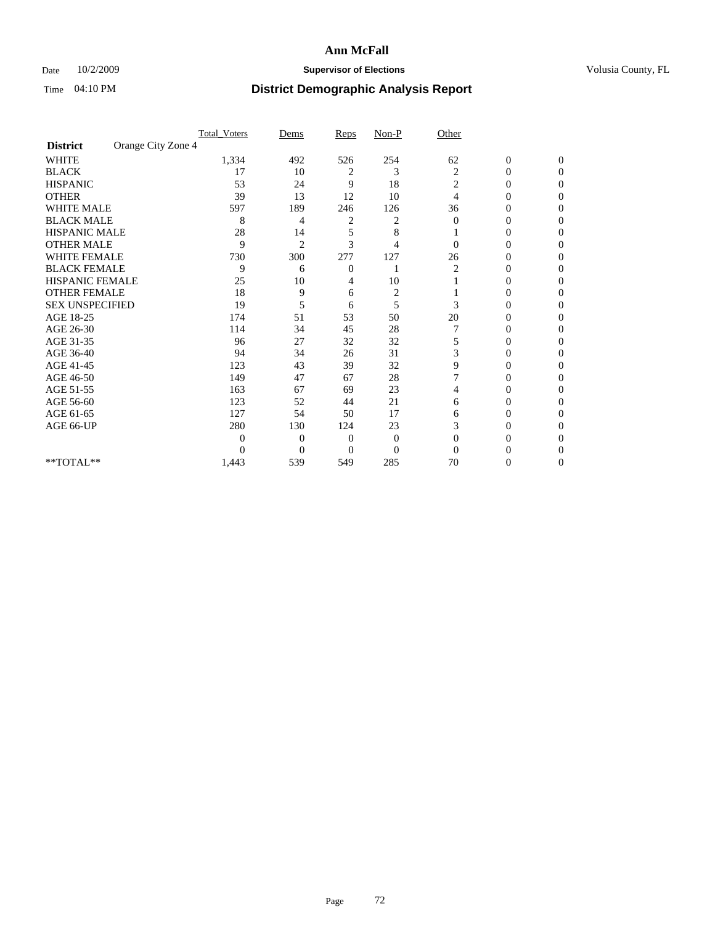## Date  $10/2/2009$  **Supervisor of Elections Supervisor of Elections** Volusia County, FL

|                        |                    | <b>Total_Voters</b> | Dems           | Reps           | $Non-P$        | Other          |                  |              |  |
|------------------------|--------------------|---------------------|----------------|----------------|----------------|----------------|------------------|--------------|--|
| <b>District</b>        | Orange City Zone 4 |                     |                |                |                |                |                  |              |  |
| <b>WHITE</b>           |                    | 1,334               | 492            | 526            | 254            | 62             | $\boldsymbol{0}$ | $\mathbf{0}$ |  |
| <b>BLACK</b>           |                    | 17                  | 10             | 2              | 3              | 2              | $\overline{0}$   | $\Omega$     |  |
| <b>HISPANIC</b>        |                    | 53                  | 24             | 9              | 18             | 2              | 0                | $\Omega$     |  |
| <b>OTHER</b>           |                    | 39                  | 13             | 12             | 10             | 4              | 0                | $\Omega$     |  |
| <b>WHITE MALE</b>      |                    | 597                 | 189            | 246            | 126            | 36             | 0                | 0            |  |
| <b>BLACK MALE</b>      |                    | 8                   | 4              | 2              | 2              | $\Omega$       | 0                | $\Omega$     |  |
| HISPANIC MALE          |                    | 28                  | 14             | 5              | 8              |                | 0                | $\Omega$     |  |
| <b>OTHER MALE</b>      |                    | 9                   | $\overline{2}$ | 3              | 4              | 0              | 0                | 0            |  |
| <b>WHITE FEMALE</b>    |                    | 730                 | 300            | 277            | 127            | 26             | 0                | $\Omega$     |  |
| <b>BLACK FEMALE</b>    |                    | 9                   | 6              | $\overline{0}$ |                | $\overline{c}$ | 0                | 0            |  |
| <b>HISPANIC FEMALE</b> |                    | 25                  | 10             | 4              | 10             |                | 0                | 0            |  |
| <b>OTHER FEMALE</b>    |                    | 18                  | 9              | 6              | $\overline{c}$ |                | 0                | 0            |  |
| <b>SEX UNSPECIFIED</b> |                    | 19                  | 5              | 6              | 5              | 3              | 0                | 0            |  |
| AGE 18-25              |                    | 174                 | 51             | 53             | 50             | 20             | 0                | $\Omega$     |  |
| AGE 26-30              |                    | 114                 | 34             | 45             | 28             |                | 0                | 0            |  |
| AGE 31-35              |                    | 96                  | 27             | 32             | 32             | 5              | 0                | 0            |  |
| AGE 36-40              |                    | 94                  | 34             | 26             | 31             | 3              | 0                | 0            |  |
| AGE 41-45              |                    | 123                 | 43             | 39             | 32             | 9              | 0                | $\Omega$     |  |
| AGE 46-50              |                    | 149                 | 47             | 67             | 28             |                | 0                | $\Omega$     |  |
| AGE 51-55              |                    | 163                 | 67             | 69             | 23             | 4              | 0                | 0            |  |
| AGE 56-60              |                    | 123                 | 52             | 44             | 21             | 6              | 0                | 0            |  |
| AGE 61-65              |                    | 127                 | 54             | 50             | 17             | 6              | $\overline{0}$   | 0            |  |
| AGE 66-UP              |                    | 280                 | 130            | 124            | 23             | 3              | 0                | 0            |  |
|                        |                    | 0                   | $\overline{0}$ | $\mathbf{0}$   | $\mathbf{0}$   | $\Omega$       | 0                | 0            |  |
|                        |                    | 0                   | $\overline{0}$ | $\overline{0}$ | $\overline{0}$ | $\Omega$       |                  | 0            |  |
| **TOTAL**              |                    | 1,443               | 539            | 549            | 285            | 70             | 0                | 0            |  |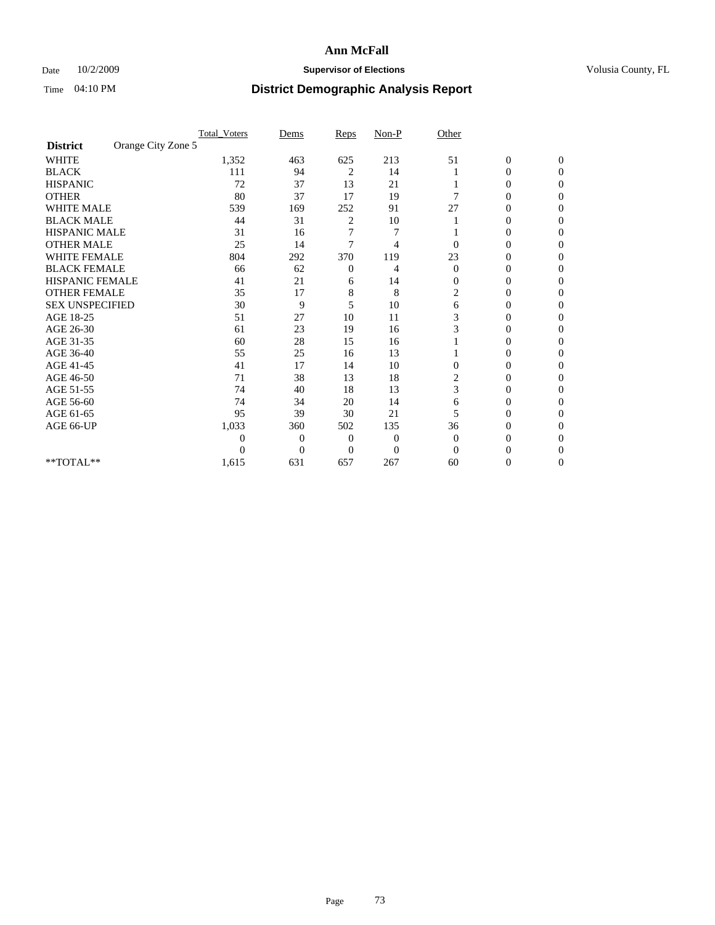### Date  $10/2/2009$  **Supervisor of Elections Supervisor of Elections** Volusia County, FL

|                                     |                    | <b>Total_Voters</b> | Dems           | Reps           | $Non-P$          | Other                   |                  |                |  |
|-------------------------------------|--------------------|---------------------|----------------|----------------|------------------|-------------------------|------------------|----------------|--|
| <b>District</b>                     | Orange City Zone 5 |                     |                |                |                  |                         |                  |                |  |
| <b>WHITE</b>                        |                    | 1,352               | 463            | 625            | 213              | 51                      | $\boldsymbol{0}$ | $\mathbf{0}$   |  |
| <b>BLACK</b>                        |                    | 111                 | 94             | 2              | 14               |                         | 0                | $\Omega$       |  |
| <b>HISPANIC</b>                     |                    | 72                  | 37             | 13             | 21               |                         | 0                | $\Omega$       |  |
| <b>OTHER</b>                        |                    | 80                  | 37             | 17             | 19               |                         | 0                | $\Omega$       |  |
| <b>WHITE MALE</b>                   |                    | 539                 | 169            | 252            | 91               | 27                      | 0                | 0              |  |
| <b>BLACK MALE</b>                   |                    | 44                  | 31             | 2              | 10               |                         | 0                | $\Omega$       |  |
| HISPANIC MALE                       |                    | 31                  | 16             | 7              | 7                |                         | 0                | $\Omega$       |  |
| <b>OTHER MALE</b>                   |                    | 25                  | 14             | 7              | 4                |                         | 0                | 0              |  |
| <b>WHITE FEMALE</b>                 |                    | 804                 | 292            | 370            | 119              | 23                      | 0                | $\Omega$       |  |
| <b>BLACK FEMALE</b>                 |                    | 66                  | 62             | $\overline{0}$ | 4                | $\overline{0}$          | $\overline{0}$   | $\overline{0}$ |  |
| <b>HISPANIC FEMALE</b>              |                    | 41                  | 21             | 6              | 14               | $\overline{0}$          | 0                | 0              |  |
| <b>OTHER FEMALE</b>                 |                    | 35                  | 17             | 8              | 8                | 2                       | 0                | 0              |  |
| <b>SEX UNSPECIFIED</b>              |                    | 30                  | 9              | 5              | 10               | 6                       | 0                | $\Omega$       |  |
| AGE 18-25                           |                    | 51                  | 27             | 10             | 11               | 3                       | 0                | $\Omega$       |  |
| AGE 26-30                           |                    | 61                  | 23             | 19             | 16               | 3                       | 0                | 0              |  |
| AGE 31-35                           |                    | 60                  | 28             | 15             | 16               |                         | 0                | $\Omega$       |  |
| AGE 36-40                           |                    | 55                  | 25             | 16             | 13               |                         | 0                | 0              |  |
| AGE 41-45                           |                    | 41                  | 17             | 14             | 10               | $\Omega$                | 0                | $\Omega$       |  |
| AGE 46-50                           |                    | 71                  | 38             | 13             | 18               | $\overline{\mathbf{c}}$ | 0                | $\Omega$       |  |
| AGE 51-55                           |                    | 74                  | 40             | 18             | 13               | 3                       | 0                | 0              |  |
| AGE 56-60                           |                    | 74                  | 34             | 20             | 14               | 6                       | 0                | $\Omega$       |  |
| AGE 61-65                           |                    | 95                  | 39             | 30             | 21               | 5                       | 0                | $\Omega$       |  |
| AGE 66-UP                           |                    | 1,033               | 360            | 502            | 135              | 36                      | 0                | 0              |  |
|                                     |                    | 0                   | $\mathbf{0}$   | $\overline{0}$ | $\boldsymbol{0}$ | $\Omega$                | 0                | $\Omega$       |  |
|                                     |                    | 0                   | $\overline{0}$ | $\theta$       | $\overline{0}$   | $\Omega$                |                  | 0              |  |
| $\rm ^{\ast \ast}TOTAL^{\ast \ast}$ |                    | 1,615               | 631            | 657            | 267              | 60                      | 0                | 0              |  |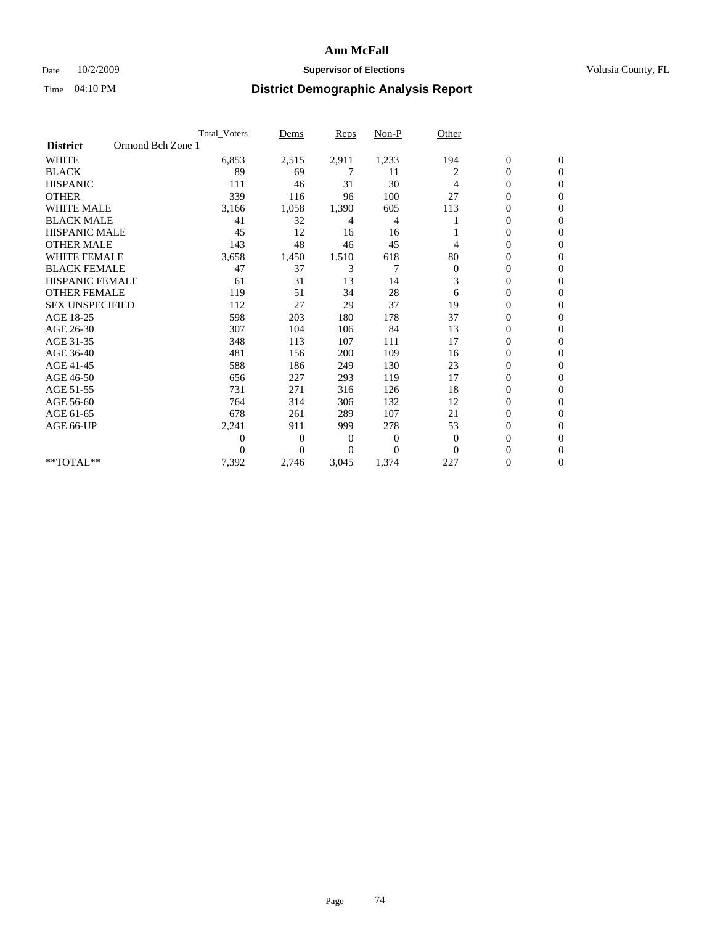### Date  $10/2/2009$  **Supervisor of Elections Supervisor of Elections** Volusia County, FL

|                        |                   | <b>Total Voters</b> | Dems           | <b>Reps</b> | Non-P    | Other        |                  |                  |  |
|------------------------|-------------------|---------------------|----------------|-------------|----------|--------------|------------------|------------------|--|
| <b>District</b>        | Ormond Bch Zone 1 |                     |                |             |          |              |                  |                  |  |
| <b>WHITE</b>           |                   | 6,853               | 2,515          | 2,911       | 1,233    | 194          | $\boldsymbol{0}$ | $\boldsymbol{0}$ |  |
| <b>BLACK</b>           |                   | 89                  | 69             | 7           | 11       | 2            | $\boldsymbol{0}$ | $\mathbf{0}$     |  |
| <b>HISPANIC</b>        |                   | 111                 | 46             | 31          | 30       | 4            | $\mathbf{0}$     | $\mathbf{0}$     |  |
| <b>OTHER</b>           |                   | 339                 | 116            | 96          | 100      | 27           | 0                | $\Omega$         |  |
| <b>WHITE MALE</b>      |                   | 3,166               | 1,058          | 1,390       | 605      | 113          | 0                | $\mathbf{0}$     |  |
| <b>BLACK MALE</b>      |                   | 41                  | 32             | 4           | 4        |              | $\overline{0}$   | $\mathbf{0}$     |  |
| <b>HISPANIC MALE</b>   |                   | 45                  | 12             | 16          | 16       |              | 0                | $\Omega$         |  |
| <b>OTHER MALE</b>      |                   | 143                 | 48             | 46          | 45       | 4            | 0                | $\Omega$         |  |
| <b>WHITE FEMALE</b>    |                   | 3,658               | 1,450          | 1,510       | 618      | 80           | 0                | $\mathbf{0}$     |  |
| <b>BLACK FEMALE</b>    |                   | 47                  | 37             | 3           | 7        | $\mathbf{0}$ | $\boldsymbol{0}$ | $\Omega$         |  |
| <b>HISPANIC FEMALE</b> |                   | 61                  | 31             | 13          | 14       | 3            | 0                | $\mathbf{0}$     |  |
| <b>OTHER FEMALE</b>    |                   | 119                 | 51             | 34          | 28       | 6            | 0                | $\Omega$         |  |
| <b>SEX UNSPECIFIED</b> |                   | 112                 | 27             | 29          | 37       | 19           | $\overline{0}$   | $\mathbf{0}$     |  |
| AGE 18-25              |                   | 598                 | 203            | 180         | 178      | 37           | 0                | $\mathbf{0}$     |  |
| AGE 26-30              |                   | 307                 | 104            | 106         | 84       | 13           | $\overline{0}$   | $\mathbf{0}$     |  |
| AGE 31-35              |                   | 348                 | 113            | 107         | 111      | 17           | $\boldsymbol{0}$ | $\mathbf{0}$     |  |
| AGE 36-40              |                   | 481                 | 156            | 200         | 109      | 16           | 0                | $\mathbf{0}$     |  |
| AGE 41-45              |                   | 588                 | 186            | 249         | 130      | 23           | $\mathbf{0}$     | $\Omega$         |  |
| AGE 46-50              |                   | 656                 | 227            | 293         | 119      | 17           | $\boldsymbol{0}$ | $\Omega$         |  |
| AGE 51-55              |                   | 731                 | 271            | 316         | 126      | 18           | 0                | $\mathbf{0}$     |  |
| AGE 56-60              |                   | 764                 | 314            | 306         | 132      | 12           | $\mathbf{0}$     | $\Omega$         |  |
| AGE 61-65              |                   | 678                 | 261            | 289         | 107      | 21           | $\overline{0}$   | $\mathbf{0}$     |  |
| AGE 66-UP              |                   | 2,241               | 911            | 999         | 278      | 53           | $\boldsymbol{0}$ | $\mathbf{0}$     |  |
|                        |                   | $\boldsymbol{0}$    | $\overline{0}$ | 0           | 0        | $\mathbf{0}$ | 0                | $\mathbf{0}$     |  |
|                        |                   | $\theta$            | $\Omega$       | $\Omega$    | $\Omega$ | $\Omega$     | $\overline{0}$   | $\Omega$         |  |
| **TOTAL**              |                   | 7,392               | 2,746          | 3,045       | 1,374    | 227          | 0                | $\mathbf{0}$     |  |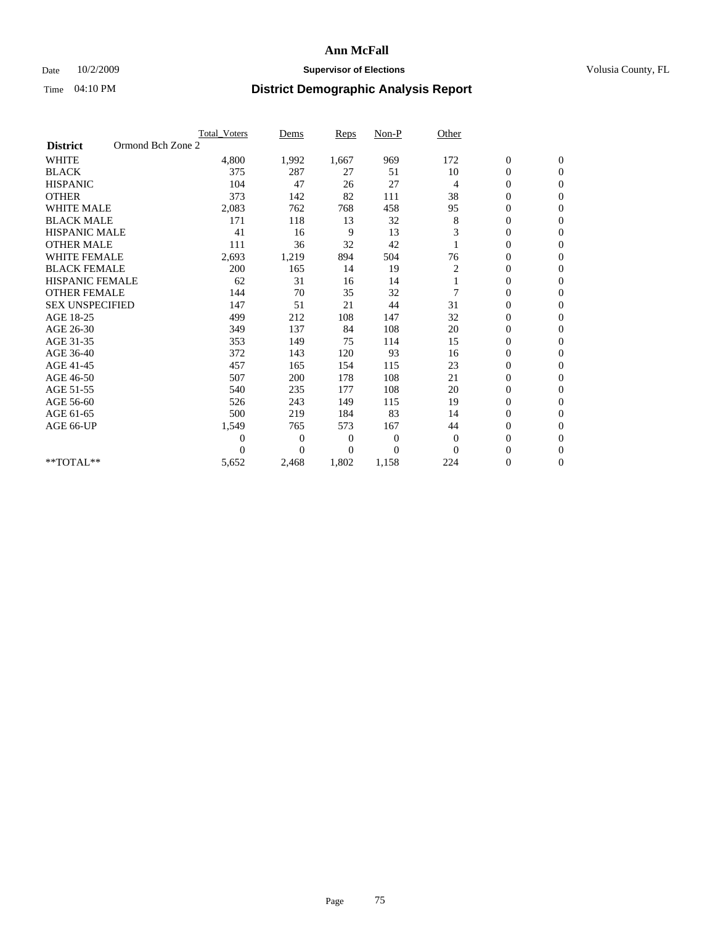### Date  $10/2/2009$  **Supervisor of Elections Supervisor of Elections** Volusia County, FL

|                                      | <b>Total Voters</b> | Dems     | <b>Reps</b>  | Non-P          | Other          |                  |                |  |
|--------------------------------------|---------------------|----------|--------------|----------------|----------------|------------------|----------------|--|
| Ormond Bch Zone 2<br><b>District</b> |                     |          |              |                |                |                  |                |  |
| <b>WHITE</b>                         | 4,800               | 1,992    | 1,667        | 969            | 172            | $\boldsymbol{0}$ | $\mathbf{0}$   |  |
| <b>BLACK</b>                         | 375                 | 287      | 27           | 51             | 10             | $\boldsymbol{0}$ | $\mathbf{0}$   |  |
| <b>HISPANIC</b>                      | 104                 | 47       | 26           | 27             | $\overline{4}$ | $\mathbf{0}$     | $\mathbf{0}$   |  |
| <b>OTHER</b>                         | 373                 | 142      | 82           | 111            | 38             | 0                | $\mathbf{0}$   |  |
| <b>WHITE MALE</b>                    | 2,083               | 762      | 768          | 458            | 95             | 0                | $\mathbf{0}$   |  |
| <b>BLACK MALE</b>                    | 171                 | 118      | 13           | 32             | 8              | $\boldsymbol{0}$ | $\mathbf{0}$   |  |
| <b>HISPANIC MALE</b>                 | 41                  | 16       | 9            | 13             | 3              | $\boldsymbol{0}$ | $\Omega$       |  |
| <b>OTHER MALE</b>                    | 111                 | 36       | 32           | 42             |                | 0                | $\mathbf{0}$   |  |
| <b>WHITE FEMALE</b>                  | 2,693               | 1,219    | 894          | 504            | 76             | 0                | $\mathbf{0}$   |  |
| <b>BLACK FEMALE</b>                  | 200                 | 165      | 14           | 19             | 2              | $\boldsymbol{0}$ | $\mathbf{0}$   |  |
| HISPANIC FEMALE                      | 62                  | 31       | 16           | 14             |                | $\boldsymbol{0}$ | $\mathbf{0}$   |  |
| <b>OTHER FEMALE</b>                  | 144                 | 70       | 35           | 32             |                | $\overline{0}$   | $\Omega$       |  |
| <b>SEX UNSPECIFIED</b>               | 147                 | 51       | 21           | 44             | 31             | $\overline{0}$   | $\mathbf{0}$   |  |
| AGE 18-25                            | 499                 | 212      | 108          | 147            | 32             | 0                | $\mathbf{0}$   |  |
| AGE 26-30                            | 349                 | 137      | 84           | 108            | 20             | $\overline{0}$   | $\mathbf{0}$   |  |
| AGE 31-35                            | 353                 | 149      | 75           | 114            | 15             | $\boldsymbol{0}$ | $\mathbf{0}$   |  |
| AGE 36-40                            | 372                 | 143      | 120          | 93             | 16             | 0                | $\mathbf{0}$   |  |
| AGE 41-45                            | 457                 | 165      | 154          | 115            | 23             | $\overline{0}$   | $\mathbf{0}$   |  |
| AGE 46-50                            | 507                 | 200      | 178          | 108            | 21             | $\overline{0}$   | $\mathbf{0}$   |  |
| AGE 51-55                            | 540                 | 235      | 177          | 108            | 20             | $\boldsymbol{0}$ | $\mathbf{0}$   |  |
| AGE 56-60                            | 526                 | 243      | 149          | 115            | 19             | $\overline{0}$   | $\Omega$       |  |
| AGE 61-65                            | 500                 | 219      | 184          | 83             | 14             | $\overline{0}$   | $\mathbf{0}$   |  |
| AGE 66-UP                            | 1,549               | 765      | 573          | 167            | 44             | 0                | $\mathbf{0}$   |  |
|                                      | $\theta$            | 0        | $\mathbf{0}$ | 0              | $\theta$       | $\overline{0}$   | $\Omega$       |  |
|                                      | $\Omega$            | $\theta$ | $\mathbf{0}$ | $\overline{0}$ | $\Omega$       | $\overline{0}$   | $\overline{0}$ |  |
| **TOTAL**                            | 5,652               | 2,468    | 1,802        | 1,158          | 224            | 0                | $\mathbf{0}$   |  |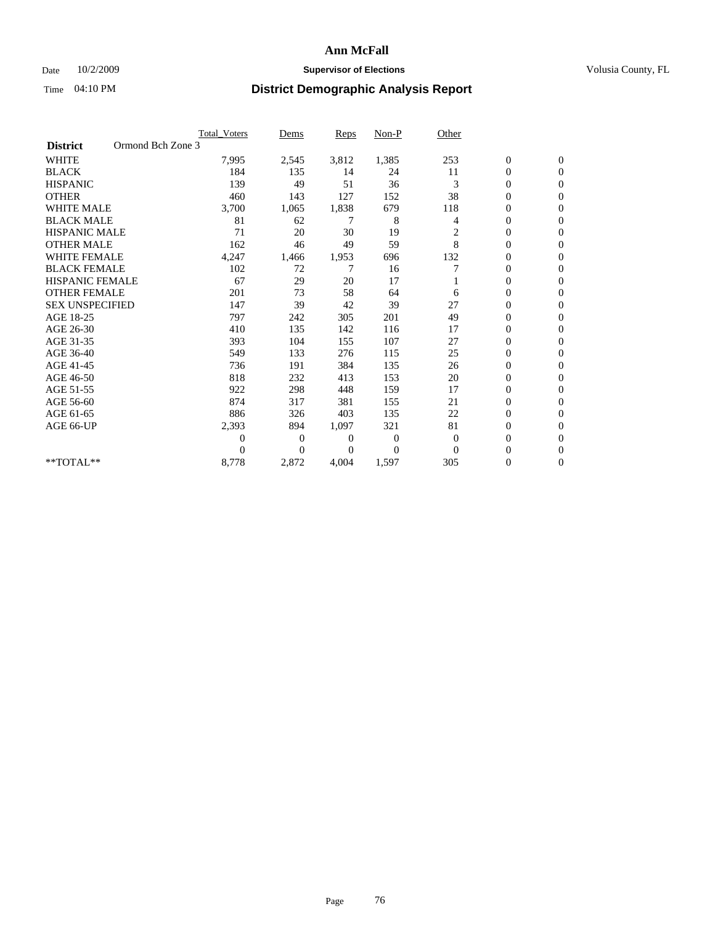### Date  $10/2/2009$  **Supervisor of Elections Supervisor of Elections** Volusia County, FL

|                        |                   | <b>Total Voters</b> | Dems           | <b>Reps</b> | Non-P    | Other          |                  |                  |  |
|------------------------|-------------------|---------------------|----------------|-------------|----------|----------------|------------------|------------------|--|
| <b>District</b>        | Ormond Bch Zone 3 |                     |                |             |          |                |                  |                  |  |
| <b>WHITE</b>           |                   | 7,995               | 2,545          | 3,812       | 1,385    | 253            | $\boldsymbol{0}$ | $\boldsymbol{0}$ |  |
| <b>BLACK</b>           |                   | 184                 | 135            | 14          | 24       | 11             | $\boldsymbol{0}$ | $\mathbf{0}$     |  |
| <b>HISPANIC</b>        |                   | 139                 | 49             | 51          | 36       | 3              | $\overline{0}$   | $\mathbf{0}$     |  |
| <b>OTHER</b>           |                   | 460                 | 143            | 127         | 152      | 38             | 0                | $\Omega$         |  |
| <b>WHITE MALE</b>      |                   | 3,700               | 1,065          | 1,838       | 679      | 118            | $\overline{0}$   | $\mathbf{0}$     |  |
| <b>BLACK MALE</b>      |                   | 81                  | 62             | 7           | 8        | $\overline{4}$ | $\overline{0}$   | $\mathbf{0}$     |  |
| <b>HISPANIC MALE</b>   |                   | 71                  | 20             | 30          | 19       | 2              | 0                | $\mathbf{0}$     |  |
| <b>OTHER MALE</b>      |                   | 162                 | 46             | 49          | 59       | 8              | 0                | $\mathbf{0}$     |  |
| <b>WHITE FEMALE</b>    |                   | 4,247               | 1,466          | 1,953       | 696      | 132            | 0                | $\mathbf{0}$     |  |
| <b>BLACK FEMALE</b>    |                   | 102                 | 72             | 7           | 16       |                | $\boldsymbol{0}$ | $\Omega$         |  |
| <b>HISPANIC FEMALE</b> |                   | 67                  | 29             | 20          | 17       |                | 0                | $\mathbf{0}$     |  |
| <b>OTHER FEMALE</b>    |                   | 201                 | 73             | 58          | 64       | 6              | $\overline{0}$   | $\Omega$         |  |
| <b>SEX UNSPECIFIED</b> |                   | 147                 | 39             | 42          | 39       | 27             | $\overline{0}$   | $\mathbf{0}$     |  |
| AGE 18-25              |                   | 797                 | 242            | 305         | 201      | 49             | $\overline{0}$   | $\mathbf{0}$     |  |
| AGE 26-30              |                   | 410                 | 135            | 142         | 116      | 17             | $\overline{0}$   | $\mathbf{0}$     |  |
| AGE 31-35              |                   | 393                 | 104            | 155         | 107      | 27             | $\boldsymbol{0}$ | $\overline{0}$   |  |
| AGE 36-40              |                   | 549                 | 133            | 276         | 115      | 25             | 0                | $\mathbf{0}$     |  |
| AGE 41-45              |                   | 736                 | 191            | 384         | 135      | 26             | 0                | $\Omega$         |  |
| AGE 46-50              |                   | 818                 | 232            | 413         | 153      | 20             | $\boldsymbol{0}$ | $\Omega$         |  |
| AGE 51-55              |                   | 922                 | 298            | 448         | 159      | 17             | $\boldsymbol{0}$ | $\mathbf{0}$     |  |
| AGE 56-60              |                   | 874                 | 317            | 381         | 155      | 21             | $\overline{0}$   | $\Omega$         |  |
| AGE 61-65              |                   | 886                 | 326            | 403         | 135      | 22             | $\overline{0}$   | $\overline{0}$   |  |
| AGE 66-UP              |                   | 2,393               | 894            | 1,097       | 321      | 81             | $\boldsymbol{0}$ | $\mathbf{0}$     |  |
|                        |                   | 0                   | $\overline{0}$ | 0           | $\bf{0}$ | $\overline{0}$ | $\overline{0}$   | $\mathbf{0}$     |  |
|                        |                   | $\Omega$            | $\Omega$       | $\Omega$    | $\Omega$ | $\Omega$       | $\overline{0}$   | $\overline{0}$   |  |
| **TOTAL**              |                   | 8,778               | 2,872          | 4,004       | 1,597    | 305            | 0                | $\mathbf{0}$     |  |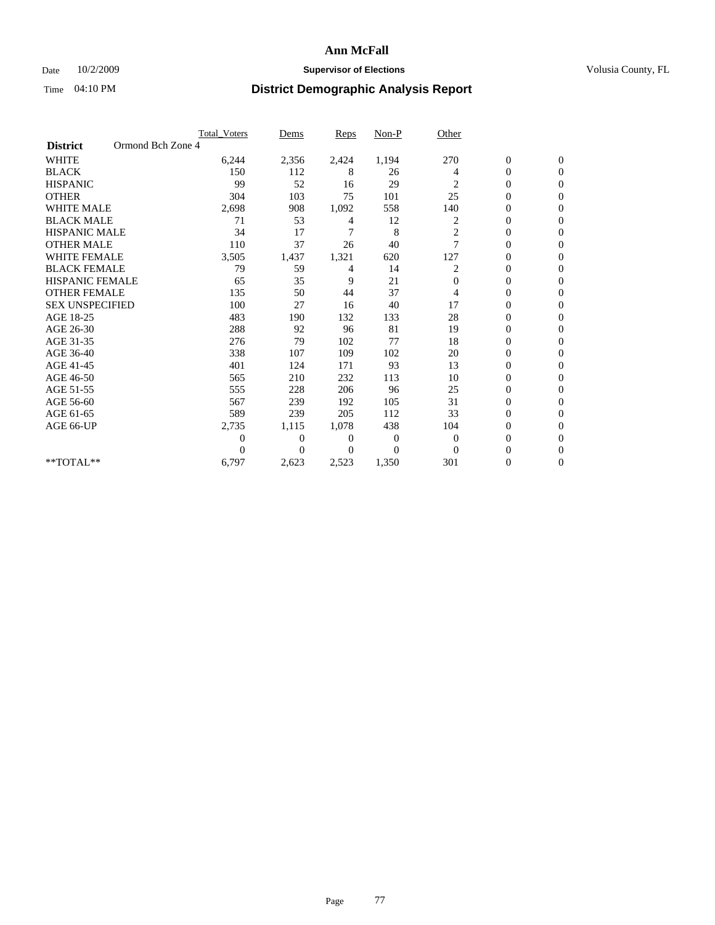### Date  $10/2/2009$  **Supervisor of Elections Supervisor of Elections** Volusia County, FL

|                        |                   | Total Voters   | Dems           | <b>Reps</b> | Non-P    | Other          |                  |                  |  |
|------------------------|-------------------|----------------|----------------|-------------|----------|----------------|------------------|------------------|--|
| <b>District</b>        | Ormond Bch Zone 4 |                |                |             |          |                |                  |                  |  |
| <b>WHITE</b>           |                   | 6,244          | 2,356          | 2,424       | 1,194    | 270            | $\boldsymbol{0}$ | $\boldsymbol{0}$ |  |
| <b>BLACK</b>           |                   | 150            | 112            | 8           | 26       | 4              | $\boldsymbol{0}$ | $\mathbf{0}$     |  |
| <b>HISPANIC</b>        |                   | 99             | 52             | 16          | 29       | 2              | $\overline{0}$   | $\mathbf{0}$     |  |
| <b>OTHER</b>           |                   | 304            | 103            | 75          | 101      | 25             | 0                | $\Omega$         |  |
| <b>WHITE MALE</b>      |                   | 2,698          | 908            | 1,092       | 558      | 140            | $\overline{0}$   | $\mathbf{0}$     |  |
| <b>BLACK MALE</b>      |                   | 71             | 53             | 4           | 12       | 2              | $\overline{0}$   | $\mathbf{0}$     |  |
| <b>HISPANIC MALE</b>   |                   | 34             | 17             | 7           | 8        | $\overline{c}$ | 0                | $\Omega$         |  |
| <b>OTHER MALE</b>      |                   | 110            | 37             | 26          | 40       | 7              | 0                | $\mathbf{0}$     |  |
| <b>WHITE FEMALE</b>    |                   | 3,505          | 1,437          | 1,321       | 620      | 127            | $\overline{0}$   | $\mathbf{0}$     |  |
| <b>BLACK FEMALE</b>    |                   | 79             | 59             | 4           | 14       | 2              | $\boldsymbol{0}$ | $\Omega$         |  |
| <b>HISPANIC FEMALE</b> |                   | 65             | 35             | 9           | 21       | $\Omega$       | 0                | $\mathbf{0}$     |  |
| <b>OTHER FEMALE</b>    |                   | 135            | 50             | 44          | 37       | 4              | $\overline{0}$   | $\Omega$         |  |
| <b>SEX UNSPECIFIED</b> |                   | 100            | 27             | 16          | 40       | 17             | $\overline{0}$   | $\mathbf{0}$     |  |
| AGE 18-25              |                   | 483            | 190            | 132         | 133      | 28             | $\mathbf{0}$     | $\mathbf{0}$     |  |
| AGE 26-30              |                   | 288            | 92             | 96          | 81       | 19             | $\overline{0}$   | $\mathbf{0}$     |  |
| AGE 31-35              |                   | 276            | 79             | 102         | 77       | 18             | $\boldsymbol{0}$ | $\mathbf{0}$     |  |
| AGE 36-40              |                   | 338            | 107            | 109         | 102      | 20             | 0                | $\mathbf{0}$     |  |
| AGE 41-45              |                   | 401            | 124            | 171         | 93       | 13             | $\overline{0}$   | $\Omega$         |  |
| AGE 46-50              |                   | 565            | 210            | 232         | 113      | 10             | $\boldsymbol{0}$ | $\Omega$         |  |
| AGE 51-55              |                   | 555            | 228            | 206         | 96       | 25             | $\boldsymbol{0}$ | $\mathbf{0}$     |  |
| AGE 56-60              |                   | 567            | 239            | 192         | 105      | 31             | $\overline{0}$   | $\Omega$         |  |
| AGE 61-65              |                   | 589            | 239            | 205         | 112      | 33             | $\overline{0}$   | $\mathbf{0}$     |  |
| AGE 66-UP              |                   | 2,735          | 1,115          | 1,078       | 438      | 104            | 0                | $\mathbf{0}$     |  |
|                        |                   | $\overline{0}$ | $\overline{0}$ | 0           | 0        | $\mathbf{0}$   | $\overline{0}$   | $\mathbf{0}$     |  |
|                        |                   | $\theta$       | $\Omega$       | $\Omega$    | $\Omega$ | $\Omega$       | $\overline{0}$   | $\mathbf{0}$     |  |
| **TOTAL**              |                   | 6,797          | 2,623          | 2,523       | 1,350    | 301            | 0                | $\mathbf{0}$     |  |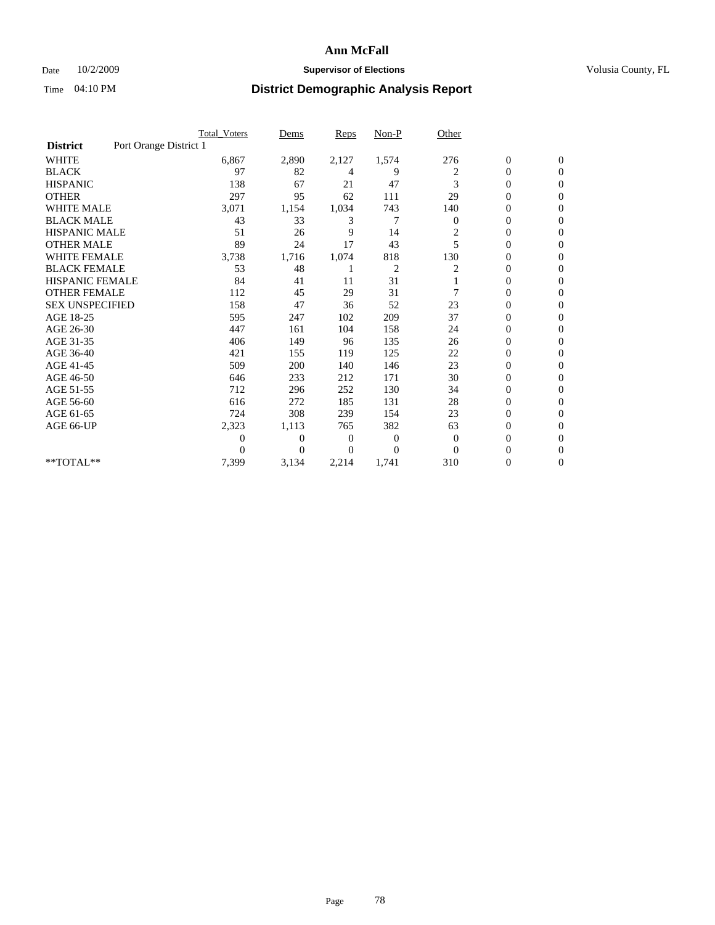### Date  $10/2/2009$  **Supervisor of Elections Supervisor of Elections** Volusia County, FL

|                        |                        | <b>Total Voters</b> | Dems           | <b>Reps</b> | $Non-P$        | Other                   |                  |                  |
|------------------------|------------------------|---------------------|----------------|-------------|----------------|-------------------------|------------------|------------------|
| <b>District</b>        | Port Orange District 1 |                     |                |             |                |                         |                  |                  |
| <b>WHITE</b>           |                        | 6,867               | 2,890          | 2,127       | 1,574          | 276                     | $\boldsymbol{0}$ | $\boldsymbol{0}$ |
| <b>BLACK</b>           |                        | 97                  | 82             | 4           | 9              | 2                       | $\boldsymbol{0}$ | $\mathbf{0}$     |
| <b>HISPANIC</b>        |                        | 138                 | 67             | 21          | 47             | 3                       | $\overline{0}$   | $\mathbf{0}$     |
| <b>OTHER</b>           |                        | 297                 | 95             | 62          | 111            | 29                      | $\boldsymbol{0}$ | $\Omega$         |
| <b>WHITE MALE</b>      |                        | 3,071               | 1,154          | 1,034       | 743            | 140                     | $\overline{0}$   | $\mathbf{0}$     |
| <b>BLACK MALE</b>      |                        | 43                  | 33             | 3           | 7              | $\theta$                | $\overline{0}$   | $\mathbf{0}$     |
| <b>HISPANIC MALE</b>   |                        | 51                  | 26             | 9           | 14             | $\overline{\mathbf{c}}$ | $\overline{0}$   | $\Omega$         |
| <b>OTHER MALE</b>      |                        | 89                  | 24             | 17          | 43             | 5                       | $\boldsymbol{0}$ | $\mathbf{0}$     |
| <b>WHITE FEMALE</b>    |                        | 3,738               | 1,716          | 1,074       | 818            | 130                     | $\overline{0}$   | $\mathbf{0}$     |
| <b>BLACK FEMALE</b>    |                        | 53                  | 48             |             | $\overline{c}$ | 2                       | $\boldsymbol{0}$ | $\Omega$         |
| <b>HISPANIC FEMALE</b> |                        | 84                  | 41             | 11          | 31             |                         | 0                | $\mathbf{0}$     |
| <b>OTHER FEMALE</b>    |                        | 112                 | 45             | 29          | 31             | 7                       | $\overline{0}$   | $\Omega$         |
| <b>SEX UNSPECIFIED</b> |                        | 158                 | 47             | 36          | 52             | 23                      | $\overline{0}$   | $\overline{0}$   |
| AGE 18-25              |                        | 595                 | 247            | 102         | 209            | 37                      | $\overline{0}$   | $\mathbf{0}$     |
| AGE 26-30              |                        | 447                 | 161            | 104         | 158            | 24                      | $\overline{0}$   | $\mathbf{0}$     |
| AGE 31-35              |                        | 406                 | 149            | 96          | 135            | 26                      | $\boldsymbol{0}$ | $\overline{0}$   |
| AGE 36-40              |                        | 421                 | 155            | 119         | 125            | 22                      | 0                | $\mathbf{0}$     |
| AGE 41-45              |                        | 509                 | 200            | 140         | 146            | 23                      | $\overline{0}$   | $\Omega$         |
| AGE 46-50              |                        | 646                 | 233            | 212         | 171            | 30                      | $\boldsymbol{0}$ | $\Omega$         |
| AGE 51-55              |                        | 712                 | 296            | 252         | 130            | 34                      | $\boldsymbol{0}$ | $\mathbf{0}$     |
| AGE 56-60              |                        | 616                 | 272            | 185         | 131            | 28                      | $\overline{0}$   | $\Omega$         |
| AGE 61-65              |                        | 724                 | 308            | 239         | 154            | 23                      | $\overline{0}$   | $\mathbf{0}$     |
| AGE 66-UP              |                        | 2,323               | 1,113          | 765         | 382            | 63                      | $\boldsymbol{0}$ | $\mathbf{0}$     |
|                        |                        | 0                   | $\overline{0}$ | 0           | $\mathbf{0}$   | $\mathbf{0}$            | $\overline{0}$   | $\mathbf{0}$     |
|                        |                        | $\theta$            | $\Omega$       | $\Omega$    | $\Omega$       | $\Omega$                | $\overline{0}$   | $\mathbf{0}$     |
| **TOTAL**              |                        | 7,399               | 3,134          | 2,214       | 1,741          | 310                     | 0                | $\mathbf{0}$     |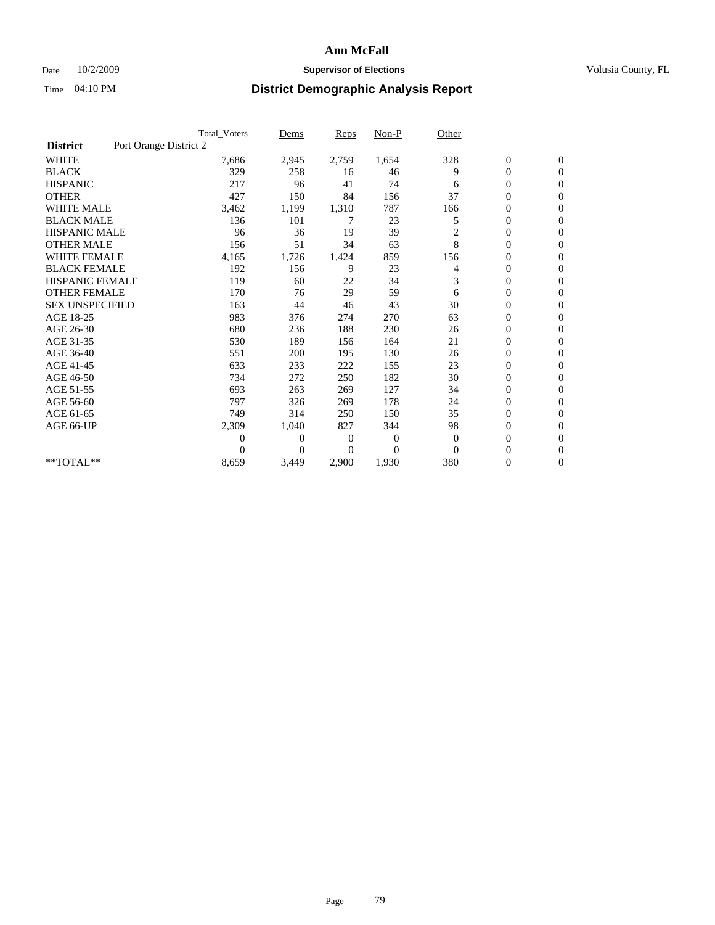### Date  $10/2/2009$  **Supervisor of Elections Supervisor of Elections** Volusia County, FL

|                        |                        | <b>Total_Voters</b> | Dems     | Reps  | $Non-P$        | Other                   |                  |                  |  |
|------------------------|------------------------|---------------------|----------|-------|----------------|-------------------------|------------------|------------------|--|
| <b>District</b>        | Port Orange District 2 |                     |          |       |                |                         |                  |                  |  |
| <b>WHITE</b>           |                        | 7,686               | 2,945    | 2,759 | 1,654          | 328                     | $\boldsymbol{0}$ | $\boldsymbol{0}$ |  |
| <b>BLACK</b>           |                        | 329                 | 258      | 16    | 46             | 9                       | 0                | $\mathbf{0}$     |  |
| <b>HISPANIC</b>        |                        | 217                 | 96       | 41    | 74             | 6                       | $\mathbf{0}$     | $\mathbf{0}$     |  |
| <b>OTHER</b>           |                        | 427                 | 150      | 84    | 156            | 37                      | 0                | $\Omega$         |  |
| <b>WHITE MALE</b>      |                        | 3,462               | 1,199    | 1,310 | 787            | 166                     | 0                | $\mathbf{0}$     |  |
| <b>BLACK MALE</b>      |                        | 136                 | 101      | 7     | 23             | 5                       | $\overline{0}$   | $\mathbf{0}$     |  |
| <b>HISPANIC MALE</b>   |                        | 96                  | 36       | 19    | 39             | $\overline{\mathbf{c}}$ | 0                | $\mathbf{0}$     |  |
| <b>OTHER MALE</b>      |                        | 156                 | 51       | 34    | 63             | 8                       | 0                | $\mathbf{0}$     |  |
| <b>WHITE FEMALE</b>    |                        | 4,165               | 1,726    | 1,424 | 859            | 156                     | 0                | $\mathbf{0}$     |  |
| <b>BLACK FEMALE</b>    |                        | 192                 | 156      | 9     | 23             | 4                       | 0                | $\mathbf{0}$     |  |
| <b>HISPANIC FEMALE</b> |                        | 119                 | 60       | 22    | 34             | 3                       | 0                | $\mathbf{0}$     |  |
| <b>OTHER FEMALE</b>    |                        | 170                 | 76       | 29    | 59             | 6                       | 0                | $\Omega$         |  |
| <b>SEX UNSPECIFIED</b> |                        | 163                 | 44       | 46    | 43             | 30                      | 0                | $\mathbf{0}$     |  |
| AGE 18-25              |                        | 983                 | 376      | 274   | 270            | 63                      | 0                | $\mathbf{0}$     |  |
| AGE 26-30              |                        | 680                 | 236      | 188   | 230            | 26                      | 0                | $\mathbf{0}$     |  |
| AGE 31-35              |                        | 530                 | 189      | 156   | 164            | 21                      | 0                | $\mathbf{0}$     |  |
| AGE 36-40              |                        | 551                 | 200      | 195   | 130            | 26                      | 0                | $\mathbf{0}$     |  |
| AGE 41-45              |                        | 633                 | 233      | 222   | 155            | 23                      | $\overline{0}$   | $\mathbf{0}$     |  |
| AGE 46-50              |                        | 734                 | 272      | 250   | 182            | 30                      | $\boldsymbol{0}$ | $\mathbf{0}$     |  |
| AGE 51-55              |                        | 693                 | 263      | 269   | 127            | 34                      | 0                | $\mathbf{0}$     |  |
| AGE 56-60              |                        | 797                 | 326      | 269   | 178            | 24                      | $\overline{0}$   | $\Omega$         |  |
| AGE 61-65              |                        | 749                 | 314      | 250   | 150            | 35                      | $\overline{0}$   | $\mathbf{0}$     |  |
| AGE 66-UP              |                        | 2,309               | 1,040    | 827   | 344            | 98                      | 0                | $\mathbf{0}$     |  |
|                        |                        | 0                   | 0        | 0     | $\overline{0}$ | $\theta$                | 0                | $\mathbf{0}$     |  |
|                        |                        | 0                   | $\Omega$ | 0     | $\Omega$       | $\Omega$                | $\overline{0}$   | $\overline{0}$   |  |
| **TOTAL**              |                        | 8,659               | 3,449    | 2,900 | 1,930          | 380                     | 0                | $\overline{0}$   |  |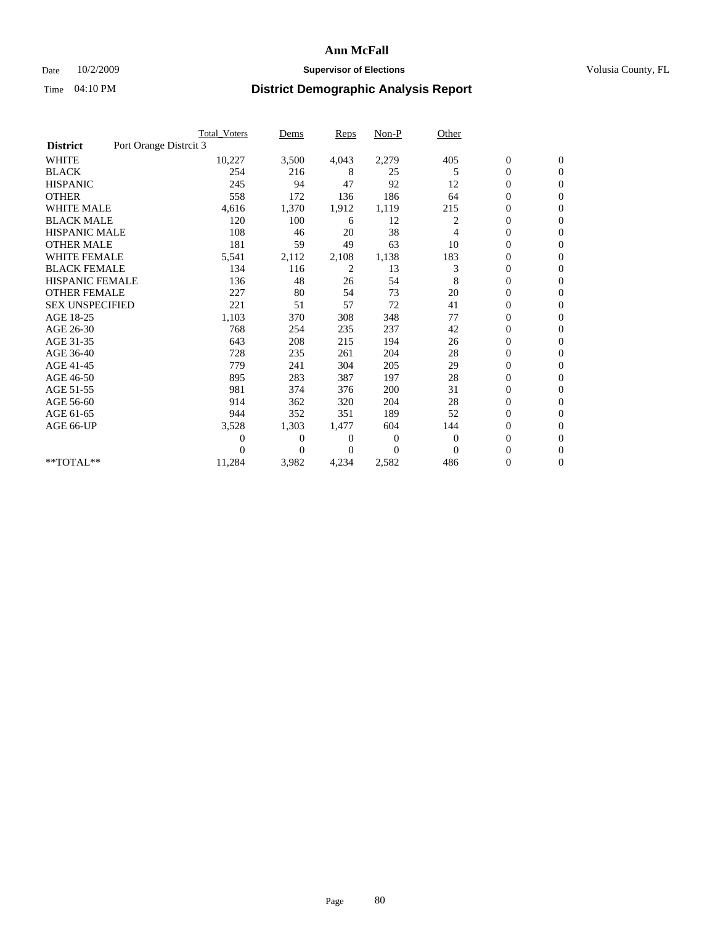### Date  $10/2/2009$  **Supervisor of Elections Supervisor of Elections** Volusia County, FL

|                        | Total Voters           | Dems           | <b>Reps</b>  | $Non-P$      | Other        |                  |                  |  |
|------------------------|------------------------|----------------|--------------|--------------|--------------|------------------|------------------|--|
| <b>District</b>        | Port Orange Distrcit 3 |                |              |              |              |                  |                  |  |
| <b>WHITE</b>           | 10,227                 | 3,500          | 4,043        | 2,279        | 405          | $\boldsymbol{0}$ | $\boldsymbol{0}$ |  |
| <b>BLACK</b>           | 254                    | 216            | 8            | 25           | 5            | $\boldsymbol{0}$ | $\mathbf{0}$     |  |
| <b>HISPANIC</b>        | 245                    | 94             | 47           | 92           | 12           | $\overline{0}$   | $\mathbf{0}$     |  |
| <b>OTHER</b>           | 558                    | 172            | 136          | 186          | 64           | $\overline{0}$   | $\mathbf{0}$     |  |
| <b>WHITE MALE</b>      | 4,616                  | 1,370          | 1,912        | 1,119        | 215          | $\boldsymbol{0}$ | $\mathbf{0}$     |  |
| <b>BLACK MALE</b>      | 120                    | 100            | 6            | 12           | 2            | $\overline{0}$   | $\mathbf{0}$     |  |
| <b>HISPANIC MALE</b>   | 108                    | 46             | 20           | 38           | 4            | $\boldsymbol{0}$ | $\Omega$         |  |
| <b>OTHER MALE</b>      | 181                    | 59             | 49           | 63           | 10           | $\overline{0}$   | $\mathbf{0}$     |  |
| <b>WHITE FEMALE</b>    | 5,541                  | 2,112          | 2,108        | 1,138        | 183          | $\boldsymbol{0}$ | $\mathbf{0}$     |  |
| <b>BLACK FEMALE</b>    | 134                    | 116            | 2            | 13           | 3            | $\boldsymbol{0}$ | $\overline{0}$   |  |
| <b>HISPANIC FEMALE</b> | 136                    | 48             | 26           | 54           | 8            | $\boldsymbol{0}$ | $\mathbf{0}$     |  |
| <b>OTHER FEMALE</b>    | 227                    | 80             | 54           | 73           | 20           | $\mathbf{0}$     | $\mathbf{0}$     |  |
| <b>SEX UNSPECIFIED</b> | 221                    | 51             | 57           | 72           | 41           | $\boldsymbol{0}$ | $\Omega$         |  |
| AGE 18-25              | 1,103                  | 370            | 308          | 348          | 77           | $\boldsymbol{0}$ | $\mathbf{0}$     |  |
| AGE 26-30              | 768                    | 254            | 235          | 237          | 42           | $\mathbf{0}$     | $\Omega$         |  |
| AGE 31-35              | 643                    | 208            | 215          | 194          | 26           | $\boldsymbol{0}$ | $\mathbf{0}$     |  |
| AGE 36-40              | 728                    | 235            | 261          | 204          | 28           | $\boldsymbol{0}$ | $\mathbf{0}$     |  |
| AGE 41-45              | 779                    | 241            | 304          | 205          | 29           | $\boldsymbol{0}$ | $\mathbf{0}$     |  |
| AGE 46-50              | 895                    | 283            | 387          | 197          | 28           | $\boldsymbol{0}$ | $\Omega$         |  |
| AGE 51-55              | 981                    | 374            | 376          | 200          | 31           | $\overline{0}$   | $\mathbf{0}$     |  |
| AGE 56-60              | 914                    | 362            | 320          | 204          | 28           | $\overline{0}$   | $\mathbf{0}$     |  |
| AGE 61-65              | 944                    | 352            | 351          | 189          | 52           | $\overline{0}$   | $\mathbf{0}$     |  |
| AGE 66-UP              | 3,528                  | 1,303          | 1,477        | 604          | 144          | $\boldsymbol{0}$ | $\mathbf{0}$     |  |
|                        | $\overline{0}$         | $\overline{0}$ | 0            | $\mathbf{0}$ | $\mathbf{0}$ | $\mathbf{0}$     | $\mathbf{0}$     |  |
|                        | 0                      | $\overline{0}$ | $\mathbf{0}$ | $\Omega$     | $\mathbf{0}$ | 0                | $\mathbf{0}$     |  |
| **TOTAL**              | 11,284                 | 3,982          | 4,234        | 2,582        | 486          | 0                | $\boldsymbol{0}$ |  |